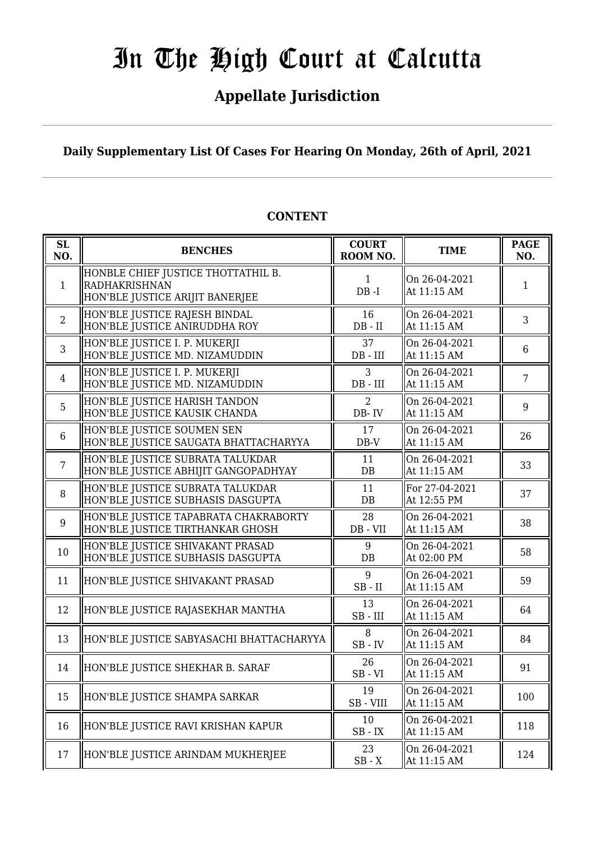### **Appellate Jurisdiction**

**Daily Supplementary List Of Cases For Hearing On Monday, 26th of April, 2021**

| SL<br>NO.      | <b>BENCHES</b>                                                                                | <b>COURT</b><br>ROOM NO. | <b>TIME</b>                   | <b>PAGE</b><br>NO. |
|----------------|-----------------------------------------------------------------------------------------------|--------------------------|-------------------------------|--------------------|
| $\mathbf{1}$   | HONBLE CHIEF JUSTICE THOTTATHIL B.<br><b>RADHAKRISHNAN</b><br>HON'BLE JUSTICE ARIJIT BANERJEE | $\mathbf{1}$<br>$DB - I$ | On 26-04-2021<br>At 11:15 AM  | 1                  |
| $\overline{2}$ | HON'BLE JUSTICE RAJESH BINDAL<br>HON'BLE JUSTICE ANIRUDDHA ROY                                | 16<br>$DB - II$          | On 26-04-2021<br>At 11:15 AM  | 3                  |
| 3              | HON'BLE JUSTICE I. P. MUKERJI<br>HON'BLE JUSTICE MD. NIZAMUDDIN                               | 37<br>$DB$ - $III$       | On 26-04-2021<br>At 11:15 AM  | 6                  |
| $\overline{4}$ | HON'BLE JUSTICE I. P. MUKERJI<br>HON'BLE JUSTICE MD. NIZAMUDDIN                               | 3<br>$DB$ - $III$        | On 26-04-2021<br>At 11:15 AM  | $\overline{7}$     |
| 5              | HON'BLE JUSTICE HARISH TANDON<br>HON'BLE JUSTICE KAUSIK CHANDA                                | 2<br>$DB - IV$           | On 26-04-2021<br>At 11:15 AM  | 9                  |
| $6\phantom{1}$ | HON'BLE JUSTICE SOUMEN SEN<br>HON'BLE JUSTICE SAUGATA BHATTACHARYYA                           | 17<br>$DB-V$             | On 26-04-2021<br>At 11:15 AM  | 26                 |
| $\overline{7}$ | HON'BLE JUSTICE SUBRATA TALUKDAR<br>HON'BLE JUSTICE ABHIJIT GANGOPADHYAY                      | 11<br>DB                 | On 26-04-2021<br>At 11:15 AM  | 33                 |
| 8              | HON'BLE JUSTICE SUBRATA TALUKDAR<br>HON'BLE JUSTICE SUBHASIS DASGUPTA                         | 11<br>DB                 | For 27-04-2021<br>At 12:55 PM | 37                 |
| 9              | HON'BLE JUSTICE TAPABRATA CHAKRABORTY<br>HON'BLE JUSTICE TIRTHANKAR GHOSH                     | 28<br>DB - VII           | On 26-04-2021<br>At 11:15 AM  | 38                 |
| 10             | HON'BLE JUSTICE SHIVAKANT PRASAD<br>HON'BLE JUSTICE SUBHASIS DASGUPTA                         | 9<br>DB                  | On 26-04-2021<br>At 02:00 PM  | 58                 |
| 11             | HON'BLE JUSTICE SHIVAKANT PRASAD                                                              | 9<br>$SB$ - $II$         | On 26-04-2021<br>At 11:15 AM  | 59                 |
| 12             | HON'BLE JUSTICE RAJASEKHAR MANTHA                                                             | 13<br>$SB$ - $III$       | On 26-04-2021<br>At 11:15 AM  | 64                 |
| 13             | HON'BLE JUSTICE SABYASACHI BHATTACHARYYA                                                      | 8<br>$SB$ - $IV$         | On 26-04-2021<br>At 11:15 AM  | 84                 |
| 14             | HON'BLE JUSTICE SHEKHAR B. SARAF                                                              | 26<br>$SB - VI$          | On 26-04-2021<br>At 11:15 AM  | 91                 |
| 15             | HON'BLE JUSTICE SHAMPA SARKAR                                                                 | 19<br>SB-VIII            | On 26-04-2021<br>At 11:15 AM  | 100                |
| 16             | HON'BLE JUSTICE RAVI KRISHAN KAPUR                                                            | 10<br>$SB$ - $\it IX$    | On 26-04-2021<br>At 11:15 AM  | 118                |
| 17             | HON'BLE JUSTICE ARINDAM MUKHERJEE                                                             | 23<br>$SB - X$           | On 26-04-2021<br>At 11:15 AM  | 124                |

### **CONTENT**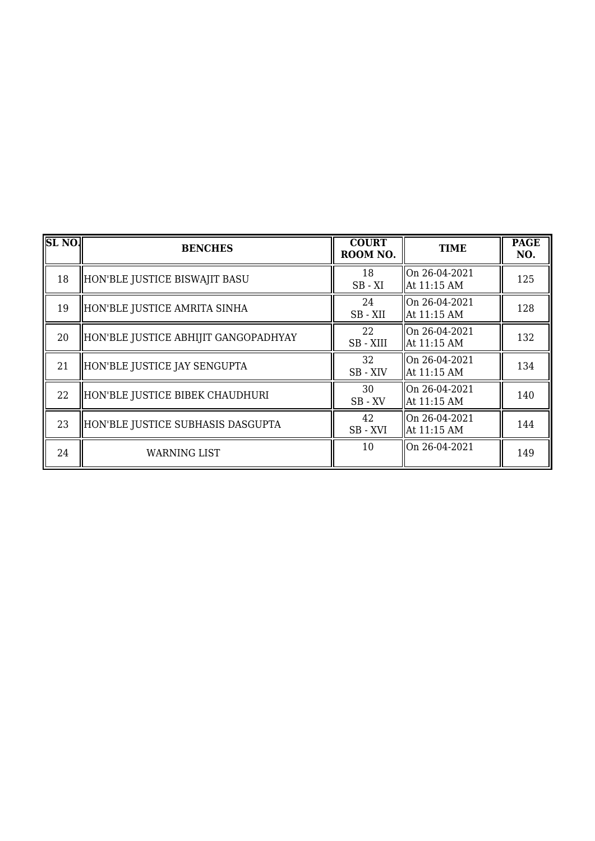| SL <sub>NO</sub> . | <b>BENCHES</b>                       | <b>COURT</b><br>ROOM NO. | <b>TIME</b>                       | <b>PAGE</b><br>NO. |
|--------------------|--------------------------------------|--------------------------|-----------------------------------|--------------------|
| 18                 | HON'BLE JUSTICE BISWAJIT BASU        | 18<br>$SB - XI$          | $ On 26-04-2021$<br>At 11:15 AM   | 125                |
| 19                 | HON'BLE JUSTICE AMRITA SINHA         | 24<br>SB-XII             | $ On 26-04-2021$<br>  At 11:15 AM | 128                |
| 20                 | HON'BLE JUSTICE ABHIJIT GANGOPADHYAY | 22<br>SB - XIII          | On 26-04-2021<br>At 11:15 AM      | 132                |
| 21                 | HON'BLE JUSTICE JAY SENGUPTA         | 32<br>SB - XIV           | On 26-04-2021<br>At 11:15 AM      | 134                |
| 22                 | HON'BLE JUSTICE BIBEK CHAUDHURI      | 30<br>$SB$ - $XV$        | $ On 26-04-2021$<br>  At 11:15 AM | 140                |
| 23                 | HON'BLE JUSTICE SUBHASIS DASGUPTA    | 42<br>SB-XVI             | On 26-04-2021<br>At 11:15 AM      | 144                |
| 24                 | WARNING LIST                         | 10                       | On 26-04-2021                     | 149                |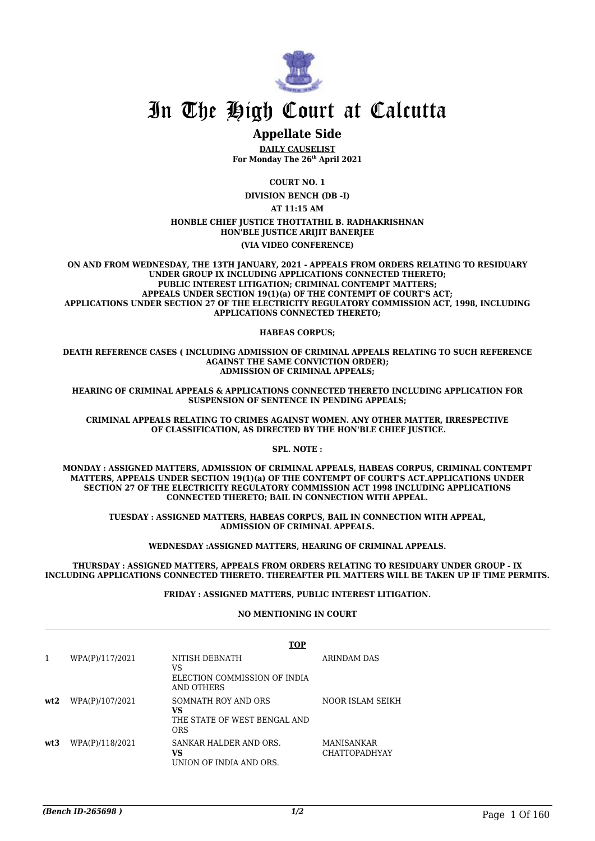

### **Appellate Side**

**DAILY CAUSELIST For Monday The 26th April 2021**

**COURT NO. 1**

**DIVISION BENCH (DB -I)**

**AT 11:15 AM**

#### **HONBLE CHIEF JUSTICE THOTTATHIL B. RADHAKRISHNAN HON'BLE JUSTICE ARIJIT BANERJEE (VIA VIDEO CONFERENCE)**

**ON AND FROM WEDNESDAY, THE 13TH JANUARY, 2021 - APPEALS FROM ORDERS RELATING TO RESIDUARY UNDER GROUP IX INCLUDING APPLICATIONS CONNECTED THERETO; PUBLIC INTEREST LITIGATION; CRIMINAL CONTEMPT MATTERS; APPEALS UNDER SECTION 19(1)(a) OF THE CONTEMPT OF COURT'S ACT; APPLICATIONS UNDER SECTION 27 OF THE ELECTRICITY REGULATORY COMMISSION ACT, 1998, INCLUDING APPLICATIONS CONNECTED THERETO;**

#### **HABEAS CORPUS;**

**DEATH REFERENCE CASES ( INCLUDING ADMISSION OF CRIMINAL APPEALS RELATING TO SUCH REFERENCE AGAINST THE SAME CONVICTION ORDER); ADMISSION OF CRIMINAL APPEALS;**

**HEARING OF CRIMINAL APPEALS & APPLICATIONS CONNECTED THERETO INCLUDING APPLICATION FOR SUSPENSION OF SENTENCE IN PENDING APPEALS;**

**CRIMINAL APPEALS RELATING TO CRIMES AGAINST WOMEN. ANY OTHER MATTER, IRRESPECTIVE OF CLASSIFICATION, AS DIRECTED BY THE HON'BLE CHIEF JUSTICE.**

**SPL. NOTE :**

**MONDAY : ASSIGNED MATTERS, ADMISSION OF CRIMINAL APPEALS, HABEAS CORPUS, CRIMINAL CONTEMPT MATTERS, APPEALS UNDER SECTION 19(1)(a) OF THE CONTEMPT OF COURT'S ACT.APPLICATIONS UNDER SECTION 27 OF THE ELECTRICITY REGULATORY COMMISSION ACT 1998 INCLUDING APPLICATIONS CONNECTED THERETO; BAIL IN CONNECTION WITH APPEAL.**

**TUESDAY : ASSIGNED MATTERS, HABEAS CORPUS, BAIL IN CONNECTION WITH APPEAL, ADMISSION OF CRIMINAL APPEALS.**

**WEDNESDAY :ASSIGNED MATTERS, HEARING OF CRIMINAL APPEALS.**

**THURSDAY : ASSIGNED MATTERS, APPEALS FROM ORDERS RELATING TO RESIDUARY UNDER GROUP - IX INCLUDING APPLICATIONS CONNECTED THERETO. THEREAFTER PIL MATTERS WILL BE TAKEN UP IF TIME PERMITS.**

#### **FRIDAY : ASSIGNED MATTERS, PUBLIC INTEREST LITIGATION.**

#### **NO MENTIONING IN COURT**

|     |                 | <b>TOP</b>                                                              |                                    |
|-----|-----------------|-------------------------------------------------------------------------|------------------------------------|
|     | WPA(P)/117/2021 | NITISH DEBNATH<br>VS<br>ELECTION COMMISSION OF INDIA<br>AND OTHERS      | ARINDAM DAS                        |
| wt2 | WPA(P)/107/2021 | SOMNATH ROY AND ORS<br>VS<br>THE STATE OF WEST BENGAL AND<br><b>ORS</b> | NOOR ISLAM SEIKH                   |
| wt3 | WPA(P)/118/2021 | SANKAR HALDER AND ORS.<br>VS<br>UNION OF INDIA AND ORS.                 | MANISANKAR<br><b>CHATTOPADHYAY</b> |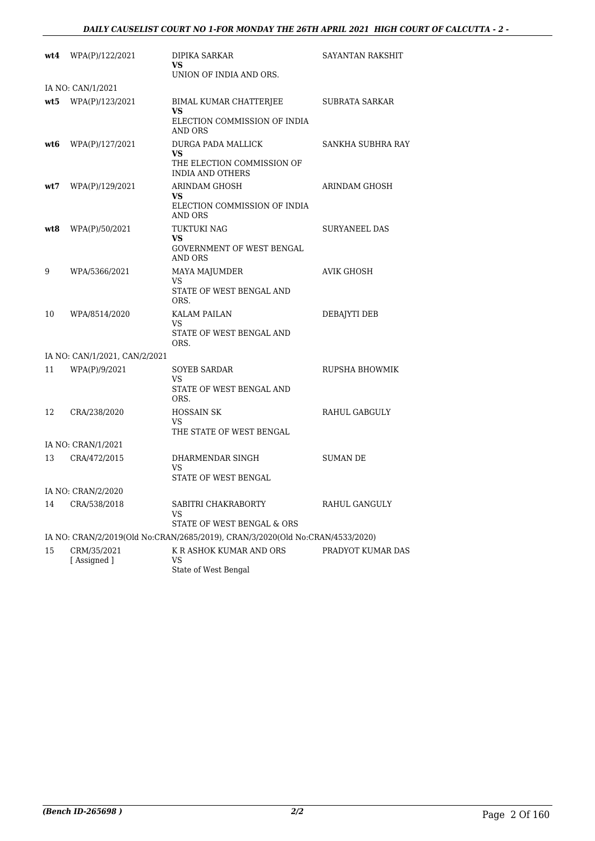| wt4 | WPA(P)/122/2021               | DIPIKA SARKAR<br>VS<br>UNION OF INDIA AND ORS.                                                           | SAYANTAN RAKSHIT  |
|-----|-------------------------------|----------------------------------------------------------------------------------------------------------|-------------------|
|     | IA NO: CAN/1/2021             |                                                                                                          |                   |
| wt5 | WPA(P)/123/2021               | BIMAL KUMAR CHATTERJEE<br>VS                                                                             | SUBRATA SARKAR    |
|     |                               | ELECTION COMMISSION OF INDIA<br>AND ORS                                                                  |                   |
| wt6 | WPA(P)/127/2021               | DURGA PADA MALLICK<br>VS                                                                                 | SANKHA SUBHRA RAY |
|     |                               | THE ELECTION COMMISSION OF<br><b>INDIA AND OTHERS</b>                                                    |                   |
| wt7 | WPA(P)/129/2021               | ARINDAM GHOSH<br>VS                                                                                      | ARINDAM GHOSH     |
|     |                               | ELECTION COMMISSION OF INDIA<br><b>AND ORS</b>                                                           |                   |
| wt8 | WPA(P)/50/2021                | TUKTUKI NAG<br>VS                                                                                        | SURYANEEL DAS     |
|     |                               | GOVERNMENT OF WEST BENGAL<br>AND ORS                                                                     |                   |
| 9   | WPA/5366/2021                 | MAYA MAJUMDER<br>VS                                                                                      | AVIK GHOSH        |
|     |                               | STATE OF WEST BENGAL AND<br>ORS.                                                                         |                   |
| 10  | WPA/8514/2020                 | KALAM PAILAN<br>VS                                                                                       | DEBAJYTI DEB      |
|     |                               | STATE OF WEST BENGAL AND<br>ORS.                                                                         |                   |
|     | IA NO: CAN/1/2021, CAN/2/2021 |                                                                                                          |                   |
| 11  | WPA(P)/9/2021                 | <b>SOYEB SARDAR</b><br>VS<br>STATE OF WEST BENGAL AND                                                    | RUPSHA BHOWMIK    |
|     |                               | ORS.                                                                                                     |                   |
| 12  | CRA/238/2020                  | <b>HOSSAIN SK</b><br>VS                                                                                  | RAHUL GABGULY     |
|     |                               | THE STATE OF WEST BENGAL                                                                                 |                   |
|     | IA NO: CRAN/1/2021            |                                                                                                          |                   |
| 13  | CRA/472/2015                  | DHARMENDAR SINGH<br>VS<br>STATE OF WEST BENGAL                                                           | SUMAN DE          |
|     | IA NO: CRAN/2/2020            |                                                                                                          |                   |
| 14  | CRA/538/2018                  | SABITRI CHAKRABORTY<br>VS                                                                                | RAHUL GANGULY     |
|     |                               | STATE OF WEST BENGAL & ORS                                                                               |                   |
|     |                               | IA NO: CRAN/2/2019(Old No:CRAN/2685/2019), CRAN/3/2020(Old No:CRAN/4533/2020)<br>K R ASHOK KUMAR AND ORS |                   |
| 15  | CRM/35/2021<br>[Assigned]     | VS<br>State of West Bengal                                                                               | PRADYOT KUMAR DAS |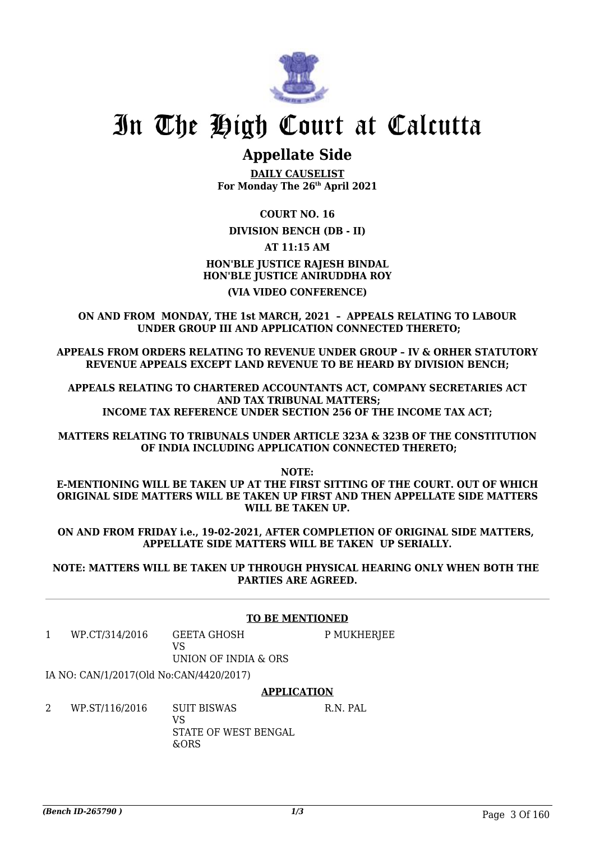

### **Appellate Side**

**DAILY CAUSELIST For Monday The 26th April 2021**

**COURT NO. 16**

**DIVISION BENCH (DB - II)**

**AT 11:15 AM**

**HON'BLE JUSTICE RAJESH BINDAL HON'BLE JUSTICE ANIRUDDHA ROY (VIA VIDEO CONFERENCE)**

**ON AND FROM MONDAY, THE 1st MARCH, 2021 – APPEALS RELATING TO LABOUR UNDER GROUP III AND APPLICATION CONNECTED THERETO;**

**APPEALS FROM ORDERS RELATING TO REVENUE UNDER GROUP – IV & ORHER STATUTORY REVENUE APPEALS EXCEPT LAND REVENUE TO BE HEARD BY DIVISION BENCH;**

**APPEALS RELATING TO CHARTERED ACCOUNTANTS ACT, COMPANY SECRETARIES ACT AND TAX TRIBUNAL MATTERS; INCOME TAX REFERENCE UNDER SECTION 256 OF THE INCOME TAX ACT;**

**MATTERS RELATING TO TRIBUNALS UNDER ARTICLE 323A & 323B OF THE CONSTITUTION OF INDIA INCLUDING APPLICATION CONNECTED THERETO;**

**NOTE:**

**E-MENTIONING WILL BE TAKEN UP AT THE FIRST SITTING OF THE COURT. OUT OF WHICH ORIGINAL SIDE MATTERS WILL BE TAKEN UP FIRST AND THEN APPELLATE SIDE MATTERS WILL BE TAKEN UP.**

**ON AND FROM FRIDAY i.e., 19-02-2021, AFTER COMPLETION OF ORIGINAL SIDE MATTERS, APPELLATE SIDE MATTERS WILL BE TAKEN UP SERIALLY.**

**NOTE: MATTERS WILL BE TAKEN UP THROUGH PHYSICAL HEARING ONLY WHEN BOTH THE PARTIES ARE AGREED.**

### **TO BE MENTIONED**

1 WP.CT/314/2016 GEETA GHOSH  $V<sub>C</sub>$ UNION OF INDIA & ORS P MUKHERJEE

IA NO: CAN/1/2017(Old No:CAN/4420/2017)

#### **APPLICATION**

2 WP.ST/116/2016 SUIT BISWAS VS STATE OF WEST BENGAL &ORS R.N. PAL.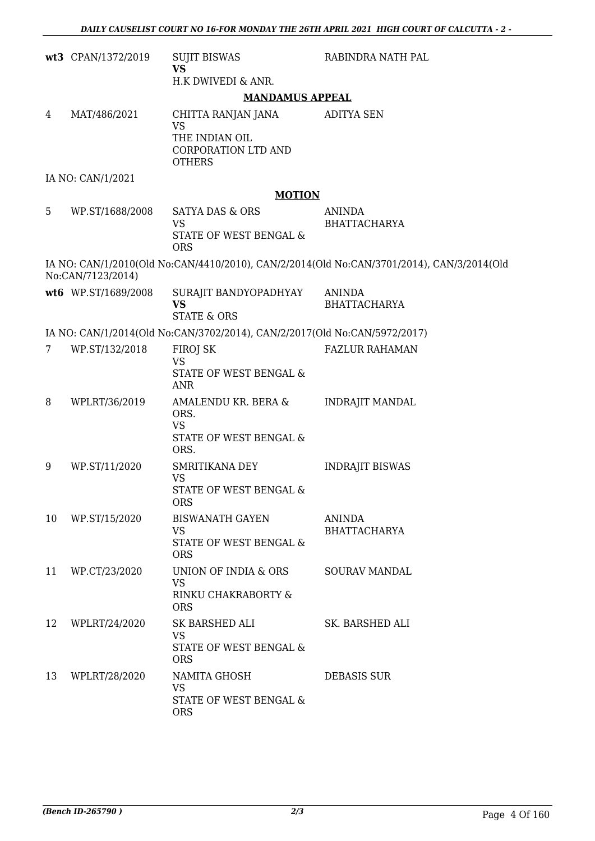|    | wt3 CPAN/1372/2019  | <b>SUJIT BISWAS</b><br><b>VS</b>                                          | RABINDRA NATH PAL                                                                         |
|----|---------------------|---------------------------------------------------------------------------|-------------------------------------------------------------------------------------------|
|    |                     | H.K DWIVEDI & ANR.                                                        |                                                                                           |
|    |                     | <b>MANDAMUS APPEAL</b>                                                    |                                                                                           |
| 4  | MAT/486/2021        | CHITTA RANJAN JANA<br><b>VS</b>                                           | <b>ADITYA SEN</b>                                                                         |
|    |                     | THE INDIAN OIL<br>CORPORATION LTD AND<br><b>OTHERS</b>                    |                                                                                           |
|    | IA NO: CAN/1/2021   |                                                                           |                                                                                           |
|    |                     | <b>MOTION</b>                                                             |                                                                                           |
| 5  | WP.ST/1688/2008     | <b>SATYA DAS &amp; ORS</b>                                                | <b>ANINDA</b>                                                                             |
|    |                     | <b>VS</b><br>STATE OF WEST BENGAL &<br><b>ORS</b>                         | <b>BHATTACHARYA</b>                                                                       |
|    | No:CAN/7123/2014)   |                                                                           | IA NO: CAN/1/2010(Old No:CAN/4410/2010), CAN/2/2014(Old No:CAN/3701/2014), CAN/3/2014(Old |
|    | wt6 WP.ST/1689/2008 | SURAJIT BANDYOPADHYAY<br><b>VS</b><br><b>STATE &amp; ORS</b>              | <b>ANINDA</b><br><b>BHATTACHARYA</b>                                                      |
|    |                     | IA NO: CAN/1/2014(Old No:CAN/3702/2014), CAN/2/2017(Old No:CAN/5972/2017) |                                                                                           |
| 7  | WP.ST/132/2018      | FIROJ SK                                                                  | <b>FAZLUR RAHAMAN</b>                                                                     |
|    |                     | <b>VS</b>                                                                 |                                                                                           |
|    |                     | STATE OF WEST BENGAL &<br><b>ANR</b>                                      |                                                                                           |
| 8  | WPLRT/36/2019       | AMALENDU KR. BERA &<br>ORS.<br><b>VS</b><br>STATE OF WEST BENGAL &        | <b>INDRAJIT MANDAL</b>                                                                    |
|    |                     | ORS.                                                                      |                                                                                           |
| 9  | WP.ST/11/2020       | SMRITIKANA DEY<br><b>VS</b>                                               | <b>INDRAJIT BISWAS</b>                                                                    |
|    |                     | STATE OF WEST BENGAL &<br><b>ORS</b>                                      |                                                                                           |
| 10 | WP.ST/15/2020       | <b>BISWANATH GAYEN</b>                                                    | <b>ANINDA</b>                                                                             |
|    |                     | <b>VS</b><br>STATE OF WEST BENGAL &<br><b>ORS</b>                         | <b>BHATTACHARYA</b>                                                                       |
| 11 | WP.CT/23/2020       | UNION OF INDIA & ORS                                                      | <b>SOURAV MANDAL</b>                                                                      |
|    |                     | <b>VS</b><br>RINKU CHAKRABORTY &<br><b>ORS</b>                            |                                                                                           |
| 12 | WPLRT/24/2020       | SK BARSHED ALI                                                            | SK. BARSHED ALI                                                                           |
|    |                     | <b>VS</b><br>STATE OF WEST BENGAL &<br><b>ORS</b>                         |                                                                                           |
| 13 | WPLRT/28/2020       | NAMITA GHOSH                                                              | <b>DEBASIS SUR</b>                                                                        |
|    |                     | <b>VS</b><br>STATE OF WEST BENGAL &<br><b>ORS</b>                         |                                                                                           |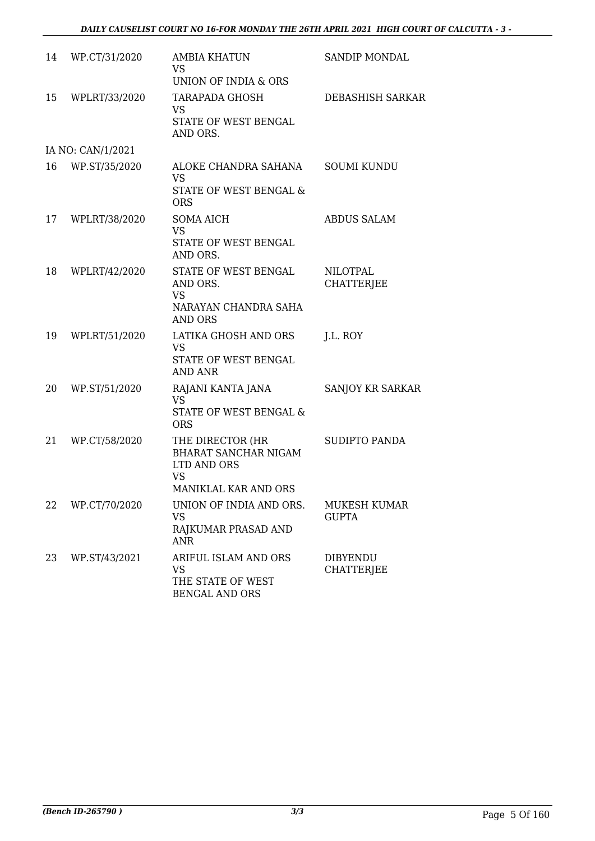| 14 | WP.CT/31/2020     | <b>AMBIA KHATUN</b><br>VS.<br>UNION OF INDIA & ORS                                                  | SANDIP MONDAL                        |
|----|-------------------|-----------------------------------------------------------------------------------------------------|--------------------------------------|
| 15 | WPLRT/33/2020     | <b>TARAPADA GHOSH</b><br><b>VS</b><br>STATE OF WEST BENGAL<br>AND ORS.                              | DEBASHISH SARKAR                     |
|    | IA NO: CAN/1/2021 |                                                                                                     |                                      |
| 16 | WP.ST/35/2020     | ALOKE CHANDRA SAHANA<br><b>VS</b><br>STATE OF WEST BENGAL &<br><b>ORS</b>                           | <b>SOUMI KUNDU</b>                   |
| 17 | WPLRT/38/2020     | <b>SOMA AICH</b><br><b>VS</b><br>STATE OF WEST BENGAL<br>AND ORS.                                   | <b>ABDUS SALAM</b>                   |
| 18 | WPLRT/42/2020     | STATE OF WEST BENGAL<br>AND ORS.<br><b>VS</b><br>NARAYAN CHANDRA SAHA<br><b>AND ORS</b>             | <b>NILOTPAL</b><br><b>CHATTERJEE</b> |
| 19 | WPLRT/51/2020     | LATIKA GHOSH AND ORS<br><b>VS</b><br>STATE OF WEST BENGAL<br><b>AND ANR</b>                         | J.L. ROY                             |
| 20 | WP.ST/51/2020     | RAJANI KANTA JANA<br><b>VS</b><br>STATE OF WEST BENGAL &<br><b>ORS</b>                              | SANJOY KR SARKAR                     |
| 21 | WP.CT/58/2020     | THE DIRECTOR (HR<br><b>BHARAT SANCHAR NIGAM</b><br>LTD AND ORS<br><b>VS</b><br>MANIKLAL KAR AND ORS | <b>SUDIPTO PANDA</b>                 |
| 22 | WP.CT/70/2020     | UNION OF INDIA AND ORS.<br><b>VS</b><br>RAJKUMAR PRASAD AND<br><b>ANR</b>                           | MUKESH KUMAR<br><b>GUPTA</b>         |
| 23 | WP.ST/43/2021     | ARIFUL ISLAM AND ORS<br><b>VS</b><br>THE STATE OF WEST<br><b>BENGAL AND ORS</b>                     | <b>DIBYENDU</b><br>CHATTERJEE        |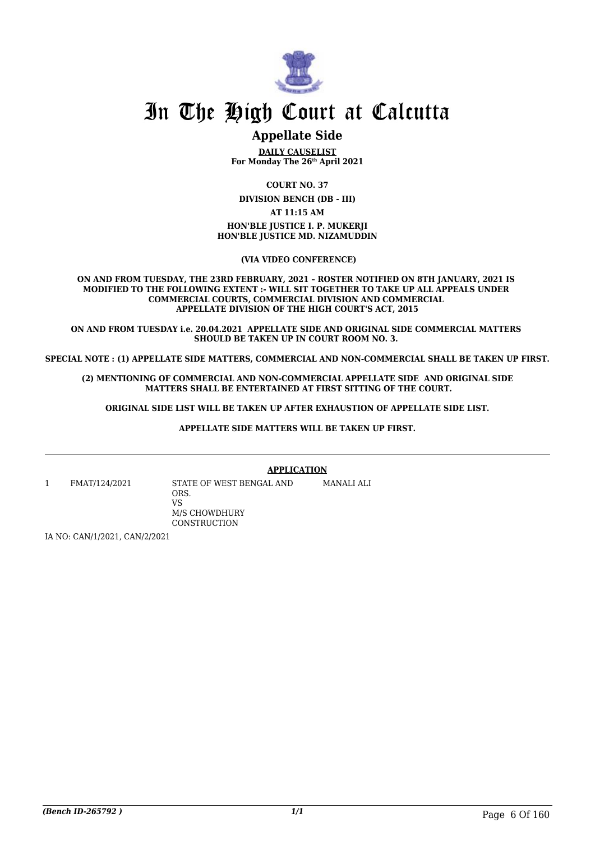

### **Appellate Side**

**DAILY CAUSELIST For Monday The 26th April 2021**

**COURT NO. 37**

**DIVISION BENCH (DB - III)**

**AT 11:15 AM**

**HON'BLE JUSTICE I. P. MUKERJI HON'BLE JUSTICE MD. NIZAMUDDIN**

 **(VIA VIDEO CONFERENCE)**

**ON AND FROM TUESDAY, THE 23RD FEBRUARY, 2021 – ROSTER NOTIFIED ON 8TH JANUARY, 2021 IS MODIFIED TO THE FOLLOWING EXTENT :- WILL SIT TOGETHER TO TAKE UP ALL APPEALS UNDER COMMERCIAL COURTS, COMMERCIAL DIVISION AND COMMERCIAL APPELLATE DIVISION OF THE HIGH COURT'S ACT, 2015**

**ON AND FROM TUESDAY i.e. 20.04.2021 APPELLATE SIDE AND ORIGINAL SIDE COMMERCIAL MATTERS SHOULD BE TAKEN UP IN COURT ROOM NO. 3.** 

**SPECIAL NOTE : (1) APPELLATE SIDE MATTERS, COMMERCIAL AND NON-COMMERCIAL SHALL BE TAKEN UP FIRST.**

**(2) MENTIONING OF COMMERCIAL AND NON-COMMERCIAL APPELLATE SIDE AND ORIGINAL SIDE MATTERS SHALL BE ENTERTAINED AT FIRST SITTING OF THE COURT.**

 **ORIGINAL SIDE LIST WILL BE TAKEN UP AFTER EXHAUSTION OF APPELLATE SIDE LIST.** 

**APPELLATE SIDE MATTERS WILL BE TAKEN UP FIRST.**

**APPLICATION**

1 FMAT/124/2021 STATE OF WEST BENGAL AND

ORS. VS M/S CHOWDHURY **CONSTRUCTION** 

MANALI ALI

IA NO: CAN/1/2021, CAN/2/2021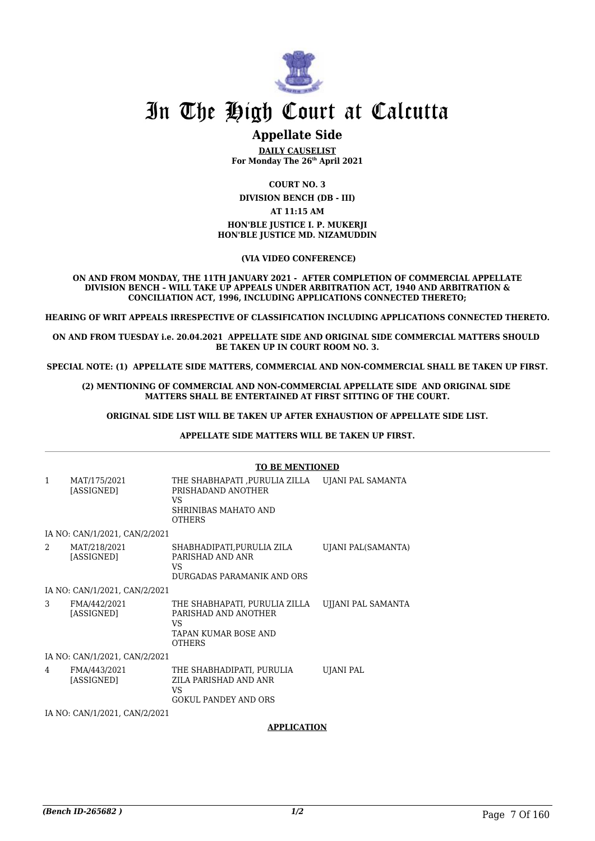

### **Appellate Side**

**DAILY CAUSELIST For Monday The 26th April 2021**

**COURT NO. 3**

**DIVISION BENCH (DB - III)**

**AT 11:15 AM**

**HON'BLE JUSTICE I. P. MUKERJI HON'BLE JUSTICE MD. NIZAMUDDIN**

 **(VIA VIDEO CONFERENCE)**

**ON AND FROM MONDAY, THE 11TH JANUARY 2021 - AFTER COMPLETION OF COMMERCIAL APPELLATE DIVISION BENCH – WILL TAKE UP APPEALS UNDER ARBITRATION ACT, 1940 AND ARBITRATION & CONCILIATION ACT, 1996, INCLUDING APPLICATIONS CONNECTED THERETO;**

**HEARING OF WRIT APPEALS IRRESPECTIVE OF CLASSIFICATION INCLUDING APPLICATIONS CONNECTED THERETO.**

**ON AND FROM TUESDAY i.e. 20.04.2021 APPELLATE SIDE AND ORIGINAL SIDE COMMERCIAL MATTERS SHOULD BE TAKEN UP IN COURT ROOM NO. 3.**

**SPECIAL NOTE: (1) APPELLATE SIDE MATTERS, COMMERCIAL AND NON-COMMERCIAL SHALL BE TAKEN UP FIRST.**

**(2) MENTIONING OF COMMERCIAL AND NON-COMMERCIAL APPELLATE SIDE AND ORIGINAL SIDE MATTERS SHALL BE ENTERTAINED AT FIRST SITTING OF THE COURT.**

 **ORIGINAL SIDE LIST WILL BE TAKEN UP AFTER EXHAUSTION OF APPELLATE SIDE LIST.** 

 **APPELLATE SIDE MATTERS WILL BE TAKEN UP FIRST.** 

|                |                               | <b>TO BE MENTIONED</b>                                                                               |                           |
|----------------|-------------------------------|------------------------------------------------------------------------------------------------------|---------------------------|
| $\mathbf{1}$   | MAT/175/2021<br>[ASSIGNED]    | THE SHABHAPATI ,PURULIA ZILLA<br>PRISHADAND ANOTHER<br>VS.<br>SHRINIBAS MAHATO AND<br><b>OTHERS</b>  | UJANI PAL SAMANTA         |
|                | IA NO: CAN/1/2021, CAN/2/2021 |                                                                                                      |                           |
| $\overline{2}$ | MAT/218/2021<br>[ASSIGNED]    | SHABHADIPATI,PURULIA ZILA<br>PARISHAD AND ANR<br>VS.<br>DURGADAS PARAMANIK AND ORS                   | UJANI PAL(SAMANTA)        |
|                | IA NO: CAN/1/2021, CAN/2/2021 |                                                                                                      |                           |
| 3              | FMA/442/2021<br>[ASSIGNED]    | THE SHABHAPATI, PURULIA ZILLA<br>PARISHAD AND ANOTHER<br>VS<br>TAPAN KUMAR BOSE AND<br><b>OTHERS</b> | <b>UJJANI PAL SAMANTA</b> |
|                | IA NO: CAN/1/2021, CAN/2/2021 |                                                                                                      |                           |
| 4              | FMA/443/2021<br>[ASSIGNED]    | THE SHABHADIPATI, PURULIA<br>ZILA PARISHAD AND ANR<br>VS<br><b>GOKUL PANDEY AND ORS</b>              | UJANI PAL                 |
|                | IA NO: CAN/1/2021, CAN/2/2021 |                                                                                                      |                           |

**APPLICATION**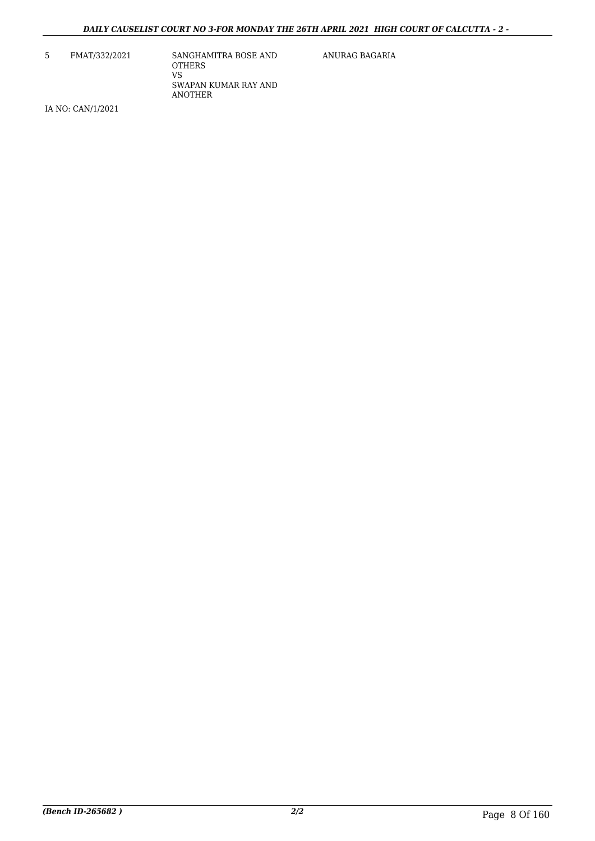5 FMAT/332/2021 SANGHAMITRA BOSE AND **OTHERS** VS SWAPAN KUMAR RAY AND ANOTHER

ANURAG BAGARIA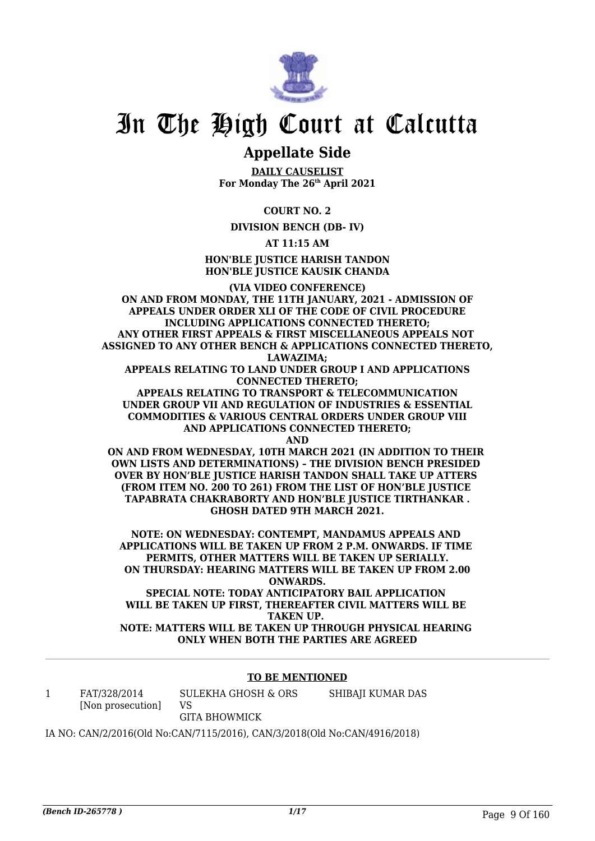

### **Appellate Side**

**DAILY CAUSELIST For Monday The 26th April 2021**

**COURT NO. 2**

**DIVISION BENCH (DB- IV)**

**AT 11:15 AM**

**HON'BLE JUSTICE HARISH TANDON HON'BLE JUSTICE KAUSIK CHANDA**

**(VIA VIDEO CONFERENCE) ON AND FROM MONDAY, THE 11TH JANUARY, 2021 - ADMISSION OF APPEALS UNDER ORDER XLI OF THE CODE OF CIVIL PROCEDURE INCLUDING APPLICATIONS CONNECTED THERETO; ANY OTHER FIRST APPEALS & FIRST MISCELLANEOUS APPEALS NOT ASSIGNED TO ANY OTHER BENCH & APPLICATIONS CONNECTED THERETO, LAWAZIMA; APPEALS RELATING TO LAND UNDER GROUP I AND APPLICATIONS CONNECTED THERETO; APPEALS RELATING TO TRANSPORT & TELECOMMUNICATION UNDER GROUP VII AND REGULATION OF INDUSTRIES & ESSENTIAL COMMODITIES & VARIOUS CENTRAL ORDERS UNDER GROUP VIII AND APPLICATIONS CONNECTED THERETO; AND ON AND FROM WEDNESDAY, 10TH MARCH 2021 (IN ADDITION TO THEIR** 

**OWN LISTS AND DETERMINATIONS) – THE DIVISION BENCH PRESIDED OVER BY HON'BLE JUSTICE HARISH TANDON SHALL TAKE UP ATTERS (FROM ITEM NO. 200 TO 261) FROM THE LIST OF HON'BLE JUSTICE TAPABRATA CHAKRABORTY AND HON'BLE JUSTICE TIRTHANKAR . GHOSH DATED 9TH MARCH 2021.**

**NOTE: ON WEDNESDAY: CONTEMPT, MANDAMUS APPEALS AND APPLICATIONS WILL BE TAKEN UP FROM 2 P.M. ONWARDS. IF TIME PERMITS, OTHER MATTERS WILL BE TAKEN UP SERIALLY. ON THURSDAY: HEARING MATTERS WILL BE TAKEN UP FROM 2.00 ONWARDS. SPECIAL NOTE: TODAY ANTICIPATORY BAIL APPLICATION** 

**WILL BE TAKEN UP FIRST, THEREAFTER CIVIL MATTERS WILL BE TAKEN UP. NOTE: MATTERS WILL BE TAKEN UP THROUGH PHYSICAL HEARING ONLY WHEN BOTH THE PARTIES ARE AGREED**

#### **TO BE MENTIONED**

1 FAT/328/2014 [Non prosecution] SULEKHA GHOSH & ORS VS GITA BHOWMICK SHIBAJI KUMAR DAS

IA NO: CAN/2/2016(Old No:CAN/7115/2016), CAN/3/2018(Old No:CAN/4916/2018)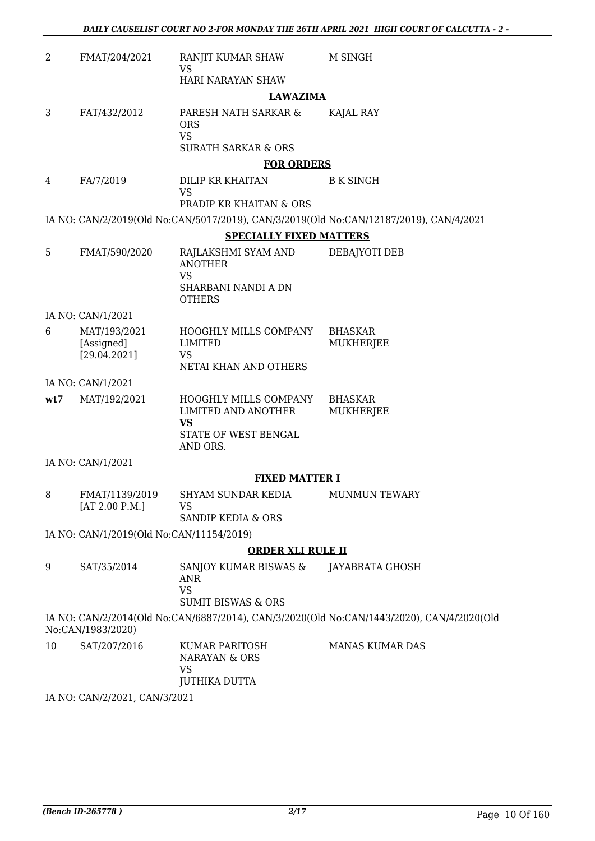| 2   | FMAT/204/2021                              | RANJIT KUMAR SHAW<br>VS                                                           | M SINGH                                                                                   |
|-----|--------------------------------------------|-----------------------------------------------------------------------------------|-------------------------------------------------------------------------------------------|
|     |                                            | HARI NARAYAN SHAW                                                                 |                                                                                           |
| 3   | FAT/432/2012                               | <b>LAWAZIMA</b><br>PARESH NATH SARKAR &<br><b>ORS</b><br><b>VS</b>                | KAJAL RAY                                                                                 |
|     |                                            | <b>SURATH SARKAR &amp; ORS</b>                                                    |                                                                                           |
| 4   | FA/7/2019                                  | <b>FOR ORDERS</b><br>DILIP KR KHAITAN                                             | <b>B K SINGH</b>                                                                          |
|     |                                            | VS                                                                                |                                                                                           |
|     |                                            | PRADIP KR KHAITAN & ORS                                                           |                                                                                           |
|     |                                            | <b>SPECIALLY FIXED MATTERS</b>                                                    | IA NO: CAN/2/2019(Old No:CAN/5017/2019), CAN/3/2019(Old No:CAN/12187/2019), CAN/4/2021    |
| 5   | FMAT/590/2020                              |                                                                                   |                                                                                           |
|     |                                            | RAJLAKSHMI SYAM AND<br><b>ANOTHER</b><br><b>VS</b>                                | DEBAJYOTI DEB                                                                             |
|     |                                            | SHARBANI NANDI A DN<br><b>OTHERS</b>                                              |                                                                                           |
|     | IA NO: CAN/1/2021                          |                                                                                   |                                                                                           |
| 6   | MAT/193/2021<br>[Assigned]<br>[29.04.2021] | HOOGHLY MILLS COMPANY<br><b>LIMITED</b><br>VS<br>NETAI KHAN AND OTHERS            | <b>BHASKAR</b><br>MUKHERJEE                                                               |
|     | IA NO: CAN/1/2021                          |                                                                                   |                                                                                           |
| wt7 | MAT/192/2021                               | HOOGHLY MILLS COMPANY                                                             | <b>BHASKAR</b>                                                                            |
|     |                                            | LIMITED AND ANOTHER<br><b>VS</b>                                                  | MUKHERJEE                                                                                 |
|     |                                            | STATE OF WEST BENGAL<br>AND ORS.                                                  |                                                                                           |
|     | IA NO: CAN/1/2021                          |                                                                                   |                                                                                           |
|     |                                            | <b>FIXED MATTER I</b>                                                             |                                                                                           |
| 8   | FMAT/1139/2019<br>[AT 2.00 P.M.]           | SHYAM SUNDAR KEDIA<br>VS                                                          | MUNMUN TEWARY                                                                             |
|     |                                            | SANDIP KEDIA & ORS                                                                |                                                                                           |
|     | IA NO: CAN/1/2019(Old No:CAN/11154/2019)   |                                                                                   |                                                                                           |
|     |                                            | <b>ORDER XLI RULE II</b>                                                          |                                                                                           |
| 9   | SAT/35/2014                                | SANJOY KUMAR BISWAS &<br><b>ANR</b><br><b>VS</b><br><b>SUMIT BISWAS &amp; ORS</b> | JAYABRATA GHOSH                                                                           |
|     | No:CAN/1983/2020)                          |                                                                                   | IA NO: CAN/2/2014(Old No:CAN/6887/2014), CAN/3/2020(Old No:CAN/1443/2020), CAN/4/2020(Old |
| 10  | SAT/207/2016                               | KUMAR PARITOSH<br>NARAYAN & ORS<br><b>VS</b><br><b>JUTHIKA DUTTA</b>              | <b>MANAS KUMAR DAS</b>                                                                    |

IA NO: CAN/2/2021, CAN/3/2021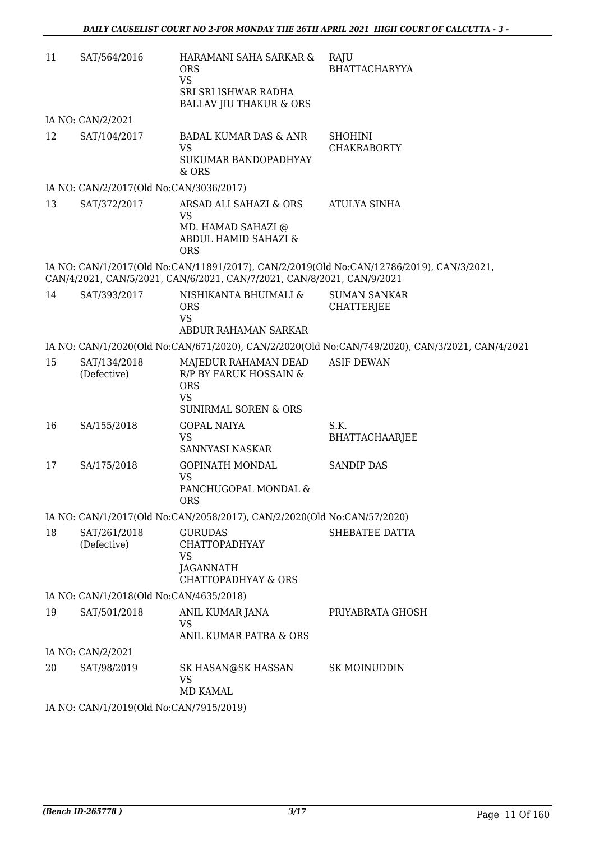| 11 | SAT/564/2016                            | HARAMANI SAHA SARKAR &<br><b>ORS</b><br><b>VS</b><br>SRI SRI ISHWAR RADHA<br><b>BALLAV JIU THAKUR &amp; ORS</b> | RAJU<br><b>BHATTACHARYYA</b>                                                                    |
|----|-----------------------------------------|-----------------------------------------------------------------------------------------------------------------|-------------------------------------------------------------------------------------------------|
|    | IA NO: CAN/2/2021                       |                                                                                                                 |                                                                                                 |
| 12 | SAT/104/2017                            | <b>BADAL KUMAR DAS &amp; ANR</b><br><b>VS</b><br>SUKUMAR BANDOPADHYAY<br>& ORS                                  | <b>SHOHINI</b><br><b>CHAKRABORTY</b>                                                            |
|    | IA NO: CAN/2/2017(Old No:CAN/3036/2017) |                                                                                                                 |                                                                                                 |
| 13 | SAT/372/2017                            | ARSAD ALI SAHAZI & ORS<br><b>VS</b><br>MD. HAMAD SAHAZI @<br>ABDUL HAMID SAHAZI &<br><b>ORS</b>                 | ATULYA SINHA                                                                                    |
|    |                                         | CAN/4/2021, CAN/5/2021, CAN/6/2021, CAN/7/2021, CAN/8/2021, CAN/9/2021                                          | IA NO: CAN/1/2017(Old No:CAN/11891/2017), CAN/2/2019(Old No:CAN/12786/2019), CAN/3/2021,        |
| 14 | SAT/393/2017                            | NISHIKANTA BHUIMALI &<br><b>ORS</b><br><b>VS</b><br>ABDUR RAHAMAN SARKAR                                        | <b>SUMAN SANKAR</b><br><b>CHATTERJEE</b>                                                        |
|    |                                         |                                                                                                                 | IA NO: CAN/1/2020(Old No:CAN/671/2020), CAN/2/2020(Old No:CAN/749/2020), CAN/3/2021, CAN/4/2021 |
| 15 | SAT/134/2018<br>(Defective)             | MAJEDUR RAHAMAN DEAD<br>R/P BY FARUK HOSSAIN &<br><b>ORS</b><br><b>VS</b><br><b>SUNIRMAL SOREN &amp; ORS</b>    | <b>ASIF DEWAN</b>                                                                               |
| 16 | SA/155/2018                             | <b>GOPAL NAIYA</b><br><b>VS</b><br>SANNYASI NASKAR                                                              | S.K.<br><b>BHATTACHAARJEE</b>                                                                   |
| 17 | SA/175/2018                             | <b>GOPINATH MONDAL</b><br><b>VS</b><br>PANCHUGOPAL MONDAL &<br><b>ORS</b>                                       | <b>SANDIP DAS</b>                                                                               |
|    |                                         | IA NO: CAN/1/2017(Old No:CAN/2058/2017), CAN/2/2020(Old No:CAN/57/2020)                                         |                                                                                                 |
| 18 | SAT/261/2018<br>(Defective)             | <b>GURUDAS</b><br><b>CHATTOPADHYAY</b><br>VS<br>JAGANNATH<br><b>CHATTOPADHYAY &amp; ORS</b>                     | SHEBATEE DATTA                                                                                  |
|    | IA NO: CAN/1/2018(Old No:CAN/4635/2018) |                                                                                                                 |                                                                                                 |
| 19 | SAT/501/2018                            | ANIL KUMAR JANA<br><b>VS</b><br>ANIL KUMAR PATRA & ORS                                                          | PRIYABRATA GHOSH                                                                                |
|    | IA NO: CAN/2/2021                       |                                                                                                                 |                                                                                                 |
| 20 | SAT/98/2019                             | SK HASAN@SK HASSAN<br><b>VS</b><br><b>MD KAMAL</b>                                                              | <b>SK MOINUDDIN</b>                                                                             |
|    | IA NO: CAN/1/2019(Old No:CAN/7915/2019) |                                                                                                                 |                                                                                                 |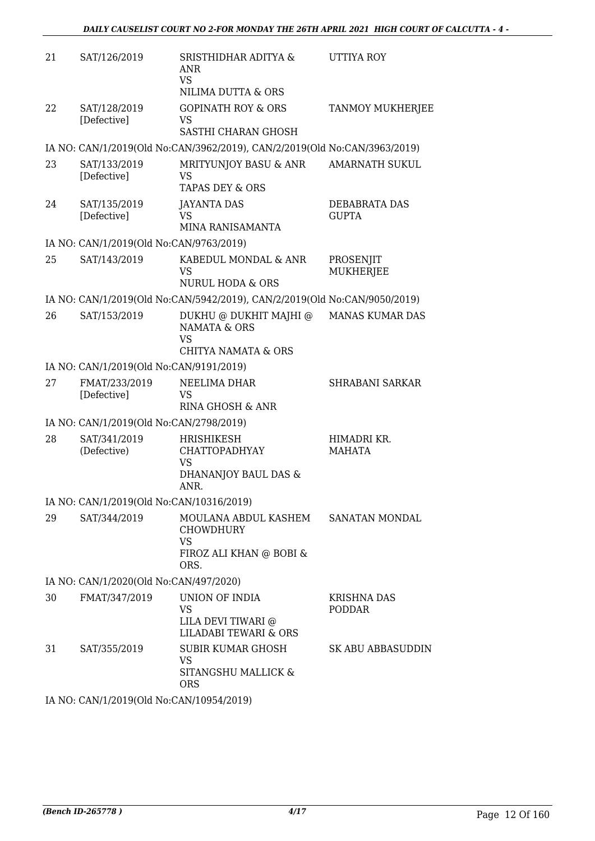| 21     | SAT/126/2019                                           | SRISTHIDHAR ADITYA &<br><b>ANR</b><br><b>VS</b><br>NILIMA DUTTA & ORS                                   | UTTIYA ROY                          |
|--------|--------------------------------------------------------|---------------------------------------------------------------------------------------------------------|-------------------------------------|
| 22     | SAT/128/2019<br>[Defective]                            | <b>GOPINATH ROY &amp; ORS</b><br>VS<br>SASTHI CHARAN GHOSH                                              | TANMOY MUKHERJEE                    |
|        |                                                        | IA NO: CAN/1/2019(Old No:CAN/3962/2019), CAN/2/2019(Old No:CAN/3963/2019)                               |                                     |
| 23     | SAT/133/2019<br>[Defective]                            | MRITYUNJOY BASU & ANR<br>VS<br><b>TAPAS DEY &amp; ORS</b>                                               | <b>AMARNATH SUKUL</b>               |
| 24     | SAT/135/2019<br>[Defective]                            | <b>JAYANTA DAS</b><br>VS<br>MINA RANISAMANTA                                                            | DEBABRATA DAS<br><b>GUPTA</b>       |
|        | IA NO: CAN/1/2019(Old No:CAN/9763/2019)                |                                                                                                         |                                     |
| 25     | SAT/143/2019                                           | KABEDUL MONDAL & ANR<br><b>VS</b><br><b>NURUL HODA &amp; ORS</b>                                        | PROSENJIT<br>MUKHERJEE              |
|        |                                                        | IA NO: CAN/1/2019(Old No:CAN/5942/2019), CAN/2/2019(Old No:CAN/9050/2019)                               |                                     |
| 26     | SAT/153/2019                                           | DUKHU @ DUKHIT MAJHI @<br><b>NAMATA &amp; ORS</b><br>VS<br><b>CHITYA NAMATA &amp; ORS</b>               | <b>MANAS KUMAR DAS</b>              |
|        | IA NO: CAN/1/2019(Old No:CAN/9191/2019)                |                                                                                                         |                                     |
| 27     | FMAT/233/2019<br>[Defective]                           | NEELIMA DHAR<br>VS<br>RINA GHOSH & ANR                                                                  | <b>SHRABANI SARKAR</b>              |
|        | IA NO: CAN/1/2019(Old No:CAN/2798/2019)                |                                                                                                         |                                     |
| 28     | SAT/341/2019<br>(Defective)                            | <b>HRISHIKESH</b><br><b>CHATTOPADHYAY</b><br>VS<br>DHANANJOY BAUL DAS &<br>ANR.                         | HIMADRI KR.<br><b>MAHATA</b>        |
|        | IA NO: CAN/1/2019(Old No:CAN/10316/2019)               |                                                                                                         |                                     |
| 29     | SAT/344/2019                                           | MOULANA ABDUL KASHEM SANATAN MONDAL<br><b>CHOWDHURY</b><br><b>VS</b><br>FIROZ ALI KHAN @ BOBI &<br>ORS. |                                     |
|        | IA NO: CAN/1/2020(Old No:CAN/497/2020)                 |                                                                                                         |                                     |
| 30     | FMAT/347/2019                                          | UNION OF INDIA<br><b>VS</b><br>LILA DEVI TIWARI @<br><b>LILADABI TEWARI &amp; ORS</b>                   | <b>KRISHNA DAS</b><br><b>PODDAR</b> |
| 31     | SAT/355/2019                                           | <b>SUBIR KUMAR GHOSH</b><br><b>VS</b><br>SITANGSHU MALLICK &<br><b>ORS</b>                              | SK ABU ABBASUDDIN                   |
| TA NTO | $N1/4$ (2010/01 M $\sim$ 0 M $N1/4$ 00 $\sim$ 4 (2010) |                                                                                                         |                                     |

IA NO: CAN/1/2019(Old No:CAN/10954/2019)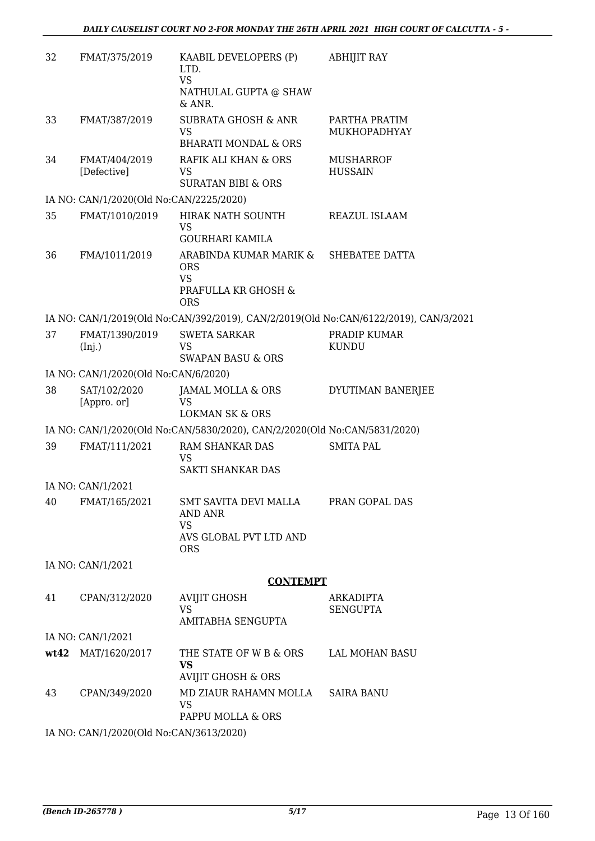| 32 | FMAT/375/2019                           | KAABIL DEVELOPERS (P)<br>LTD.<br><b>VS</b><br>NATHULAL GUPTA @ SHAW       | <b>ABHIJIT RAY</b>                                                                   |
|----|-----------------------------------------|---------------------------------------------------------------------------|--------------------------------------------------------------------------------------|
| 33 | FMAT/387/2019                           | & ANR.<br><b>SUBRATA GHOSH &amp; ANR</b><br><b>VS</b>                     | PARTHA PRATIM<br>MUKHOPADHYAY                                                        |
|    |                                         | <b>BHARATI MONDAL &amp; ORS</b>                                           |                                                                                      |
| 34 | FMAT/404/2019<br>[Defective]            | RAFIK ALI KHAN & ORS<br>VS<br><b>SURATAN BIBI &amp; ORS</b>               | <b>MUSHARROF</b><br><b>HUSSAIN</b>                                                   |
|    | IA NO: CAN/1/2020(Old No:CAN/2225/2020) |                                                                           |                                                                                      |
| 35 | FMAT/1010/2019                          | HIRAK NATH SOUNTH<br><b>VS</b><br><b>GOURHARI KAMILA</b>                  | REAZUL ISLAAM                                                                        |
| 36 | FMA/1011/2019                           | ARABINDA KUMAR MARIK &<br><b>ORS</b><br><b>VS</b>                         | SHEBATEE DATTA                                                                       |
|    |                                         | PRAFULLA KR GHOSH &<br><b>ORS</b>                                         |                                                                                      |
|    |                                         |                                                                           | IA NO: CAN/1/2019(Old No:CAN/392/2019), CAN/2/2019(Old No:CAN/6122/2019), CAN/3/2021 |
| 37 | FMAT/1390/2019<br>(Inj.)                | <b>SWETA SARKAR</b><br><b>VS</b><br><b>SWAPAN BASU &amp; ORS</b>          | PRADIP KUMAR<br><b>KUNDU</b>                                                         |
|    | IA NO: CAN/1/2020(Old No:CAN/6/2020)    |                                                                           |                                                                                      |
| 38 | SAT/102/2020<br>[Appro. or]             | JAMAL MOLLA & ORS<br><b>VS</b><br><b>LOKMAN SK &amp; ORS</b>              | DYUTIMAN BANERJEE                                                                    |
|    |                                         | IA NO: CAN/1/2020(Old No:CAN/5830/2020), CAN/2/2020(Old No:CAN/5831/2020) |                                                                                      |
| 39 | FMAT/111/2021                           | RAM SHANKAR DAS<br><b>VS</b><br>SAKTI SHANKAR DAS                         | <b>SMITA PAL</b>                                                                     |
|    | IA NO: CAN/1/2021                       |                                                                           |                                                                                      |
| 40 | FMAT/165/2021                           | <b>SMT SAVITA DEVI MALLA</b><br>AND ANR<br><b>VS</b>                      | PRAN GOPAL DAS                                                                       |
|    |                                         | AVS GLOBAL PVT LTD AND<br><b>ORS</b>                                      |                                                                                      |
|    | IA NO: CAN/1/2021                       |                                                                           |                                                                                      |
|    |                                         | <b>CONTEMPT</b>                                                           |                                                                                      |
| 41 | CPAN/312/2020                           | <b>AVIJIT GHOSH</b><br><b>VS</b><br>AMITABHA SENGUPTA                     | ARKADIPTA<br><b>SENGUPTA</b>                                                         |
|    | IA NO: CAN/1/2021                       |                                                                           |                                                                                      |
|    | wt42 MAT/1620/2017                      | THE STATE OF W B & ORS<br><b>VS</b>                                       | LAL MOHAN BASU                                                                       |
|    |                                         | <b>AVIJIT GHOSH &amp; ORS</b>                                             |                                                                                      |
| 43 | CPAN/349/2020                           | MD ZIAUR RAHAMN MOLLA<br>VS<br>PAPPU MOLLA & ORS                          | <b>SAIRA BANU</b>                                                                    |
|    | IA NO: CAN/1/2020(Old No:CAN/3613/2020) |                                                                           |                                                                                      |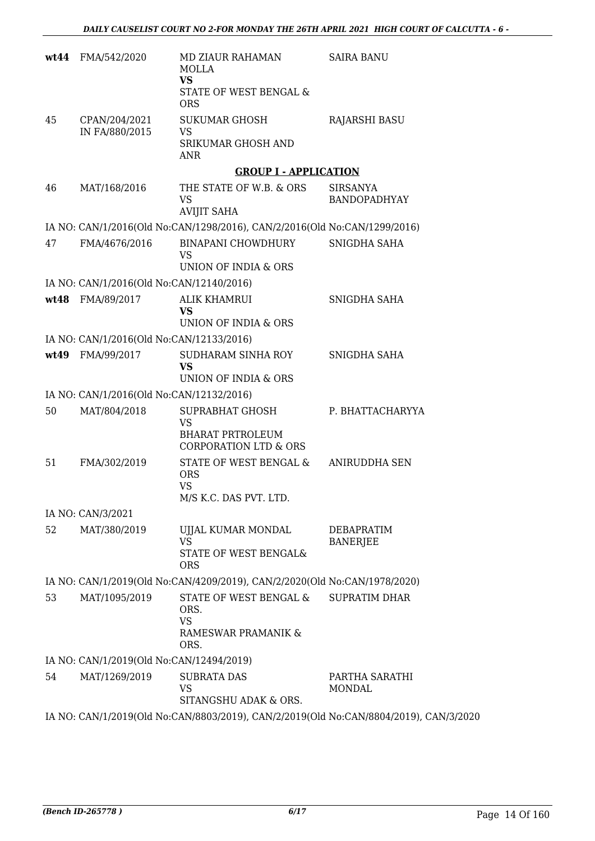| wt44 | FMA/542/2020                             | <b>MD ZIAUR RAHAMAN</b><br><b>MOLLA</b><br><b>VS</b><br>STATE OF WEST BENGAL &<br><b>ORS</b> | <b>SAIRA BANU</b>                                                                     |
|------|------------------------------------------|----------------------------------------------------------------------------------------------|---------------------------------------------------------------------------------------|
| 45   | CPAN/204/2021<br>IN FA/880/2015          | <b>SUKUMAR GHOSH</b><br><b>VS</b><br>SRIKUMAR GHOSH AND<br>ANR                               | <b>RAJARSHI BASU</b>                                                                  |
|      |                                          | <b>GROUP I - APPLICATION</b>                                                                 |                                                                                       |
| 46   | MAT/168/2016                             | THE STATE OF W.B. & ORS<br><b>VS</b><br><b>AVIJIT SAHA</b>                                   | <b>SIRSANYA</b><br><b>BANDOPADHYAY</b>                                                |
|      |                                          | IA NO: CAN/1/2016(Old No:CAN/1298/2016), CAN/2/2016(Old No:CAN/1299/2016)                    |                                                                                       |
| 47   | FMA/4676/2016                            | <b>BINAPANI CHOWDHURY</b><br><b>VS</b><br>UNION OF INDIA & ORS                               | SNIGDHA SAHA                                                                          |
|      | IA NO: CAN/1/2016(Old No:CAN/12140/2016) |                                                                                              |                                                                                       |
| wt48 | FMA/89/2017                              | <b>ALIK KHAMRUI</b><br><b>VS</b><br>UNION OF INDIA & ORS                                     | SNIGDHA SAHA                                                                          |
|      | IA NO: CAN/1/2016(Old No:CAN/12133/2016) |                                                                                              |                                                                                       |
|      | wt49 FMA/99/2017                         | SUDHARAM SINHA ROY<br><b>VS</b><br>UNION OF INDIA & ORS                                      | SNIGDHA SAHA                                                                          |
|      | IA NO: CAN/1/2016(Old No:CAN/12132/2016) |                                                                                              |                                                                                       |
| 50   | MAT/804/2018                             | SUPRABHAT GHOSH<br><b>VS</b><br><b>BHARAT PRTROLEUM</b><br><b>CORPORATION LTD &amp; ORS</b>  | P. BHATTACHARYYA                                                                      |
| 51   | FMA/302/2019                             | STATE OF WEST BENGAL &<br><b>ORS</b><br><b>VS</b><br>M/S K.C. DAS PVT. LTD.                  | ANIRUDDHA SEN                                                                         |
|      | IA NO: CAN/3/2021                        |                                                                                              |                                                                                       |
| 52   | MAT/380/2019                             | UJJAL KUMAR MONDAL<br><b>VS</b><br>STATE OF WEST BENGAL&<br><b>ORS</b>                       | DEBAPRATIM<br><b>BANERJEE</b>                                                         |
|      |                                          | IA NO: CAN/1/2019(Old No:CAN/4209/2019), CAN/2/2020(Old No:CAN/1978/2020)                    |                                                                                       |
| 53   | MAT/1095/2019                            | STATE OF WEST BENGAL &<br>ORS.<br><b>VS</b><br>RAMESWAR PRAMANIK &<br>ORS.                   | <b>SUPRATIM DHAR</b>                                                                  |
|      | IA NO: CAN/1/2019(Old No:CAN/12494/2019) |                                                                                              |                                                                                       |
| 54   | MAT/1269/2019                            | <b>SUBRATA DAS</b><br><b>VS</b><br>SITANGSHU ADAK & ORS.                                     | PARTHA SARATHI<br><b>MONDAL</b>                                                       |
|      |                                          |                                                                                              | IA NO: CAN/1/2019(Old No:CAN/8803/2019), CAN/2/2019(Old No:CAN/8804/2019), CAN/3/2020 |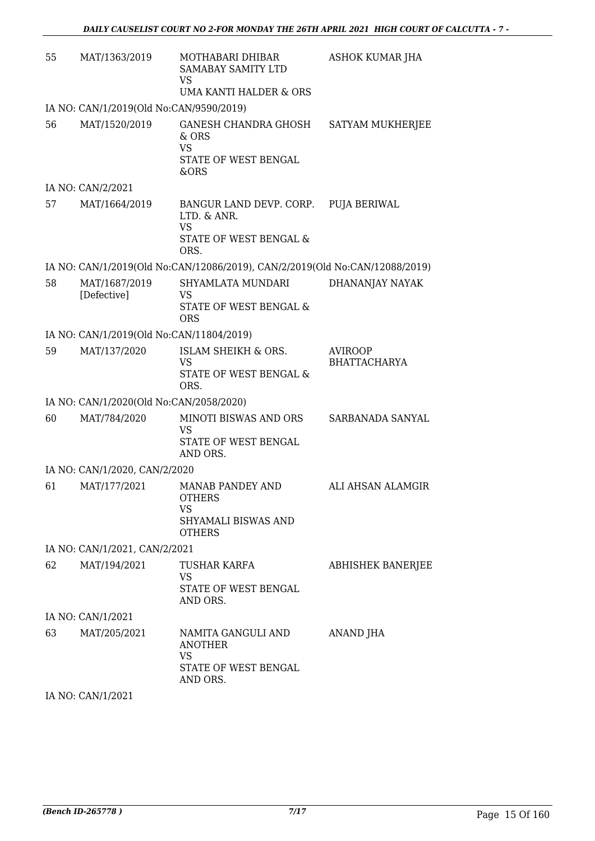| 55 | MAT/1363/2019                            | MOTHABARI DHIBAR<br><b>SAMABAY SAMITY LTD</b><br><b>VS</b><br>UMA KANTI HALDER & ORS  | <b>ASHOK KUMAR JHA</b>                |
|----|------------------------------------------|---------------------------------------------------------------------------------------|---------------------------------------|
|    | IA NO: CAN/1/2019(Old No:CAN/9590/2019)  |                                                                                       |                                       |
| 56 | MAT/1520/2019                            | <b>GANESH CHANDRA GHOSH</b><br>& ORS<br><b>VS</b><br>STATE OF WEST BENGAL<br>&ORS     | SATYAM MUKHERJEE                      |
|    | IA NO: CAN/2/2021                        |                                                                                       |                                       |
| 57 | MAT/1664/2019                            | BANGUR LAND DEVP. CORP.<br>LTD. & ANR.<br><b>VS</b><br>STATE OF WEST BENGAL &<br>ORS. | <b>PUJA BERIWAL</b>                   |
|    |                                          | IA NO: CAN/1/2019(Old No:CAN/12086/2019), CAN/2/2019(Old No:CAN/12088/2019)           |                                       |
| 58 | MAT/1687/2019<br>[Defective]             | SHYAMLATA MUNDARI<br>VS<br>STATE OF WEST BENGAL &<br><b>ORS</b>                       | DHANANJAY NAYAK                       |
|    | IA NO: CAN/1/2019(Old No:CAN/11804/2019) |                                                                                       |                                       |
| 59 | MAT/137/2020                             | ISLAM SHEIKH & ORS.<br><b>VS</b><br>STATE OF WEST BENGAL &<br>ORS.                    | <b>AVIROOP</b><br><b>BHATTACHARYA</b> |
|    | IA NO: CAN/1/2020(Old No:CAN/2058/2020)  |                                                                                       |                                       |
| 60 | MAT/784/2020                             | MINOTI BISWAS AND ORS<br>VS<br>STATE OF WEST BENGAL<br>AND ORS.                       | SARBANADA SANYAL                      |
|    | IA NO: CAN/1/2020, CAN/2/2020            |                                                                                       |                                       |
| 61 | MAT/177/2021                             | MANAB PANDEY AND<br><b>OTHERS</b><br>VS<br>SHYAMALI BISWAS AND<br><b>OTHERS</b>       | ALI AHSAN ALAMGIR                     |
|    | IA NO: CAN/1/2021, CAN/2/2021            |                                                                                       |                                       |
| 62 | MAT/194/2021                             | TUSHAR KARFA<br><b>VS</b><br>STATE OF WEST BENGAL<br>AND ORS.                         | <b>ABHISHEK BANERJEE</b>              |
|    | IA NO: CAN/1/2021                        |                                                                                       |                                       |
| 63 | MAT/205/2021                             | NAMITA GANGULI AND<br><b>ANOTHER</b><br><b>VS</b><br>STATE OF WEST BENGAL<br>AND ORS. | ANAND JHA                             |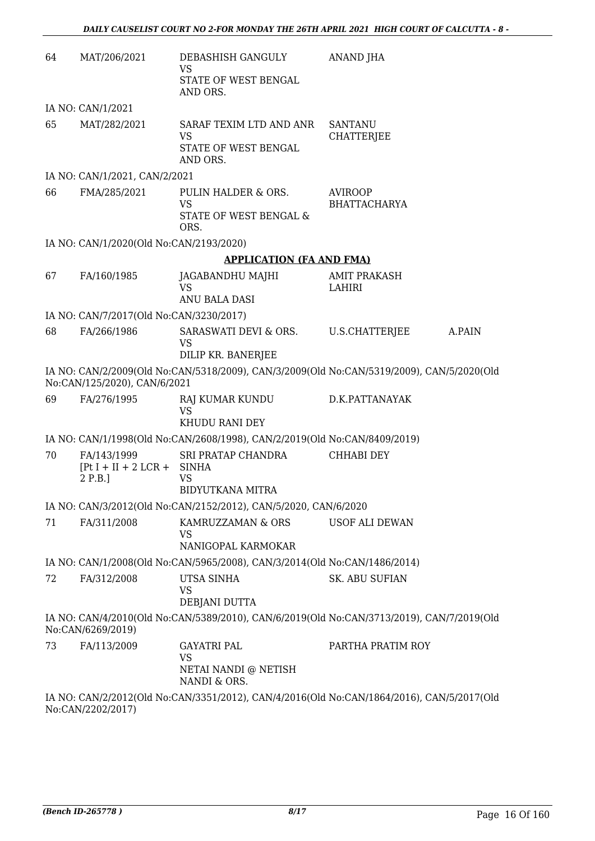| 64 | MAT/206/2021                                            | DEBASHISH GANGULY<br>VS                                                                         | ANAND JHA                             |        |
|----|---------------------------------------------------------|-------------------------------------------------------------------------------------------------|---------------------------------------|--------|
|    |                                                         | STATE OF WEST BENGAL<br>AND ORS.                                                                |                                       |        |
|    | IA NO: CAN/1/2021                                       |                                                                                                 |                                       |        |
| 65 | MAT/282/2021                                            | SARAF TEXIM LTD AND ANR<br><b>VS</b><br>STATE OF WEST BENGAL<br>AND ORS.                        | <b>SANTANU</b><br><b>CHATTERJEE</b>   |        |
|    | IA NO: CAN/1/2021, CAN/2/2021                           |                                                                                                 |                                       |        |
| 66 | FMA/285/2021                                            | PULIN HALDER & ORS.<br>VS<br>STATE OF WEST BENGAL &<br>ORS.                                     | <b>AVIROOP</b><br><b>BHATTACHARYA</b> |        |
|    | IA NO: CAN/1/2020(Old No:CAN/2193/2020)                 |                                                                                                 |                                       |        |
|    |                                                         | <b>APPLICATION (FA AND FMA)</b>                                                                 |                                       |        |
| 67 | FA/160/1985                                             | JAGABANDHU MAJHI<br><b>VS</b><br>ANU BALA DASI                                                  | <b>AMIT PRAKASH</b><br>LAHIRI         |        |
|    | IA NO: CAN/7/2017(Old No:CAN/3230/2017)                 |                                                                                                 |                                       |        |
| 68 | FA/266/1986                                             | SARASWATI DEVI & ORS.<br>VS<br>DILIP KR. BANERJEE                                               | U.S.CHATTERJEE                        | A.PAIN |
|    | No:CAN/125/2020), CAN/6/2021                            | IA NO: CAN/2/2009(Old No:CAN/5318/2009), CAN/3/2009(Old No:CAN/5319/2009), CAN/5/2020(Old       |                                       |        |
| 69 | FA/276/1995                                             | RAJ KUMAR KUNDU<br><b>VS</b><br>KHUDU RANI DEY                                                  | D.K.PATTANAYAK                        |        |
|    |                                                         | IA NO: CAN/1/1998(Old No:CAN/2608/1998), CAN/2/2019(Old No:CAN/8409/2019)                       |                                       |        |
| 70 | FA/143/1999<br>$[Pt I + II + 2 LCR + SIMHA]$<br>2 P.B.] | SRI PRATAP CHANDRA<br><b>VS</b>                                                                 | <b>CHHABI DEY</b>                     |        |
|    |                                                         | <b>BIDYUTKANA MITRA</b>                                                                         |                                       |        |
|    |                                                         | IA NO: CAN/3/2012(Old No:CAN/2152/2012), CAN/5/2020, CAN/6/2020                                 |                                       |        |
| 71 | FA/311/2008                                             | KAMRUZZAMAN & ORS<br>VS                                                                         | USOF ALI DEWAN                        |        |
|    |                                                         | NANIGOPAL KARMOKAR<br>IA NO: CAN/1/2008(Old No:CAN/5965/2008), CAN/3/2014(Old No:CAN/1486/2014) |                                       |        |
| 72 | FA/312/2008                                             | UTSA SINHA                                                                                      | <b>SK. ABU SUFIAN</b>                 |        |
|    |                                                         | VS<br>DEBJANI DUTTA                                                                             |                                       |        |
|    | No:CAN/6269/2019)                                       | IA NO: CAN/4/2010(Old No:CAN/5389/2010), CAN/6/2019(Old No:CAN/3713/2019), CAN/7/2019(Old       |                                       |        |
| 73 | FA/113/2009                                             | <b>GAYATRI PAL</b><br>VS                                                                        | PARTHA PRATIM ROY                     |        |
|    |                                                         | NETAI NANDI @ NETISH<br>NANDI & ORS.                                                            |                                       |        |
|    | No:CAN/2202/2017)                                       | IA NO: CAN/2/2012(Old No:CAN/3351/2012), CAN/4/2016(Old No:CAN/1864/2016), CAN/5/2017(Old       |                                       |        |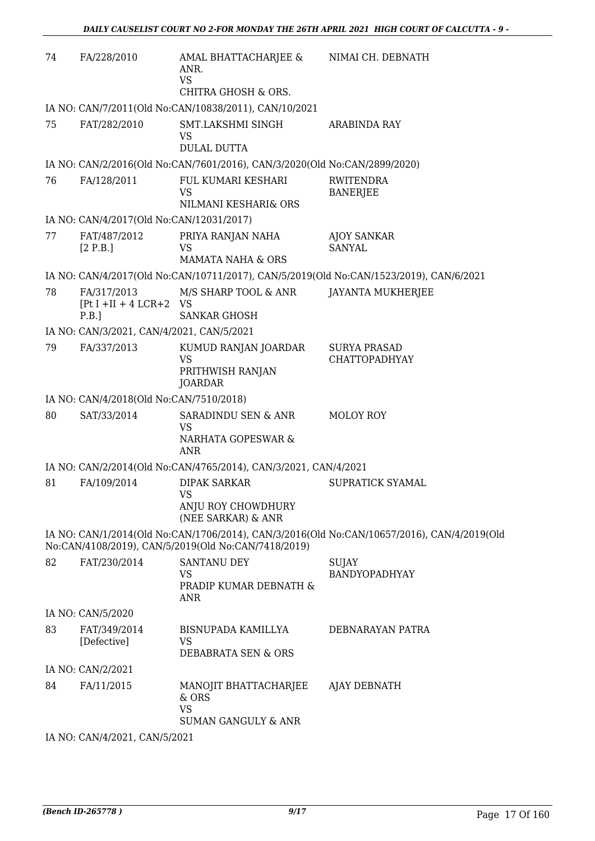| 74 | FA/228/2010                                         | AMAL BHATTACHARJEE &<br>ANR.<br><b>VS</b>                                 | NIMAI CH. DEBNATH                                                                          |
|----|-----------------------------------------------------|---------------------------------------------------------------------------|--------------------------------------------------------------------------------------------|
|    |                                                     | CHITRA GHOSH & ORS.                                                       |                                                                                            |
|    |                                                     | IA NO: CAN/7/2011(Old No:CAN/10838/2011), CAN/10/2021                     |                                                                                            |
| 75 | FAT/282/2010                                        | SMT.LAKSHMI SINGH<br>VS<br><b>DULAL DUTTA</b>                             | <b>ARABINDA RAY</b>                                                                        |
|    |                                                     | IA NO: CAN/2/2016(Old No:CAN/7601/2016), CAN/3/2020(Old No:CAN/2899/2020) |                                                                                            |
| 76 | FA/128/2011                                         | FUL KUMARI KESHARI<br><b>VS</b>                                           | <b>RWITENDRA</b><br><b>BANERJEE</b>                                                        |
|    |                                                     | NILMANI KESHARI& ORS                                                      |                                                                                            |
|    | IA NO: CAN/4/2017(Old No:CAN/12031/2017)            |                                                                           |                                                                                            |
| 77 | FAT/487/2012<br>[2 P.B.]                            | PRIYA RANJAN NAHA<br><b>VS</b>                                            | <b>AJOY SANKAR</b><br><b>SANYAL</b>                                                        |
|    |                                                     | <b>MAMATA NAHA &amp; ORS</b>                                              |                                                                                            |
|    |                                                     |                                                                           | IA NO: CAN/4/2017(Old No:CAN/10711/2017), CAN/5/2019(Old No:CAN/1523/2019), CAN/6/2021     |
| 78 | FA/317/2013<br>$[Pt I + II + 4 LCR + 2 VS]$<br>P.B. | M/S SHARP TOOL & ANR<br><b>SANKAR GHOSH</b>                               | <b>JAYANTA MUKHERJEE</b>                                                                   |
|    | IA NO: CAN/3/2021, CAN/4/2021, CAN/5/2021           |                                                                           |                                                                                            |
| 79 | FA/337/2013                                         | KUMUD RANJAN JOARDAR<br><b>VS</b><br>PRITHWISH RANJAN                     | <b>SURYA PRASAD</b><br><b>CHATTOPADHYAY</b>                                                |
|    |                                                     | <b>JOARDAR</b>                                                            |                                                                                            |
|    | IA NO: CAN/4/2018(Old No:CAN/7510/2018)             |                                                                           |                                                                                            |
| 80 | SAT/33/2014                                         | SARADINDU SEN & ANR<br><b>VS</b><br>NARHATA GOPESWAR &<br><b>ANR</b>      | MOLOY ROY                                                                                  |
|    |                                                     | IA NO: CAN/2/2014(Old No:CAN/4765/2014), CAN/3/2021, CAN/4/2021           |                                                                                            |
| 81 | FA/109/2014                                         | <b>DIPAK SARKAR</b>                                                       | SUPRATICK SYAMAL                                                                           |
|    |                                                     | <b>VS</b><br>ANJU ROY CHOWDHURY<br>(NEE SARKAR) & ANR                     |                                                                                            |
|    |                                                     | No:CAN/4108/2019), CAN/5/2019(Old No:CAN/7418/2019)                       | IA NO: CAN/1/2014(Old No:CAN/1706/2014), CAN/3/2016(Old No:CAN/10657/2016), CAN/4/2019(Old |
| 82 | FAT/230/2014                                        | <b>SANTANU DEY</b><br>VS<br>PRADIP KUMAR DEBNATH &<br><b>ANR</b>          | <b>SUJAY</b><br><b>BANDYOPADHYAY</b>                                                       |
|    | IA NO: CAN/5/2020                                   |                                                                           |                                                                                            |
| 83 | FAT/349/2014<br>[Defective]                         | BISNUPADA KAMILLYA<br>VS<br>DEBABRATA SEN & ORS                           | DEBNARAYAN PATRA                                                                           |
|    | IA NO: CAN/2/2021                                   |                                                                           |                                                                                            |
| 84 | FA/11/2015                                          | MANOJIT BHATTACHARJEE<br>& ORS<br><b>VS</b>                               | AJAY DEBNATH                                                                               |
|    |                                                     | <b>SUMAN GANGULY &amp; ANR</b>                                            |                                                                                            |

IA NO: CAN/4/2021, CAN/5/2021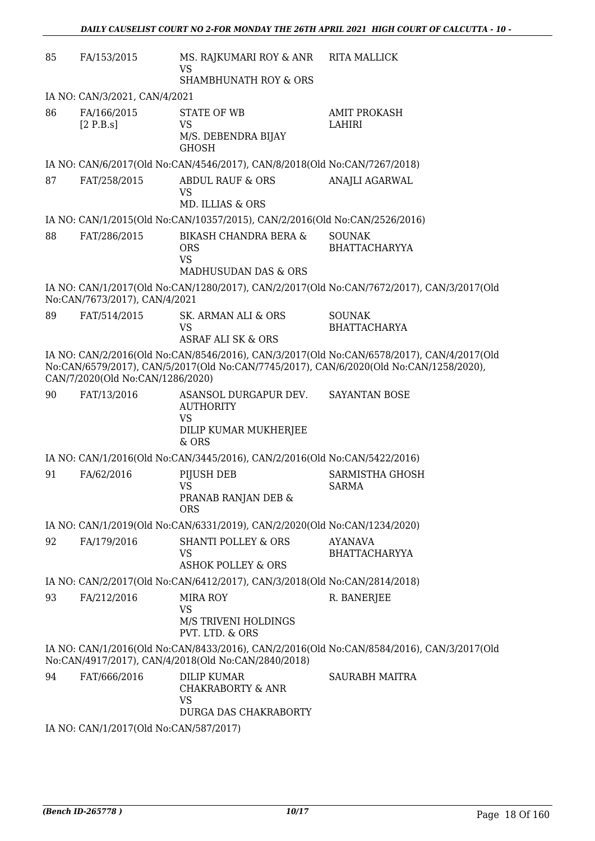| 85 | FA/153/2015                            | MS. RAJKUMARI ROY & ANR<br><b>VS</b><br><b>SHAMBHUNATH ROY &amp; ORS</b>                 | <b>RITA MALLICK</b>                                                                                                                                                                 |
|----|----------------------------------------|------------------------------------------------------------------------------------------|-------------------------------------------------------------------------------------------------------------------------------------------------------------------------------------|
|    | IA NO: CAN/3/2021, CAN/4/2021          |                                                                                          |                                                                                                                                                                                     |
| 86 | FA/166/2015<br>[2 P.B.s]               | STATE OF WB<br>VS<br>M/S. DEBENDRA BIJAY<br><b>GHOSH</b>                                 | <b>AMIT PROKASH</b><br>LAHIRI                                                                                                                                                       |
|    |                                        | IA NO: CAN/6/2017(Old No:CAN/4546/2017), CAN/8/2018(Old No:CAN/7267/2018)                |                                                                                                                                                                                     |
| 87 | FAT/258/2015                           | <b>ABDUL RAUF &amp; ORS</b><br><b>VS</b><br>MD. ILLIAS & ORS                             | <b>ANAJLI AGARWAL</b>                                                                                                                                                               |
|    |                                        | IA NO: CAN/1/2015(Old No:CAN/10357/2015), CAN/2/2016(Old No:CAN/2526/2016)               |                                                                                                                                                                                     |
| 88 | FAT/286/2015                           | BIKASH CHANDRA BERA &<br><b>ORS</b><br><b>VS</b><br><b>MADHUSUDAN DAS &amp; ORS</b>      | <b>SOUNAK</b><br><b>BHATTACHARYYA</b>                                                                                                                                               |
|    | No:CAN/7673/2017), CAN/4/2021          |                                                                                          | IA NO: CAN/1/2017(Old No:CAN/1280/2017), CAN/2/2017(Old No:CAN/7672/2017), CAN/3/2017(Old                                                                                           |
| 89 | FAT/514/2015                           | SK. ARMAN ALI & ORS<br><b>VS</b><br><b>ASRAF ALI SK &amp; ORS</b>                        | <b>SOUNAK</b><br><b>BHATTACHARYA</b>                                                                                                                                                |
|    | CAN/7/2020(Old No:CAN/1286/2020)       |                                                                                          | IA NO: CAN/2/2016(Old No:CAN/8546/2016), CAN/3/2017(Old No:CAN/6578/2017), CAN/4/2017(Old<br>No:CAN/6579/2017), CAN/5/2017(Old No:CAN/7745/2017), CAN/6/2020(Old No:CAN/1258/2020), |
| 90 | FAT/13/2016                            | ASANSOL DURGAPUR DEV.<br><b>AUTHORITY</b><br><b>VS</b><br>DILIP KUMAR MUKHERJEE<br>& ORS | <b>SAYANTAN BOSE</b>                                                                                                                                                                |
|    |                                        | IA NO: CAN/1/2016(Old No:CAN/3445/2016), CAN/2/2016(Old No:CAN/5422/2016)                |                                                                                                                                                                                     |
| 91 | FA/62/2016                             | PIJUSH DEB<br><b>VS</b><br>PRANAB RANJAN DEB &<br><b>ORS</b>                             | <b>SARMISTHA GHOSH</b><br><b>SARMA</b>                                                                                                                                              |
|    |                                        | IA NO: CAN/1/2019(Old No:CAN/6331/2019), CAN/2/2020(Old No:CAN/1234/2020)                |                                                                                                                                                                                     |
| 92 | FA/179/2016                            | <b>SHANTI POLLEY &amp; ORS</b><br><b>VS</b><br>ASHOK POLLEY & ORS                        | <b>AYANAVA</b><br><b>BHATTACHARYYA</b>                                                                                                                                              |
|    |                                        | IA NO: CAN/2/2017(Old No:CAN/6412/2017), CAN/3/2018(Old No:CAN/2814/2018)                |                                                                                                                                                                                     |
| 93 | FA/212/2016                            | <b>MIRA ROY</b><br><b>VS</b><br>M/S TRIVENI HOLDINGS<br>PVT. LTD. & ORS                  | R. BANERJEE                                                                                                                                                                         |
|    |                                        | No:CAN/4917/2017), CAN/4/2018(Old No:CAN/2840/2018)                                      | IA NO: CAN/1/2016(Old No:CAN/8433/2016), CAN/2/2016(Old No:CAN/8584/2016), CAN/3/2017(Old                                                                                           |
| 94 | FAT/666/2016                           | <b>DILIP KUMAR</b><br><b>CHAKRABORTY &amp; ANR</b><br><b>VS</b><br>DURGA DAS CHAKRABORTY | SAURABH MAITRA                                                                                                                                                                      |
|    | IA NO: CAN/1/2017(Old No:CAN/587/2017) |                                                                                          |                                                                                                                                                                                     |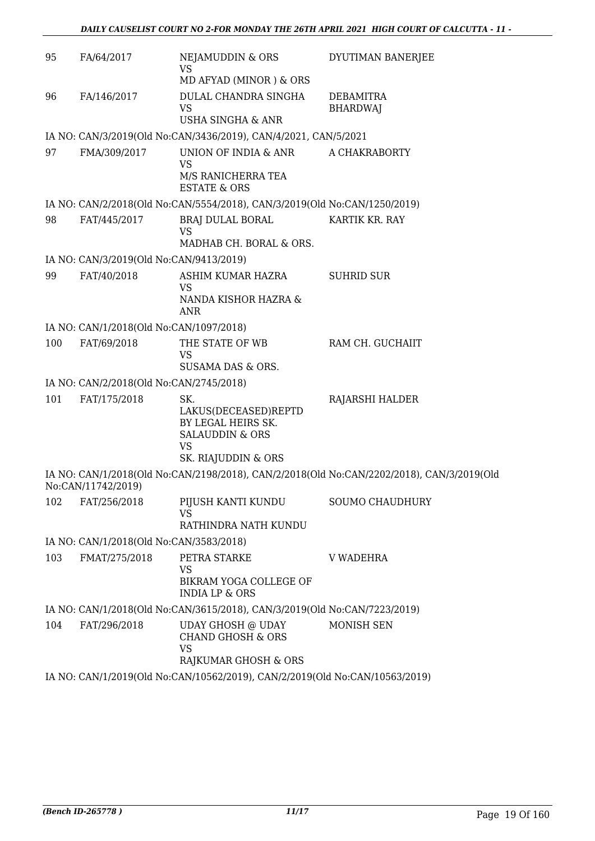| 95  | FA/64/2017                              | NEJAMUDDIN & ORS<br><b>VS</b>                                                    | DYUTIMAN BANERJEE                                                                         |
|-----|-----------------------------------------|----------------------------------------------------------------------------------|-------------------------------------------------------------------------------------------|
|     |                                         | MD AFYAD (MINOR) & ORS                                                           |                                                                                           |
| 96  | FA/146/2017                             | DULAL CHANDRA SINGHA<br><b>VS</b>                                                | DEBAMITRA<br><b>BHARDWAJ</b>                                                              |
|     |                                         | <b>USHA SINGHA &amp; ANR</b>                                                     |                                                                                           |
|     |                                         | IA NO: CAN/3/2019(Old No:CAN/3436/2019), CAN/4/2021, CAN/5/2021                  |                                                                                           |
| 97  | FMA/309/2017                            | UNION OF INDIA & ANR<br><b>VS</b>                                                | A CHAKRABORTY                                                                             |
|     |                                         | M/S RANICHERRA TEA<br><b>ESTATE &amp; ORS</b>                                    |                                                                                           |
|     |                                         | IA NO: CAN/2/2018(Old No:CAN/5554/2018), CAN/3/2019(Old No:CAN/1250/2019)        |                                                                                           |
| 98  | FAT/445/2017                            | BRAJ DULAL BORAL<br><b>VS</b>                                                    | KARTIK KR. RAY                                                                            |
|     |                                         | MADHAB CH. BORAL & ORS.                                                          |                                                                                           |
|     | IA NO: CAN/3/2019(Old No:CAN/9413/2019) |                                                                                  |                                                                                           |
| 99  | FAT/40/2018                             | ASHIM KUMAR HAZRA                                                                | <b>SUHRID SUR</b>                                                                         |
|     |                                         | <b>VS</b><br>NANDA KISHOR HAZRA &<br><b>ANR</b>                                  |                                                                                           |
|     | IA NO: CAN/1/2018(Old No:CAN/1097/2018) |                                                                                  |                                                                                           |
| 100 | FAT/69/2018                             | THE STATE OF WB<br><b>VS</b><br>SUSAMA DAS & ORS.                                | RAM CH. GUCHAIIT                                                                          |
|     | IA NO: CAN/2/2018(Old No:CAN/2745/2018) |                                                                                  |                                                                                           |
| 101 | FAT/175/2018                            | SK.                                                                              | RAJARSHI HALDER                                                                           |
|     |                                         | LAKUS(DECEASED)REPTD<br>BY LEGAL HEIRS SK.<br>SALAUDDIN & ORS<br><b>VS</b>       |                                                                                           |
|     |                                         | SK. RIAJUDDIN & ORS                                                              |                                                                                           |
|     | No:CAN/11742/2019)                      |                                                                                  | IA NO: CAN/1/2018(Old No:CAN/2198/2018), CAN/2/2018(Old No:CAN/2202/2018), CAN/3/2019(Old |
| 102 | FAT/256/2018                            | PIJUSH KANTI KUNDU<br><b>VS</b>                                                  | <b>SOUMO CHAUDHURY</b>                                                                    |
|     |                                         | RATHINDRA NATH KUNDU                                                             |                                                                                           |
|     | IA NO: CAN/1/2018(Old No:CAN/3583/2018) |                                                                                  |                                                                                           |
| 103 | FMAT/275/2018                           | PETRA STARKE<br><b>VS</b><br>BIKRAM YOGA COLLEGE OF<br><b>INDIA LP &amp; ORS</b> | <b>V WADEHRA</b>                                                                          |
|     |                                         | IA NO: CAN/1/2018(Old No:CAN/3615/2018), CAN/3/2019(Old No:CAN/7223/2019)        |                                                                                           |
| 104 | FAT/296/2018                            | UDAY GHOSH @ UDAY<br><b>CHAND GHOSH &amp; ORS</b>                                | <b>MONISH SEN</b>                                                                         |
|     |                                         | <b>VS</b><br>RAJKUMAR GHOSH & ORS                                                |                                                                                           |
|     |                                         | IA NO: CAN/1/2019(Old No:CAN/10562/2019), CAN/2/2019(Old No:CAN/10563/2019)      |                                                                                           |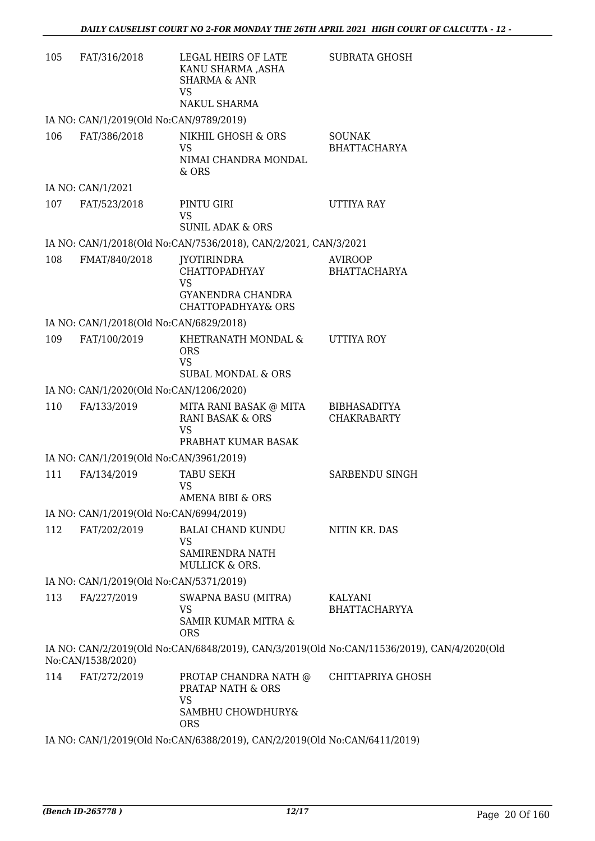| 105 | FAT/316/2018                            | LEGAL HEIRS OF LATE<br>KANU SHARMA ,ASHA<br><b>SHARMA &amp; ANR</b><br>VS            | <b>SUBRATA GHOSH</b>                                                                       |
|-----|-----------------------------------------|--------------------------------------------------------------------------------------|--------------------------------------------------------------------------------------------|
|     |                                         | NAKUL SHARMA                                                                         |                                                                                            |
|     | IA NO: CAN/1/2019(Old No:CAN/9789/2019) |                                                                                      |                                                                                            |
| 106 | FAT/386/2018                            | NIKHIL GHOSH & ORS<br><b>VS</b><br>NIMAI CHANDRA MONDAL<br>$&$ ORS                   | <b>SOUNAK</b><br><b>BHATTACHARYA</b>                                                       |
|     | IA NO: CAN/1/2021                       |                                                                                      |                                                                                            |
| 107 | FAT/523/2018                            | PINTU GIRI<br>VS                                                                     | UTTIYA RAY                                                                                 |
|     |                                         | <b>SUNIL ADAK &amp; ORS</b>                                                          |                                                                                            |
|     |                                         | IA NO: CAN/1/2018(Old No:CAN/7536/2018), CAN/2/2021, CAN/3/2021                      |                                                                                            |
| 108 | FMAT/840/2018                           | JYOTIRINDRA<br>CHATTOPADHYAY<br><b>VS</b><br>GYANENDRA CHANDRA<br>CHATTOPADHYAY& ORS | <b>AVIROOP</b><br><b>BHATTACHARYA</b>                                                      |
|     | IA NO: CAN/1/2018(Old No:CAN/6829/2018) |                                                                                      |                                                                                            |
| 109 | FAT/100/2019                            | KHETRANATH MONDAL &<br><b>ORS</b><br><b>VS</b><br><b>SUBAL MONDAL &amp; ORS</b>      | UTTIYA ROY                                                                                 |
|     | IA NO: CAN/1/2020(Old No:CAN/1206/2020) |                                                                                      |                                                                                            |
| 110 | FA/133/2019                             | MITA RANI BASAK @ MITA                                                               | <b>BIBHASADITYA</b>                                                                        |
|     |                                         | RANI BASAK & ORS<br><b>VS</b>                                                        | <b>CHAKRABARTY</b>                                                                         |
|     |                                         | PRABHAT KUMAR BASAK                                                                  |                                                                                            |
|     | IA NO: CAN/1/2019(Old No:CAN/3961/2019) |                                                                                      |                                                                                            |
| 111 | FA/134/2019                             | <b>TABU SEKH</b><br>VS<br><b>AMENA BIBI &amp; ORS</b>                                | <b>SARBENDU SINGH</b>                                                                      |
|     | IA NO: CAN/1/2019(Old No:CAN/6994/2019) |                                                                                      |                                                                                            |
| 112 | FAT/202/2019                            | <b>BALAI CHAND KUNDU</b>                                                             | NITIN KR. DAS                                                                              |
|     |                                         | VS<br>SAMIRENDRA NATH<br>MULLICK & ORS.                                              |                                                                                            |
|     | IA NO: CAN/1/2019(Old No:CAN/5371/2019) |                                                                                      |                                                                                            |
| 113 | FA/227/2019                             | SWAPNA BASU (MITRA)<br><b>VS</b><br>SAMIR KUMAR MITRA &                              | KALYANI<br><b>BHATTACHARYYA</b>                                                            |
|     |                                         | <b>ORS</b>                                                                           |                                                                                            |
|     | No:CAN/1538/2020)                       |                                                                                      | IA NO: CAN/2/2019(Old No:CAN/6848/2019), CAN/3/2019(Old No:CAN/11536/2019), CAN/4/2020(Old |
| 114 | FAT/272/2019                            | PROTAP CHANDRA NATH @<br>PRATAP NATH & ORS<br>VS<br>SAMBHU CHOWDHURY&<br><b>ORS</b>  | CHITTAPRIYA GHOSH                                                                          |
|     |                                         |                                                                                      |                                                                                            |

IA NO: CAN/1/2019(Old No:CAN/6388/2019), CAN/2/2019(Old No:CAN/6411/2019)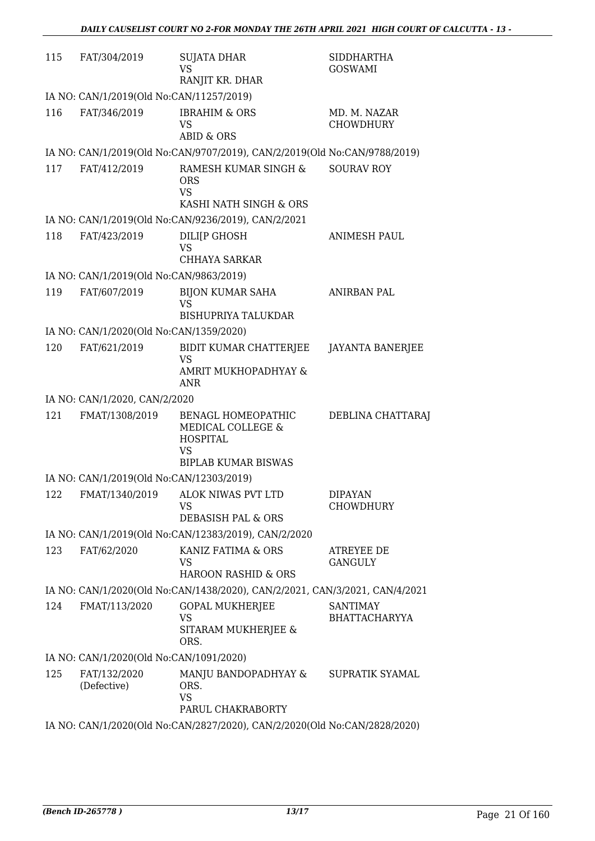| 115 | FAT/304/2019                             | <b>SUJATA DHAR</b><br><b>VS</b><br>RANJIT KR. DHAR                                                    | <b>SIDDHARTHA</b><br><b>GOSWAMI</b>     |
|-----|------------------------------------------|-------------------------------------------------------------------------------------------------------|-----------------------------------------|
|     | IA NO: CAN/1/2019(Old No:CAN/11257/2019) |                                                                                                       |                                         |
| 116 | FAT/346/2019                             | <b>IBRAHIM &amp; ORS</b><br>VS<br><b>ABID &amp; ORS</b>                                               | MD. M. NAZAR<br>CHOWDHURY               |
|     |                                          | IA NO: CAN/1/2019(Old No:CAN/9707/2019), CAN/2/2019(Old No:CAN/9788/2019)                             |                                         |
| 117 | FAT/412/2019                             | RAMESH KUMAR SINGH &<br><b>ORS</b><br><b>VS</b><br>KASHI NATH SINGH & ORS                             | <b>SOURAV ROY</b>                       |
|     |                                          | IA NO: CAN/1/2019(Old No:CAN/9236/2019), CAN/2/2021                                                   |                                         |
| 118 | FAT/423/2019                             | DILI[P GHOSH<br><b>VS</b><br>CHHAYA SARKAR                                                            | <b>ANIMESH PAUL</b>                     |
|     | IA NO: CAN/1/2019(Old No:CAN/9863/2019)  |                                                                                                       |                                         |
| 119 | FAT/607/2019                             | <b>BIJON KUMAR SAHA</b><br>VS<br><b>BISHUPRIYA TALUKDAR</b>                                           | <b>ANIRBAN PAL</b>                      |
|     | IA NO: CAN/1/2020(Old No:CAN/1359/2020)  |                                                                                                       |                                         |
| 120 | FAT/621/2019                             | BIDIT KUMAR CHATTERJEE                                                                                | <b>JAYANTA BANERJEE</b>                 |
|     |                                          | VS<br>AMRIT MUKHOPADHYAY &<br>ANR                                                                     |                                         |
|     | IA NO: CAN/1/2020, CAN/2/2020            |                                                                                                       |                                         |
| 121 | FMAT/1308/2019                           | BENAGL HOMEOPATHIC<br>MEDICAL COLLEGE &<br><b>HOSPITAL</b><br><b>VS</b><br><b>BIPLAB KUMAR BISWAS</b> | DEBLINA CHATTARAJ                       |
|     | IA NO: CAN/1/2019(Old No:CAN/12303/2019) |                                                                                                       |                                         |
|     |                                          | 122 FMAT/1340/2019 ALOK NIWAS PVT LTD<br>VS<br>DEBASISH PAL & ORS                                     | <b>DIPAYAN</b><br>CHOWDHURY             |
|     |                                          | IA NO: CAN/1/2019(Old No:CAN/12383/2019), CAN/2/2020                                                  |                                         |
| 123 | FAT/62/2020                              | KANIZ FATIMA & ORS<br>VS<br>HAROON RASHID & ORS                                                       | ATREYEE DE<br><b>GANGULY</b>            |
|     |                                          | IA NO: CAN/1/2020(Old No:CAN/1438/2020), CAN/2/2021, CAN/3/2021, CAN/4/2021                           |                                         |
| 124 | FMAT/113/2020                            | <b>GOPAL MUKHERJEE</b><br><b>VS</b><br>SITARAM MUKHERJEE &<br>ORS.                                    | <b>SANTIMAY</b><br><b>BHATTACHARYYA</b> |
|     | IA NO: CAN/1/2020(Old No:CAN/1091/2020)  |                                                                                                       |                                         |
| 125 | FAT/132/2020<br>(Defective)              | MANJU BANDOPADHYAY &<br>ORS.<br><b>VS</b><br>PARUL CHAKRABORTY                                        | SUPRATIK SYAMAL                         |
|     |                                          | IA NO: CAN/1/2020(Old No:CAN/2827/2020), CAN/2/2020(Old No:CAN/2828/2020)                             |                                         |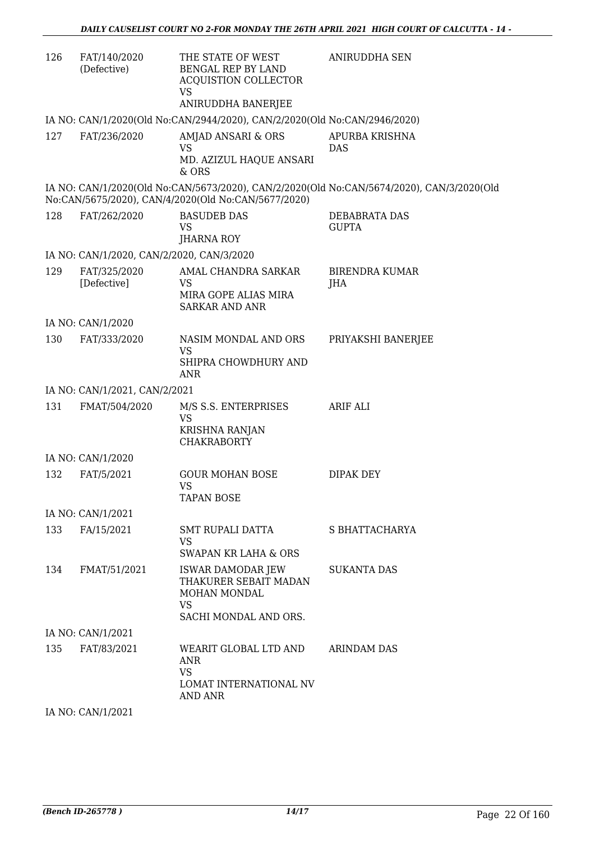| 126 | FAT/140/2020<br>(Defective)               | THE STATE OF WEST<br>BENGAL REP BY LAND<br><b>ACQUISTION COLLECTOR</b><br>VS                     | <b>ANIRUDDHA SEN</b>                                                                      |
|-----|-------------------------------------------|--------------------------------------------------------------------------------------------------|-------------------------------------------------------------------------------------------|
|     |                                           | ANIRUDDHA BANERJEE<br>IA NO: CAN/1/2020(Old No:CAN/2944/2020), CAN/2/2020(Old No:CAN/2946/2020)  |                                                                                           |
| 127 | FAT/236/2020                              | AMJAD ANSARI & ORS<br><b>VS</b><br>MD. AZIZUL HAQUE ANSARI<br>& ORS                              | APURBA KRISHNA<br><b>DAS</b>                                                              |
|     |                                           | No:CAN/5675/2020), CAN/4/2020(Old No:CAN/5677/2020)                                              | IA NO: CAN/1/2020(Old No:CAN/5673/2020), CAN/2/2020(Old No:CAN/5674/2020), CAN/3/2020(Old |
| 128 | FAT/262/2020                              | <b>BASUDEB DAS</b><br>VS<br>JHARNA ROY                                                           | DEBABRATA DAS<br><b>GUPTA</b>                                                             |
|     | IA NO: CAN/1/2020, CAN/2/2020, CAN/3/2020 |                                                                                                  |                                                                                           |
| 129 | FAT/325/2020<br>[Defective]               | AMAL CHANDRA SARKAR<br>VS<br>MIRA GOPE ALIAS MIRA<br><b>SARKAR AND ANR</b>                       | <b>BIRENDRA KUMAR</b><br>JHA                                                              |
|     | IA NO: CAN/1/2020                         |                                                                                                  |                                                                                           |
| 130 | FAT/333/2020                              | NASIM MONDAL AND ORS<br><b>VS</b><br>SHIPRA CHOWDHURY AND<br><b>ANR</b>                          | PRIYAKSHI BANERJEE                                                                        |
|     | IA NO: CAN/1/2021, CAN/2/2021             |                                                                                                  |                                                                                           |
| 131 | FMAT/504/2020                             | M/S S.S. ENTERPRISES<br><b>VS</b><br><b>KRISHNA RANJAN</b><br><b>CHAKRABORTY</b>                 | <b>ARIF ALI</b>                                                                           |
|     | IA NO: CAN/1/2020                         |                                                                                                  |                                                                                           |
| 132 | FAT/5/2021                                | <b>GOUR MOHAN BOSE</b><br><b>VS</b><br><b>TAPAN BOSE</b>                                         | <b>DIPAK DEY</b>                                                                          |
|     | IA NO: CAN/1/2021                         |                                                                                                  |                                                                                           |
| 133 | FA/15/2021                                | SMT RUPALI DATTA<br>VS<br>SWAPAN KR LAHA & ORS                                                   | S BHATTACHARYA                                                                            |
| 134 | FMAT/51/2021                              | <b>ISWAR DAMODAR JEW</b><br>THAKURER SEBAIT MADAN<br>MOHAN MONDAL<br>VS<br>SACHI MONDAL AND ORS. | <b>SUKANTA DAS</b>                                                                        |
|     | IA NO: CAN/1/2021                         |                                                                                                  |                                                                                           |
| 135 | FAT/83/2021                               | WEARIT GLOBAL LTD AND<br>ANR<br><b>VS</b><br>LOMAT INTERNATIONAL NV<br>AND ANR                   | <b>ARINDAM DAS</b>                                                                        |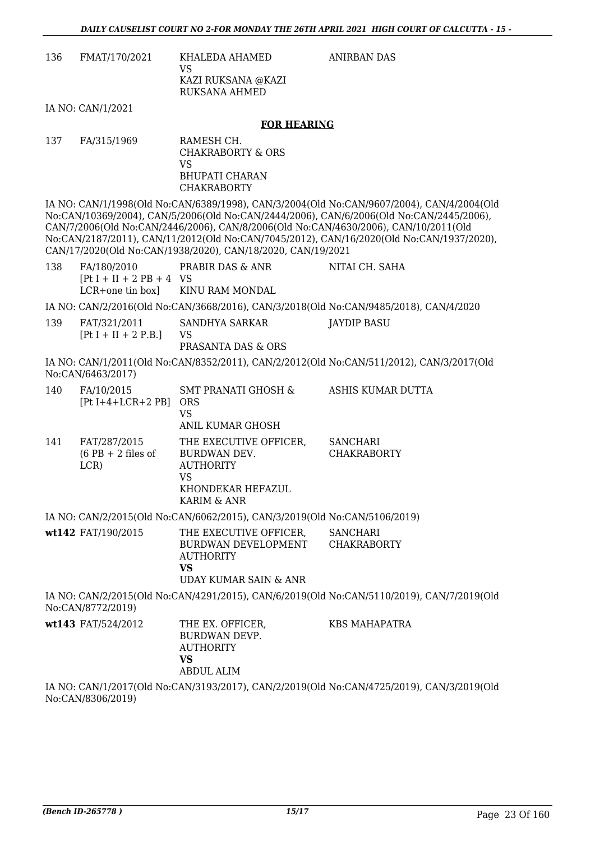ANIRBAN DAS

| 136 | FMAT/170/2021 | KHALFDA AHAMED<br>VS.<br>KAZI RUKSANA @KAZI<br>RUKSANA AHMED |
|-----|---------------|--------------------------------------------------------------|
|     |               |                                                              |

IA NO: CAN/1/2021

#### **FOR HEARING**

137 FA/315/1969 RAMESH CH. CHAKRABORTY & ORS VS BHUPATI CHARAN **CHAKRABORTY** 

VS

IA NO: CAN/1/1998(Old No:CAN/6389/1998), CAN/3/2004(Old No:CAN/9607/2004), CAN/4/2004(Old No:CAN/10369/2004), CAN/5/2006(Old No:CAN/2444/2006), CAN/6/2006(Old No:CAN/2445/2006), CAN/7/2006(Old No:CAN/2446/2006), CAN/8/2006(Old No:CAN/4630/2006), CAN/10/2011(Old No:CAN/2187/2011), CAN/11/2012(Old No:CAN/7045/2012), CAN/16/2020(Old No:CAN/1937/2020), CAN/17/2020(Old No:CAN/1938/2020), CAN/18/2020, CAN/19/2021

| 138 | FA/180/2010<br>$[Pt I + II + 2 PB + 4 VS]$ | PRABIR DAS & ANR                                                                      | NITAI CH. SAHA |  |
|-----|--------------------------------------------|---------------------------------------------------------------------------------------|----------------|--|
|     |                                            | LCR+one tin box] KINU RAM MONDAL                                                      |                |  |
|     |                                            | IA NO: CAN/2/2016(Old No:CAN/3668/2016), CAN/3/2018(Old No:CAN/9485/2018), CAN/4/2020 |                |  |
| 139 | FAT/321/2011                               | SANDHYA SARKAR                                                                        | JAYDIP BASU    |  |

PRASANTA DAS & ORS IA NO: CAN/1/2011(Old No:CAN/8352/2011), CAN/2/2012(Old No:CAN/511/2012), CAN/3/2017(Old

No:CAN/6463/2017)

 $[Pt I + II + 2 P.B.]$ 

| 140 | FA/10/2015<br>$[Pt I+4+LCR+2 PB]$            | <b>SMT PRANATI GHOSH &amp;</b><br><b>ORS</b><br>VS<br>ANIL KUMAR GHOSH                               | ASHIS KUMAR DUTTA                     |
|-----|----------------------------------------------|------------------------------------------------------------------------------------------------------|---------------------------------------|
| 141 | FAT/287/2015<br>$(6$ PB + 2 files of<br>LCR) | THE EXECUTIVE OFFICER,<br>BURDWAN DEV.<br><b>AUTHORITY</b><br>VS<br>KHONDEKAR HEFAZUL<br>KARIM & ANR | <b>SANCHARI</b><br><b>CHAKRABORTY</b> |

IA NO: CAN/2/2015(Old No:CAN/6062/2015), CAN/3/2019(Old No:CAN/5106/2019)

| wt142 FAT/190/2015 | THE EXECUTIVE OFFICER.<br>BURDWAN DEVELOPMENT<br>AUTHORITY<br>VS | SANCHARI<br>CHAKRABORTY |
|--------------------|------------------------------------------------------------------|-------------------------|
|                    | UDAY KUMAR SAIN & ANR                                            |                         |

IA NO: CAN/2/2015(Old No:CAN/4291/2015), CAN/6/2019(Old No:CAN/5110/2019), CAN/7/2019(Old No:CAN/8772/2019)

| <b>wt143</b> FAT/524/2012 | THE EX. OFFICER,<br>BURDWAN DEVP.<br><b>AUTHORITY</b><br>VS. | KBS MAHAPATRA |
|---------------------------|--------------------------------------------------------------|---------------|
|                           | ABDUL ALIM                                                   |               |

IA NO: CAN/1/2017(Old No:CAN/3193/2017), CAN/2/2019(Old No:CAN/4725/2019), CAN/3/2019(Old No:CAN/8306/2019)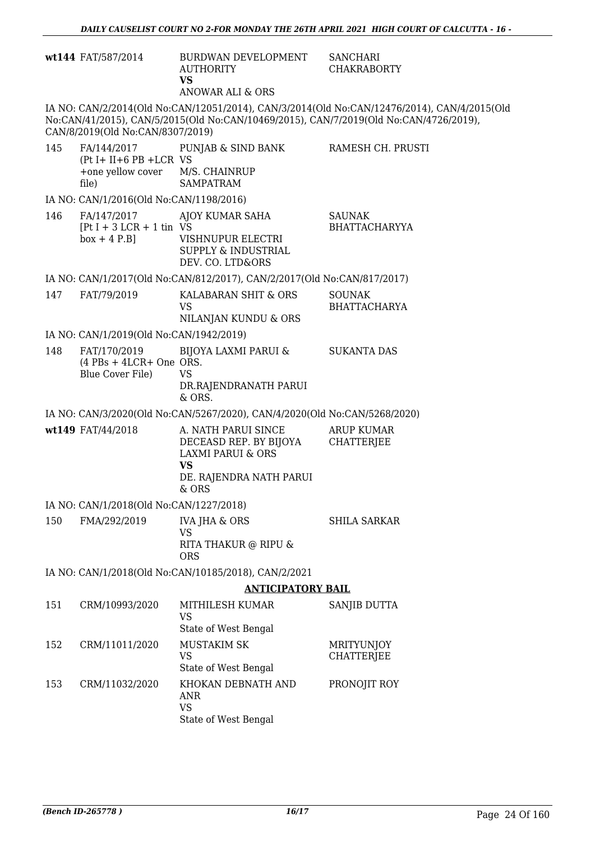|                          | wt144 FAT/587/2014                                                        | BURDWAN DEVELOPMENT<br><b>AUTHORITY</b><br><b>VS</b><br>ANOWAR ALI & ORS                                                       | <b>SANCHARI</b><br><b>CHAKRABORTY</b>                                                                                                                                                |  |
|--------------------------|---------------------------------------------------------------------------|--------------------------------------------------------------------------------------------------------------------------------|--------------------------------------------------------------------------------------------------------------------------------------------------------------------------------------|--|
|                          | CAN/8/2019(Old No:CAN/8307/2019)                                          |                                                                                                                                | IA NO: CAN/2/2014(Old No:CAN/12051/2014), CAN/3/2014(Old No:CAN/12476/2014), CAN/4/2015(Old<br>No:CAN/41/2015), CAN/5/2015(Old No:CAN/10469/2015), CAN/7/2019(Old No:CAN/4726/2019), |  |
| 145                      | $(Pt I + II + 6 PB + LCR VS)$<br>+one yellow cover M/S. CHAINRUP<br>file) | FA/144/2017 PUNJAB & SIND BANK<br><b>SAMPATRAM</b>                                                                             | RAMESH CH. PRUSTI                                                                                                                                                                    |  |
|                          | IA NO: CAN/1/2016(Old No:CAN/1198/2016)                                   |                                                                                                                                |                                                                                                                                                                                      |  |
| 146                      | FA/147/2017<br>$[Pt I + 3 LCR + 1 tin VS$<br>$box + 4 P.B]$               | AJOY KUMAR SAHA<br>VISHNUPUR ELECTRI<br><b>SUPPLY &amp; INDUSTRIAL</b><br>DEV. CO. LTD&ORS                                     | <b>SAUNAK</b><br><b>BHATTACHARYYA</b>                                                                                                                                                |  |
|                          |                                                                           | IA NO: CAN/1/2017(Old No:CAN/812/2017), CAN/2/2017(Old No:CAN/817/2017)                                                        |                                                                                                                                                                                      |  |
| 147                      | FAT/79/2019                                                               | KALABARAN SHIT & ORS<br>VS.<br>NILANJAN KUNDU & ORS                                                                            | <b>SOUNAK</b><br><b>BHATTACHARYA</b>                                                                                                                                                 |  |
|                          | IA NO: CAN/1/2019(Old No:CAN/1942/2019)                                   |                                                                                                                                |                                                                                                                                                                                      |  |
| 148                      | FAT/170/2019<br>$(4$ PBs + 4LCR+ One ORS.<br>Blue Cover File)             | BIJOYA LAXMI PARUI &<br><b>VS</b><br>DR.RAJENDRANATH PARUI<br>& ORS.                                                           | <b>SUKANTA DAS</b>                                                                                                                                                                   |  |
|                          |                                                                           | IA NO: CAN/3/2020(Old No:CAN/5267/2020), CAN/4/2020(Old No:CAN/5268/2020)                                                      |                                                                                                                                                                                      |  |
|                          | wt149 FAT/44/2018                                                         | A. NATH PARUI SINCE<br>DECEASD REP. BY BIJOYA<br><b>LAXMI PARUI &amp; ORS</b><br><b>VS</b><br>DE. RAJENDRA NATH PARUI<br>& ORS | ARUP KUMAR<br><b>CHATTERJEE</b>                                                                                                                                                      |  |
|                          | IA NO: CAN/1/2018(Old No:CAN/1227/2018)                                   |                                                                                                                                |                                                                                                                                                                                      |  |
| 150                      | FMA/292/2019                                                              | <b>IVA JHA &amp; ORS</b>                                                                                                       | <b>SHILA SARKAR</b>                                                                                                                                                                  |  |
|                          |                                                                           | <b>VS</b><br>RITA THAKUR @ RIPU &<br><b>ORS</b>                                                                                |                                                                                                                                                                                      |  |
|                          |                                                                           | IA NO: CAN/1/2018(Old No:CAN/10185/2018), CAN/2/2021                                                                           |                                                                                                                                                                                      |  |
| <b>ANTICIPATORY BAIL</b> |                                                                           |                                                                                                                                |                                                                                                                                                                                      |  |
| 151                      | CRM/10993/2020                                                            | MITHILESH KUMAR<br><b>VS</b><br>State of West Bengal                                                                           | SANJIB DUTTA                                                                                                                                                                         |  |
| 152                      | CRM/11011/2020                                                            | <b>MUSTAKIM SK</b><br><b>VS</b><br>State of West Bengal                                                                        | <b>MRITYUNJOY</b><br><b>CHATTERJEE</b>                                                                                                                                               |  |
| 153                      | CRM/11032/2020                                                            | KHOKAN DEBNATH AND<br>ANR<br><b>VS</b>                                                                                         | PRONOJIT ROY                                                                                                                                                                         |  |

State of West Bengal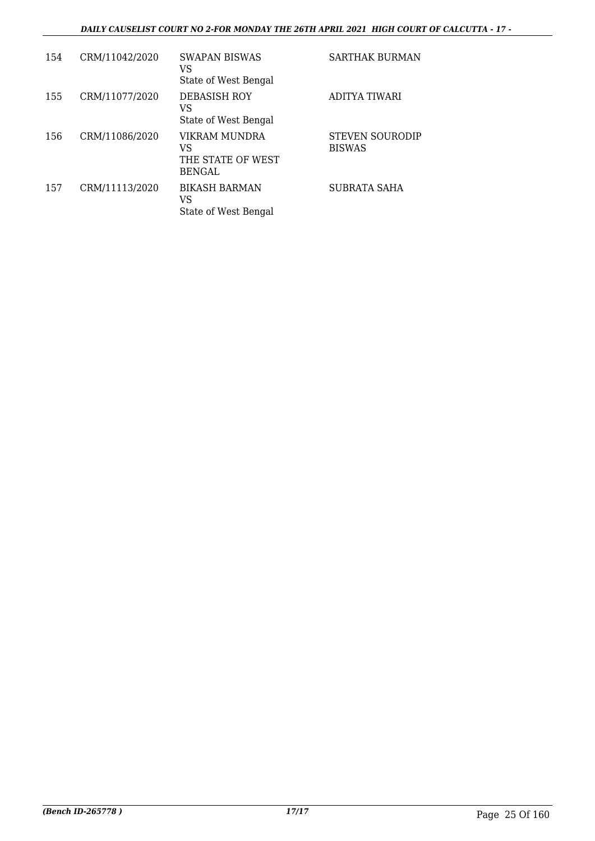### *DAILY CAUSELIST COURT NO 2-FOR MONDAY THE 26TH APRIL 2021 HIGH COURT OF CALCUTTA - 17 -*

| 154 | CRM/11042/2020 | <b>SWAPAN BISWAS</b><br>VS<br>State of West Bengal        | <b>SARTHAK BURMAN</b>                   |
|-----|----------------|-----------------------------------------------------------|-----------------------------------------|
| 155 | CRM/11077/2020 | <b>DEBASISH ROY</b><br>VS<br>State of West Bengal         | ADITYA TIWARI                           |
| 156 | CRM/11086/2020 | VIKRAM MUNDRA<br>VS<br>THE STATE OF WEST<br><b>BENGAL</b> | <b>STEVEN SOURODIP</b><br><b>BISWAS</b> |
| 157 | CRM/11113/2020 | <b>BIKASH BARMAN</b><br>VS<br>State of West Bengal        | <b>SUBRATA SAHA</b>                     |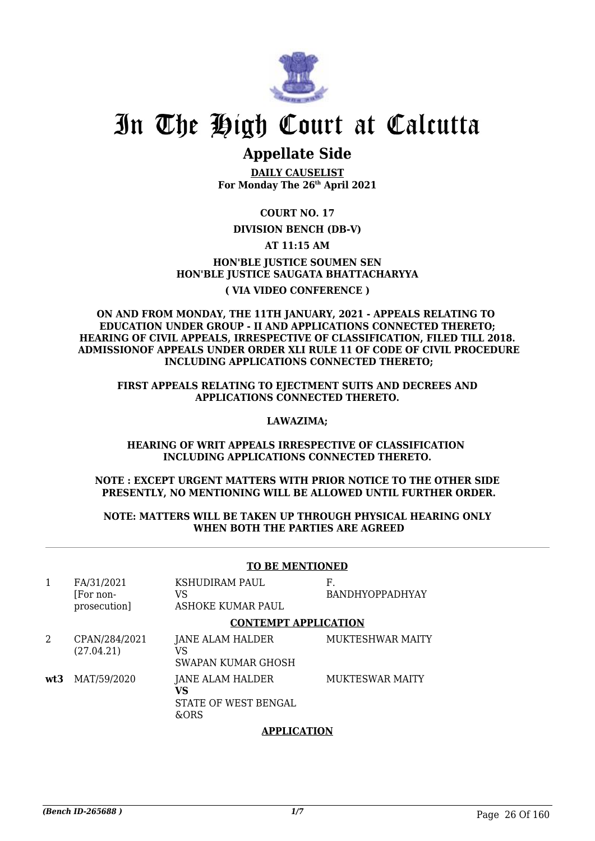

### **Appellate Side**

**DAILY CAUSELIST For Monday The 26th April 2021**

**COURT NO. 17**

### **DIVISION BENCH (DB-V)**

### **AT 11:15 AM**

### **HON'BLE JUSTICE SOUMEN SEN HON'BLE JUSTICE SAUGATA BHATTACHARYYA ( VIA VIDEO CONFERENCE )**

### **ON AND FROM MONDAY, THE 11TH JANUARY, 2021 - APPEALS RELATING TO EDUCATION UNDER GROUP - II AND APPLICATIONS CONNECTED THERETO; HEARING OF CIVIL APPEALS, IRRESPECTIVE OF CLASSIFICATION, FILED TILL 2018. ADMISSIONOF APPEALS UNDER ORDER XLI RULE 11 OF CODE OF CIVIL PROCEDURE INCLUDING APPLICATIONS CONNECTED THERETO;**

**FIRST APPEALS RELATING TO EJECTMENT SUITS AND DECREES AND APPLICATIONS CONNECTED THERETO.**

### **LAWAZIMA;**

### **HEARING OF WRIT APPEALS IRRESPECTIVE OF CLASSIFICATION INCLUDING APPLICATIONS CONNECTED THERETO.**

### **NOTE : EXCEPT URGENT MATTERS WITH PRIOR NOTICE TO THE OTHER SIDE PRESENTLY, NO MENTIONING WILL BE ALLOWED UNTIL FURTHER ORDER.**

### **NOTE: MATTERS WILL BE TAKEN UP THROUGH PHYSICAL HEARING ONLY WHEN BOTH THE PARTIES ARE AGREED**

### **TO BE MENTIONED**

| 1   | FA/31/2021<br>For non-<br>prosecution] | KSHUDIRAM PAUL<br>VS<br>ASHOKE KUMAR PAUL              | F.<br><b>BANDHYOPPADHYAY</b> |
|-----|----------------------------------------|--------------------------------------------------------|------------------------------|
|     |                                        | <b>CONTEMPT APPLICATION</b>                            |                              |
| 2   | CPAN/284/2021<br>(27.04.21)            | JANE ALAM HALDER<br>VS<br>SWAPAN KUMAR GHOSH           | <b>MUKTESHWAR MAITY</b>      |
| wt3 | MAT/59/2020                            | JANE ALAM HALDER<br>VS<br>STATE OF WEST BENGAL<br>&ORS | <b>MUKTESWAR MAITY</b>       |

### **APPLICATION**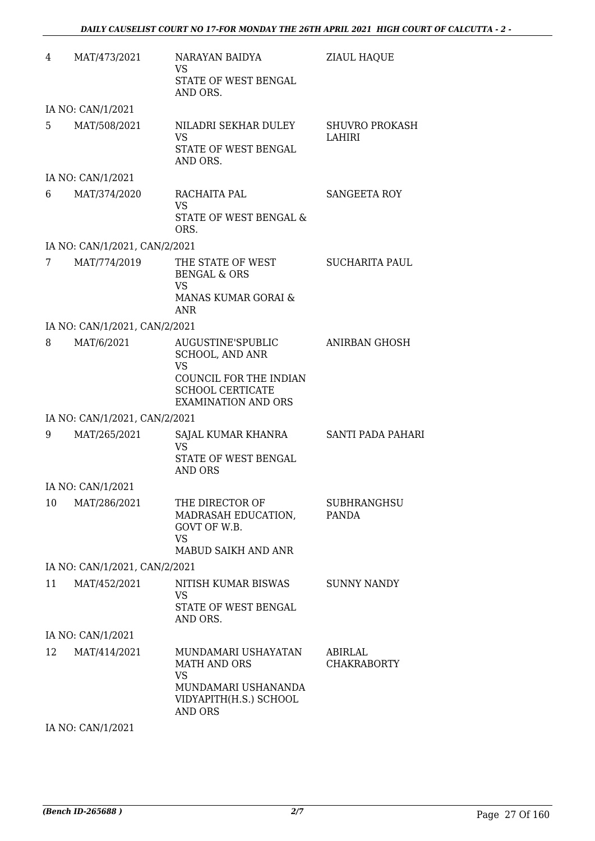| 4  | MAT/473/2021                  | NARAYAN BAIDYA<br><b>VS</b><br>STATE OF WEST BENGAL<br>AND ORS.                                                                             | <b>ZIAUL HAQUE</b>                 |
|----|-------------------------------|---------------------------------------------------------------------------------------------------------------------------------------------|------------------------------------|
|    | IA NO: CAN/1/2021             |                                                                                                                                             |                                    |
| 5. | MAT/508/2021                  | NILADRI SEKHAR DULEY<br><b>VS</b><br>STATE OF WEST BENGAL<br>AND ORS.                                                                       | <b>SHUVRO PROKASH</b><br>LAHIRI    |
|    | IA NO: CAN/1/2021             |                                                                                                                                             |                                    |
| 6  | MAT/374/2020                  | RACHAITA PAL<br><b>VS</b><br>STATE OF WEST BENGAL &<br>ORS.                                                                                 | SANGEETA ROY                       |
|    | IA NO: CAN/1/2021, CAN/2/2021 |                                                                                                                                             |                                    |
| 7  | MAT/774/2019                  | THE STATE OF WEST<br><b>BENGAL &amp; ORS</b><br><b>VS</b><br>MANAS KUMAR GORAI &                                                            | <b>SUCHARITA PAUL</b>              |
|    |                               | ANR                                                                                                                                         |                                    |
|    | IA NO: CAN/1/2021, CAN/2/2021 |                                                                                                                                             |                                    |
| 8  | MAT/6/2021                    | AUGUSTINE'SPUBLIC<br><b>SCHOOL, AND ANR</b><br><b>VS</b><br>COUNCIL FOR THE INDIAN<br><b>SCHOOL CERTICATE</b><br><b>EXAMINATION AND ORS</b> | ANIRBAN GHOSH                      |
|    | IA NO: CAN/1/2021, CAN/2/2021 |                                                                                                                                             |                                    |
| 9  | MAT/265/2021                  | SAJAL KUMAR KHANRA SANTI PADA PAHARI<br><b>VS</b><br>STATE OF WEST BENGAL<br>AND ORS                                                        |                                    |
|    | IA NO: CAN/1/2021             |                                                                                                                                             |                                    |
| 10 | MAT/286/2021                  | THE DIRECTOR OF<br>MADRASAH EDUCATION,<br>GOVT OF W.B.<br>VS.<br>MABUD SAIKH AND ANR                                                        | <b>SUBHRANGHSU</b><br><b>PANDA</b> |
|    | IA NO: CAN/1/2021, CAN/2/2021 |                                                                                                                                             |                                    |
| 11 | MAT/452/2021                  | NITISH KUMAR BISWAS<br><b>VS</b><br>STATE OF WEST BENGAL<br>AND ORS.                                                                        | <b>SUNNY NANDY</b>                 |
|    | IA NO: CAN/1/2021             |                                                                                                                                             |                                    |
| 12 | MAT/414/2021                  | MUNDAMARI USHAYATAN<br><b>MATH AND ORS</b><br><b>VS</b><br>MUNDAMARI USHANANDA<br>VIDYAPITH(H.S.) SCHOOL<br><b>AND ORS</b>                  | ABIRLAL<br><b>CHAKRABORTY</b>      |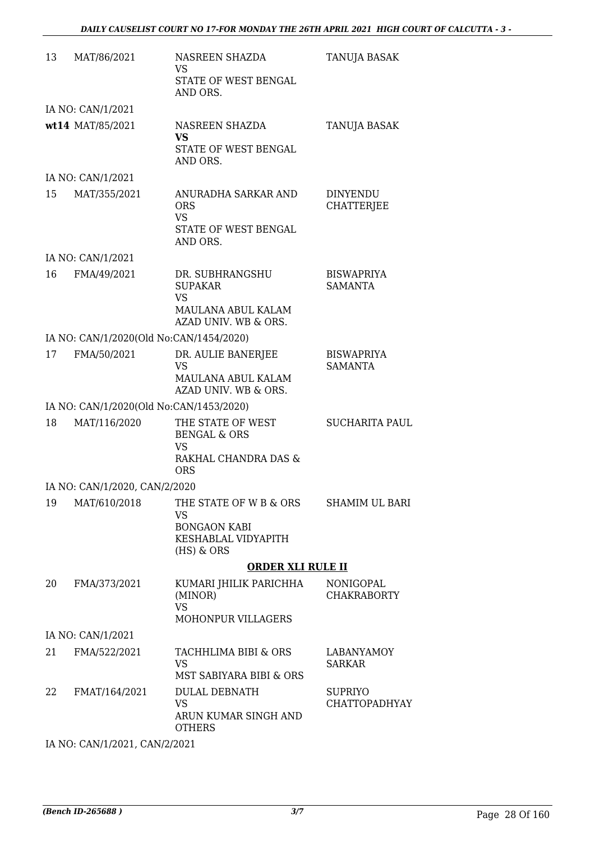| 13 | MAT/86/2021                             | NASREEN SHAZDA<br>VS<br>STATE OF WEST BENGAL<br>AND ORS.                                          | TANUJA BASAK                           |
|----|-----------------------------------------|---------------------------------------------------------------------------------------------------|----------------------------------------|
|    | IA NO: CAN/1/2021                       |                                                                                                   |                                        |
|    | wt14 MAT/85/2021                        | NASREEN SHAZDA<br><b>VS</b><br>STATE OF WEST BENGAL<br>AND ORS.                                   | TANUJA BASAK                           |
|    | IA NO: CAN/1/2021                       |                                                                                                   |                                        |
| 15 | MAT/355/2021                            | ANURADHA SARKAR AND<br><b>ORS</b><br><b>VS</b><br>STATE OF WEST BENGAL<br>AND ORS.                | <b>DINYENDU</b><br><b>CHATTERJEE</b>   |
|    | IA NO: CAN/1/2021                       |                                                                                                   |                                        |
| 16 | FMA/49/2021                             | DR. SUBHRANGSHU<br><b>SUPAKAR</b><br><b>VS</b><br>MAULANA ABUL KALAM<br>AZAD UNIV. WB & ORS.      | <b>BISWAPRIYA</b><br><b>SAMANTA</b>    |
|    | IA NO: CAN/1/2020(Old No:CAN/1454/2020) |                                                                                                   |                                        |
| 17 | FMA/50/2021                             | DR. AULIE BANERJEE<br><b>VS</b><br>MAULANA ABUL KALAM<br>AZAD UNIV. WB & ORS.                     | <b>BISWAPRIYA</b><br><b>SAMANTA</b>    |
|    | IA NO: CAN/1/2020(Old No:CAN/1453/2020) |                                                                                                   |                                        |
| 18 | MAT/116/2020                            | THE STATE OF WEST<br><b>BENGAL &amp; ORS</b><br>VS<br>RAKHAL CHANDRA DAS &<br><b>ORS</b>          | <b>SUCHARITA PAUL</b>                  |
|    | IA NO: CAN/1/2020, CAN/2/2020           |                                                                                                   |                                        |
| 19 | MAT/610/2018                            | THE STATE OF W B & ORS<br><b>VS</b><br><b>BONGAON KABI</b><br>KESHABLAL VIDYAPITH<br>$(HS)$ & ORS | SHAMIM UL BARI                         |
|    |                                         | <b>ORDER XLI RULE II</b>                                                                          |                                        |
| 20 | FMA/373/2021                            | KUMARI JHILIK PARICHHA<br>(MINOR)<br><b>VS</b><br><b>MOHONPUR VILLAGERS</b>                       | <b>NONIGOPAL</b><br><b>CHAKRABORTY</b> |
|    | IA NO: CAN/1/2021                       |                                                                                                   |                                        |
| 21 | FMA/522/2021                            | TACHHLIMA BIBI & ORS<br>VS<br>MST SABIYARA BIBI & ORS                                             | LABANYAMOY<br><b>SARKAR</b>            |
| 22 | FMAT/164/2021                           | <b>DULAL DEBNATH</b><br><b>VS</b><br>ARUN KUMAR SINGH AND<br><b>OTHERS</b>                        | <b>SUPRIYO</b><br><b>CHATTOPADHYAY</b> |

IA NO: CAN/1/2021, CAN/2/2021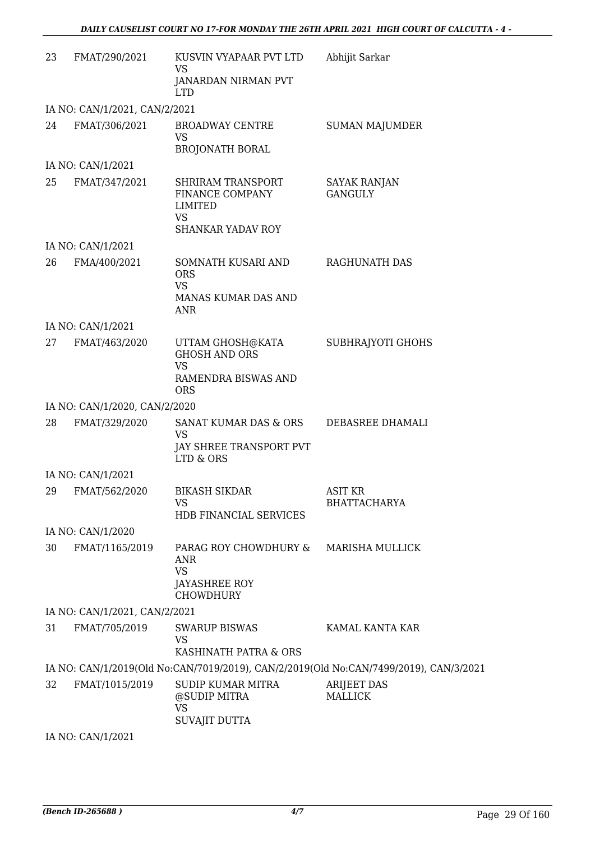| 23 | FMAT/290/2021                 | KUSVIN VYAPAAR PVT LTD<br>VS                                                                 | Abhijit Sarkar                                                                        |
|----|-------------------------------|----------------------------------------------------------------------------------------------|---------------------------------------------------------------------------------------|
|    |                               | <b>JANARDAN NIRMAN PVT</b><br><b>LTD</b>                                                     |                                                                                       |
|    | IA NO: CAN/1/2021, CAN/2/2021 |                                                                                              |                                                                                       |
| 24 | FMAT/306/2021                 | <b>BROADWAY CENTRE</b><br><b>VS</b><br><b>BROJONATH BORAL</b>                                | <b>SUMAN MAJUMDER</b>                                                                 |
|    | IA NO: CAN/1/2021             |                                                                                              |                                                                                       |
| 25 |                               |                                                                                              |                                                                                       |
|    | FMAT/347/2021                 | SHRIRAM TRANSPORT<br>FINANCE COMPANY<br>LIMITED<br><b>VS</b><br>SHANKAR YADAV ROY            | <b>SAYAK RANJAN</b><br><b>GANGULY</b>                                                 |
|    | IA NO: CAN/1/2021             |                                                                                              |                                                                                       |
| 26 | FMA/400/2021                  | SOMNATH KUSARI AND                                                                           | RAGHUNATH DAS                                                                         |
|    |                               | <b>ORS</b><br><b>VS</b>                                                                      |                                                                                       |
|    |                               | MANAS KUMAR DAS AND<br><b>ANR</b>                                                            |                                                                                       |
|    | IA NO: CAN/1/2021             |                                                                                              |                                                                                       |
| 27 | FMAT/463/2020                 | UTTAM GHOSH@KATA<br><b>GHOSH AND ORS</b><br><b>VS</b><br>RAMENDRA BISWAS AND<br><b>ORS</b>   | SUBHRAJYOTI GHOHS                                                                     |
|    | IA NO: CAN/1/2020, CAN/2/2020 |                                                                                              |                                                                                       |
| 28 | FMAT/329/2020                 | SANAT KUMAR DAS & ORS<br><b>VS</b><br>JAY SHREE TRANSPORT PVT<br>LTD & ORS                   | DEBASREE DHAMALI                                                                      |
|    | IA NO: CAN/1/2021             |                                                                                              |                                                                                       |
| 29 | FMAT/562/2020                 | <b>BIKASH SIKDAR</b><br>VS                                                                   | <b>ASIT KR</b><br><b>BHATTACHARYA</b>                                                 |
|    |                               | HDB FINANCIAL SERVICES                                                                       |                                                                                       |
|    | IA NO: CAN/1/2020             |                                                                                              |                                                                                       |
| 30 | FMAT/1165/2019                | PARAG ROY CHOWDHURY &<br><b>ANR</b><br><b>VS</b><br><b>JAYASHREE ROY</b><br><b>CHOWDHURY</b> | <b>MARISHA MULLICK</b>                                                                |
|    | IA NO: CAN/1/2021, CAN/2/2021 |                                                                                              |                                                                                       |
| 31 | FMAT/705/2019                 | <b>SWARUP BISWAS</b>                                                                         | KAMAL KANTA KAR                                                                       |
|    |                               | <b>VS</b><br>KASHINATH PATRA & ORS                                                           |                                                                                       |
|    |                               |                                                                                              | IA NO: CAN/1/2019(Old No:CAN/7019/2019), CAN/2/2019(Old No:CAN/7499/2019), CAN/3/2021 |
| 32 | FMAT/1015/2019                | SUDIP KUMAR MITRA<br>@SUDIP MITRA<br><b>VS</b><br><b>SUVAJIT DUTTA</b>                       | <b>ARIJEET DAS</b><br><b>MALLICK</b>                                                  |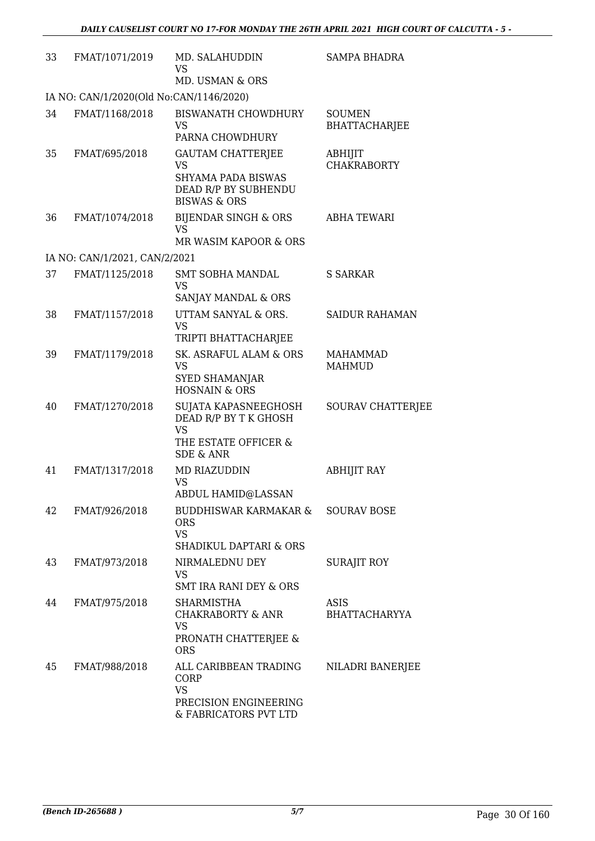| 33 | FMAT/1071/2019                          | MD. SALAHUDDIN                                                                                             | <b>SAMPA BHADRA</b>                   |
|----|-----------------------------------------|------------------------------------------------------------------------------------------------------------|---------------------------------------|
|    |                                         | <b>VS</b><br>MD. USMAN & ORS                                                                               |                                       |
|    | IA NO: CAN/1/2020(Old No:CAN/1146/2020) |                                                                                                            |                                       |
| 34 | FMAT/1168/2018                          | <b>BISWANATH CHOWDHURY</b><br><b>VS</b><br>PARNA CHOWDHURY                                                 | <b>SOUMEN</b><br><b>BHATTACHARJEE</b> |
| 35 | FMAT/695/2018                           | <b>GAUTAM CHATTERJEE</b><br>VS<br>SHYAMA PADA BISWAS<br>DEAD R/P BY SUBHENDU<br><b>BISWAS &amp; ORS</b>    | ABHIJIT<br><b>CHAKRABORTY</b>         |
| 36 | FMAT/1074/2018                          | BIJENDAR SINGH & ORS<br><b>VS</b><br>MR WASIM KAPOOR & ORS                                                 | <b>ABHA TEWARI</b>                    |
|    | IA NO: CAN/1/2021, CAN/2/2021           |                                                                                                            |                                       |
| 37 | FMAT/1125/2018                          | SMT SOBHA MANDAL<br><b>VS</b><br>SANJAY MANDAL & ORS                                                       | S SARKAR                              |
| 38 | FMAT/1157/2018                          | UTTAM SANYAL & ORS.<br><b>VS</b><br>TRIPTI BHATTACHARJEE                                                   | <b>SAIDUR RAHAMAN</b>                 |
| 39 | FMAT/1179/2018                          | SK. ASRAFUL ALAM & ORS<br><b>VS</b><br><b>SYED SHAMANJAR</b><br><b>HOSNAIN &amp; ORS</b>                   | <b>MAHAMMAD</b><br><b>MAHMUD</b>      |
| 40 | FMAT/1270/2018                          | SUJATA KAPASNEEGHOSH<br>DEAD R/P BY T K GHOSH<br><b>VS</b><br>THE ESTATE OFFICER &<br><b>SDE &amp; ANR</b> | SOURAV CHATTERJEE                     |
| 41 | FMAT/1317/2018                          | MD RIAZUDDIN<br><b>VS</b><br>ABDUL HAMID@LASSAN                                                            | <b>ABHIJIT RAY</b>                    |
| 42 | FMAT/926/2018                           | BUDDHISWAR KARMAKAR &<br><b>ORS</b><br><b>VS</b><br><b>SHADIKUL DAPTARI &amp; ORS</b>                      | <b>SOURAV BOSE</b>                    |
| 43 | FMAT/973/2018                           | NIRMALEDNU DEY<br><b>VS</b><br><b>SMT IRA RANI DEY &amp; ORS</b>                                           | <b>SURAJIT ROY</b>                    |
| 44 | FMAT/975/2018                           | SHARMISTHA<br>CHAKRABORTY & ANR<br><b>VS</b><br>PRONATH CHATTERJEE &<br><b>ORS</b>                         | <b>ASIS</b><br><b>BHATTACHARYYA</b>   |
| 45 | FMAT/988/2018                           | ALL CARIBBEAN TRADING<br>CORP<br><b>VS</b><br>PRECISION ENGINEERING<br>& FABRICATORS PVT LTD               | NILADRI BANERJEE                      |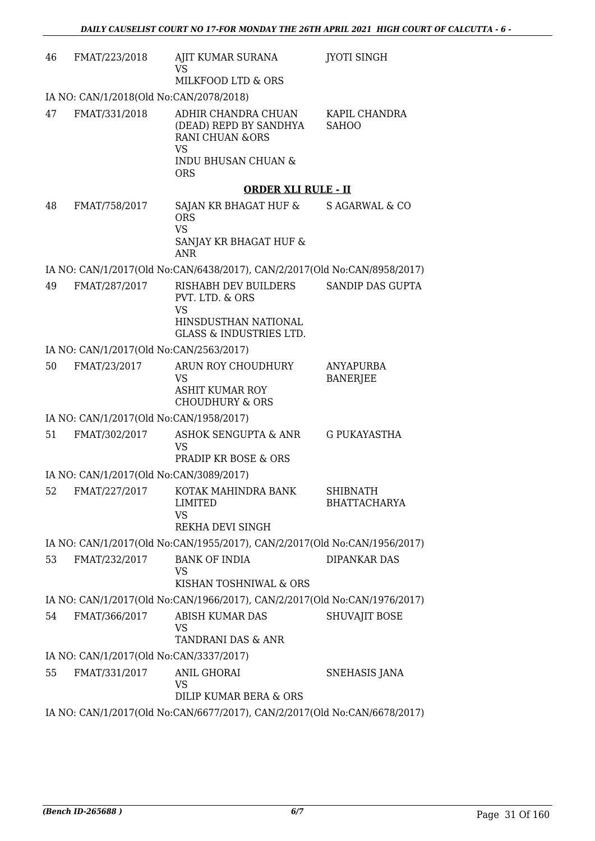| 46                                                                        | FMAT/223/2018                                                             | AJIT KUMAR SURANA<br>VS<br>MILKFOOD LTD & ORS                                                                                            | <b>JYOTI SINGH</b>                     |  |
|---------------------------------------------------------------------------|---------------------------------------------------------------------------|------------------------------------------------------------------------------------------------------------------------------------------|----------------------------------------|--|
|                                                                           | IA NO: CAN/1/2018(Old No:CAN/2078/2018)                                   |                                                                                                                                          |                                        |  |
| 47                                                                        | FMAT/331/2018                                                             | ADHIR CHANDRA CHUAN<br>(DEAD) REPD BY SANDHYA<br><b>RANI CHUAN &amp;ORS</b><br><b>VS</b><br><b>INDU BHUSAN CHUAN &amp;</b><br><b>ORS</b> | KAPIL CHANDRA<br><b>SAHOO</b>          |  |
|                                                                           |                                                                           | <b>ORDER XLI RULE - II</b>                                                                                                               |                                        |  |
| 48                                                                        | FMAT/758/2017                                                             | SAJAN KR BHAGAT HUF & S AGARWAL & CO<br><b>ORS</b><br><b>VS</b><br>SANJAY KR BHAGAT HUF &<br><b>ANR</b>                                  |                                        |  |
|                                                                           |                                                                           | IA NO: CAN/1/2017(Old No:CAN/6438/2017), CAN/2/2017(Old No:CAN/8958/2017)                                                                |                                        |  |
| 49                                                                        | FMAT/287/2017                                                             | RISHABH DEV BUILDERS<br>PVT. LTD. & ORS<br><b>VS</b><br>HINSDUSTHAN NATIONAL<br><b>GLASS &amp; INDUSTRIES LTD.</b>                       | <b>SANDIP DAS GUPTA</b>                |  |
|                                                                           | IA NO: CAN/1/2017(Old No:CAN/2563/2017)                                   |                                                                                                                                          |                                        |  |
| 50                                                                        | FMAT/23/2017                                                              | ARUN ROY CHOUDHURY<br><b>VS</b><br><b>ASHIT KUMAR ROY</b><br><b>CHOUDHURY &amp; ORS</b>                                                  | <b>ANYAPURBA</b><br><b>BANERJEE</b>    |  |
|                                                                           | IA NO: CAN/1/2017(Old No:CAN/1958/2017)                                   |                                                                                                                                          |                                        |  |
| 51                                                                        | FMAT/302/2017                                                             | ASHOK SENGUPTA & ANR<br>VS<br><b>PRADIP KR BOSE &amp; ORS</b>                                                                            | G PUKAYASTHA                           |  |
|                                                                           | IA NO: CAN/1/2017(Old No:CAN/3089/2017)                                   |                                                                                                                                          |                                        |  |
| 52                                                                        |                                                                           | FMAT/227/2017 KOTAK MAHINDRA BANK<br>LIMITED<br>VS.<br>REKHA DEVI SINGH                                                                  | <b>SHIBNATH</b><br><b>BHATTACHARYA</b> |  |
|                                                                           |                                                                           | IA NO: CAN/1/2017(Old No:CAN/1955/2017), CAN/2/2017(Old No:CAN/1956/2017)                                                                |                                        |  |
| 53                                                                        | FMAT/232/2017                                                             | <b>BANK OF INDIA</b><br><b>VS</b><br>KISHAN TOSHNIWAL & ORS                                                                              | <b>DIPANKAR DAS</b>                    |  |
| IA NO: CAN/1/2017(Old No:CAN/1966/2017), CAN/2/2017(Old No:CAN/1976/2017) |                                                                           |                                                                                                                                          |                                        |  |
| 54                                                                        | FMAT/366/2017                                                             | ABISH KUMAR DAS<br>VS<br>TANDRANI DAS & ANR                                                                                              | <b>SHUVAJIT BOSE</b>                   |  |
|                                                                           | IA NO: CAN/1/2017(Old No:CAN/3337/2017)                                   |                                                                                                                                          |                                        |  |
| 55                                                                        | FMAT/331/2017                                                             | <b>ANIL GHORAI</b><br>VS<br>DILIP KUMAR BERA & ORS                                                                                       | SNEHASIS JANA                          |  |
|                                                                           | IA NO: CAN/1/2017(Old No:CAN/6677/2017), CAN/2/2017(Old No:CAN/6678/2017) |                                                                                                                                          |                                        |  |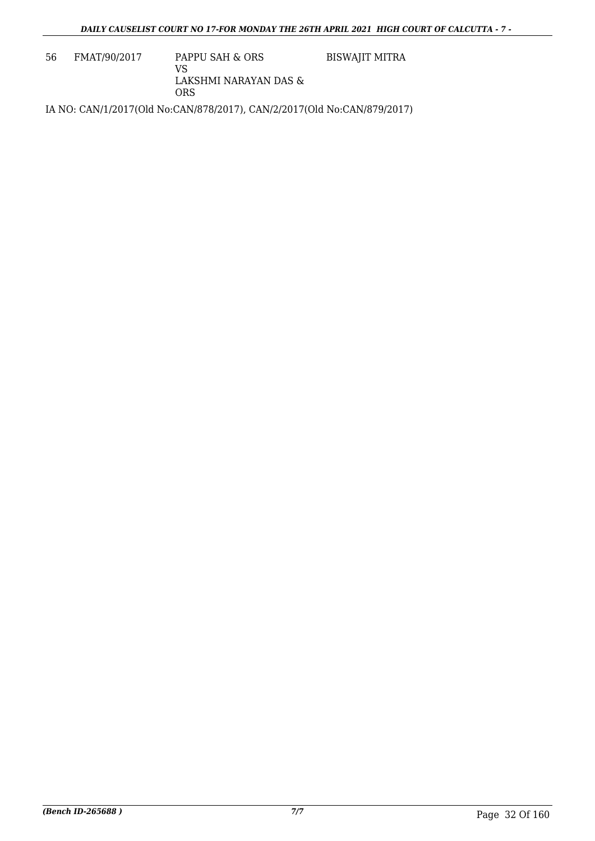56 FMAT/90/2017 PAPPU SAH & ORS VS LAKSHMI NARAYAN DAS & ORS BISWAJIT MITRA

IA NO: CAN/1/2017(Old No:CAN/878/2017), CAN/2/2017(Old No:CAN/879/2017)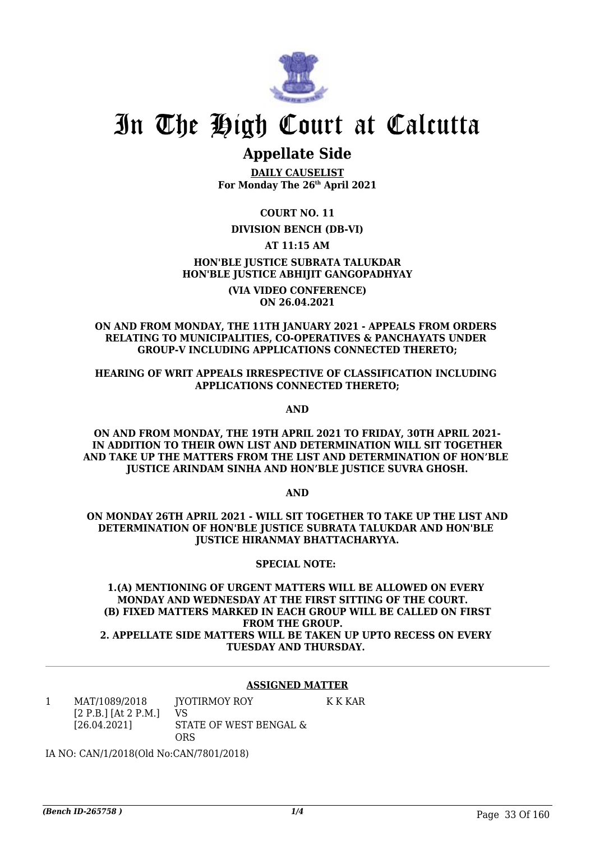

### **Appellate Side**

**DAILY CAUSELIST For Monday The 26th April 2021**

**COURT NO. 11**

### **DIVISION BENCH (DB-VI)**

### **AT 11:15 AM**

### **HON'BLE JUSTICE SUBRATA TALUKDAR HON'BLE JUSTICE ABHIJIT GANGOPADHYAY**

**(VIA VIDEO CONFERENCE) ON 26.04.2021**

### **ON AND FROM MONDAY, THE 11TH JANUARY 2021 - APPEALS FROM ORDERS RELATING TO MUNICIPALITIES, CO-OPERATIVES & PANCHAYATS UNDER GROUP-V INCLUDING APPLICATIONS CONNECTED THERETO;**

### **HEARING OF WRIT APPEALS IRRESPECTIVE OF CLASSIFICATION INCLUDING APPLICATIONS CONNECTED THERETO;**

**AND**

**ON AND FROM MONDAY, THE 19TH APRIL 2021 TO FRIDAY, 30TH APRIL 2021- IN ADDITION TO THEIR OWN LIST AND DETERMINATION WILL SIT TOGETHER AND TAKE UP THE MATTERS FROM THE LIST AND DETERMINATION OF HON'BLE JUSTICE ARINDAM SINHA AND HON'BLE JUSTICE SUVRA GHOSH.**

**AND**

**ON MONDAY 26TH APRIL 2021 - WILL SIT TOGETHER TO TAKE UP THE LIST AND DETERMINATION OF HON'BLE JUSTICE SUBRATA TALUKDAR AND HON'BLE JUSTICE HIRANMAY BHATTACHARYYA.**

### **SPECIAL NOTE:**

**1.(A) MENTIONING OF URGENT MATTERS WILL BE ALLOWED ON EVERY MONDAY AND WEDNESDAY AT THE FIRST SITTING OF THE COURT. (B) FIXED MATTERS MARKED IN EACH GROUP WILL BE CALLED ON FIRST FROM THE GROUP. 2. APPELLATE SIDE MATTERS WILL BE TAKEN UP UPTO RECESS ON EVERY TUESDAY AND THURSDAY.** 

### **ASSIGNED MATTER**

K K KAR

1 MAT/1089/2018 [2 P.B.] [At 2 P.M.] [26.04.2021] JYOTIRMOY ROY VS STATE OF WEST BENGAL & ORS

IA NO: CAN/1/2018(Old No:CAN/7801/2018)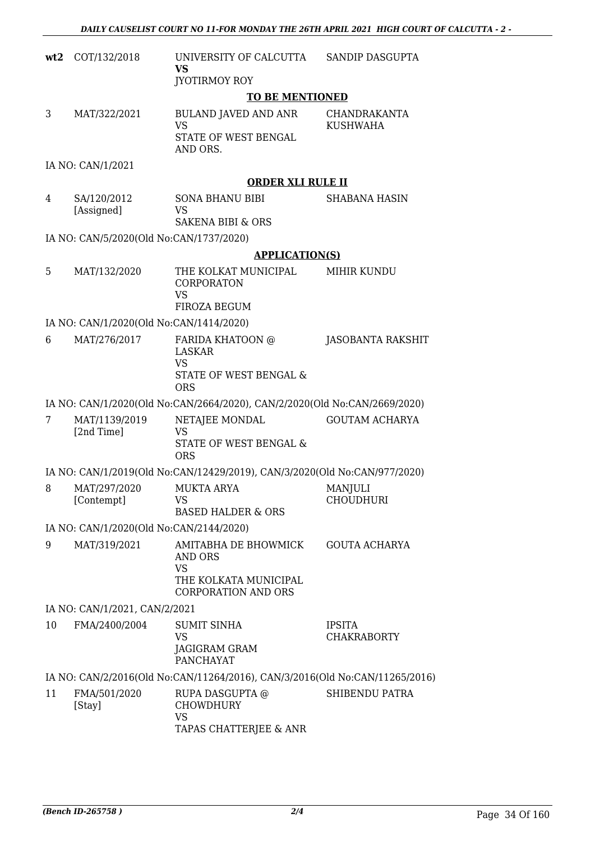| wt2 | COT/132/2018                            | UNIVERSITY OF CALCUTTA<br><b>VS</b>                                                                        | SANDIP DASGUPTA                        |
|-----|-----------------------------------------|------------------------------------------------------------------------------------------------------------|----------------------------------------|
|     |                                         | <b>JYOTIRMOY ROY</b>                                                                                       |                                        |
|     |                                         | <b>TO BE MENTIONED</b>                                                                                     |                                        |
| 3   | MAT/322/2021                            | <b>BULAND JAVED AND ANR</b><br><b>VS</b><br>STATE OF WEST BENGAL                                           | <b>CHANDRAKANTA</b><br><b>KUSHWAHA</b> |
|     |                                         | AND ORS.                                                                                                   |                                        |
|     | IA NO: CAN/1/2021                       |                                                                                                            |                                        |
|     |                                         | <b>ORDER XLI RULE II</b>                                                                                   |                                        |
| 4   | SA/120/2012<br>[Assigned]               | SONA BHANU BIBI<br><b>VS</b><br>SAKENA BIBI & ORS                                                          | <b>SHABANA HASIN</b>                   |
|     | IA NO: CAN/5/2020(Old No:CAN/1737/2020) |                                                                                                            |                                        |
|     |                                         | <b>APPLICATION(S)</b>                                                                                      |                                        |
| 5   | MAT/132/2020                            | THE KOLKAT MUNICIPAL<br>CORPORATON<br><b>VS</b>                                                            | <b>MIHIR KUNDU</b>                     |
|     |                                         | FIROZA BEGUM                                                                                               |                                        |
|     | IA NO: CAN/1/2020(Old No:CAN/1414/2020) |                                                                                                            |                                        |
| 6   | MAT/276/2017                            | FARIDA KHATOON @<br>LASKAR<br><b>VS</b><br>STATE OF WEST BENGAL &<br><b>ORS</b>                            | JASOBANTA RAKSHIT                      |
|     |                                         | IA NO: CAN/1/2020(Old No:CAN/2664/2020), CAN/2/2020(Old No:CAN/2669/2020)                                  |                                        |
| 7   | MAT/1139/2019                           | NETAJEE MONDAL                                                                                             | <b>GOUTAM ACHARYA</b>                  |
|     | [2nd Time]                              | <b>VS</b><br>STATE OF WEST BENGAL &<br><b>ORS</b>                                                          |                                        |
|     |                                         | IA NO: CAN/1/2019(Old No:CAN/12429/2019), CAN/3/2020(Old No:CAN/977/2020)                                  |                                        |
| 8   | MAT/297/2020<br>[Contempt]              | <b>MUKTA ARYA</b><br>VS<br><b>BASED HALDER &amp; ORS</b>                                                   | MANJULI<br><b>CHOUDHURI</b>            |
|     | IA NO: CAN/1/2020(Old No:CAN/2144/2020) |                                                                                                            |                                        |
| 9   | MAT/319/2021                            | AMITABHA DE BHOWMICK<br><b>AND ORS</b><br><b>VS</b><br>THE KOLKATA MUNICIPAL<br><b>CORPORATION AND ORS</b> | <b>GOUTA ACHARYA</b>                   |
|     | IA NO: CAN/1/2021, CAN/2/2021           |                                                                                                            |                                        |
| 10  | FMA/2400/2004                           | <b>SUMIT SINHA</b>                                                                                         | <b>IPSITA</b>                          |
|     |                                         | VS<br>JAGIGRAM GRAM<br><b>PANCHAYAT</b>                                                                    | <b>CHAKRABORTY</b>                     |
|     |                                         | IA NO: CAN/2/2016(Old No:CAN/11264/2016), CAN/3/2016(Old No:CAN/11265/2016)                                |                                        |
| 11  | FMA/501/2020<br>[Stay]                  | RUPA DASGUPTA @<br><b>CHOWDHURY</b><br><b>VS</b>                                                           | SHIBENDU PATRA                         |

TAPAS CHATTERJEE & ANR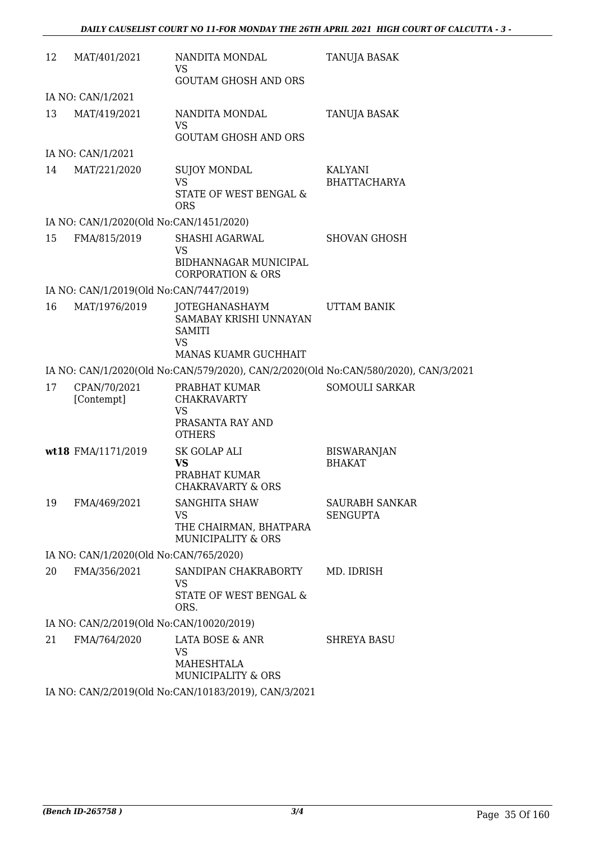| 12 | MAT/401/2021                             | NANDITA MONDAL<br>VS                                                                         | TANUJA BASAK                                                                        |
|----|------------------------------------------|----------------------------------------------------------------------------------------------|-------------------------------------------------------------------------------------|
|    |                                          | <b>GOUTAM GHOSH AND ORS</b>                                                                  |                                                                                     |
|    | IA NO: CAN/1/2021                        |                                                                                              |                                                                                     |
| 13 | MAT/419/2021                             | NANDITA MONDAL<br><b>VS</b>                                                                  | <b>TANUJA BASAK</b>                                                                 |
|    |                                          | <b>GOUTAM GHOSH AND ORS</b>                                                                  |                                                                                     |
|    | IA NO: CAN/1/2021                        |                                                                                              |                                                                                     |
| 14 | MAT/221/2020                             | <b>SUJOY MONDAL</b><br><b>VS</b><br>STATE OF WEST BENGAL &<br><b>ORS</b>                     | KALYANI<br><b>BHATTACHARYA</b>                                                      |
|    | IA NO: CAN/1/2020(Old No:CAN/1451/2020)  |                                                                                              |                                                                                     |
| 15 | FMA/815/2019                             | SHASHI AGARWAL<br><b>VS</b><br>BIDHANNAGAR MUNICIPAL                                         | <b>SHOVAN GHOSH</b>                                                                 |
|    |                                          | <b>CORPORATION &amp; ORS</b>                                                                 |                                                                                     |
|    | IA NO: CAN/1/2019(Old No:CAN/7447/2019)  |                                                                                              |                                                                                     |
| 16 | MAT/1976/2019                            | JOTEGHANASHAYM<br>SAMABAY KRISHI UNNAYAN<br>SAMITI<br><b>VS</b>                              | UTTAM BANIK                                                                         |
|    |                                          | MANAS KUAMR GUCHHAIT                                                                         |                                                                                     |
|    |                                          |                                                                                              | IA NO: CAN/1/2020(Old No:CAN/579/2020), CAN/2/2020(Old No:CAN/580/2020), CAN/3/2021 |
| 17 | CPAN/70/2021<br>[Contempt]               | PRABHAT KUMAR<br><b>CHAKRAVARTY</b><br><b>VS</b>                                             | <b>SOMOULI SARKAR</b>                                                               |
|    |                                          | PRASANTA RAY AND<br><b>OTHERS</b>                                                            |                                                                                     |
|    | wt18 FMA/1171/2019                       | SK GOLAP ALI<br><b>VS</b><br>PRABHAT KUMAR<br><b>CHAKRAVARTY &amp; ORS</b>                   | <b>BISWARANJAN</b><br><b>BHAKAT</b>                                                 |
| 19 | FMA/469/2021                             | <b>SANGHITA SHAW</b><br><b>VS</b><br>THE CHAIRMAN, BHATPARA<br><b>MUNICIPALITY &amp; ORS</b> | <b>SAURABH SANKAR</b><br><b>SENGUPTA</b>                                            |
|    | IA NO: CAN/1/2020(Old No:CAN/765/2020)   |                                                                                              |                                                                                     |
| 20 | FMA/356/2021                             | SANDIPAN CHAKRABORTY<br><b>VS</b><br><b>STATE OF WEST BENGAL &amp;</b><br>ORS.               | MD. IDRISH                                                                          |
|    | IA NO: CAN/2/2019(Old No:CAN/10020/2019) |                                                                                              |                                                                                     |
| 21 | FMA/764/2020                             | LATA BOSE & ANR<br>VS<br>MAHESHTALA<br><b>MUNICIPALITY &amp; ORS</b>                         | <b>SHREYA BASU</b>                                                                  |
|    |                                          | IA NO: CAN/2/2019(Old No:CAN/10183/2019), CAN/3/2021                                         |                                                                                     |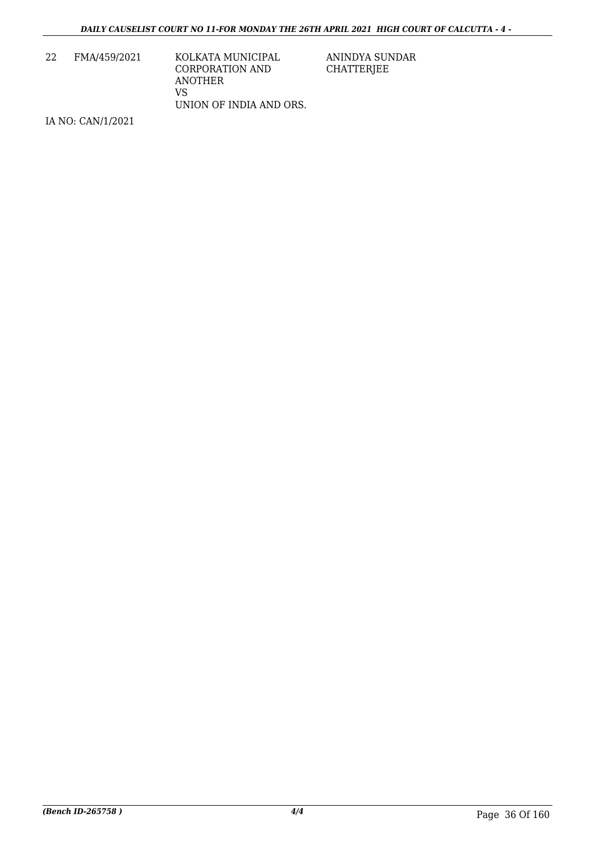| 22 | FMA/459/2021 | KOLKATA MUNICIPAL       |
|----|--------------|-------------------------|
|    |              | CORPORATION AND         |
|    |              | ANOTHER                 |
|    |              | VS                      |
|    |              | UNION OF INDIA AND ORS. |

ANINDYA SUNDAR CHATTERJEE

IA NO: CAN/1/2021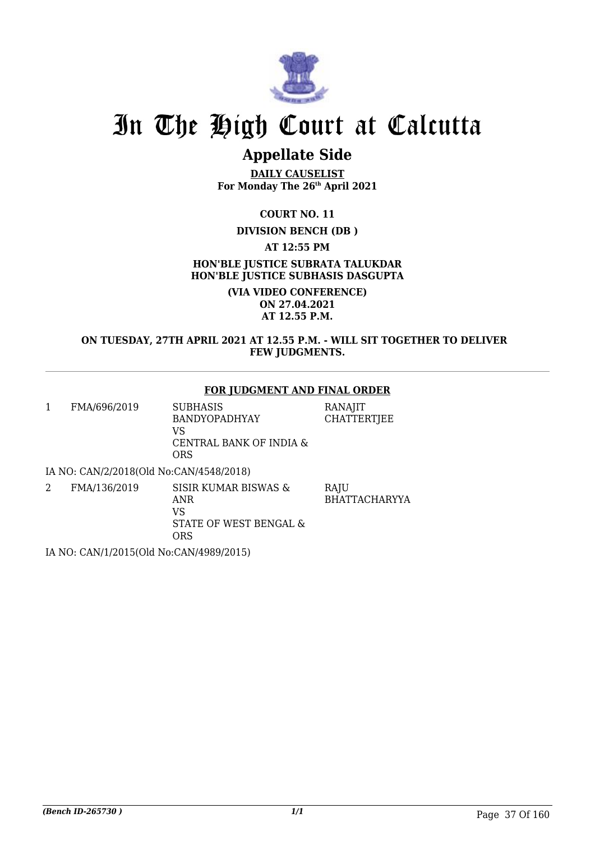

# **Appellate Side**

**DAILY CAUSELIST For Monday The 26th April 2021**

**COURT NO. 11**

## **DIVISION BENCH (DB )**

**AT 12:55 PM**

**HON'BLE JUSTICE SUBRATA TALUKDAR HON'BLE JUSTICE SUBHASIS DASGUPTA**

> **(VIA VIDEO CONFERENCE) ON 27.04.2021 AT 12.55 P.M.**

### **ON TUESDAY, 27TH APRIL 2021 AT 12.55 P.M. - WILL SIT TOGETHER TO DELIVER FEW JUDGMENTS.**

#### **FOR JUDGMENT AND FINAL ORDER**

RANAJIT **CHATTERTJEE** 

1 FMA/696/2019 SUBHASIS BANDYOPADHYAY VS CENTRAL BANK OF INDIA & ORS

IA NO: CAN/2/2018(Old No:CAN/4548/2018)

2 FMA/136/2019 SISIR KUMAR BISWAS & ANR VS STATE OF WEST BENGAL & ORS **RAIU** BHATTACHARYYA

IA NO: CAN/1/2015(Old No:CAN/4989/2015)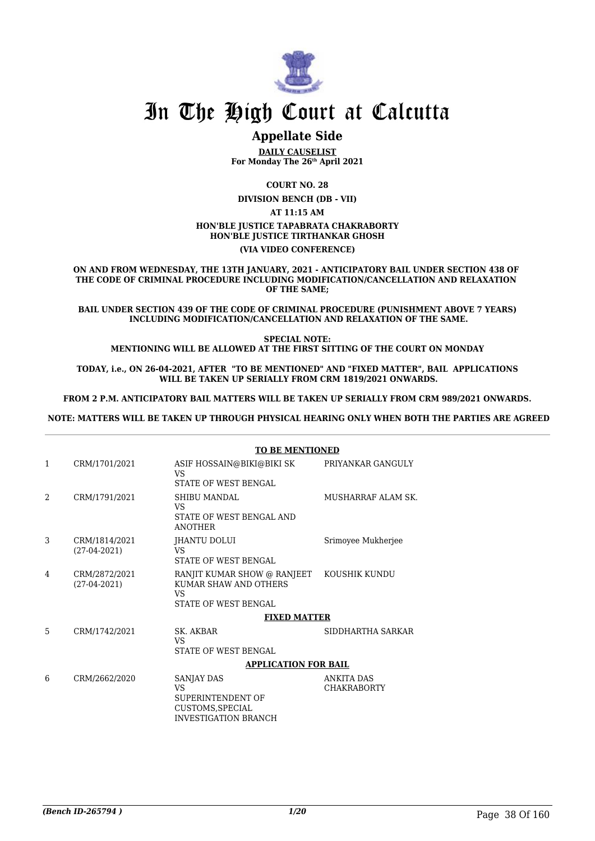

# **Appellate Side**

**DAILY CAUSELIST For Monday The 26th April 2021**

**COURT NO. 28**

**DIVISION BENCH (DB - VII) AT 11:15 AM HON'BLE JUSTICE TAPABRATA CHAKRABORTY HON'BLE JUSTICE TIRTHANKAR GHOSH**

**(VIA VIDEO CONFERENCE)**

**ON AND FROM WEDNESDAY, THE 13TH JANUARY, 2021 - ANTICIPATORY BAIL UNDER SECTION 438 OF THE CODE OF CRIMINAL PROCEDURE INCLUDING MODIFICATION/CANCELLATION AND RELAXATION OF THE SAME;**

**BAIL UNDER SECTION 439 OF THE CODE OF CRIMINAL PROCEDURE (PUNISHMENT ABOVE 7 YEARS) INCLUDING MODIFICATION/CANCELLATION AND RELAXATION OF THE SAME.**

**SPECIAL NOTE: MENTIONING WILL BE ALLOWED AT THE FIRST SITTING OF THE COURT ON MONDAY**

**TODAY, i.e., ON 26-04-2021, AFTER "TO BE MENTIONED" AND "FIXED MATTER", BAIL APPLICATIONS WILL BE TAKEN UP SERIALLY FROM CRM 1819/2021 ONWARDS.**

**FROM 2 P.M. ANTICIPATORY BAIL MATTERS WILL BE TAKEN UP SERIALLY FROM CRM 989/2021 ONWARDS.**

 **NOTE: MATTERS WILL BE TAKEN UP THROUGH PHYSICAL HEARING ONLY WHEN BOTH THE PARTIES ARE AGREED**

|              |                                 | <b>TO BE MENTIONED</b>                                                                                  |                                         |
|--------------|---------------------------------|---------------------------------------------------------------------------------------------------------|-----------------------------------------|
| $\mathbf{1}$ | CRM/1701/2021                   | ASIF HOSSAIN@BIKI@BIKI SK<br>VS<br><b>STATE OF WEST BENGAL</b>                                          | PRIYANKAR GANGULY                       |
| 2            | CRM/1791/2021                   | SHIBU MANDAL<br>VS<br>STATE OF WEST BENGAL AND<br><b>ANOTHER</b>                                        | MUSHARRAF ALAM SK.                      |
| 3            | CRM/1814/2021<br>$(27-04-2021)$ | JHANTU DOLUI<br>VS<br><b>STATE OF WEST BENGAL</b>                                                       | Srimoyee Mukherjee                      |
| 4            | CRM/2872/2021<br>$(27-04-2021)$ | RANJIT KUMAR SHOW @ RANJEET KOUSHIK KUNDU<br>KUMAR SHAW AND OTHERS<br>VS<br><b>STATE OF WEST BENGAL</b> |                                         |
|              |                                 | <b>FIXED MATTER</b>                                                                                     |                                         |
| 5            | CRM/1742/2021                   | SK. AKBAR<br>VS.<br><b>STATE OF WEST BENGAL</b>                                                         | SIDDHARTHA SARKAR                       |
|              |                                 | <b>APPLICATION FOR BAIL</b>                                                                             |                                         |
| 6            | CRM/2662/2020                   | SANJAY DAS<br>VS<br>SUPERINTENDENT OF<br>CUSTOMS, SPECIAL<br><b>INVESTIGATION BRANCH</b>                | <b>ANKITA DAS</b><br><b>CHAKRABORTY</b> |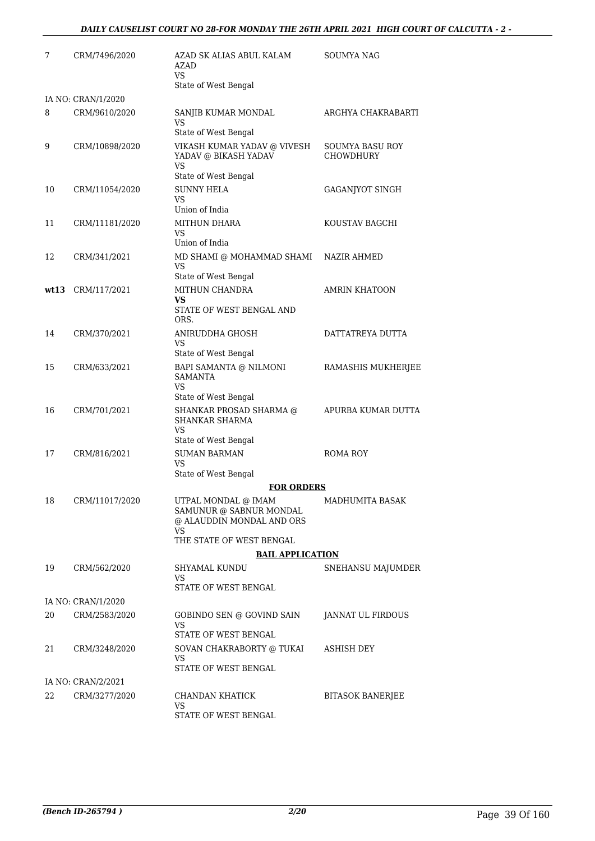| 7  | CRM/7496/2020      | AZAD SK ALIAS ABUL KALAM<br>AZAD<br>VS.                                            | <b>SOUMYA NAG</b>                          |
|----|--------------------|------------------------------------------------------------------------------------|--------------------------------------------|
|    | IA NO: CRAN/1/2020 | State of West Bengal                                                               |                                            |
| 8  | CRM/9610/2020      | SANJIB KUMAR MONDAL<br>VS<br>State of West Bengal                                  | ARGHYA CHAKRABARTI                         |
| 9  | CRM/10898/2020     | VIKASH KUMAR YADAV @ VIVESH<br>YADAV @ BIKASH YADAV<br>VS                          | <b>SOUMYA BASU ROY</b><br><b>CHOWDHURY</b> |
| 10 | CRM/11054/2020     | State of West Bengal<br><b>SUNNY HELA</b>                                          |                                            |
|    |                    | VS.<br>Union of India                                                              | GAGANJYOT SINGH                            |
| 11 | CRM/11181/2020     | MITHUN DHARA<br>VS<br>Union of India                                               | KOUSTAV BAGCHI                             |
| 12 | CRM/341/2021       | MD SHAMI @ MOHAMMAD SHAMI<br><b>VS</b>                                             | NAZIR AHMED                                |
|    |                    | State of West Bengal                                                               |                                            |
|    | wt13 CRM/117/2021  | MITHUN CHANDRA<br>VS<br>STATE OF WEST BENGAL AND<br>ORS.                           | <b>AMRIN KHATOON</b>                       |
| 14 | CRM/370/2021       | ANIRUDDHA GHOSH                                                                    | DATTATREYA DUTTA                           |
|    |                    | VS<br>State of West Bengal                                                         |                                            |
| 15 | CRM/633/2021       | BAPI SAMANTA @ NILMONI<br><b>SAMANTA</b><br>VS.<br>State of West Bengal            | RAMASHIS MUKHERJEE                         |
| 16 | CRM/701/2021       | SHANKAR PROSAD SHARMA @<br>SHANKAR SHARMA<br>VS                                    | APURBA KUMAR DUTTA                         |
|    |                    | State of West Bengal                                                               |                                            |
| 17 | CRM/816/2021       | <b>SUMAN BARMAN</b><br><b>VS</b>                                                   | ROMA ROY                                   |
|    |                    | State of West Bengal<br><b>FOR ORDERS</b>                                          |                                            |
| 18 | CRM/11017/2020     | UTPAL MONDAL @ IMAM<br>SAMUNUR @ SABNUR MONDAL<br>@ ALAUDDIN MONDAL AND ORS<br>VS. | MADHUMITA BASAK                            |
|    |                    | THE STATE OF WEST BENGAL<br><b>BAIL APPLICATION</b>                                |                                            |
| 19 | CRM/562/2020       | SHYAMAL KUNDU                                                                      | SNEHANSU MAJUMDER                          |
|    |                    | VS<br>STATE OF WEST BENGAL                                                         |                                            |
|    | IA NO: CRAN/1/2020 |                                                                                    |                                            |
| 20 | CRM/2583/2020      | GOBINDO SEN @ GOVIND SAIN<br>VS                                                    | JANNAT UL FIRDOUS                          |
|    |                    | STATE OF WEST BENGAL                                                               |                                            |
| 21 | CRM/3248/2020      | SOVAN CHAKRABORTY @ TUKAI<br>VS<br>STATE OF WEST BENGAL                            | ASHISH DEY                                 |
|    | IA NO: CRAN/2/2021 |                                                                                    |                                            |
| 22 | CRM/3277/2020      | CHANDAN KHATICK<br>VS                                                              | <b>BITASOK BANERJEE</b>                    |
|    |                    | STATE OF WEST BENGAL                                                               |                                            |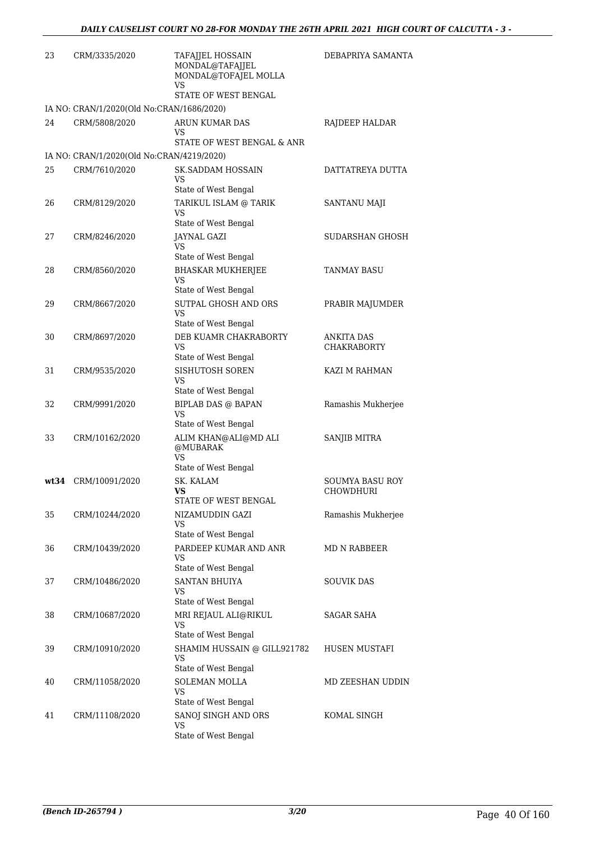| 23 | CRM/3335/2020                             | TAFAJJEL HOSSAIN<br>MONDAL@TAFAJJEL<br>MONDAL@TOFAJEL MOLLA<br>VS<br>STATE OF WEST BENGAL | DEBAPRIYA SAMANTA                   |
|----|-------------------------------------------|-------------------------------------------------------------------------------------------|-------------------------------------|
|    | IA NO: CRAN/1/2020(Old No:CRAN/1686/2020) |                                                                                           |                                     |
| 24 | CRM/5808/2020                             | ARUN KUMAR DAS<br>VS<br>STATE OF WEST BENGAL & ANR                                        | RAJDEEP HALDAR                      |
|    | IA NO: CRAN/1/2020(Old No:CRAN/4219/2020) |                                                                                           |                                     |
| 25 | CRM/7610/2020                             | <b>SK.SADDAM HOSSAIN</b><br>VS                                                            | DATTATREYA DUTTA                    |
| 26 | CRM/8129/2020                             | State of West Bengal<br>TARIKUL ISLAM @ TARIK<br><b>VS</b>                                | SANTANU MAJI                        |
| 27 | CRM/8246/2020                             | State of West Bengal<br><b>JAYNAL GAZI</b><br>VS<br>State of West Bengal                  | SUDARSHAN GHOSH                     |
| 28 | CRM/8560/2020                             | <b>BHASKAR MUKHERJEE</b><br>VS                                                            | <b>TANMAY BASU</b>                  |
| 29 | CRM/8667/2020                             | State of West Bengal<br>SUTPAL GHOSH AND ORS<br>VS<br>State of West Bengal                | PRABIR MAJUMDER                     |
| 30 | CRM/8697/2020                             | DEB KUAMR CHAKRABORTY<br>VS<br>State of West Bengal                                       | ANKITA DAS<br><b>CHAKRABORTY</b>    |
| 31 | CRM/9535/2020                             | SISHUTOSH SOREN<br>VS<br>State of West Bengal                                             | KAZI M RAHMAN                       |
| 32 | CRM/9991/2020                             | <b>BIPLAB DAS @ BAPAN</b><br>VS<br>State of West Bengal                                   | Ramashis Mukherjee                  |
| 33 | CRM/10162/2020                            | ALIM KHAN@ALI@MD ALI<br>@MUBARAK<br>VS<br>State of West Bengal                            | SANJIB MITRA                        |
|    | wt34 CRM/10091/2020                       | SK. KALAM<br><b>VS</b><br>STATE OF WEST BENGAL                                            | SOUMYA BASU ROY<br><b>CHOWDHURI</b> |
| 35 | CRM/10244/2020                            | NIZAMUDDIN GAZI<br>VS<br>State of West Bengal                                             | Ramashis Mukherjee                  |
| 36 | CRM/10439/2020                            | PARDEEP KUMAR AND ANR<br>VS<br>State of West Bengal                                       | MD N RABBEER                        |
| 37 | CRM/10486/2020                            | <b>SANTAN BHUIYA</b><br>VS<br>State of West Bengal                                        | SOUVIK DAS                          |
| 38 | CRM/10687/2020                            | MRI REJAUL ALI@RIKUL<br>VS<br>State of West Bengal                                        | SAGAR SAHA                          |
| 39 | CRM/10910/2020                            | SHAMIM HUSSAIN @ GILL921782<br>VS<br>State of West Bengal                                 | HUSEN MUSTAFI                       |
| 40 | CRM/11058/2020                            | SOLEMAN MOLLA<br>VS<br>State of West Bengal                                               | MD ZEESHAN UDDIN                    |
| 41 | CRM/11108/2020                            | SANOJ SINGH AND ORS<br>VS<br>State of West Bengal                                         | KOMAL SINGH                         |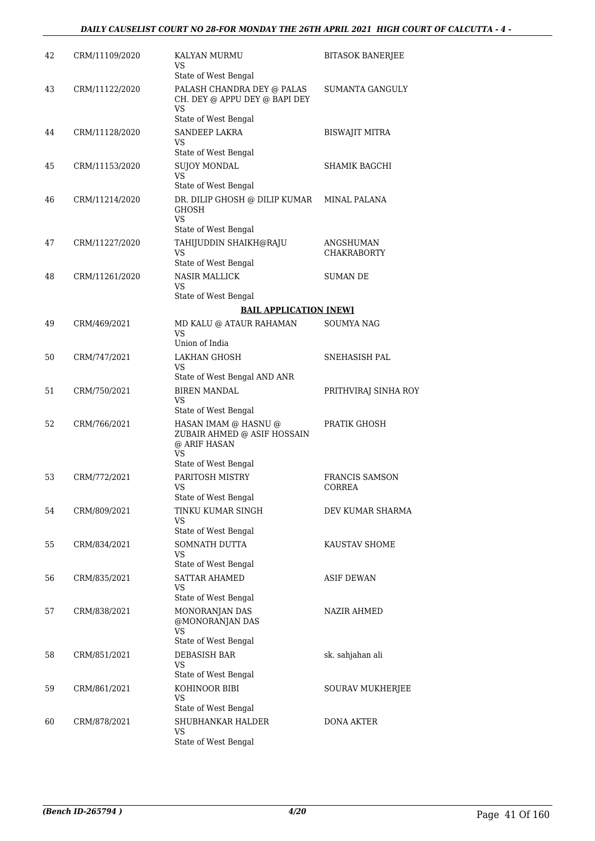| 42 | CRM/11109/2020 | KALYAN MURMU<br>VS.<br>State of West Bengal                                               | <b>BITASOK BANERJEE</b>         |
|----|----------------|-------------------------------------------------------------------------------------------|---------------------------------|
| 43 | CRM/11122/2020 | PALASH CHANDRA DEY @ PALAS<br>CH. DEY @ APPU DEY @ BAPI DEY<br>VS<br>State of West Bengal | SUMANTA GANGULY                 |
| 44 | CRM/11128/2020 | <b>SANDEEP LAKRA</b><br>VS<br>State of West Bengal                                        | <b>BISWAJIT MITRA</b>           |
| 45 | CRM/11153/2020 | <b>SUJOY MONDAL</b>                                                                       | SHAMIK BAGCHI                   |
|    |                | VS<br>State of West Bengal                                                                |                                 |
| 46 | CRM/11214/2020 | DR. DILIP GHOSH @ DILIP KUMAR<br>GHOSH<br>VS.                                             | MINAL PALANA                    |
|    |                | State of West Bengal                                                                      |                                 |
| 47 | CRM/11227/2020 | TAHIJUDDIN SHAIKH@RAJU<br>VS                                                              | ANGSHUMAN<br><b>CHAKRABORTY</b> |
|    |                | State of West Bengal                                                                      |                                 |
| 48 | CRM/11261/2020 | <b>NASIR MALLICK</b><br>VS                                                                | <b>SUMAN DE</b>                 |
|    |                | State of West Bengal                                                                      |                                 |
| 49 | CRM/469/2021   | <b>BAIL APPLICATION [NEW]</b><br>MD KALU @ ATAUR RAHAMAN                                  | <b>SOUMYA NAG</b>               |
|    |                | VS.<br>Union of India                                                                     |                                 |
| 50 |                | <b>LAKHAN GHOSH</b>                                                                       |                                 |
|    | CRM/747/2021   | VS                                                                                        | SNEHASISH PAL                   |
|    |                | State of West Bengal AND ANR                                                              |                                 |
| 51 | CRM/750/2021   | <b>BIREN MANDAL</b><br>VS<br>State of West Bengal                                         | PRITHVIRAJ SINHA ROY            |
| 52 | CRM/766/2021   | HASAN IMAM @ HASNU @<br>ZUBAIR AHMED @ ASIF HOSSAIN<br>@ ARIF HASAN<br>VS.                | PRATIK GHOSH                    |
|    |                | State of West Bengal                                                                      |                                 |
| 53 | CRM/772/2021   | PARITOSH MISTRY<br>VS<br>State of West Bengal                                             | <b>FRANCIS SAMSON</b><br>CORREA |
| 54 | CRM/809/2021   | TINKU KUMAR SINGH<br>VS                                                                   | DEV KUMAR SHARMA                |
| 55 | CRM/834/2021   | State of West Bengal<br>SOMNATH DUTTA<br>VS                                               | KAUSTAV SHOME                   |
|    |                | State of West Bengal                                                                      |                                 |
| 56 | CRM/835/2021   | <b>SATTAR AHAMED</b><br>VS                                                                | ASIF DEWAN                      |
|    | CRM/838/2021   | State of West Bengal<br>MONORANJAN DAS                                                    | NAZIR AHMED                     |
| 57 |                | @MONORANJAN DAS<br><b>VS</b>                                                              |                                 |
|    |                | State of West Bengal                                                                      |                                 |
| 58 | CRM/851/2021   | DEBASISH BAR<br>VS<br>State of West Bengal                                                | sk. sahjahan ali                |
| 59 | CRM/861/2021   | KOHINOOR BIBI                                                                             | SOURAV MUKHERJEE                |
|    |                | VS<br>State of West Bengal                                                                |                                 |
| 60 | CRM/878/2021   | SHUBHANKAR HALDER                                                                         | DONA AKTER                      |
|    |                | VS<br>State of West Bengal                                                                |                                 |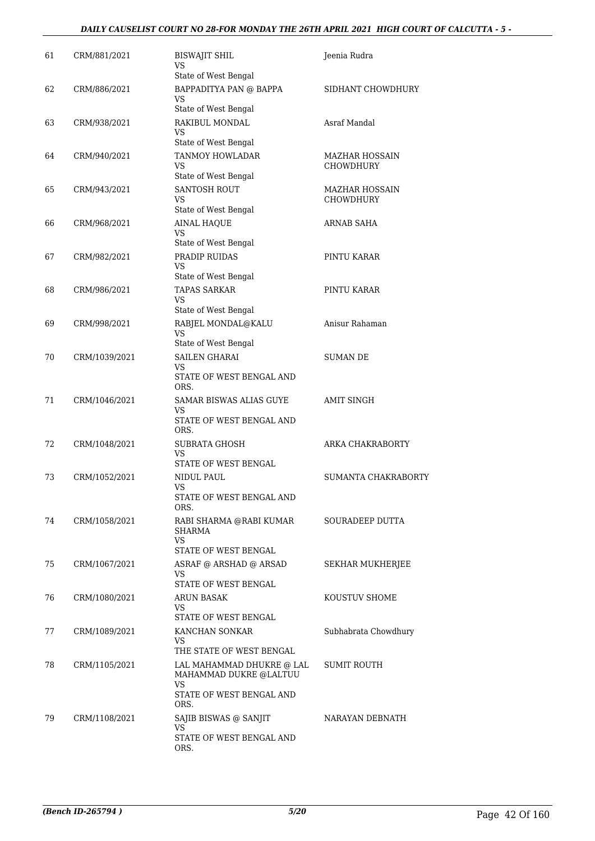#### *DAILY CAUSELIST COURT NO 28-FOR MONDAY THE 26TH APRIL 2021 HIGH COURT OF CALCUTTA - 5 -*

| 61 | CRM/881/2021  | <b>BISWAJIT SHIL</b><br>VS<br>State of West Bengal                                             | Jeenia Rudra                              |
|----|---------------|------------------------------------------------------------------------------------------------|-------------------------------------------|
| 62 | CRM/886/2021  | BAPPADITYA PAN @ BAPPA<br>VS.<br>State of West Bengal                                          | SIDHANT CHOWDHURY                         |
| 63 | CRM/938/2021  | RAKIBUL MONDAL<br>VS                                                                           | Asraf Mandal                              |
| 64 | CRM/940/2021  | State of West Bengal<br>TANMOY HOWLADAR<br>VS<br>State of West Bengal                          | <b>MAZHAR HOSSAIN</b><br><b>CHOWDHURY</b> |
| 65 | CRM/943/2021  | <b>SANTOSH ROUT</b><br>VS<br>State of West Bengal                                              | <b>MAZHAR HOSSAIN</b><br>CHOWDHURY        |
| 66 | CRM/968/2021  | <b>AINAL HAQUE</b><br>VS<br>State of West Bengal                                               | ARNAB SAHA                                |
| 67 | CRM/982/2021  | PRADIP RUIDAS<br>VS<br>State of West Bengal                                                    | PINTU KARAR                               |
| 68 | CRM/986/2021  | <b>TAPAS SARKAR</b><br>VS<br>State of West Bengal                                              | PINTU KARAR                               |
| 69 | CRM/998/2021  | RABJEL MONDAL@KALU<br>VS<br>State of West Bengal                                               | Anisur Rahaman                            |
| 70 | CRM/1039/2021 | <b>SAILEN GHARAI</b><br>VS<br>STATE OF WEST BENGAL AND<br>ORS.                                 | <b>SUMAN DE</b>                           |
| 71 | CRM/1046/2021 | SAMAR BISWAS ALIAS GUYE<br>VS<br>STATE OF WEST BENGAL AND<br>ORS.                              | <b>AMIT SINGH</b>                         |
| 72 | CRM/1048/2021 | <b>SUBRATA GHOSH</b><br>VS<br>STATE OF WEST BENGAL                                             | ARKA CHAKRABORTY                          |
| 73 | CRM/1052/2021 | NIDUL PAUL<br>VS<br>STATE OF WEST BENGAL AND<br>ORS.                                           | SUMANTA CHAKRABORTY                       |
| 74 | CRM/1058/2021 | RABI SHARMA @RABI KUMAR<br>SHARMA<br><b>VS</b>                                                 | SOURADEEP DUTTA                           |
| 75 | CRM/1067/2021 | STATE OF WEST BENGAL<br>ASRAF @ ARSHAD @ ARSAD<br>VS<br>STATE OF WEST BENGAL                   | <b>SEKHAR MUKHERJEE</b>                   |
| 76 | CRM/1080/2021 | ARUN BASAK<br>VS.<br>STATE OF WEST BENGAL                                                      | KOUSTUV SHOME                             |
| 77 | CRM/1089/2021 | KANCHAN SONKAR<br>VS<br>THE STATE OF WEST BENGAL                                               | Subhabrata Chowdhury                      |
| 78 | CRM/1105/2021 | LAL MAHAMMAD DHUKRE @ LAL<br>MAHAMMAD DUKRE @LALTUU<br>VS.<br>STATE OF WEST BENGAL AND<br>ORS. | SUMIT ROUTH                               |
| 79 | CRM/1108/2021 | SAJIB BISWAS @ SANJIT<br>VS<br>STATE OF WEST BENGAL AND<br>ORS.                                | NARAYAN DEBNATH                           |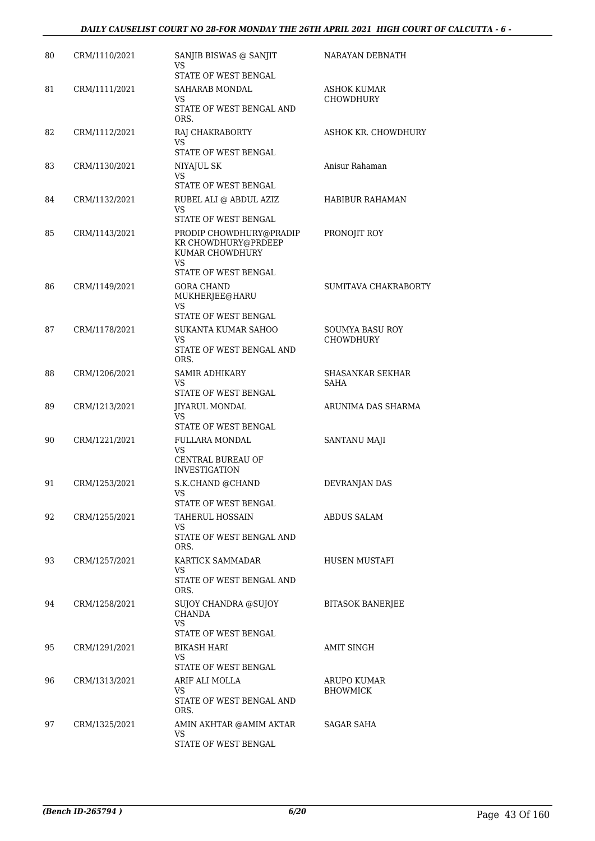| 80 | CRM/1110/2021 | SANJIB BISWAS @ SANJIT<br>VS<br>STATE OF WEST BENGAL                                            | NARAYAN DEBNATH                            |
|----|---------------|-------------------------------------------------------------------------------------------------|--------------------------------------------|
| 81 | CRM/1111/2021 | SAHARAB MONDAL<br>VS<br>STATE OF WEST BENGAL AND<br>ORS.                                        | ASHOK KUMAR<br><b>CHOWDHURY</b>            |
| 82 | CRM/1112/2021 | RAJ CHAKRABORTY<br>VS<br>STATE OF WEST BENGAL                                                   | ASHOK KR. CHOWDHURY                        |
| 83 | CRM/1130/2021 | NIYAJUL SK<br>VS<br>STATE OF WEST BENGAL                                                        | Anisur Rahaman                             |
| 84 | CRM/1132/2021 | RUBEL ALI @ ABDUL AZIZ<br>VS<br>STATE OF WEST BENGAL                                            | HABIBUR RAHAMAN                            |
| 85 | CRM/1143/2021 | PRODIP CHOWDHURY@PRADIP<br>KR CHOWDHURY@PRDEEP<br>KUMAR CHOWDHURY<br>VS<br>STATE OF WEST BENGAL | PRONOJIT ROY                               |
| 86 | CRM/1149/2021 | <b>GORA CHAND</b><br>MUKHERJEE@HARU<br><b>VS</b><br>STATE OF WEST BENGAL                        | SUMITAVA CHAKRABORTY                       |
| 87 | CRM/1178/2021 | SUKANTA KUMAR SAHOO<br>VS<br>STATE OF WEST BENGAL AND<br>ORS.                                   | <b>SOUMYA BASU ROY</b><br><b>CHOWDHURY</b> |
| 88 | CRM/1206/2021 | <b>SAMIR ADHIKARY</b><br>VS<br>STATE OF WEST BENGAL                                             | SHASANKAR SEKHAR<br>SAHA                   |
| 89 | CRM/1213/2021 | <b>JIYARUL MONDAL</b><br>VS.<br>STATE OF WEST BENGAL                                            | ARUNIMA DAS SHARMA                         |
| 90 | CRM/1221/2021 | FULLARA MONDAL<br>VS<br>CENTRAL BUREAU OF<br><b>INVESTIGATION</b>                               | SANTANU MAJI                               |
| 91 | CRM/1253/2021 | S.K.CHAND @CHAND<br>VS<br>STATE OF WEST BENGAL                                                  | DEVRANJAN DAS                              |
| 92 | CRM/1255/2021 | <b>TAHERUL HOSSAIN</b><br>VS<br>STATE OF WEST BENGAL AND<br>ORS.                                | ABDUS SALAM                                |
| 93 | CRM/1257/2021 | KARTICK SAMMADAR<br>VS.<br>STATE OF WEST BENGAL AND<br>ORS.                                     | HUSEN MUSTAFI                              |
| 94 | CRM/1258/2021 | <b>SUJOY CHANDRA @SUJOY</b><br>CHANDA<br>VS.<br>STATE OF WEST BENGAL                            | <b>BITASOK BANERJEE</b>                    |
| 95 | CRM/1291/2021 | <b>BIKASH HARI</b><br>VS<br>STATE OF WEST BENGAL                                                | AMIT SINGH                                 |
| 96 | CRM/1313/2021 | ARIF ALI MOLLA<br>VS.<br>STATE OF WEST BENGAL AND<br>ORS.                                       | <b>ARUPO KUMAR</b><br><b>BHOWMICK</b>      |
| 97 | CRM/1325/2021 | AMIN AKHTAR @AMIM AKTAR<br>VS<br>STATE OF WEST BENGAL                                           | SAGAR SAHA                                 |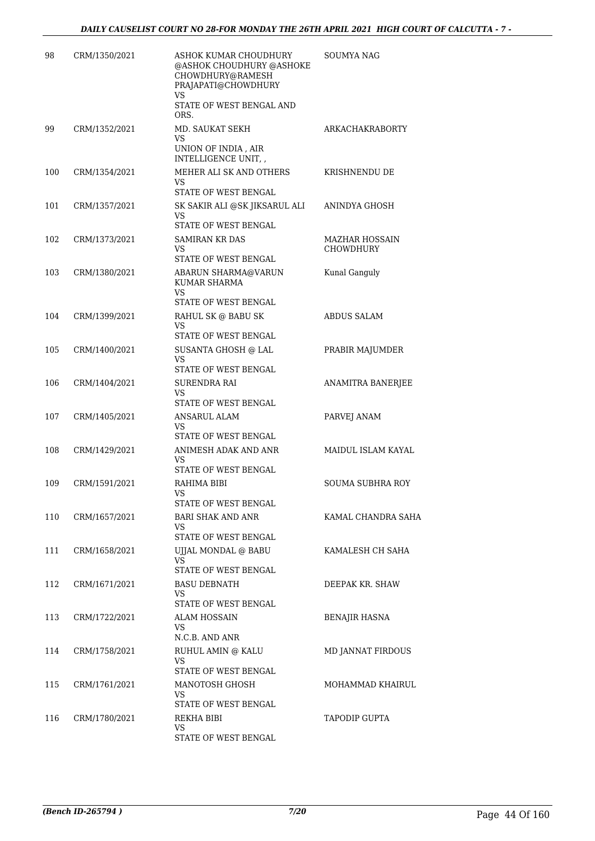| 98  | CRM/1350/2021 | ASHOK KUMAR CHOUDHURY<br>@ASHOK CHOUDHURY @ASHOKE<br>CHOWDHURY@RAMESH<br>PRAJAPATI@CHOWDHURY<br>VS<br>STATE OF WEST BENGAL AND<br>ORS. | SOUMYA NAG                  |
|-----|---------------|----------------------------------------------------------------------------------------------------------------------------------------|-----------------------------|
| 99  | CRM/1352/2021 | MD. SAUKAT SEKH<br>VS<br>UNION OF INDIA , AIR<br>INTELLIGENCE UNIT, ,                                                                  | ARKACHAKRABORTY             |
| 100 | CRM/1354/2021 | MEHER ALI SK AND OTHERS<br><b>VS</b><br>STATE OF WEST BENGAL                                                                           | KRISHNENDU DE               |
| 101 | CRM/1357/2021 | SK SAKIR ALI @SK JIKSARUL ALI<br>VS.<br>STATE OF WEST BENGAL                                                                           | ANINDYA GHOSH               |
| 102 | CRM/1373/2021 | SAMIRAN KR DAS<br>VS.<br>STATE OF WEST BENGAL                                                                                          | MAZHAR HOSSAIN<br>CHOWDHURY |
| 103 | CRM/1380/2021 | ABARUN SHARMA@VARUN<br>KUMAR SHARMA<br>VS.                                                                                             | Kunal Ganguly               |
|     |               | STATE OF WEST BENGAL                                                                                                                   |                             |
| 104 | CRM/1399/2021 | RAHUL SK @ BABU SK<br>VS<br>STATE OF WEST BENGAL                                                                                       | <b>ABDUS SALAM</b>          |
| 105 | CRM/1400/2021 | SUSANTA GHOSH @ LAL<br>VS.<br>STATE OF WEST BENGAL                                                                                     | PRABIR MAJUMDER             |
| 106 | CRM/1404/2021 | SURENDRA RAI<br>VS.<br>STATE OF WEST BENGAL                                                                                            | ANAMITRA BANERJEE           |
| 107 | CRM/1405/2021 | ANSARUL ALAM<br>VS<br>STATE OF WEST BENGAL                                                                                             | PARVEJ ANAM                 |
| 108 | CRM/1429/2021 | ANIMESH ADAK AND ANR<br>VS.<br>STATE OF WEST BENGAL                                                                                    | MAIDUL ISLAM KAYAL          |
| 109 | CRM/1591/2021 | RAHIMA BIBI<br>VS<br>STATE OF WEST BENGAL                                                                                              | SOUMA SUBHRA ROY            |
| 110 | CRM/1657/2021 | <b>BARI SHAK AND ANR</b><br>VS<br>STATE OF WEST BENGAL                                                                                 | KAMAL CHANDRA SAHA          |
| 111 | CRM/1658/2021 | UJJAL MONDAL @ BABU<br>VS.<br>STATE OF WEST BENGAL                                                                                     | KAMALESH CH SAHA            |
| 112 | CRM/1671/2021 | <b>BASU DEBNATH</b><br>VS<br>STATE OF WEST BENGAL                                                                                      | DEEPAK KR. SHAW             |
| 113 | CRM/1722/2021 | ALAM HOSSAIN<br>VS<br>N.C.B. AND ANR                                                                                                   | <b>BENAJIR HASNA</b>        |
| 114 | CRM/1758/2021 | RUHUL AMIN @ KALU<br>VS.<br>STATE OF WEST BENGAL                                                                                       | MD JANNAT FIRDOUS           |
| 115 | CRM/1761/2021 | MANOTOSH GHOSH<br>VS<br>STATE OF WEST BENGAL                                                                                           | MOHAMMAD KHAIRUL            |
| 116 | CRM/1780/2021 | REKHA BIBI<br>VS.<br>STATE OF WEST BENGAL                                                                                              | TAPODIP GUPTA               |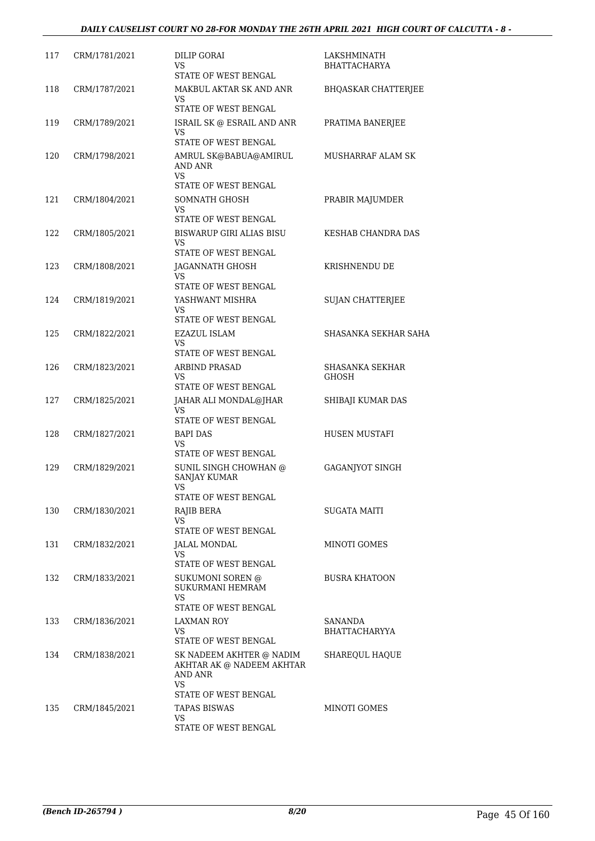| 117 | CRM/1781/2021 | DILIP GORAI<br>VS<br>STATE OF WEST BENGAL                                                             | LAKSHMINATH<br><b>BHATTACHARYA</b> |
|-----|---------------|-------------------------------------------------------------------------------------------------------|------------------------------------|
| 118 | CRM/1787/2021 | MAKBUL AKTAR SK AND ANR<br>VS<br>STATE OF WEST BENGAL                                                 | <b>BHQASKAR CHATTERJEE</b>         |
| 119 | CRM/1789/2021 | ISRAIL SK @ ESRAIL AND ANR<br>VS<br>STATE OF WEST BENGAL                                              | PRATIMA BANERJEE                   |
| 120 | CRM/1798/2021 | AMRUL SK@BABUA@AMIRUL<br>AND ANR<br><b>VS</b><br>STATE OF WEST BENGAL                                 | MUSHARRAF ALAM SK                  |
| 121 | CRM/1804/2021 | SOMNATH GHOSH<br>VS<br>STATE OF WEST BENGAL                                                           | PRABIR MAJUMDER                    |
| 122 | CRM/1805/2021 | <b>BISWARUP GIRI ALIAS BISU</b><br>VS<br>STATE OF WEST BENGAL                                         | KESHAB CHANDRA DAS                 |
| 123 | CRM/1808/2021 | <b>JAGANNATH GHOSH</b><br>VS<br>STATE OF WEST BENGAL                                                  | KRISHNENDU DE                      |
| 124 | CRM/1819/2021 | YASHWANT MISHRA<br>VS<br>STATE OF WEST BENGAL                                                         | <b>SUJAN CHATTERJEE</b>            |
| 125 | CRM/1822/2021 | EZAZUL ISLAM<br>VS<br>STATE OF WEST BENGAL                                                            | SHASANKA SEKHAR SAHA               |
| 126 | CRM/1823/2021 | <b>ARBIND PRASAD</b><br>VS<br>STATE OF WEST BENGAL                                                    | SHASANKA SEKHAR<br><b>GHOSH</b>    |
| 127 | CRM/1825/2021 | JAHAR ALI MONDAL@JHAR<br>VS<br>STATE OF WEST BENGAL                                                   | SHIBAJI KUMAR DAS                  |
| 128 | CRM/1827/2021 | <b>BAPI DAS</b><br>VS<br>STATE OF WEST BENGAL                                                         | <b>HUSEN MUSTAFI</b>               |
| 129 | CRM/1829/2021 | SUNIL SINGH CHOWHAN @<br><b>SANJAY KUMAR</b><br>VS<br>STATE OF WEST BENGAL                            | <b>GAGANJYOT SINGH</b>             |
| 130 | CRM/1830/2021 | RAJIB BERA<br>VS<br>STATE OF WEST BENGAL                                                              | SUGATA MAITI                       |
| 131 | CRM/1832/2021 | <b>JALAL MONDAL</b><br>VS<br>STATE OF WEST BENGAL                                                     | <b>MINOTI GOMES</b>                |
| 132 | CRM/1833/2021 | <b>SUKUMONI SOREN @</b><br>SUKURMANI HEMRAM<br>VS<br>STATE OF WEST BENGAL                             | <b>BUSRA KHATOON</b>               |
| 133 | CRM/1836/2021 | LAXMAN ROY<br>VS<br>STATE OF WEST BENGAL                                                              | SANANDA<br><b>BHATTACHARYYA</b>    |
| 134 | CRM/1838/2021 | SK NADEEM AKHTER @ NADIM<br>AKHTAR AK @ NADEEM AKHTAR<br>AND ANR<br><b>VS</b><br>STATE OF WEST BENGAL | SHAREQUL HAQUE                     |
| 135 | CRM/1845/2021 | <b>TAPAS BISWAS</b><br>VS<br>STATE OF WEST BENGAL                                                     | MINOTI GOMES                       |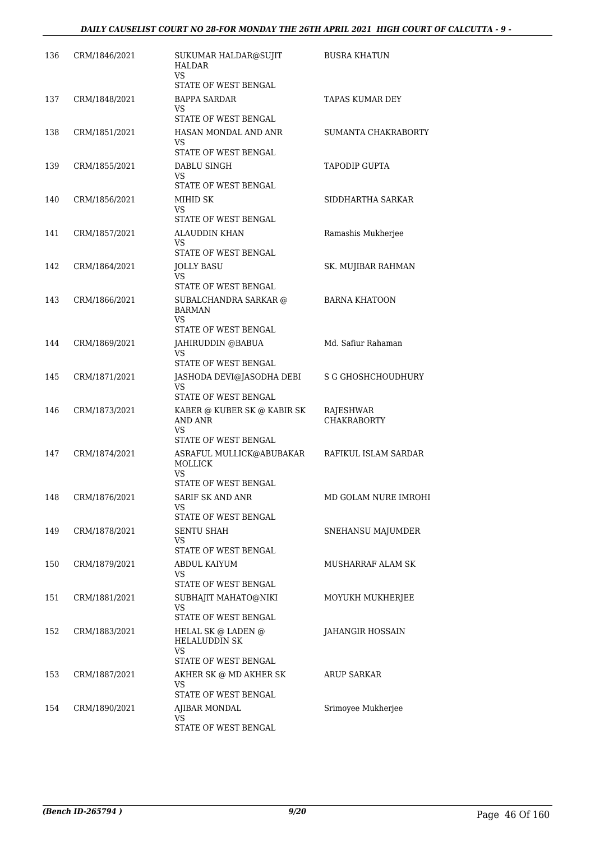| 136 | CRM/1846/2021 | SUKUMAR HALDAR@SUJIT<br><b>HALDAR</b><br>VS.                                   | <b>BUSRA KHATUN</b>             |
|-----|---------------|--------------------------------------------------------------------------------|---------------------------------|
|     |               | STATE OF WEST BENGAL                                                           |                                 |
| 137 | CRM/1848/2021 | <b>BAPPA SARDAR</b><br>VS<br>STATE OF WEST BENGAL                              | <b>TAPAS KUMAR DEY</b>          |
| 138 | CRM/1851/2021 | HASAN MONDAL AND ANR<br>VS<br>STATE OF WEST BENGAL                             | <b>SUMANTA CHAKRABORTY</b>      |
| 139 | CRM/1855/2021 | DABLU SINGH<br>VS                                                              | TAPODIP GUPTA                   |
| 140 | CRM/1856/2021 | STATE OF WEST BENGAL<br>MIHID SK<br>VS<br>STATE OF WEST BENGAL                 | SIDDHARTHA SARKAR               |
| 141 | CRM/1857/2021 | <b>ALAUDDIN KHAN</b><br>VS<br>STATE OF WEST BENGAL                             | Ramashis Mukherjee              |
| 142 | CRM/1864/2021 | JOLLY BASU<br>VS                                                               | SK. MUJIBAR RAHMAN              |
| 143 | CRM/1866/2021 | STATE OF WEST BENGAL<br>SUBALCHANDRA SARKAR @<br><b>BARMAN</b><br>VS           | <b>BARNA KHATOON</b>            |
| 144 | CRM/1869/2021 | STATE OF WEST BENGAL<br>JAHIRUDDIN @BABUA<br>VS<br>STATE OF WEST BENGAL        | Md. Safiur Rahaman              |
| 145 | CRM/1871/2021 | JASHODA DEVI@JASODHA DEBI<br>VS<br>STATE OF WEST BENGAL                        | S G GHOSHCHOUDHURY              |
| 146 | CRM/1873/2021 | KABER @ KUBER SK @ KABIR SK<br>AND ANR<br>VS                                   | RAJESHWAR<br><b>CHAKRABORTY</b> |
| 147 | CRM/1874/2021 | STATE OF WEST BENGAL<br>ASRAFUL MULLICK@ABUBAKAR<br>MOLLICK<br>VS              | RAFIKUL ISLAM SARDAR            |
| 148 | CRM/1876/2021 | STATE OF WEST BENGAL<br><b>SARIF SK AND ANR</b><br>VS.<br>STATE OF WEST BENGAL | MD GOLAM NURE IMROHI            |
| 149 | CRM/1878/2021 | SENTU SHAH<br>VS<br>STATE OF WEST BENGAL                                       | SNEHANSU MAJUMDER               |
| 150 | CRM/1879/2021 | ABDUL KAIYUM<br>VS.<br>STATE OF WEST BENGAL                                    | MUSHARRAF ALAM SK               |
| 151 | CRM/1881/2021 | SUBHAJIT MAHATO@NIKI<br>VS<br>STATE OF WEST BENGAL                             | MOYUKH MUKHERJEE                |
| 152 | CRM/1883/2021 | HELAL SK @ LADEN @<br><b>HELALUDDIN SK</b><br>VS.<br>STATE OF WEST BENGAL      | JAHANGIR HOSSAIN                |
| 153 | CRM/1887/2021 | AKHER SK @ MD AKHER SK<br>VS.<br>STATE OF WEST BENGAL                          | ARUP SARKAR                     |
| 154 | CRM/1890/2021 | AJIBAR MONDAL<br>VS.<br>STATE OF WEST BENGAL                                   | Srimoyee Mukherjee              |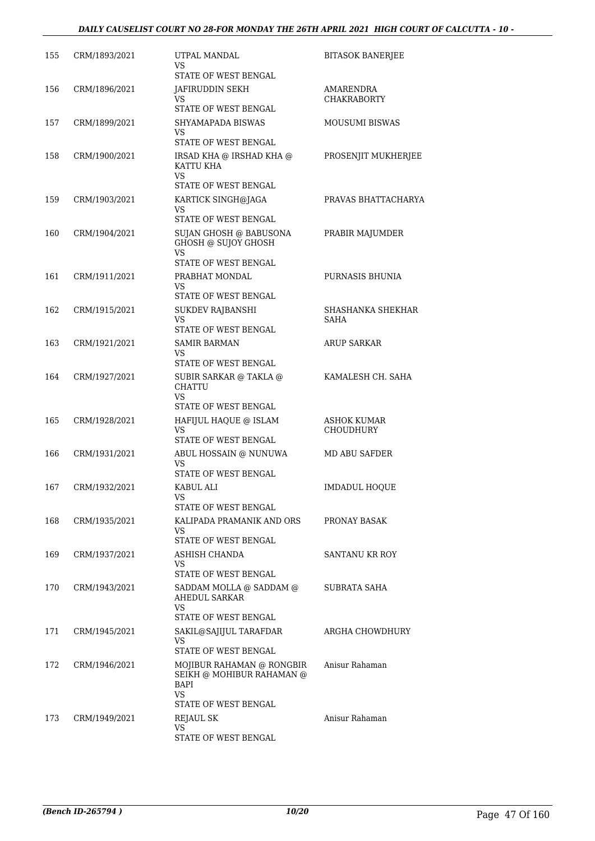| 155 | CRM/1893/2021 | UTPAL MANDAL<br>VS.                                   | <b>BITASOK BANERJEE</b>                |
|-----|---------------|-------------------------------------------------------|----------------------------------------|
|     |               | STATE OF WEST BENGAL                                  |                                        |
| 156 | CRM/1896/2021 | JAFIRUDDIN SEKH<br>VS.<br>STATE OF WEST BENGAL        | AMARENDRA<br><b>CHAKRABORTY</b>        |
| 157 | CRM/1899/2021 | SHYAMAPADA BISWAS<br>VS                               | <b>MOUSUMI BISWAS</b>                  |
|     |               | STATE OF WEST BENGAL                                  |                                        |
| 158 | CRM/1900/2021 | IRSAD KHA @ IRSHAD KHA @<br>KATTU KHA<br>VS.          | PROSENJIT MUKHERJEE                    |
|     |               | STATE OF WEST BENGAL                                  |                                        |
| 159 | CRM/1903/2021 | KARTICK SINGH@JAGA<br>VS<br>STATE OF WEST BENGAL      | PRAVAS BHATTACHARYA                    |
| 160 | CRM/1904/2021 | SUJAN GHOSH @ BABUSONA<br>GHOSH @ SUJOY GHOSH         | PRABIR MAJUMDER                        |
|     |               | VS.                                                   |                                        |
| 161 | CRM/1911/2021 | STATE OF WEST BENGAL<br>PRABHAT MONDAL                | PURNASIS BHUNIA                        |
|     |               | VS.<br>STATE OF WEST BENGAL                           |                                        |
| 162 | CRM/1915/2021 | SUKDEV RAJBANSHI                                      | SHASHANKA SHEKHAR                      |
|     |               | VS<br>STATE OF WEST BENGAL                            | SAHA                                   |
| 163 | CRM/1921/2021 | <b>SAMIR BARMAN</b>                                   | ARUP SARKAR                            |
|     |               | VS<br>STATE OF WEST BENGAL                            |                                        |
| 164 | CRM/1927/2021 | SUBIR SARKAR @ TAKLA @<br><b>CHATTU</b><br>VS         | KAMALESH CH. SAHA                      |
|     |               | STATE OF WEST BENGAL                                  |                                        |
| 165 | CRM/1928/2021 | HAFIJUL HAQUE @ ISLAM<br>VS                           | <b>ASHOK KUMAR</b><br><b>CHOUDHURY</b> |
|     |               | STATE OF WEST BENGAL                                  |                                        |
| 166 | CRM/1931/2021 | ABUL HOSSAIN @ NUNUWA<br>VS.<br>STATE OF WEST BENGAL  | MD ABU SAFDER                          |
| 167 | CRM/1932/2021 | KABUL ALI                                             | <b>IMDADUL HOQUE</b>                   |
|     |               | STATE OF WEST BENGAL                                  |                                        |
| 168 | CRM/1935/2021 | KALIPADA PRAMANIK AND ORS<br>VS.                      | PRONAY BASAK                           |
|     | CRM/1937/2021 | STATE OF WEST BENGAL                                  |                                        |
| 169 |               | ASHISH CHANDA<br>VS.<br>STATE OF WEST BENGAL          | SANTANU KR ROY                         |
| 170 | CRM/1943/2021 | SADDAM MOLLA @ SADDAM @<br>AHEDUL SARKAR<br>VS        | SUBRATA SAHA                           |
|     |               | STATE OF WEST BENGAL                                  |                                        |
| 171 | CRM/1945/2021 | SAKIL@SAJIJUL TARAFDAR<br>VS.<br>STATE OF WEST BENGAL | ARGHA CHOWDHURY                        |
| 172 | CRM/1946/2021 | MOJIBUR RAHAMAN @ RONGBIR                             | Anisur Rahaman                         |
|     |               | SEIKH @ MOHIBUR RAHAMAN @<br>BAPI<br>VS.              |                                        |
|     |               | STATE OF WEST BENGAL                                  |                                        |
| 173 | CRM/1949/2021 | <b>REJAUL SK</b><br>VS.                               | Anisur Rahaman                         |
|     |               | STATE OF WEST BENGAL                                  |                                        |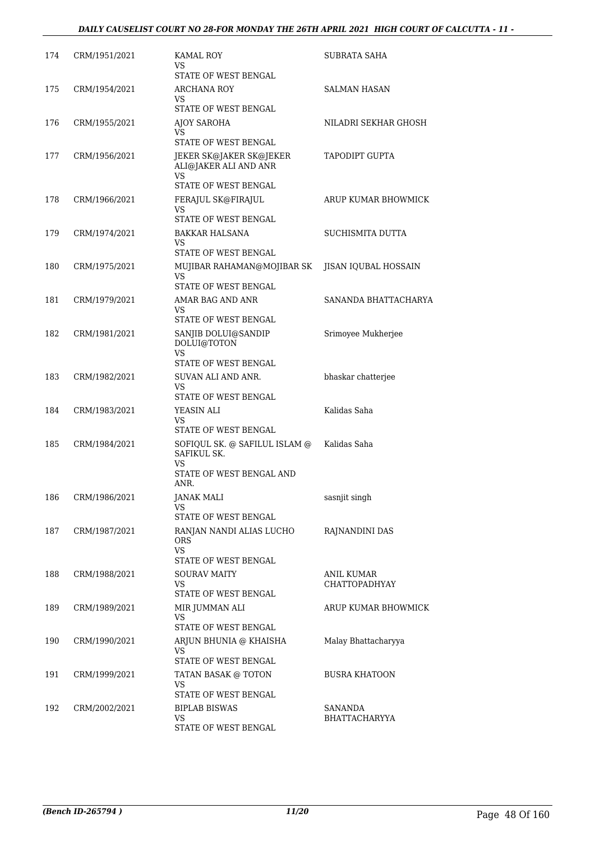| 174 | CRM/1951/2021 | <b>KAMAL ROY</b><br>VS<br>STATE OF WEST BENGAL                                         | SUBRATA SAHA                              |
|-----|---------------|----------------------------------------------------------------------------------------|-------------------------------------------|
| 175 | CRM/1954/2021 | ARCHANA ROY<br>VS.<br>STATE OF WEST BENGAL                                             | SALMAN HASAN                              |
| 176 | CRM/1955/2021 | AJOY SAROHA<br>VS<br>STATE OF WEST BENGAL                                              | NILADRI SEKHAR GHOSH                      |
| 177 | CRM/1956/2021 | JEKER SK@JAKER SK@JEKER<br>ALI@JAKER ALI AND ANR<br>VS<br>STATE OF WEST BENGAL         | <b>TAPODIPT GUPTA</b>                     |
| 178 | CRM/1966/2021 | FERAJUL SK@FIRAJUL<br>VS<br>STATE OF WEST BENGAL                                       | ARUP KUMAR BHOWMICK                       |
| 179 | CRM/1974/2021 | BAKKAR HALSANA<br>VS.<br><b>STATE OF WEST BENGAL</b>                                   | SUCHISMITA DUTTA                          |
| 180 | CRM/1975/2021 | MUJIBAR RAHAMAN@MOJIBAR SK<br>VS.<br>STATE OF WEST BENGAL                              | JISAN IQUBAL HOSSAIN                      |
| 181 | CRM/1979/2021 | AMAR BAG AND ANR<br>VS<br>STATE OF WEST BENGAL                                         | SANANDA BHATTACHARYA                      |
| 182 | CRM/1981/2021 | SANJIB DOLUI@SANDIP<br>DOLUI@TOTON<br>VS<br>STATE OF WEST BENGAL                       | Srimoyee Mukherjee                        |
| 183 | CRM/1982/2021 | SUVAN ALI AND ANR.<br>VS<br>STATE OF WEST BENGAL                                       | bhaskar chatterjee                        |
| 184 | CRM/1983/2021 | YEASIN ALI<br>VS<br>STATE OF WEST BENGAL                                               | Kalidas Saha                              |
| 185 | CRM/1984/2021 | SOFIQUL SK. @ SAFILUL ISLAM @<br>SAFIKUL SK.<br>VS<br>STATE OF WEST BENGAL AND<br>ANR. | Kalidas Saha                              |
| 186 | CRM/1986/2021 | <b>JANAK MALI</b><br>VS.<br>STATE OF WEST BENGAL                                       | sasnjit singh                             |
| 187 | CRM/1987/2021 | RANJAN NANDI ALIAS LUCHO<br><b>ORS</b><br>VS.<br>STATE OF WEST BENGAL                  | RAJNANDINI DAS                            |
| 188 | CRM/1988/2021 | <b>SOURAV MAITY</b><br>VS.<br>STATE OF WEST BENGAL                                     | <b>ANIL KUMAR</b><br><b>CHATTOPADHYAY</b> |
| 189 | CRM/1989/2021 | MIR JUMMAN ALI<br>VS<br>STATE OF WEST BENGAL                                           | ARUP KUMAR BHOWMICK                       |
| 190 | CRM/1990/2021 | ARJUN BHUNIA @ KHAISHA<br>VS.<br>STATE OF WEST BENGAL                                  | Malay Bhattacharyya                       |
| 191 | CRM/1999/2021 | TATAN BASAK @ TOTON<br>VS.<br>STATE OF WEST BENGAL                                     | <b>BUSRA KHATOON</b>                      |
| 192 | CRM/2002/2021 | <b>BIPLAB BISWAS</b><br>VS<br>STATE OF WEST BENGAL                                     | SANANDA<br>BHATTACHARYYA                  |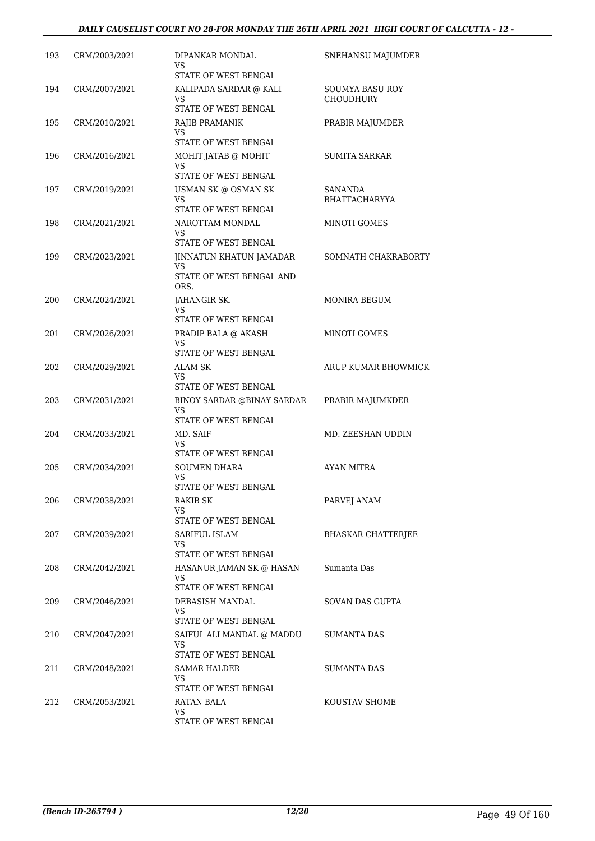| 193 | CRM/2003/2021 | DIPANKAR MONDAL<br>VS.<br>STATE OF WEST BENGAL                     | SNEHANSU MAJUMDER            |
|-----|---------------|--------------------------------------------------------------------|------------------------------|
| 194 | CRM/2007/2021 | KALIPADA SARDAR @ KALI<br><b>VS</b><br>STATE OF WEST BENGAL        | SOUMYA BASU ROY<br>CHOUDHURY |
| 195 | CRM/2010/2021 | RAJIB PRAMANIK<br>VS<br>STATE OF WEST BENGAL                       | PRABIR MAJUMDER              |
| 196 | CRM/2016/2021 | MOHIT JATAB @ MOHIT<br>VS.<br>STATE OF WEST BENGAL                 | <b>SUMITA SARKAR</b>         |
| 197 | CRM/2019/2021 | USMAN SK @ OSMAN SK<br>VS<br>STATE OF WEST BENGAL                  | SANANDA<br>BHATTACHARYYA     |
| 198 | CRM/2021/2021 | NAROTTAM MONDAL<br>VS.<br>STATE OF WEST BENGAL                     | MINOTI GOMES                 |
| 199 | CRM/2023/2021 | JINNATUN KHATUN JAMADAR<br>VS.<br>STATE OF WEST BENGAL AND<br>ORS. | SOMNATH CHAKRABORTY          |
| 200 | CRM/2024/2021 | JAHANGIR SK.<br>VS.<br>STATE OF WEST BENGAL                        | MONIRA BEGUM                 |
| 201 | CRM/2026/2021 | PRADIP BALA @ AKASH<br>VS<br>STATE OF WEST BENGAL                  | MINOTI GOMES                 |
| 202 | CRM/2029/2021 | ALAM SK<br>VS.<br>STATE OF WEST BENGAL                             | ARUP KUMAR BHOWMICK          |
| 203 | CRM/2031/2021 | BINOY SARDAR @BINAY SARDAR<br>VS<br>STATE OF WEST BENGAL           | PRABIR MAJUMKDER             |
| 204 | CRM/2033/2021 | MD. SAIF<br>VS<br>STATE OF WEST BENGAL                             | MD. ZEESHAN UDDIN            |
| 205 | CRM/2034/2021 | <b>SOUMEN DHARA</b><br>VS<br>STATE OF WEST BENGAL                  | AYAN MITRA                   |
| 206 | CRM/2038/2021 | RAKIB SK<br>VS<br>STATE OF WEST BENGAL                             | PARVEJ ANAM                  |
| 207 | CRM/2039/2021 | SARIFUL ISLAM<br>VS.<br>STATE OF WEST BENGAL                       | <b>BHASKAR CHATTERJEE</b>    |
| 208 | CRM/2042/2021 | HASANUR JAMAN SK @ HASAN<br>VS.<br>STATE OF WEST BENGAL            | Sumanta Das                  |
| 209 | CRM/2046/2021 | DEBASISH MANDAL<br>VS<br>STATE OF WEST BENGAL                      | SOVAN DAS GUPTA              |
| 210 | CRM/2047/2021 | SAIFUL ALI MANDAL @ MADDU<br>VS<br>STATE OF WEST BENGAL            | SUMANTA DAS                  |
| 211 | CRM/2048/2021 | SAMAR HALDER<br>VS.<br>STATE OF WEST BENGAL                        | SUMANTA DAS                  |
| 212 | CRM/2053/2021 | RATAN BALA<br>VS<br>STATE OF WEST BENGAL                           | KOUSTAV SHOME                |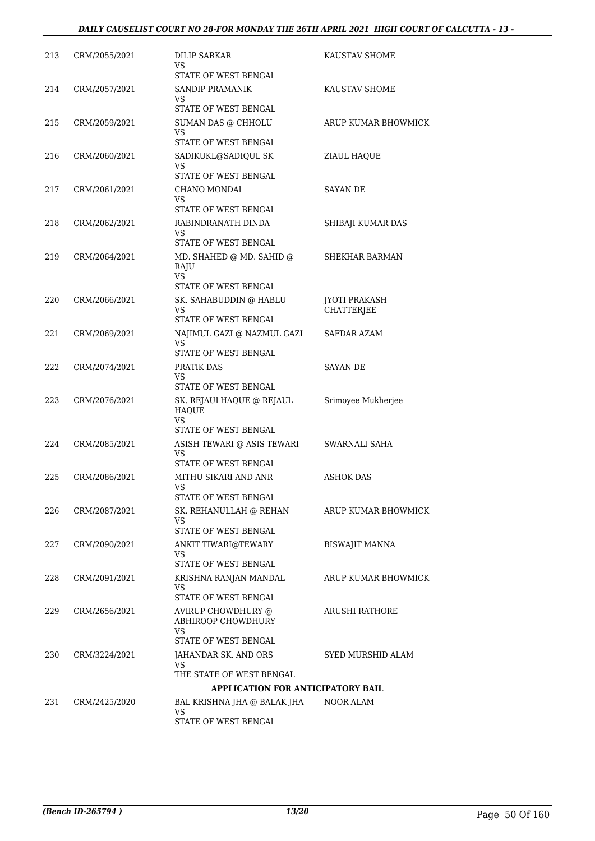| 213 | CRM/2055/2021 | DILIP SARKAR<br>VS                                              | KAUSTAV SHOME                      |
|-----|---------------|-----------------------------------------------------------------|------------------------------------|
| 214 | CRM/2057/2021 | STATE OF WEST BENGAL<br>SANDIP PRAMANIK<br>VS                   | KAUSTAV SHOME                      |
|     |               | STATE OF WEST BENGAL                                            |                                    |
| 215 | CRM/2059/2021 | SUMAN DAS @ CHHOLU<br>VS                                        | ARUP KUMAR BHOWMICK                |
|     |               | STATE OF WEST BENGAL                                            |                                    |
| 216 | CRM/2060/2021 | SADIKUKL@SADIQUL SK<br>VS<br>STATE OF WEST BENGAL               | ZIAUL HAQUE                        |
| 217 | CRM/2061/2021 | CHANO MONDAL                                                    | <b>SAYAN DE</b>                    |
|     |               | VS<br>STATE OF WEST BENGAL                                      |                                    |
| 218 | CRM/2062/2021 | RABINDRANATH DINDA<br>VS                                        | SHIBAJI KUMAR DAS                  |
|     |               | STATE OF WEST BENGAL                                            |                                    |
| 219 | CRM/2064/2021 | MD. SHAHED @ MD. SAHID @<br>RAJU<br>VS                          | SHEKHAR BARMAN                     |
|     |               | STATE OF WEST BENGAL                                            |                                    |
| 220 | CRM/2066/2021 | SK. SAHABUDDIN @ HABLU<br>VS<br>STATE OF WEST BENGAL            | JYOTI PRAKASH<br><b>CHATTERJEE</b> |
| 221 | CRM/2069/2021 | NAJIMUL GAZI @ NAZMUL GAZI                                      | SAFDAR AZAM                        |
|     |               | VS.<br>STATE OF WEST BENGAL                                     |                                    |
| 222 | CRM/2074/2021 | PRATIK DAS<br>VS                                                | SAYAN DE                           |
|     |               | STATE OF WEST BENGAL                                            |                                    |
| 223 | CRM/2076/2021 | SK. REJAULHAQUE @ REJAUL<br>HAQUE<br>VS<br>STATE OF WEST BENGAL | Srimoyee Mukherjee                 |
|     |               |                                                                 |                                    |
| 224 | CRM/2085/2021 | ASISH TEWARI @ ASIS TEWARI<br>VS<br>STATE OF WEST BENGAL        | SWARNALI SAHA                      |
| 225 | CRM/2086/2021 | MITHU SIKARI AND ANR<br>VS                                      | <b>ASHOK DAS</b>                   |
|     |               | STATE OF WEST BENGAL                                            |                                    |
| 226 | CRM/2087/2021 | SK. REHANULLAH @ REHAN<br>VS                                    | ARUP KUMAR BHOWMICK                |
|     |               | STATE OF WEST BENGAL                                            |                                    |
| 227 | CRM/2090/2021 | ANKIT TIWARI@TEWARY<br>VS<br>STATE OF WEST BENGAL               | <b>BISWAJIT MANNA</b>              |
| 228 | CRM/2091/2021 | KRISHNA RANJAN MANDAL                                           | ARUP KUMAR BHOWMICK                |
|     |               | VS<br>STATE OF WEST BENGAL                                      |                                    |
| 229 | CRM/2656/2021 | AVIRUP CHOWDHURY @<br>ABHIROOP CHOWDHURY<br>VS                  | ARUSHI RATHORE                     |
| 230 |               | STATE OF WEST BENGAL                                            |                                    |
|     | CRM/3224/2021 | JAHANDAR SK. AND ORS<br>VS<br>THE STATE OF WEST BENGAL          | SYED MURSHID ALAM                  |
|     |               | <b>APPLICATION FOR ANTICIPATORY BAIL</b>                        |                                    |
| 231 | CRM/2425/2020 | BAL KRISHNA JHA @ BALAK JHA                                     | NOOR ALAM                          |
|     |               | VS<br>STATE OF WEST BENGAL                                      |                                    |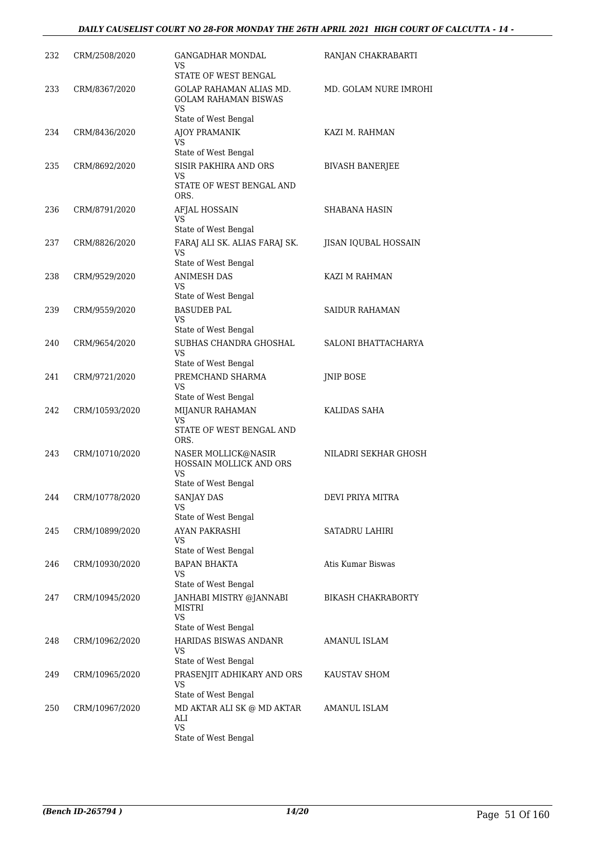| 232 | CRM/2508/2020  | GANGADHAR MONDAL<br>VS<br>STATE OF WEST BENGAL                                                 | RANJAN CHAKRABARTI        |
|-----|----------------|------------------------------------------------------------------------------------------------|---------------------------|
| 233 | CRM/8367/2020  | GOLAP RAHAMAN ALIAS MD.<br><b>GOLAM RAHAMAN BISWAS</b><br>VS                                   | MD. GOLAM NURE IMROHI     |
| 234 | CRM/8436/2020  | State of West Bengal<br>AJOY PRAMANIK<br>VS                                                    | KAZI M. RAHMAN            |
| 235 | CRM/8692/2020  | State of West Bengal<br><b>SISIR PAKHIRA AND ORS</b><br>VS<br>STATE OF WEST BENGAL AND<br>ORS. | <b>BIVASH BANERJEE</b>    |
| 236 | CRM/8791/2020  | AFJAL HOSSAIN<br>VS                                                                            | SHABANA HASIN             |
| 237 | CRM/8826/2020  | State of West Bengal<br>FARAJ ALI SK. ALIAS FARAJ SK.<br>VS<br>State of West Bengal            | JISAN IQUBAL HOSSAIN      |
| 238 | CRM/9529/2020  | ANIMESH DAS<br>VS<br>State of West Bengal                                                      | <b>KAZI M RAHMAN</b>      |
| 239 | CRM/9559/2020  | <b>BASUDEB PAL</b><br>VS<br>State of West Bengal                                               | <b>SAIDUR RAHAMAN</b>     |
| 240 | CRM/9654/2020  | SUBHAS CHANDRA GHOSHAL<br>VS<br>State of West Bengal                                           | SALONI BHATTACHARYA       |
| 241 | CRM/9721/2020  | PREMCHAND SHARMA<br>VS<br>State of West Bengal                                                 | JNIP BOSE                 |
| 242 | CRM/10593/2020 | MIJANUR RAHAMAN<br>VS.<br>STATE OF WEST BENGAL AND                                             | KALIDAS SAHA              |
| 243 | CRM/10710/2020 | ORS.<br>NASER MOLLICK@NASIR<br>HOSSAIN MOLLICK AND ORS<br>VS                                   | NILADRI SEKHAR GHOSH      |
| 244 | CRM/10778/2020 | State of West Bengal<br><b>SANJAY DAS</b><br>VS.<br>State of West Bengal                       | DEVI PRIYA MITRA          |
| 245 | CRM/10899/2020 | AYAN PAKRASHI<br>VS<br>State of West Bengal                                                    | SATADRU LAHIRI            |
| 246 | CRM/10930/2020 | BAPAN BHAKTA<br>VS.<br>State of West Bengal                                                    | Atis Kumar Biswas         |
| 247 | CRM/10945/2020 | JANHABI MISTRY @JANNABI<br>MISTRI<br>VS.<br>State of West Bengal                               | <b>BIKASH CHAKRABORTY</b> |
| 248 | CRM/10962/2020 | HARIDAS BISWAS ANDANR<br>VS<br>State of West Bengal                                            | AMANUL ISLAM              |
| 249 | CRM/10965/2020 | PRASENJIT ADHIKARY AND ORS<br>VS<br>State of West Bengal                                       | KAUSTAV SHOM              |
| 250 | CRM/10967/2020 | MD AKTAR ALI SK @ MD AKTAR<br>ALI<br>VS<br>State of West Bengal                                | AMANUL ISLAM              |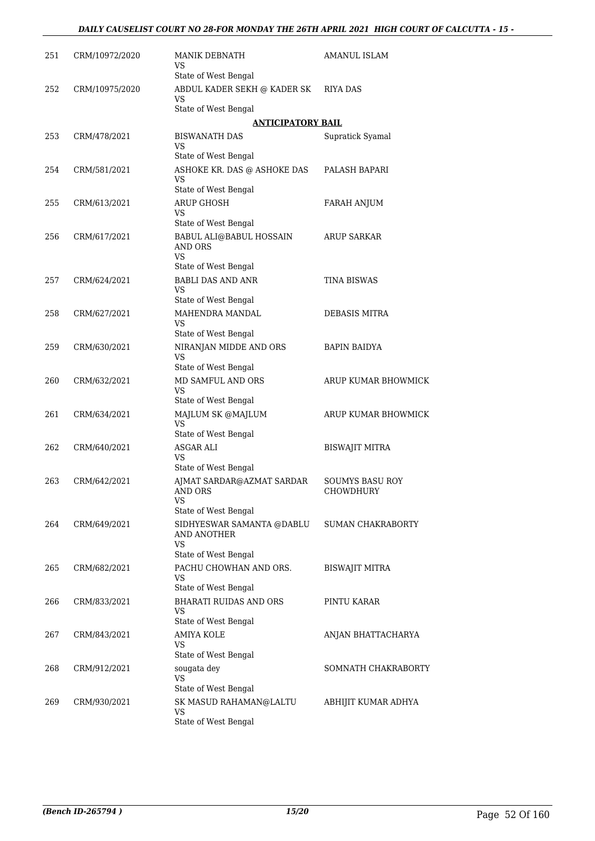| 251 | CRM/10972/2020 | MANIK DEBNATH<br>VS                                       | AMANUL ISLAM                        |
|-----|----------------|-----------------------------------------------------------|-------------------------------------|
|     |                | State of West Bengal                                      |                                     |
| 252 | CRM/10975/2020 | ABDUL KADER SEKH @ KADER SK<br>VS                         | RIYA DAS                            |
|     |                | State of West Bengal                                      |                                     |
|     |                | <b>ANTICIPATORY BAIL</b>                                  |                                     |
| 253 | CRM/478/2021   | <b>BISWANATH DAS</b><br>VS                                | Supratick Syamal                    |
|     |                | State of West Bengal                                      |                                     |
| 254 | CRM/581/2021   | ASHOKE KR. DAS @ ASHOKE DAS<br>VS<br>State of West Bengal | PALASH BAPARI                       |
| 255 | CRM/613/2021   | <b>ARUP GHOSH</b>                                         | <b>FARAH ANJUM</b>                  |
|     |                | VS                                                        |                                     |
|     |                | State of West Bengal                                      |                                     |
| 256 | CRM/617/2021   | BABUL ALI@BABUL HOSSAIN<br>AND ORS<br>VS                  | ARUP SARKAR                         |
|     |                | State of West Bengal                                      |                                     |
| 257 | CRM/624/2021   | <b>BABLI DAS AND ANR</b><br>VS                            | <b>TINA BISWAS</b>                  |
|     |                | State of West Bengal                                      |                                     |
| 258 | CRM/627/2021   | MAHENDRA MANDAL<br>VS<br>State of West Bengal             | DEBASIS MITRA                       |
| 259 | CRM/630/2021   | NIRANJAN MIDDE AND ORS                                    | <b>BAPIN BAIDYA</b>                 |
|     |                | VS<br>State of West Bengal                                |                                     |
| 260 | CRM/632/2021   | MD SAMFUL AND ORS                                         | ARUP KUMAR BHOWMICK                 |
|     |                | VS<br>State of West Bengal                                |                                     |
| 261 | CRM/634/2021   | MAJLUM SK @MAJLUM<br>VS                                   | ARUP KUMAR BHOWMICK                 |
|     |                | State of West Bengal                                      |                                     |
| 262 | CRM/640/2021   | <b>ASGAR ALI</b><br>VS                                    | <b>BISWAJIT MITRA</b>               |
|     |                | State of West Bengal                                      |                                     |
| 263 | CRM/642/2021   | AJMAT SARDAR@AZMAT SARDAR<br>AND ORS<br><b>VS</b>         | <b>SOUMYS BASU ROY</b><br>CHOWDHURY |
|     |                | State of West Bengal                                      |                                     |
| 264 | CRM/649/2021   | SIDHYESWAR SAMANTA @DABLU<br>AND ANOTHER<br>VS            | <b>SUMAN CHAKRABORTY</b>            |
|     |                | State of West Bengal                                      |                                     |
| 265 | CRM/682/2021   | PACHU CHOWHAN AND ORS.<br>VS<br>State of West Bengal      | <b>BISWAJIT MITRA</b>               |
| 266 | CRM/833/2021   | <b>BHARATI RUIDAS AND ORS</b>                             | PINTU KARAR                         |
|     |                | VS<br>State of West Bengal                                |                                     |
| 267 | CRM/843/2021   | <b>AMIYA KOLE</b><br><b>VS</b>                            | ANJAN BHATTACHARYA                  |
|     |                | State of West Bengal                                      |                                     |
| 268 | CRM/912/2021   | sougata dey<br>VS<br>State of West Bengal                 | SOMNATH CHAKRABORTY                 |
| 269 | CRM/930/2021   | SK MASUD RAHAMAN@LALTU                                    | ABHIJIT KUMAR ADHYA                 |
|     |                | VS<br>State of West Bengal                                |                                     |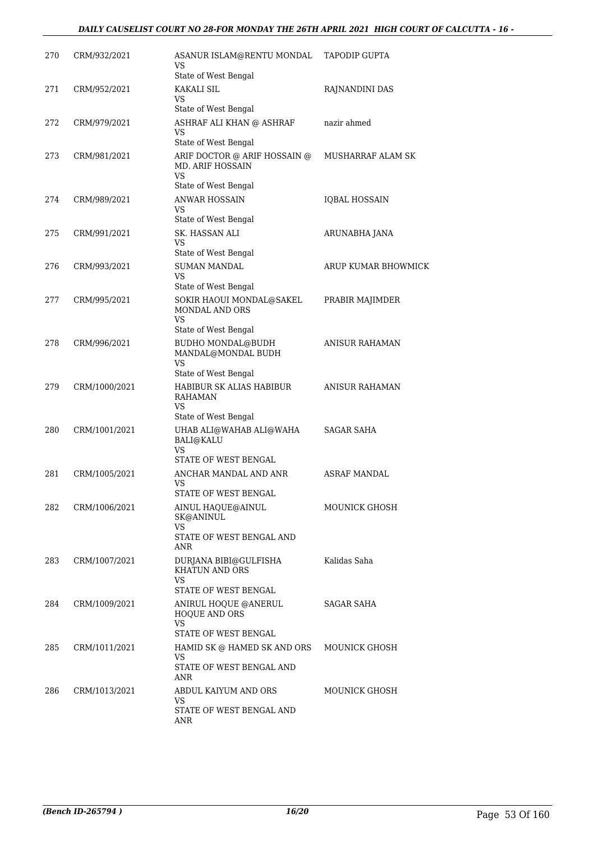| 270 | CRM/932/2021  | ASANUR ISLAM@RENTU MONDAL<br>VS<br>State of West Bengal                                              | <b>TAPODIP GUPTA</b> |
|-----|---------------|------------------------------------------------------------------------------------------------------|----------------------|
| 271 | CRM/952/2021  | <b>KAKALI SIL</b><br>VS.<br>State of West Bengal                                                     | RAJNANDINI DAS       |
| 272 | CRM/979/2021  | ASHRAF ALI KHAN @ ASHRAF<br>VS<br>State of West Bengal                                               | nazir ahmed          |
| 273 | CRM/981/2021  | ARIF DOCTOR @ ARIF HOSSAIN @<br><b>MD. ARIF HOSSAIN</b><br>VS<br>State of West Bengal                | MUSHARRAF ALAM SK    |
| 274 | CRM/989/2021  | <b>ANWAR HOSSAIN</b><br>VS<br>State of West Bengal                                                   | <b>IQBAL HOSSAIN</b> |
| 275 | CRM/991/2021  | SK. HASSAN ALI<br>VS.<br>State of West Bengal                                                        | ARUNABHA JANA        |
| 276 | CRM/993/2021  | <b>SUMAN MANDAL</b><br>VS                                                                            | ARUP KUMAR BHOWMICK  |
| 277 | CRM/995/2021  | State of West Bengal<br>SOKIR HAOUI MONDAL@SAKEL<br>MONDAL AND ORS<br>VS                             | PRABIR MAJIMDER      |
| 278 | CRM/996/2021  | State of West Bengal<br><b>BUDHO MONDAL@BUDH</b><br>MANDAL@MONDAL BUDH<br>VS<br>State of West Bengal | ANISUR RAHAMAN       |
| 279 | CRM/1000/2021 | HABIBUR SK ALIAS HABIBUR<br><b>RAHAMAN</b><br>VS<br>State of West Bengal                             | ANISUR RAHAMAN       |
| 280 | CRM/1001/2021 | UHAB ALI@WAHAB ALI@WAHA<br><b>BALI@KALU</b><br><b>VS</b><br>STATE OF WEST BENGAL                     | SAGAR SAHA           |
| 281 | CRM/1005/2021 | ANCHAR MANDAL AND ANR<br>VS                                                                          | <b>ASRAF MANDAL</b>  |
| 282 | CRM/1006/2021 | STATE OF WEST BENGAL<br>AINUL HAQUE@AINUL<br>SK@ANINUL<br>VS                                         | MOUNICK GHOSH        |
| 283 | CRM/1007/2021 | STATE OF WEST BENGAL AND<br>ANR<br>DURJANA BIBI@GULFISHA<br><b>KHATUN AND ORS</b><br>VS              | Kalidas Saha         |
| 284 | CRM/1009/2021 | STATE OF WEST BENGAL<br>ANIRUL HOQUE @ANERUL<br><b>HOQUE AND ORS</b><br><b>VS</b>                    | SAGAR SAHA           |
| 285 | CRM/1011/2021 | STATE OF WEST BENGAL<br>HAMID SK @ HAMED SK AND ORS<br>VS<br>STATE OF WEST BENGAL AND<br>ANR         | MOUNICK GHOSH        |
| 286 | CRM/1013/2021 | ABDUL KAIYUM AND ORS<br>VS<br>STATE OF WEST BENGAL AND<br>ANR                                        | MOUNICK GHOSH        |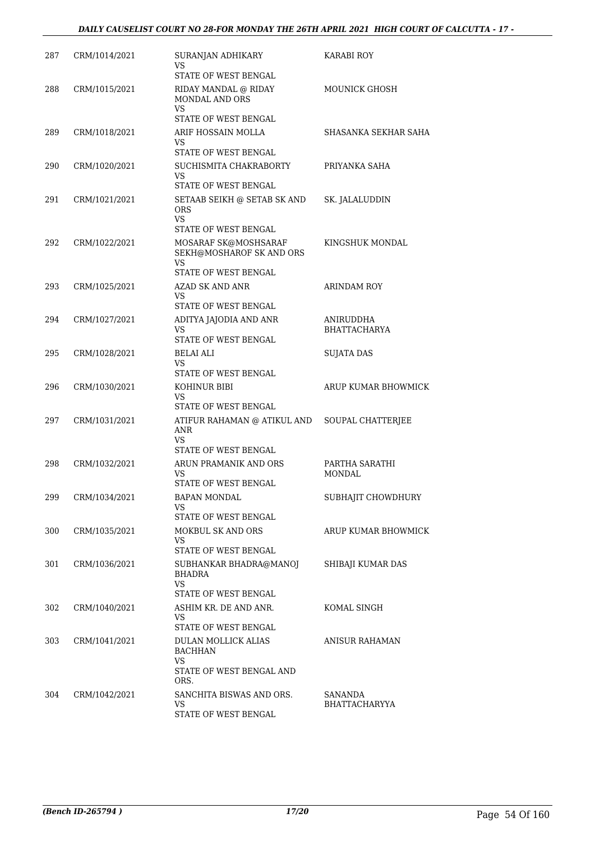| 287 | CRM/1014/2021 | SURANJAN ADHIKARY<br>VS<br>STATE OF WEST BENGAL                                                         | KARABI ROY                       |
|-----|---------------|---------------------------------------------------------------------------------------------------------|----------------------------------|
| 288 | CRM/1015/2021 | RIDAY MANDAL @ RIDAY<br>MONDAL AND ORS<br>VS.                                                           | MOUNICK GHOSH                    |
|     |               | STATE OF WEST BENGAL                                                                                    |                                  |
| 289 | CRM/1018/2021 | ARIF HOSSAIN MOLLA<br>VS                                                                                | SHASANKA SEKHAR SAHA             |
|     |               | STATE OF WEST BENGAL                                                                                    |                                  |
| 290 | CRM/1020/2021 | SUCHISMITA CHAKRABORTY<br>VS.<br>STATE OF WEST BENGAL                                                   | PRIYANKA SAHA                    |
| 291 | CRM/1021/2021 | SETAAB SEIKH @ SETAB SK AND<br><b>ORS</b><br>VS.<br>STATE OF WEST BENGAL                                | SK. JALALUDDIN                   |
| 292 | CRM/1022/2021 | MOSARAF SK@MOSHSARAF<br>SEKH@MOSHAROF SK AND ORS<br><b>VS</b><br>STATE OF WEST BENGAL                   | KINGSHUK MONDAL                  |
| 293 | CRM/1025/2021 | <b>AZAD SK AND ANR</b>                                                                                  | ARINDAM ROY                      |
|     |               | VS.                                                                                                     |                                  |
|     |               | STATE OF WEST BENGAL                                                                                    |                                  |
| 294 | CRM/1027/2021 | ADITYA JAJODIA AND ANR<br>VS<br>STATE OF WEST BENGAL                                                    | ANIRUDDHA<br><b>BHATTACHARYA</b> |
| 295 | CRM/1028/2021 | BELAI ALI<br>VS.                                                                                        | SUJATA DAS                       |
| 296 | CRM/1030/2021 | STATE OF WEST BENGAL<br>KOHINUR BIBI<br>VS.<br>STATE OF WEST BENGAL                                     | ARUP KUMAR BHOWMICK              |
| 297 | CRM/1031/2021 | ATIFUR RAHAMAN @ ATIKUL AND<br>ANR<br>VS<br>STATE OF WEST BENGAL                                        | SOUPAL CHATTERJEE                |
| 298 | CRM/1032/2021 | ARUN PRAMANIK AND ORS<br>VS<br>STATE OF WEST BENGAL                                                     | PARTHA SARATHI<br>MONDAL         |
| 299 | CRM/1034/2021 | BAPAN MONDAL<br>VS<br>STATE OF WEST BENGAL                                                              | SUBHAJIT CHOWDHURY               |
| 300 | CRM/1035/2021 | MOKBUL SK AND ORS                                                                                       | ARUP KUMAR BHOWMICK              |
|     |               | VS.<br>STATE OF WEST BENGAL                                                                             |                                  |
| 301 | CRM/1036/2021 | SUBHANKAR BHADRA@MANOJ<br>BHADRA<br>VS.<br>STATE OF WEST BENGAL                                         | SHIBAJI KUMAR DAS                |
| 302 | CRM/1040/2021 | ASHIM KR. DE AND ANR.<br>VS.                                                                            | KOMAL SINGH                      |
| 303 | CRM/1041/2021 | STATE OF WEST BENGAL<br>DULAN MOLLICK ALIAS<br><b>BACHHAN</b><br>VS<br>STATE OF WEST BENGAL AND<br>ORS. | ANISUR RAHAMAN                   |
| 304 | CRM/1042/2021 | SANCHITA BISWAS AND ORS.<br>VS<br>STATE OF WEST BENGAL                                                  | SANANDA<br>BHATTACHARYYA         |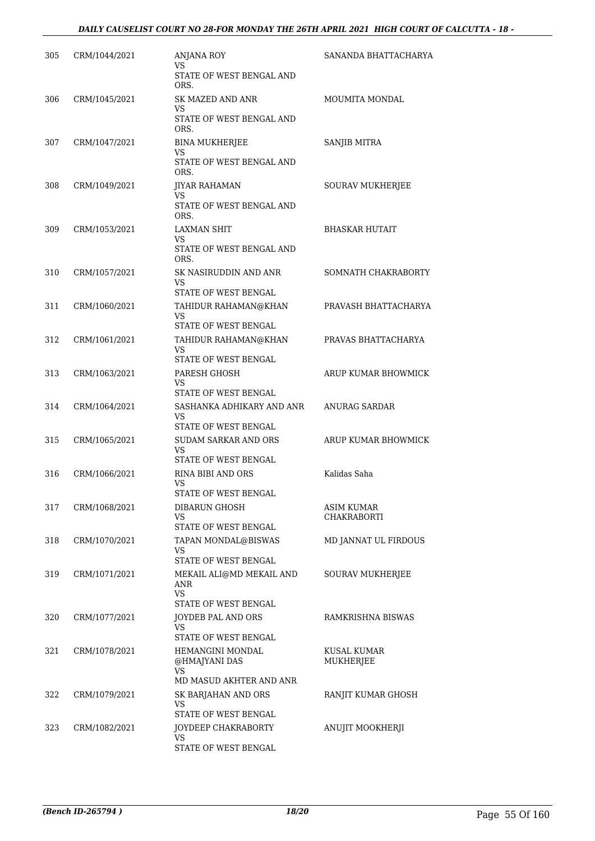| 305 | CRM/1044/2021 | <b>ANJANA ROY</b><br>VS<br>STATE OF WEST BENGAL AND     | SANANDA BHATTACHARYA     |
|-----|---------------|---------------------------------------------------------|--------------------------|
| 306 | CRM/1045/2021 | ORS.<br><b>SK MAZED AND ANR</b><br>VS.                  | MOUMITA MONDAL           |
|     |               | STATE OF WEST BENGAL AND<br>ORS.                        |                          |
| 307 | CRM/1047/2021 | <b>BINA MUKHERJEE</b><br>VS                             | SANJIB MITRA             |
|     |               | STATE OF WEST BENGAL AND<br>ORS.                        |                          |
| 308 | CRM/1049/2021 | <b>JIYAR RAHAMAN</b><br>VS.                             | SOURAV MUKHERJEE         |
|     |               | STATE OF WEST BENGAL AND<br>ORS.                        |                          |
| 309 | CRM/1053/2021 | LAXMAN SHIT<br>VS                                       | <b>BHASKAR HUTAIT</b>    |
|     |               | STATE OF WEST BENGAL AND<br>ORS.                        |                          |
| 310 | CRM/1057/2021 | SK NASIRUDDIN AND ANR<br>VS.                            | SOMNATH CHAKRABORTY      |
|     |               | STATE OF WEST BENGAL                                    |                          |
| 311 | CRM/1060/2021 | TAHIDUR RAHAMAN@KHAN<br>VS<br>STATE OF WEST BENGAL      | PRAVASH BHATTACHARYA     |
| 312 | CRM/1061/2021 | TAHIDUR RAHAMAN@KHAN                                    | PRAVAS BHATTACHARYA      |
|     |               | VS<br>STATE OF WEST BENGAL                              |                          |
| 313 | CRM/1063/2021 | PARESH GHOSH<br>VS.                                     | ARUP KUMAR BHOWMICK      |
|     |               | STATE OF WEST BENGAL                                    |                          |
| 314 | CRM/1064/2021 | SASHANKA ADHIKARY AND ANR<br>VS<br>STATE OF WEST BENGAL | ANURAG SARDAR            |
| 315 | CRM/1065/2021 | <b>SUDAM SARKAR AND ORS</b><br>VS.                      | ARUP KUMAR BHOWMICK      |
|     |               | STATE OF WEST BENGAL                                    |                          |
| 316 | CRM/1066/2021 | RINA BIBI AND ORS<br>VS<br>STATE OF WEST BENGAL         | Kalidas Saha             |
| 317 | CRM/1068/2021 | DIBARUN GHOSH                                           | ASIM KUMAR               |
|     |               | VS.<br>STATE OF WEST BENGAL                             | CHAKRABORTI              |
| 318 | CRM/1070/2021 | TAPAN MONDAL@BISWAS                                     | MD JANNAT UL FIRDOUS     |
|     |               | VS<br>STATE OF WEST BENGAL                              |                          |
| 319 | CRM/1071/2021 | MEKAIL ALI@MD MEKAIL AND                                | SOURAV MUKHERJEE         |
|     |               | ANR<br>VS.                                              |                          |
|     |               | STATE OF WEST BENGAL                                    |                          |
| 320 | CRM/1077/2021 | JOYDEB PAL AND ORS<br>VS.                               | RAMKRISHNA BISWAS        |
|     |               | STATE OF WEST BENGAL                                    |                          |
| 321 | CRM/1078/2021 | HEMANGINI MONDAL<br>@HMAJYANI DAS<br>VS.                | KUSAL KUMAR<br>MUKHERJEE |
|     |               | MD MASUD AKHTER AND ANR                                 |                          |
| 322 | CRM/1079/2021 | SK BARJAHAN AND ORS<br>VS<br>STATE OF WEST BENGAL       | RANJIT KUMAR GHOSH       |
| 323 | CRM/1082/2021 | JOYDEEP CHAKRABORTY                                     | ANUJIT MOOKHERJI         |
|     |               | VS<br>STATE OF WEST BENGAL                              |                          |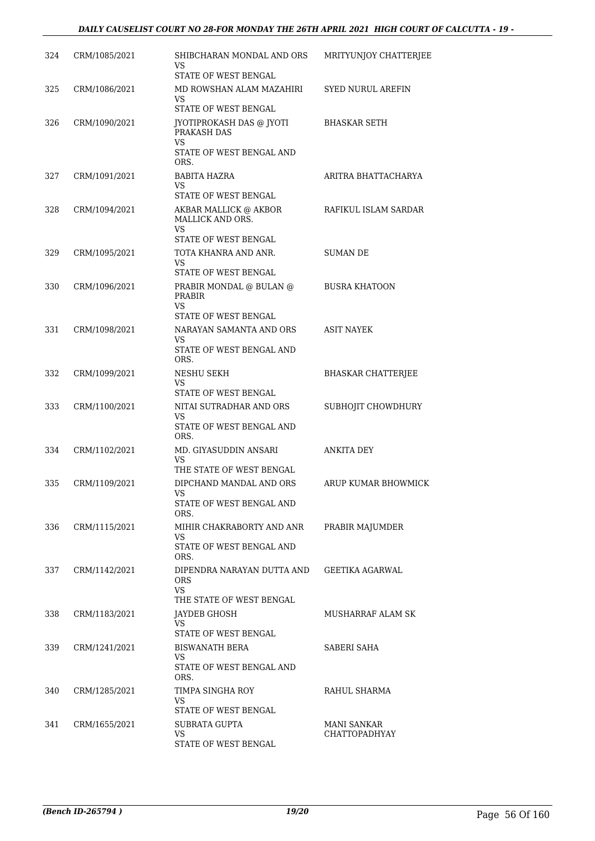| 324 | CRM/1085/2021 | SHIBCHARAN MONDAL AND ORS<br>VS<br>STATE OF WEST BENGAL                           | MRITYUNJOY CHATTERJEE                      |
|-----|---------------|-----------------------------------------------------------------------------------|--------------------------------------------|
| 325 | CRM/1086/2021 | MD ROWSHAN ALAM MAZAHIRI<br><b>VS</b><br><b>STATE OF WEST BENGAL</b>              | <b>SYED NURUL AREFIN</b>                   |
| 326 | CRM/1090/2021 | JYOTIPROKASH DAS @ JYOTI<br>PRAKASH DAS<br>VS<br>STATE OF WEST BENGAL AND<br>ORS. | <b>BHASKAR SETH</b>                        |
| 327 | CRM/1091/2021 | <b>BABITA HAZRA</b><br>VS<br>STATE OF WEST BENGAL                                 | ARITRA BHATTACHARYA                        |
| 328 | CRM/1094/2021 | AKBAR MALLICK @ AKBOR<br>MALLICK AND ORS.<br>VS<br>STATE OF WEST BENGAL           | RAFIKUL ISLAM SARDAR                       |
| 329 | CRM/1095/2021 | TOTA KHANRA AND ANR.<br>VS<br>STATE OF WEST BENGAL                                | <b>SUMAN DE</b>                            |
| 330 | CRM/1096/2021 | PRABIR MONDAL @ BULAN @<br><b>PRABIR</b><br>VS                                    | <b>BUSRA KHATOON</b>                       |
| 331 | CRM/1098/2021 | STATE OF WEST BENGAL<br>NARAYAN SAMANTA AND ORS<br>VS<br>STATE OF WEST BENGAL AND | <b>ASIT NAYEK</b>                          |
| 332 | CRM/1099/2021 | ORS.<br>NESHU SEKH<br>VS                                                          | <b>BHASKAR CHATTERJEE</b>                  |
| 333 | CRM/1100/2021 | STATE OF WEST BENGAL<br>NITAI SUTRADHAR AND ORS<br>VS<br>STATE OF WEST BENGAL AND | SUBHOJIT CHOWDHURY                         |
| 334 | CRM/1102/2021 | ORS.<br>MD. GIYASUDDIN ANSARI<br>VS<br>THE STATE OF WEST BENGAL                   | ANKITA DEY                                 |
| 335 | CRM/1109/2021 | DIPCHAND MANDAL AND ORS<br>VS<br>STATE OF WEST BENGAL AND                         | ARUP KUMAR BHOWMICK                        |
| 336 | CRM/1115/2021 | ORS.<br>MIHIR CHAKRABORTY AND ANR<br>VS.<br>STATE OF WEST BENGAL AND<br>ORS.      | PRABIR MAJUMDER                            |
| 337 | CRM/1142/2021 | DIPENDRA NARAYAN DUTTA AND<br><b>ORS</b><br><b>VS</b><br>THE STATE OF WEST BENGAL | GEETIKA AGARWAL                            |
| 338 | CRM/1183/2021 | JAYDEB GHOSH<br>VS.<br>STATE OF WEST BENGAL                                       | <b>MUSHARRAF ALAM SK</b>                   |
| 339 | CRM/1241/2021 | <b>BISWANATH BERA</b><br>VS.<br>STATE OF WEST BENGAL AND<br>ORS.                  | SABERI SAHA                                |
| 340 | CRM/1285/2021 | TIMPA SINGHA ROY<br>VS<br>STATE OF WEST BENGAL                                    | RAHUL SHARMA                               |
| 341 | CRM/1655/2021 | SUBRATA GUPTA<br>VS<br>STATE OF WEST BENGAL                                       | <b>MANI SANKAR</b><br><b>CHATTOPADHYAY</b> |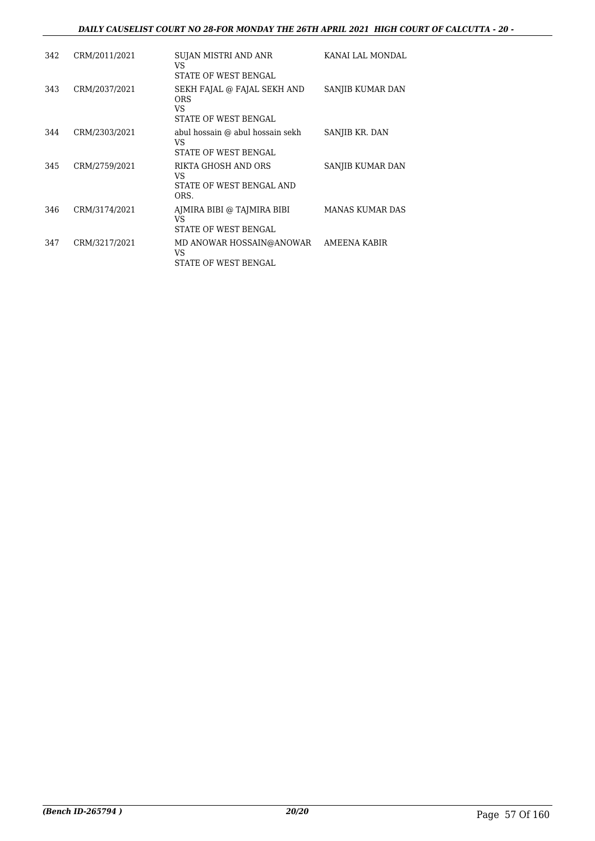#### *DAILY CAUSELIST COURT NO 28-FOR MONDAY THE 26TH APRIL 2021 HIGH COURT OF CALCUTTA - 20 -*

| 342 | CRM/2011/2021 | SUJAN MISTRI AND ANR<br>VS<br>STATE OF WEST BENGAL                      | KANAI LAL MONDAL       |
|-----|---------------|-------------------------------------------------------------------------|------------------------|
| 343 | CRM/2037/2021 | SEKH FAJAL @ FAJAL SEKH AND<br><b>ORS</b><br>VS<br>STATE OF WEST BENGAL | SANJIB KUMAR DAN       |
| 344 | CRM/2303/2021 | abul hossain @ abul hossain sekh<br>VS<br>STATE OF WEST BENGAL          | SANJIB KR. DAN         |
| 345 | CRM/2759/2021 | RIKTA GHOSH AND ORS<br>VS<br>STATE OF WEST BENGAL AND<br>ORS.           | SANJIB KUMAR DAN       |
| 346 | CRM/3174/2021 | AJMIRA BIBI @ TAJMIRA BIBI<br>VS<br>STATE OF WEST BENGAL                | <b>MANAS KUMAR DAS</b> |
| 347 | CRM/3217/2021 | MD ANOWAR HOSSAIN@ANOWAR<br>VS<br>STATE OF WEST BENGAL                  | AMEENA KABIR           |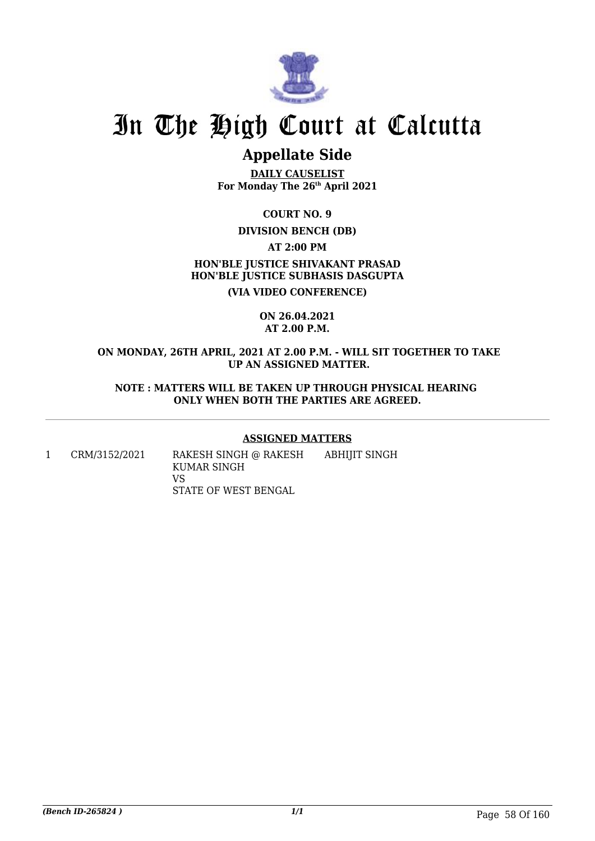

# **Appellate Side**

**DAILY CAUSELIST For Monday The 26th April 2021**

**COURT NO. 9**

## **DIVISION BENCH (DB)**

**AT 2:00 PM**

**HON'BLE JUSTICE SHIVAKANT PRASAD HON'BLE JUSTICE SUBHASIS DASGUPTA**

**(VIA VIDEO CONFERENCE)**

#### **ON 26.04.2021 AT 2.00 P.M.**

#### **ON MONDAY, 26TH APRIL, 2021 AT 2.00 P.M. - WILL SIT TOGETHER TO TAKE UP AN ASSIGNED MATTER.**

**NOTE : MATTERS WILL BE TAKEN UP THROUGH PHYSICAL HEARING ONLY WHEN BOTH THE PARTIES ARE AGREED.**

### **ASSIGNED MATTERS**

1 CRM/3152/2021 RAKESH SINGH @ RAKESH KUMAR SINGH VS STATE OF WEST BENGAL ABHIJIT SINGH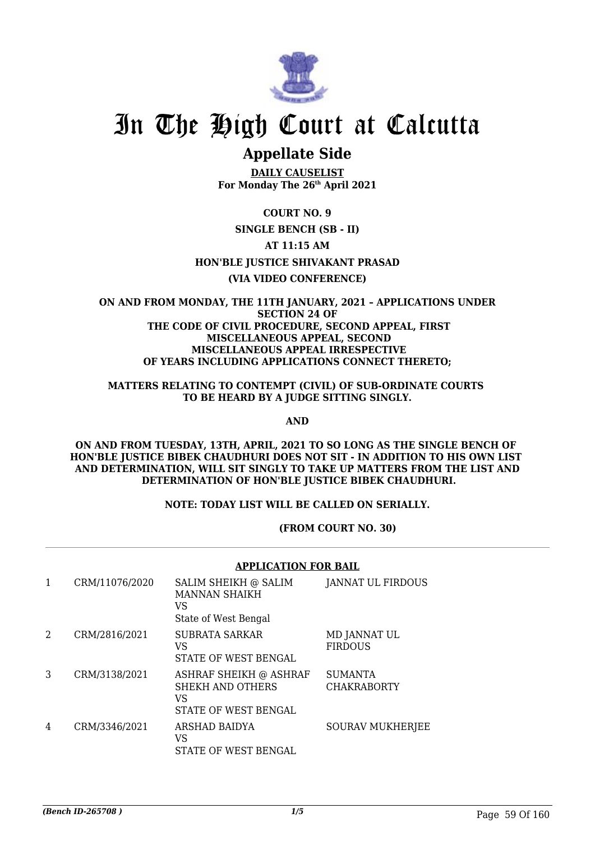

# **Appellate Side**

**DAILY CAUSELIST For Monday The 26th April 2021**

# **COURT NO. 9**

# **SINGLE BENCH (SB - II)**

# **AT 11:15 AM**

## **HON'BLE JUSTICE SHIVAKANT PRASAD**

## **(VIA VIDEO CONFERENCE)**

#### **ON AND FROM MONDAY, THE 11TH JANUARY, 2021 – APPLICATIONS UNDER SECTION 24 OF THE CODE OF CIVIL PROCEDURE, SECOND APPEAL, FIRST MISCELLANEOUS APPEAL, SECOND MISCELLANEOUS APPEAL IRRESPECTIVE OF YEARS INCLUDING APPLICATIONS CONNECT THERETO;**

#### **MATTERS RELATING TO CONTEMPT (CIVIL) OF SUB-ORDINATE COURTS TO BE HEARD BY A JUDGE SITTING SINGLY.**

#### **AND**

#### **ON AND FROM TUESDAY, 13TH, APRIL, 2021 TO SO LONG AS THE SINGLE BENCH OF HON'BLE JUSTICE BIBEK CHAUDHURI DOES NOT SIT - IN ADDITION TO HIS OWN LIST AND DETERMINATION, WILL SIT SINGLY TO TAKE UP MATTERS FROM THE LIST AND DETERMINATION OF HON'BLE JUSTICE BIBEK CHAUDHURI.**

### **NOTE: TODAY LIST WILL BE CALLED ON SERIALLY.**

### **(FROM COURT NO. 30)**

## **APPLICATION FOR BAIL**

| 1 | CRM/11076/2020 | SALIM SHEIKH @ SALIM<br><b>MANNAN SHAIKH</b><br>VS<br>State of West Bengal | JANNAT UL FIRDOUS                    |
|---|----------------|----------------------------------------------------------------------------|--------------------------------------|
| 2 | CRM/2816/2021  | <b>SUBRATA SARKAR</b><br>VS<br>STATE OF WEST BENGAL                        | MD JANNAT UL<br><b>FIRDOUS</b>       |
| 3 | CRM/3138/2021  | ASHRAF SHEIKH @ ASHRAF<br>SHEKH AND OTHERS<br>VS<br>STATE OF WEST BENGAL   | <b>SUMANTA</b><br><b>CHAKRABORTY</b> |
| 4 | CRM/3346/2021  | ARSHAD BAIDYA<br>VS<br>STATE OF WEST BENGAL                                | <b>SOURAV MUKHERJEE</b>              |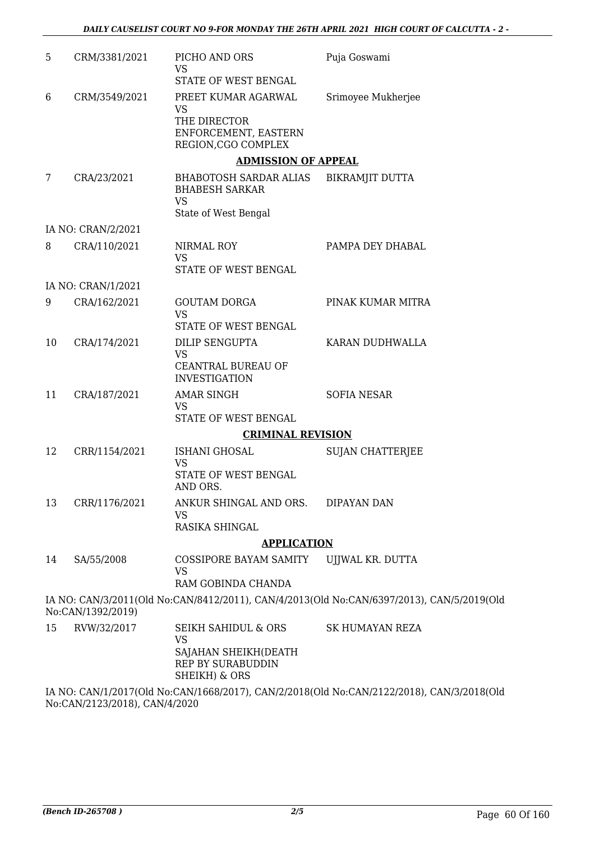| 5  | CRM/3381/2021      | PICHO AND ORS<br><b>VS</b>                                                | Puja Goswami                                                                              |
|----|--------------------|---------------------------------------------------------------------------|-------------------------------------------------------------------------------------------|
|    |                    | STATE OF WEST BENGAL                                                      |                                                                                           |
| 6  | CRM/3549/2021      | PREET KUMAR AGARWAL<br><b>VS</b>                                          | Srimoyee Mukherjee                                                                        |
|    |                    | THE DIRECTOR<br>ENFORCEMENT, EASTERN<br>REGION, CGO COMPLEX               |                                                                                           |
|    |                    | <b>ADMISSION OF APPEAL</b>                                                |                                                                                           |
| 7  | CRA/23/2021        | BHABOTOSH SARDAR ALIAS<br><b>BHABESH SARKAR</b><br><b>VS</b>              | <b>BIKRAMJIT DUTTA</b>                                                                    |
|    |                    | State of West Bengal                                                      |                                                                                           |
|    | IA NO: CRAN/2/2021 |                                                                           |                                                                                           |
| 8  | CRA/110/2021       | NIRMAL ROY<br><b>VS</b>                                                   | PAMPA DEY DHABAL                                                                          |
|    |                    | STATE OF WEST BENGAL                                                      |                                                                                           |
|    | IA NO: CRAN/1/2021 |                                                                           |                                                                                           |
| 9  | CRA/162/2021       | <b>GOUTAM DORGA</b><br><b>VS</b>                                          | PINAK KUMAR MITRA                                                                         |
|    |                    | STATE OF WEST BENGAL                                                      |                                                                                           |
| 10 | CRA/174/2021       | DILIP SENGUPTA<br><b>VS</b><br>CEANTRAL BUREAU OF<br><b>INVESTIGATION</b> | KARAN DUDHWALLA                                                                           |
| 11 | CRA/187/2021       | <b>AMAR SINGH</b>                                                         | <b>SOFIA NESAR</b>                                                                        |
|    |                    | <b>VS</b><br>STATE OF WEST BENGAL                                         |                                                                                           |
|    |                    | <b>CRIMINAL REVISION</b>                                                  |                                                                                           |
| 12 | CRR/1154/2021      | ISHANI GHOSAL<br><b>VS</b>                                                | <b>SUJAN CHATTERJEE</b>                                                                   |
|    |                    | STATE OF WEST BENGAL<br>AND ORS.                                          |                                                                                           |
| 13 | CRR/1176/2021      | ANKUR SHINGAL AND ORS.<br>VS                                              | <b>DIPAYAN DAN</b>                                                                        |
|    |                    | RASIKA SHINGAL                                                            |                                                                                           |
|    |                    | <b>APPLICATION</b>                                                        |                                                                                           |
| 14 | SA/55/2008         | COSSIPORE BAYAM SAMITY<br><b>VS</b>                                       | UIJWAL KR. DUTTA                                                                          |
|    |                    | RAM GOBINDA CHANDA                                                        |                                                                                           |
|    | No:CAN/1392/2019)  |                                                                           | IA NO: CAN/3/2011(Old No:CAN/8412/2011), CAN/4/2013(Old No:CAN/6397/2013), CAN/5/2019(Old |
| 15 | RVW/32/2017        | <b>SEIKH SAHIDUL &amp; ORS</b><br><b>VS</b>                               | <b>SK HUMAYAN REZA</b>                                                                    |
|    |                    | SAJAHAN SHEIKH(DEATH<br>REP BY SURABUDDIN<br>SHEIKH) & ORS                |                                                                                           |

IA NO: CAN/1/2017(Old No:CAN/1668/2017), CAN/2/2018(Old No:CAN/2122/2018), CAN/3/2018(Old No:CAN/2123/2018), CAN/4/2020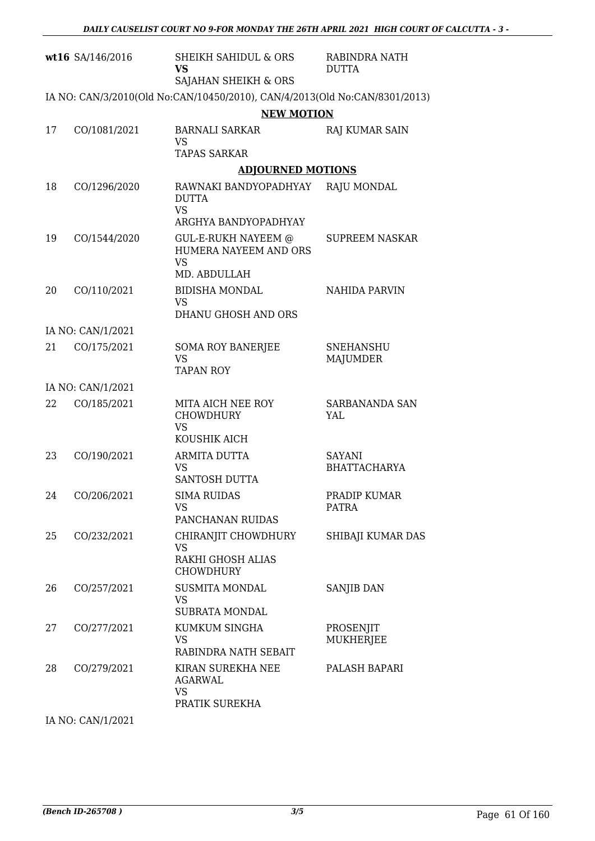|    | wt16 SA/146/2016  | <b>SHEIKH SAHIDUL &amp; ORS</b><br><b>VS</b><br>SAJAHAN SHEIKH & ORS             | RABINDRA NATH<br><b>DUTTA</b> |
|----|-------------------|----------------------------------------------------------------------------------|-------------------------------|
|    |                   | IA NO: CAN/3/2010(Old No:CAN/10450/2010), CAN/4/2013(Old No:CAN/8301/2013)       |                               |
|    |                   | <b>NEW MOTION</b>                                                                |                               |
| 17 | CO/1081/2021      | <b>BARNALI SARKAR</b><br><b>VS</b><br><b>TAPAS SARKAR</b>                        | RAJ KUMAR SAIN                |
|    |                   | <b>ADJOURNED MOTIONS</b>                                                         |                               |
| 18 | CO/1296/2020      | RAWNAKI BANDYOPADHYAY<br><b>DUTTA</b><br><b>VS</b><br>ARGHYA BANDYOPADHYAY       | <b>RAJU MONDAL</b>            |
| 19 | CO/1544/2020      | <b>GUL-E-RUKH NAYEEM @</b><br>HUMERA NAYEEM AND ORS<br><b>VS</b><br>MD. ABDULLAH | <b>SUPREEM NASKAR</b>         |
| 20 | CO/110/2021       | <b>BIDISHA MONDAL</b><br><b>VS</b><br>DHANU GHOSH AND ORS                        | <b>NAHIDA PARVIN</b>          |
|    | IA NO: CAN/1/2021 |                                                                                  |                               |
| 21 | CO/175/2021       | <b>SOMA ROY BANERJEE</b><br><b>VS</b><br><b>TAPAN ROY</b>                        | <b>SNEHANSHU</b><br>MAJUMDER  |
|    | IA NO: CAN/1/2021 |                                                                                  |                               |
| 22 | CO/185/2021       | MITA AICH NEE ROY<br><b>CHOWDHURY</b><br><b>VS</b><br>KOUSHIK AICH               | SARBANANDA SAN<br>YAL         |
| 23 | CO/190/2021       | ARMITA DUTTA<br><b>VS</b><br>SANTOSH DUTTA                                       | SAYANI<br><b>BHATTACHARYA</b> |
| 24 | CO/206/2021       | <b>SIMA RUIDAS</b><br><b>VS</b><br>PANCHANAN RUIDAS                              | PRADIP KUMAR<br>PATRA         |
| 25 | CO/232/2021       | CHIRANJIT CHOWDHURY<br><b>VS</b><br>RAKHI GHOSH ALIAS<br><b>CHOWDHURY</b>        | SHIBAJI KUMAR DAS             |
| 26 | CO/257/2021       | <b>SUSMITA MONDAL</b><br><b>VS</b><br><b>SUBRATA MONDAL</b>                      | SANJIB DAN                    |
| 27 | CO/277/2021       | KUMKUM SINGHA<br><b>VS</b><br>RABINDRA NATH SEBAIT                               | PROSENJIT<br><b>MUKHERJEE</b> |
| 28 | CO/279/2021       | KIRAN SUREKHA NEE<br><b>AGARWAL</b><br><b>VS</b><br>PRATIK SUREKHA               | PALASH BAPARI                 |
|    |                   |                                                                                  |                               |

IA NO: CAN/1/2021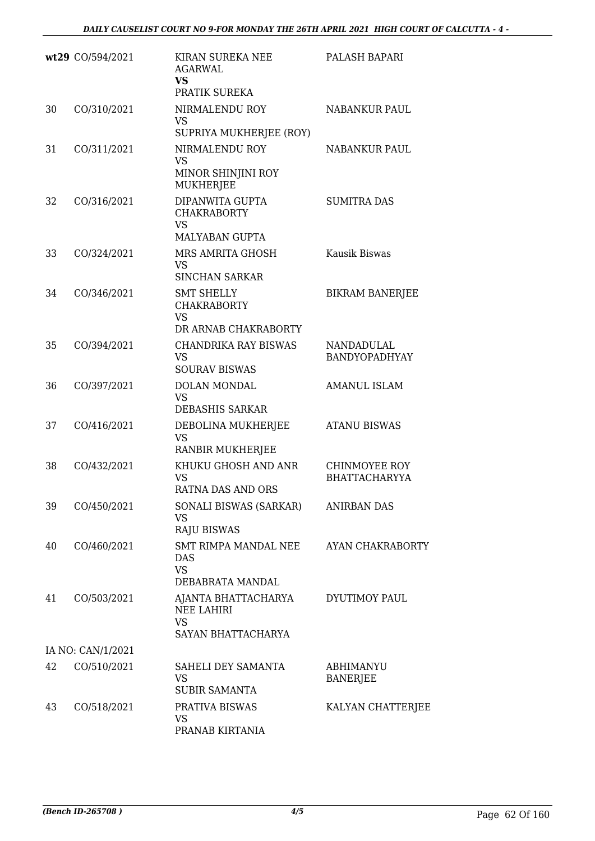|    | wt29 CO/594/2021  | KIRAN SUREKA NEE<br><b>AGARWAL</b><br>VS.<br>PRATIK SUREKA                   | PALASH BAPARI                                |
|----|-------------------|------------------------------------------------------------------------------|----------------------------------------------|
| 30 | CO/310/2021       | NIRMALENDU ROY<br><b>VS</b><br>SUPRIYA MUKHERJEE (ROY)                       | <b>NABANKUR PAUL</b>                         |
| 31 | CO/311/2021       | NIRMALENDU ROY<br><b>VS</b><br>MINOR SHINJINI ROY<br><b>MUKHERJEE</b>        | <b>NABANKUR PAUL</b>                         |
| 32 | CO/316/2021       | DIPANWITA GUPTA<br><b>CHAKRABORTY</b><br><b>VS</b><br>MALYABAN GUPTA         | <b>SUMITRA DAS</b>                           |
| 33 | CO/324/2021       | MRS AMRITA GHOSH<br><b>VS</b><br><b>SINCHAN SARKAR</b>                       | Kausik Biswas                                |
| 34 | CO/346/2021       | <b>SMT SHELLY</b><br><b>CHAKRABORTY</b><br><b>VS</b><br>DR ARNAB CHAKRABORTY | <b>BIKRAM BANERJEE</b>                       |
| 35 | CO/394/2021       | <b>CHANDRIKA RAY BISWAS</b><br><b>VS</b><br><b>SOURAV BISWAS</b>             | NANDADULAL<br><b>BANDYOPADHYAY</b>           |
| 36 | CO/397/2021       | <b>DOLAN MONDAL</b><br><b>VS</b><br>DEBASHIS SARKAR                          | <b>AMANUL ISLAM</b>                          |
| 37 | CO/416/2021       | DEBOLINA MUKHERJEE<br><b>VS</b><br>RANBIR MUKHERJEE                          | <b>ATANU BISWAS</b>                          |
| 38 | CO/432/2021       | KHUKU GHOSH AND ANR<br><b>VS</b><br>RATNA DAS AND ORS                        | <b>CHINMOYEE ROY</b><br><b>BHATTACHARYYA</b> |
| 39 | CO/450/2021       | SONALI BISWAS (SARKAR)<br><b>VS</b><br><b>RAJU BISWAS</b>                    | <b>ANIRBAN DAS</b>                           |
| 40 | CO/460/2021       | SMT RIMPA MANDAL NEE<br><b>DAS</b><br><b>VS</b><br>DEBABRATA MANDAL          | AYAN CHAKRABORTY                             |
| 41 | CO/503/2021       | AJANTA BHATTACHARYA<br><b>NEE LAHIRI</b><br><b>VS</b><br>SAYAN BHATTACHARYA  | DYUTIMOY PAUL                                |
|    | IA NO: CAN/1/2021 |                                                                              |                                              |
| 42 | CO/510/2021       | SAHELI DEY SAMANTA<br><b>VS</b><br><b>SUBIR SAMANTA</b>                      | ABHIMANYU<br><b>BANERJEE</b>                 |
| 43 | CO/518/2021       | PRATIVA BISWAS<br>VS<br>PRANAB KIRTANIA                                      | KALYAN CHATTERJEE                            |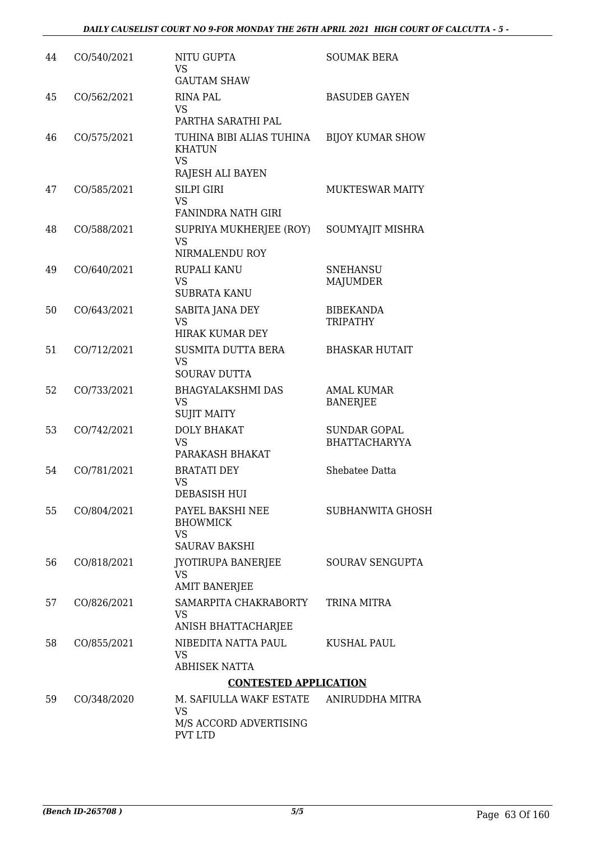| 44 | CO/540/2021 | <b>NITU GUPTA</b><br><b>VS</b><br><b>GAUTAM SHAW</b>                     | <b>SOUMAK BERA</b>                          |
|----|-------------|--------------------------------------------------------------------------|---------------------------------------------|
| 45 | CO/562/2021 | <b>RINA PAL</b><br><b>VS</b><br>PARTHA SARATHI PAL                       | <b>BASUDEB GAYEN</b>                        |
| 46 | CO/575/2021 | TUHINA BIBI ALIAS TUHINA<br><b>KHATUN</b><br><b>VS</b>                   | <b>BIJOY KUMAR SHOW</b>                     |
|    |             | RAJESH ALI BAYEN                                                         |                                             |
| 47 | CO/585/2021 | <b>SILPI GIRI</b><br><b>VS</b><br><b>FANINDRA NATH GIRI</b>              | <b>MUKTESWAR MAITY</b>                      |
| 48 | CO/588/2021 | SUPRIYA MUKHERJEE (ROY)<br><b>VS</b><br>NIRMALENDU ROY                   | SOUMYAJIT MISHRA                            |
| 49 | CO/640/2021 | <b>RUPALI KANU</b><br><b>VS</b><br><b>SUBRATA KANU</b>                   | <b>SNEHANSU</b><br><b>MAJUMDER</b>          |
| 50 | CO/643/2021 | SABITA JANA DEY<br><b>VS</b><br>HIRAK KUMAR DEY                          | <b>BIBEKANDA</b><br><b>TRIPATHY</b>         |
| 51 | CO/712/2021 | <b>SUSMITA DUTTA BERA</b><br><b>VS</b><br><b>SOURAV DUTTA</b>            | <b>BHASKAR HUTAIT</b>                       |
| 52 | CO/733/2021 | <b>BHAGYALAKSHMI DAS</b><br>VS<br><b>SUJIT MAITY</b>                     | <b>AMAL KUMAR</b><br><b>BANERJEE</b>        |
| 53 | CO/742/2021 | <b>DOLY BHAKAT</b><br><b>VS</b><br>PARAKASH BHAKAT                       | <b>SUNDAR GOPAL</b><br><b>BHATTACHARYYA</b> |
| 54 | CO/781/2021 | <b>BRATATI DEY</b><br><b>VS</b><br>DEBASISH HUI                          | Shebatee Datta                              |
| 55 | CO/804/2021 | PAYEL BAKSHI NEE<br><b>BHOWMICK</b><br><b>VS</b><br><b>SAURAV BAKSHI</b> | <b>SUBHANWITA GHOSH</b>                     |
| 56 | CO/818/2021 | JYOTIRUPA BANERJEE<br><b>VS</b><br><b>AMIT BANERJEE</b>                  | SOURAV SENGUPTA                             |
| 57 | CO/826/2021 | SAMARPITA CHAKRABORTY<br><b>VS</b><br>ANISH BHATTACHARJEE                | TRINA MITRA                                 |
| 58 | CO/855/2021 | NIBEDITA NATTA PAUL<br><b>VS</b><br><b>ABHISEK NATTA</b>                 | KUSHAL PAUL                                 |
|    |             | <b>CONTESTED APPLICATION</b>                                             |                                             |
| 59 | CO/348/2020 | M. SAFIULLA WAKF ESTATE<br><b>VS</b>                                     | ANIRUDDHA MITRA                             |
|    |             | M/S ACCORD ADVERTISING<br><b>PVT LTD</b>                                 |                                             |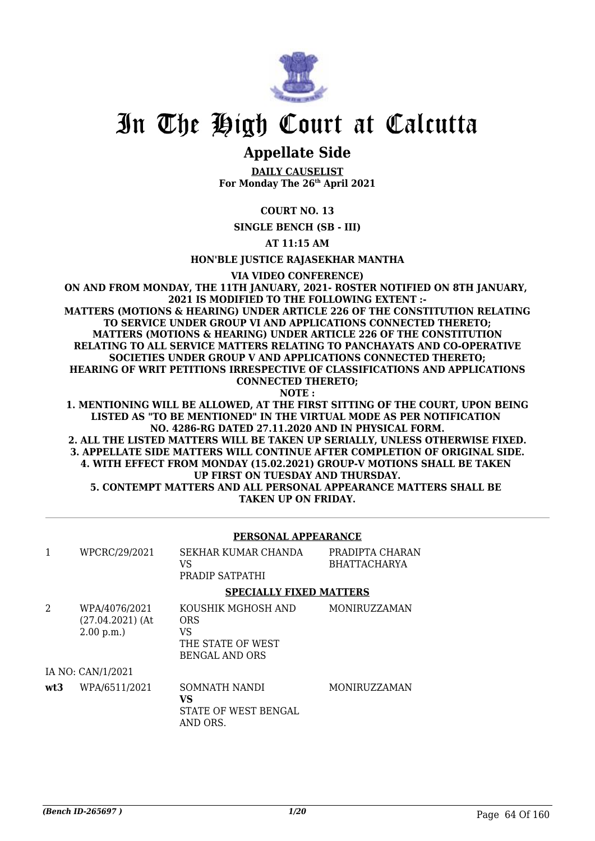

# **Appellate Side**

**DAILY CAUSELIST For Monday The 26th April 2021**

## **COURT NO. 13**

**SINGLE BENCH (SB - III)**

**AT 11:15 AM**

**HON'BLE JUSTICE RAJASEKHAR MANTHA**

**VIA VIDEO CONFERENCE)**

**ON AND FROM MONDAY, THE 11TH JANUARY, 2021- ROSTER NOTIFIED ON 8TH JANUARY, 2021 IS MODIFIED TO THE FOLLOWING EXTENT :- MATTERS (MOTIONS & HEARING) UNDER ARTICLE 226 OF THE CONSTITUTION RELATING TO SERVICE UNDER GROUP VI AND APPLICATIONS CONNECTED THERETO; MATTERS (MOTIONS & HEARING) UNDER ARTICLE 226 OF THE CONSTITUTION RELATING TO ALL SERVICE MATTERS RELATING TO PANCHAYATS AND CO-OPERATIVE SOCIETIES UNDER GROUP V AND APPLICATIONS CONNECTED THERETO; HEARING OF WRIT PETITIONS IRRESPECTIVE OF CLASSIFICATIONS AND APPLICATIONS CONNECTED THERETO; NOTE :**

**1. MENTIONING WILL BE ALLOWED, AT THE FIRST SITTING OF THE COURT, UPON BEING LISTED AS "TO BE MENTIONED" IN THE VIRTUAL MODE AS PER NOTIFICATION NO. 4286-RG DATED 27.11.2020 AND IN PHYSICAL FORM.**

**2. ALL THE LISTED MATTERS WILL BE TAKEN UP SERIALLY, UNLESS OTHERWISE FIXED. 3. APPELLATE SIDE MATTERS WILL CONTINUE AFTER COMPLETION OF ORIGINAL SIDE. 4. WITH EFFECT FROM MONDAY (15.02.2021) GROUP-V MOTIONS SHALL BE TAKEN UP FIRST ON TUESDAY AND THURSDAY. 5. CONTEMPT MATTERS AND ALL PERSONAL APPEARANCE MATTERS SHALL BE TAKEN UP ON FRIDAY.**

|     |                                                  | PERSONAL APPEARANCE                                                                  |                                        |
|-----|--------------------------------------------------|--------------------------------------------------------------------------------------|----------------------------------------|
| 1   | WPCRC/29/2021                                    | SEKHAR KUMAR CHANDA<br>VS<br>PRADIP SATPATHI                                         | PRADIPTA CHARAN<br><b>BHATTACHARYA</b> |
|     |                                                  | <b>SPECIALLY FIXED MATTERS</b>                                                       |                                        |
| 2   | WPA/4076/2021<br>$(27.04.2021)$ (At<br>2.00 p.m. | KOUSHIK MGHOSH AND<br><b>ORS</b><br>VS<br>THE STATE OF WEST<br><b>BENGAL AND ORS</b> | MONIRUZZAMAN                           |
|     | IA NO: CAN/1/2021                                |                                                                                      |                                        |
| wt3 | WPA/6511/2021                                    | SOMNATH NANDI<br>VS.<br>STATE OF WEST BENGAL<br>AND ORS.                             | MONIRUZZAMAN                           |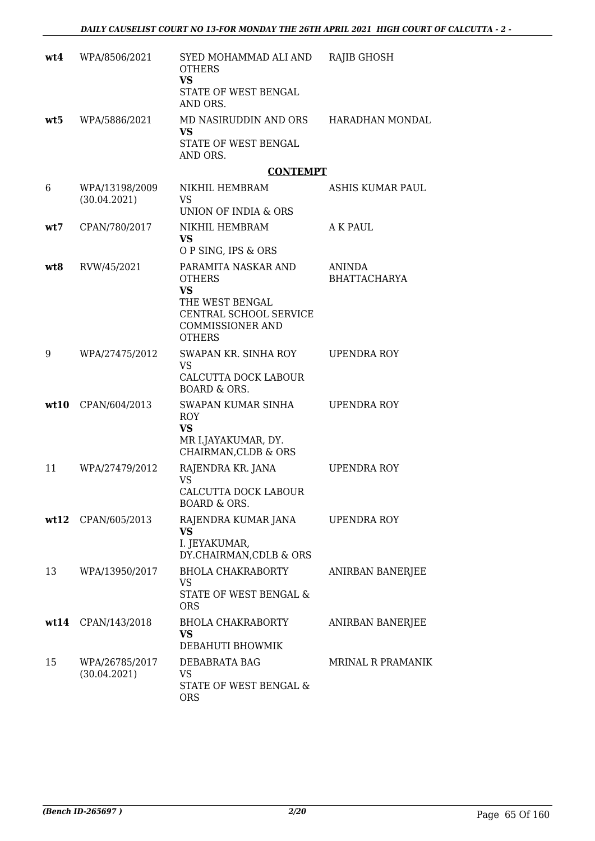| wt4 | WPA/8506/2021                  | SYED MOHAMMAD ALI AND<br><b>OTHERS</b><br><b>VS</b><br>STATE OF WEST BENGAL<br>AND ORS.                                                    | <b>RAJIB GHOSH</b>            |
|-----|--------------------------------|--------------------------------------------------------------------------------------------------------------------------------------------|-------------------------------|
| wt5 | WPA/5886/2021                  | MD NASIRUDDIN AND ORS<br>VS<br>STATE OF WEST BENGAL<br>AND ORS.                                                                            | HARADHAN MONDAL               |
|     |                                | <b>CONTEMPT</b>                                                                                                                            |                               |
| 6   | WPA/13198/2009<br>(30.04.2021) | NIKHIL HEMBRAM<br><b>VS</b><br>UNION OF INDIA & ORS                                                                                        | ASHIS KUMAR PAUL              |
| wt7 | CPAN/780/2017                  | NIKHIL HEMBRAM<br><b>VS</b>                                                                                                                | A K PAUL                      |
|     |                                | O P SING, IPS & ORS                                                                                                                        |                               |
| wt8 | RVW/45/2021                    | PARAMITA NASKAR AND<br><b>OTHERS</b><br><b>VS</b><br>THE WEST BENGAL<br>CENTRAL SCHOOL SERVICE<br><b>COMMISSIONER AND</b><br><b>OTHERS</b> | ANINDA<br><b>BHATTACHARYA</b> |
| 9   | WPA/27475/2012                 | SWAPAN KR. SINHA ROY<br><b>VS</b><br>CALCUTTA DOCK LABOUR<br><b>BOARD &amp; ORS.</b>                                                       | UPENDRA ROY                   |
|     | wt10 CPAN/604/2013             | SWAPAN KUMAR SINHA<br><b>ROY</b><br><b>VS</b><br>MR I.JAYAKUMAR, DY.<br>CHAIRMAN, CLDB & ORS                                               | UPENDRA ROY                   |
| 11  | WPA/27479/2012                 | RAJENDRA KR. JANA<br><b>VS</b><br>CALCUTTA DOCK LABOUR<br>BOARD & ORS.                                                                     | UPENDRA ROY                   |
|     | wt12 CPAN/605/2013             | RAJENDRA KUMAR JANA<br><b>VS</b><br>I. JEYAKUMAR,<br>DY.CHAIRMAN, CDLB & ORS                                                               | UPENDRA ROY                   |
| 13  | WPA/13950/2017                 | <b>BHOLA CHAKRABORTY</b><br><b>VS</b><br>STATE OF WEST BENGAL &<br><b>ORS</b>                                                              | <b>ANIRBAN BANERJEE</b>       |
|     | wt14 CPAN/143/2018             | <b>BHOLA CHAKRABORTY</b><br><b>VS</b><br>DEBAHUTI BHOWMIK                                                                                  | ANIRBAN BANERJEE              |
| 15  | WPA/26785/2017<br>(30.04.2021) | DEBABRATA BAG<br>VS<br>STATE OF WEST BENGAL &<br><b>ORS</b>                                                                                | <b>MRINAL R PRAMANIK</b>      |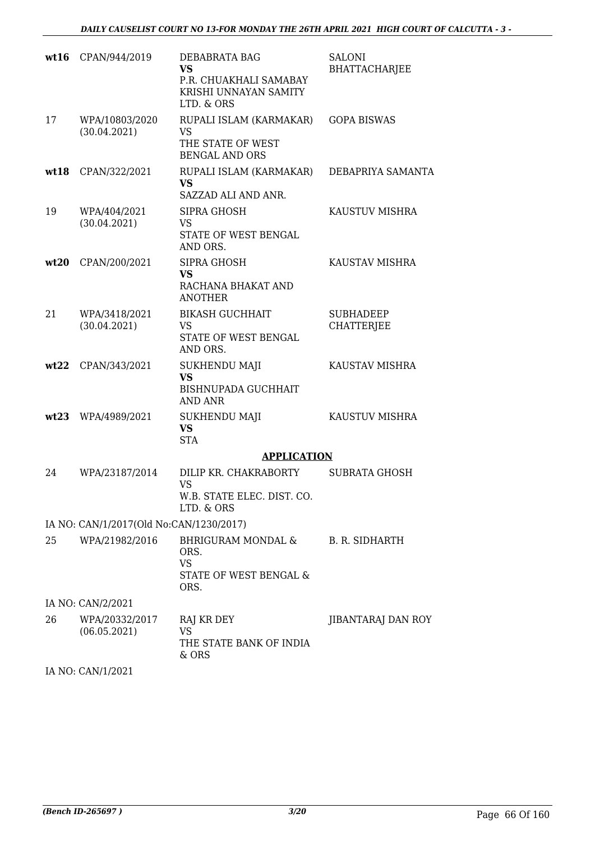|      | wt16 CPAN/944/2019                      | DEBABRATA BAG<br><b>VS</b><br>P.R. CHUAKHALI SAMABAY<br>KRISHI UNNAYAN SAMITY        | <b>SALONI</b><br><b>BHATTACHARJEE</b> |
|------|-----------------------------------------|--------------------------------------------------------------------------------------|---------------------------------------|
| 17   | WPA/10803/2020<br>(30.04.2021)          | LTD. & ORS<br>RUPALI ISLAM (KARMAKAR)<br><b>VS</b><br>THE STATE OF WEST              | <b>GOPA BISWAS</b>                    |
| wt18 | CPAN/322/2021                           | <b>BENGAL AND ORS</b><br>RUPALI ISLAM (KARMAKAR)<br><b>VS</b><br>SAZZAD ALI AND ANR. | DEBAPRIYA SAMANTA                     |
| 19   | WPA/404/2021<br>(30.04.2021)            | SIPRA GHOSH<br>VS<br>STATE OF WEST BENGAL<br>AND ORS.                                | KAUSTUV MISHRA                        |
| wt20 | CPAN/200/2021                           | SIPRA GHOSH<br><b>VS</b><br>RACHANA BHAKAT AND<br><b>ANOTHER</b>                     | KAUSTAV MISHRA                        |
| 21   | WPA/3418/2021<br>(30.04.2021)           | <b>BIKASH GUCHHAIT</b><br><b>VS</b><br>STATE OF WEST BENGAL<br>AND ORS.              | <b>SUBHADEEP</b><br><b>CHATTERJEE</b> |
| wt22 | CPAN/343/2021                           | <b>SUKHENDU MAJI</b><br><b>VS</b><br><b>BISHNUPADA GUCHHAIT</b><br>AND ANR           | KAUSTAV MISHRA                        |
| wt23 | WPA/4989/2021                           | <b>SUKHENDU MAJI</b><br><b>VS</b><br><b>STA</b>                                      | KAUSTUV MISHRA                        |
|      |                                         | <b>APPLICATION</b>                                                                   |                                       |
| 24   | WPA/23187/2014                          | DILIP KR. CHAKRABORTY<br><b>VS</b>                                                   | <b>SUBRATA GHOSH</b>                  |
|      |                                         | W.B. STATE ELEC. DIST. CO.<br>LTD. & ORS                                             |                                       |
|      | IA NO: CAN/1/2017(Old No:CAN/1230/2017) |                                                                                      |                                       |
| 25   | WPA/21982/2016                          | BHRIGURAM MONDAL &<br>ORS.<br><b>VS</b><br>STATE OF WEST BENGAL &                    | B. R. SIDHARTH                        |
|      | IA NO: CAN/2/2021                       | ORS.                                                                                 |                                       |
|      |                                         |                                                                                      |                                       |
| 26   | WPA/20332/2017<br>(06.05.2021)          | RAJ KR DEY<br><b>VS</b><br>THE STATE BANK OF INDIA<br>& ORS                          | JIBANTARAJ DAN ROY                    |
|      |                                         |                                                                                      |                                       |

IA NO: CAN/1/2021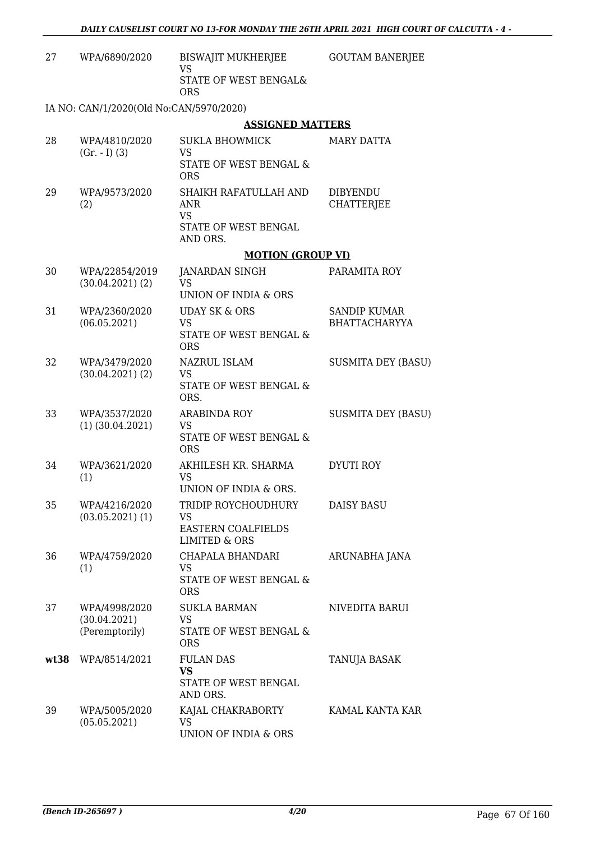| 27   | WPA/6890/2020                                   | BISWAJIT MUKHERJEE<br>VS<br>STATE OF WEST BENGAL&<br><b>ORS</b>                           | <b>GOUTAM BANERJEE</b>               |
|------|-------------------------------------------------|-------------------------------------------------------------------------------------------|--------------------------------------|
|      | IA NO: CAN/1/2020(Old No:CAN/5970/2020)         |                                                                                           |                                      |
|      |                                                 | <b>ASSIGNED MATTERS</b>                                                                   |                                      |
| 28   | WPA/4810/2020<br>$(Gr. - I) (3)$                | SUKLA BHOWMICK<br>VS<br>STATE OF WEST BENGAL &<br><b>ORS</b>                              | MARY DATTA                           |
| 29   | WPA/9573/2020<br>(2)                            | SHAIKH RAFATULLAH AND<br>ANR<br>VS<br>STATE OF WEST BENGAL<br>AND ORS.                    | <b>DIBYENDU</b><br><b>CHATTERJEE</b> |
|      |                                                 | <b>MOTION (GROUP VI)</b>                                                                  |                                      |
|      |                                                 |                                                                                           |                                      |
| 30   | WPA/22854/2019<br>$(30.04.2021)$ $(2)$          | <b>JANARDAN SINGH</b><br><b>VS</b><br>UNION OF INDIA & ORS                                | PARAMITA ROY                         |
| 31   | WPA/2360/2020                                   | <b>UDAY SK &amp; ORS</b>                                                                  | <b>SANDIP KUMAR</b>                  |
|      | (06.05.2021)                                    | <b>VS</b><br>STATE OF WEST BENGAL &<br><b>ORS</b>                                         | <b>BHATTACHARYYA</b>                 |
| 32   | WPA/3479/2020<br>$(30.04.2021)$ $(2)$           | NAZRUL ISLAM<br><b>VS</b><br>STATE OF WEST BENGAL &<br>ORS.                               | <b>SUSMITA DEY (BASU)</b>            |
| 33   | WPA/3537/2020<br>$(1)$ $(30.04.2021)$           | <b>ARABINDA ROY</b><br>VS<br>STATE OF WEST BENGAL &<br><b>ORS</b>                         | <b>SUSMITA DEY (BASU)</b>            |
| 34   | WPA/3621/2020<br>(1)                            | AKHILESH KR. SHARMA<br><b>VS</b><br>UNION OF INDIA & ORS.                                 | DYUTI ROY                            |
| 35   | WPA/4216/2020<br>$(03.05.2021)$ $(1)$           | TRIDIP ROYCHOUDHURY<br><b>VS</b><br><b>EASTERN COALFIELDS</b><br><b>LIMITED &amp; ORS</b> | DAISY BASU                           |
| 36   | WPA/4759/2020<br>(1)                            | CHAPALA BHANDARI<br>VS<br>STATE OF WEST BENGAL &<br><b>ORS</b>                            | ARUNABHA JANA                        |
| 37   | WPA/4998/2020<br>(30.04.2021)<br>(Peremptorily) | <b>SUKLA BARMAN</b><br><b>VS</b><br>STATE OF WEST BENGAL &<br><b>ORS</b>                  | NIVEDITA BARUI                       |
| wt38 | WPA/8514/2021                                   | <b>FULAN DAS</b><br><b>VS</b><br>STATE OF WEST BENGAL<br>AND ORS.                         | TANUJA BASAK                         |
| 39   | WPA/5005/2020<br>(05.05.2021)                   | KAJAL CHAKRABORTY<br><b>VS</b><br>UNION OF INDIA & ORS                                    | KAMAL KANTA KAR                      |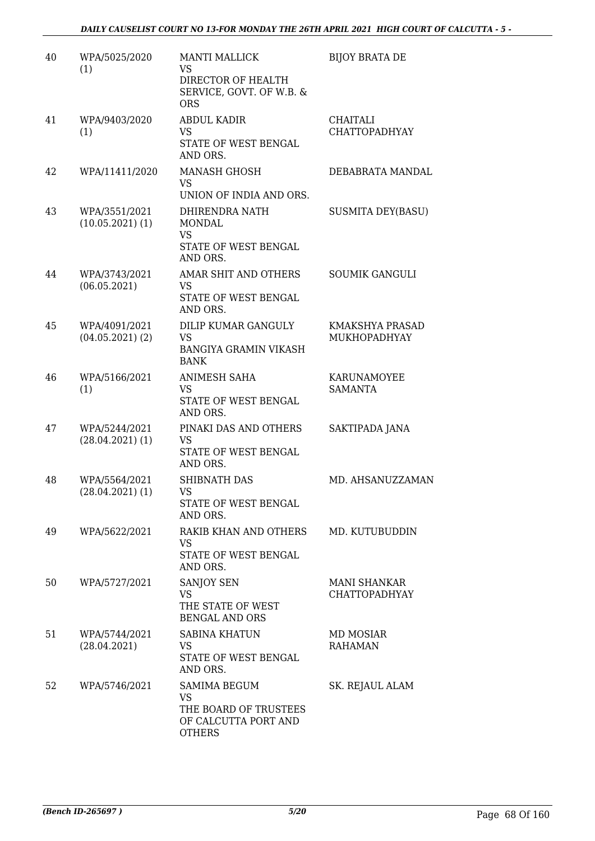| 40 | WPA/5025/2020<br>(1)                  | <b>MANTI MALLICK</b><br><b>VS</b><br>DIRECTOR OF HEALTH<br>SERVICE, GOVT. OF W.B. &<br><b>ORS</b> | <b>BIJOY BRATA DE</b>                       |
|----|---------------------------------------|---------------------------------------------------------------------------------------------------|---------------------------------------------|
| 41 | WPA/9403/2020<br>(1)                  | <b>ABDUL KADIR</b><br>VS<br>STATE OF WEST BENGAL<br>AND ORS.                                      | <b>CHAITALI</b><br><b>CHATTOPADHYAY</b>     |
| 42 | WPA/11411/2020                        | <b>MANASH GHOSH</b><br><b>VS</b><br>UNION OF INDIA AND ORS.                                       | DEBABRATA MANDAL                            |
| 43 | WPA/3551/2021<br>(10.05.2021)(1)      | DHIRENDRA NATH<br><b>MONDAL</b><br><b>VS</b><br>STATE OF WEST BENGAL<br>AND ORS.                  | <b>SUSMITA DEY(BASU)</b>                    |
| 44 | WPA/3743/2021<br>(06.05.2021)         | AMAR SHIT AND OTHERS<br>VS<br>STATE OF WEST BENGAL<br>AND ORS.                                    | <b>SOUMIK GANGULI</b>                       |
| 45 | WPA/4091/2021<br>$(04.05.2021)$ $(2)$ | <b>DILIP KUMAR GANGULY</b><br><b>VS</b><br><b>BANGIYA GRAMIN VIKASH</b><br><b>BANK</b>            | KMAKSHYA PRASAD<br><b>MUKHOPADHYAY</b>      |
| 46 | WPA/5166/2021<br>(1)                  | <b>ANIMESH SAHA</b><br><b>VS</b><br>STATE OF WEST BENGAL<br>AND ORS.                              | KARUNAMOYEE<br><b>SAMANTA</b>               |
| 47 | WPA/5244/2021<br>$(28.04.2021)$ (1)   | PINAKI DAS AND OTHERS<br>VS<br>STATE OF WEST BENGAL<br>AND ORS.                                   | SAKTIPADA JANA                              |
| 48 | WPA/5564/2021<br>$(28.04.2021)$ $(1)$ | <b>SHIBNATH DAS</b><br>VS<br>STATE OF WEST BENGAL<br>AND ORS.                                     | MD. AHSANUZZAMAN                            |
| 49 | WPA/5622/2021                         | RAKIB KHAN AND OTHERS<br>VS<br>STATE OF WEST BENGAL<br>AND ORS.                                   | MD. KUTUBUDDIN                              |
| 50 | WPA/5727/2021                         | <b>SANJOY SEN</b><br>VS<br>THE STATE OF WEST<br><b>BENGAL AND ORS</b>                             | <b>MANI SHANKAR</b><br><b>CHATTOPADHYAY</b> |
| 51 | WPA/5744/2021<br>(28.04.2021)         | <b>SABINA KHATUN</b><br>VS.<br>STATE OF WEST BENGAL<br>AND ORS.                                   | MD MOSIAR<br><b>RAHAMAN</b>                 |
| 52 | WPA/5746/2021                         | <b>SAMIMA BEGUM</b><br>VS<br>THE BOARD OF TRUSTEES<br>OF CALCUTTA PORT AND<br><b>OTHERS</b>       | SK. REJAUL ALAM                             |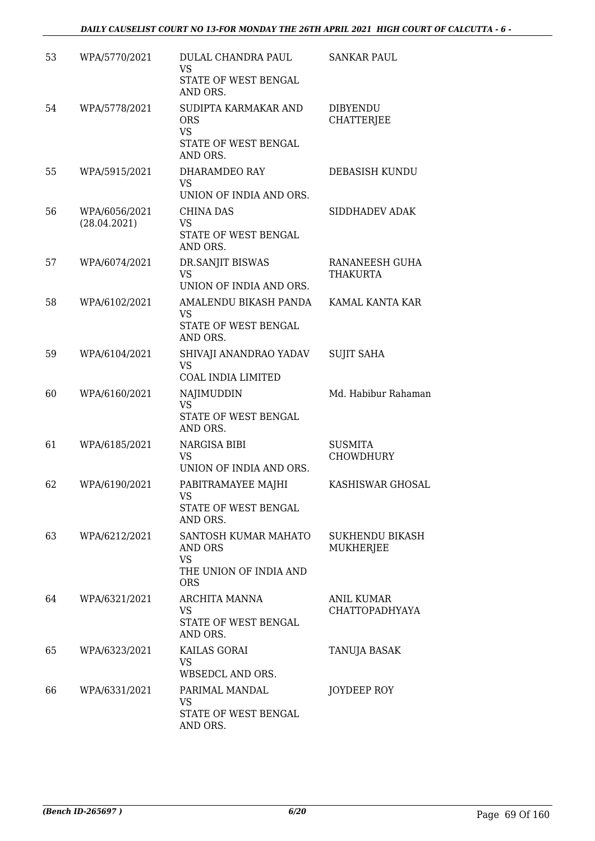| 53 | WPA/5770/2021                 | DULAL CHANDRA PAUL<br>VS<br>STATE OF WEST BENGAL<br>AND ORS.                         | <b>SANKAR PAUL</b>                         |
|----|-------------------------------|--------------------------------------------------------------------------------------|--------------------------------------------|
| 54 | WPA/5778/2021                 | SUDIPTA KARMAKAR AND<br><b>ORS</b><br><b>VS</b><br>STATE OF WEST BENGAL<br>AND ORS.  | <b>DIBYENDU</b><br><b>CHATTERJEE</b>       |
| 55 | WPA/5915/2021                 | DHARAMDEO RAY<br><b>VS</b><br>UNION OF INDIA AND ORS.                                | <b>DEBASISH KUNDU</b>                      |
| 56 | WPA/6056/2021<br>(28.04.2021) | <b>CHINA DAS</b><br><b>VS</b><br>STATE OF WEST BENGAL<br>AND ORS.                    | SIDDHADEV ADAK                             |
| 57 | WPA/6074/2021                 | DR.SANJIT BISWAS<br><b>VS</b><br>UNION OF INDIA AND ORS.                             | RANANEESH GUHA<br>THAKURTA                 |
| 58 | WPA/6102/2021                 | AMALENDU BIKASH PANDA<br><b>VS</b><br>STATE OF WEST BENGAL<br>AND ORS.               | KAMAL KANTA KAR                            |
| 59 | WPA/6104/2021                 | SHIVAJI ANANDRAO YADAV<br><b>VS</b><br>COAL INDIA LIMITED                            | <b>SUJIT SAHA</b>                          |
| 60 | WPA/6160/2021                 | NAJIMUDDIN<br><b>VS</b><br>STATE OF WEST BENGAL<br>AND ORS.                          | Md. Habibur Rahaman                        |
| 61 | WPA/6185/2021                 | NARGISA BIBI<br><b>VS</b><br>UNION OF INDIA AND ORS.                                 | <b>SUSMITA</b><br><b>CHOWDHURY</b>         |
| 62 | WPA/6190/2021                 | PABITRAMAYEE MAJHI<br><b>VS</b><br>STATE OF WEST BENGAL<br>AND ORS.                  | KASHISWAR GHOSAL                           |
| 63 | WPA/6212/2021                 | SANTOSH KUMAR MAHATO<br>AND ORS<br><b>VS</b><br>THE UNION OF INDIA AND<br><b>ORS</b> | <b>SUKHENDU BIKASH</b><br>MUKHERJEE        |
| 64 | WPA/6321/2021                 | ARCHITA MANNA<br>VS.<br>STATE OF WEST BENGAL<br>AND ORS.                             | <b>ANIL KUMAR</b><br><b>CHATTOPADHYAYA</b> |
| 65 | WPA/6323/2021                 | KAILAS GORAI<br>VS<br>WBSEDCL AND ORS.                                               | TANUJA BASAK                               |
| 66 | WPA/6331/2021                 | PARIMAL MANDAL<br>VS<br>STATE OF WEST BENGAL<br>AND ORS.                             | JOYDEEP ROY                                |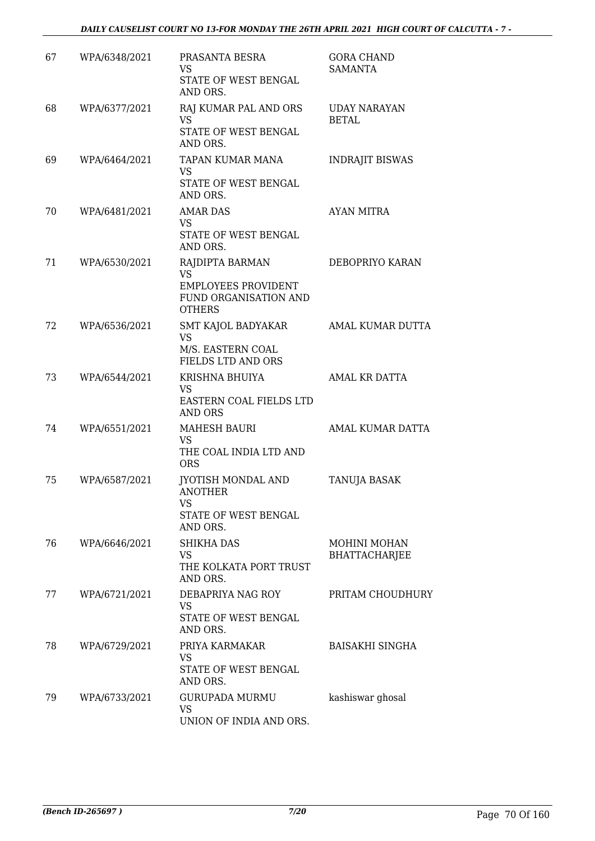| 67 | WPA/6348/2021 | PRASANTA BESRA<br><b>VS</b><br>STATE OF WEST BENGAL<br>AND ORS.                                      | <b>GORA CHAND</b><br><b>SAMANTA</b>         |
|----|---------------|------------------------------------------------------------------------------------------------------|---------------------------------------------|
| 68 | WPA/6377/2021 | RAJ KUMAR PAL AND ORS<br><b>VS</b><br>STATE OF WEST BENGAL<br>AND ORS.                               | <b>UDAY NARAYAN</b><br><b>BETAL</b>         |
| 69 | WPA/6464/2021 | TAPAN KUMAR MANA<br>VS<br>STATE OF WEST BENGAL<br>AND ORS.                                           | <b>INDRAJIT BISWAS</b>                      |
| 70 | WPA/6481/2021 | <b>AMAR DAS</b><br><b>VS</b><br>STATE OF WEST BENGAL<br>AND ORS.                                     | <b>AYAN MITRA</b>                           |
| 71 | WPA/6530/2021 | RAJDIPTA BARMAN<br><b>VS</b><br><b>EMPLOYEES PROVIDENT</b><br>FUND ORGANISATION AND<br><b>OTHERS</b> | DEBOPRIYO KARAN                             |
| 72 | WPA/6536/2021 | SMT KAJOL BADYAKAR<br><b>VS</b><br>M/S. EASTERN COAL<br>FIELDS LTD AND ORS                           | AMAL KUMAR DUTTA                            |
| 73 | WPA/6544/2021 | KRISHNA BHUIYA<br>VS<br>EASTERN COAL FIELDS LTD<br>AND ORS                                           | AMAL KR DATTA                               |
| 74 | WPA/6551/2021 | <b>MAHESH BAURI</b><br><b>VS</b><br>THE COAL INDIA LTD AND<br><b>ORS</b>                             | AMAL KUMAR DATTA                            |
| 75 | WPA/6587/2021 | <b>JYOTISH MONDAL AND</b><br><b>ANOTHER</b><br>VS<br>STATE OF WEST BENGAL<br>AND ORS.                | <b>TANUJA BASAK</b>                         |
| 76 | WPA/6646/2021 | <b>SHIKHA DAS</b><br>VS<br>THE KOLKATA PORT TRUST<br>AND ORS.                                        | <b>MOHINI MOHAN</b><br><b>BHATTACHARJEE</b> |
| 77 | WPA/6721/2021 | DEBAPRIYA NAG ROY<br>VS<br>STATE OF WEST BENGAL<br>AND ORS.                                          | PRITAM CHOUDHURY                            |
| 78 | WPA/6729/2021 | PRIYA KARMAKAR<br>VS<br>STATE OF WEST BENGAL<br>AND ORS.                                             | <b>BAISAKHI SINGHA</b>                      |
| 79 | WPA/6733/2021 | <b>GURUPADA MURMU</b><br><b>VS</b><br>UNION OF INDIA AND ORS.                                        | kashiswar ghosal                            |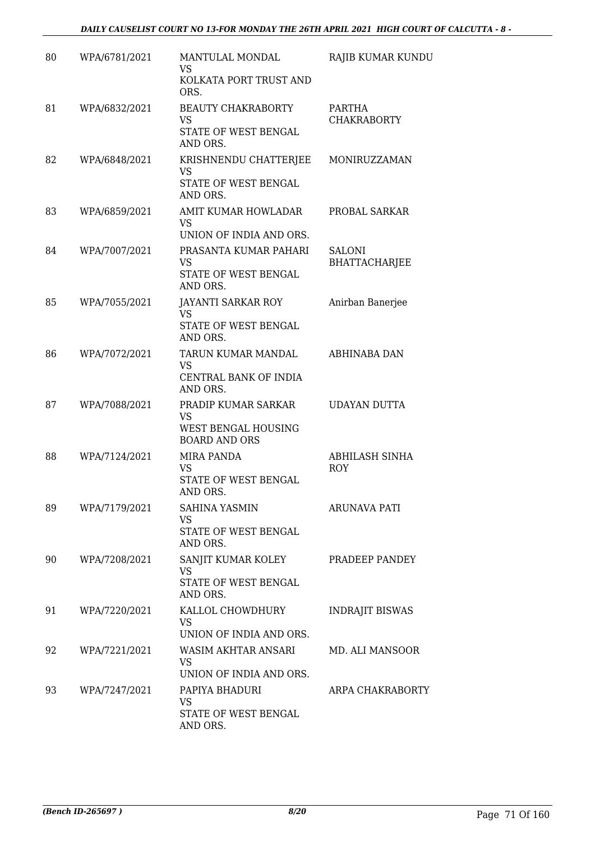| 80 | WPA/6781/2021 | MANTULAL MONDAL<br>VS                                                           | RAJIB KUMAR KUNDU                     |
|----|---------------|---------------------------------------------------------------------------------|---------------------------------------|
|    |               | KOLKATA PORT TRUST AND<br>ORS.                                                  |                                       |
| 81 | WPA/6832/2021 | <b>BEAUTY CHAKRABORTY</b><br><b>VS</b><br>STATE OF WEST BENGAL<br>AND ORS.      | PARTHA<br><b>CHAKRABORTY</b>          |
| 82 | WPA/6848/2021 | KRISHNENDU CHATTERJEE<br><b>VS</b><br>STATE OF WEST BENGAL<br>AND ORS.          | MONIRUZZAMAN                          |
| 83 | WPA/6859/2021 | AMIT KUMAR HOWLADAR<br>VS.<br>UNION OF INDIA AND ORS.                           | PROBAL SARKAR                         |
| 84 | WPA/7007/2021 | PRASANTA KUMAR PAHARI<br>VS<br>STATE OF WEST BENGAL<br>AND ORS.                 | <b>SALONI</b><br><b>BHATTACHARJEE</b> |
| 85 | WPA/7055/2021 | <b>JAYANTI SARKAR ROY</b><br><b>VS</b><br>STATE OF WEST BENGAL<br>AND ORS.      | Anirban Banerjee                      |
| 86 | WPA/7072/2021 | TARUN KUMAR MANDAL<br>VS<br>CENTRAL BANK OF INDIA<br>AND ORS.                   | ABHINABA DAN                          |
| 87 | WPA/7088/2021 | PRADIP KUMAR SARKAR<br><b>VS</b><br>WEST BENGAL HOUSING<br><b>BOARD AND ORS</b> | UDAYAN DUTTA                          |
| 88 | WPA/7124/2021 | <b>MIRA PANDA</b><br><b>VS</b><br>STATE OF WEST BENGAL<br>AND ORS.              | ABHILASH SINHA<br><b>ROY</b>          |
| 89 | WPA/7179/2021 | SAHINA YASMIN<br>VS<br><b>STATE OF WEST BENGAL</b><br>AND ORS.                  | <b>ARUNAVA PATI</b>                   |
| 90 | WPA/7208/2021 | SANJIT KUMAR KOLEY<br><b>VS</b><br>STATE OF WEST BENGAL<br>AND ORS.             | PRADEEP PANDEY                        |
| 91 | WPA/7220/2021 | KALLOL CHOWDHURY<br>VS<br>UNION OF INDIA AND ORS.                               | <b>INDRAJIT BISWAS</b>                |
| 92 | WPA/7221/2021 | WASIM AKHTAR ANSARI<br>VS<br>UNION OF INDIA AND ORS.                            | MD. ALI MANSOOR                       |
| 93 | WPA/7247/2021 | PAPIYA BHADURI<br>VS.<br>STATE OF WEST BENGAL<br>AND ORS.                       | ARPA CHAKRABORTY                      |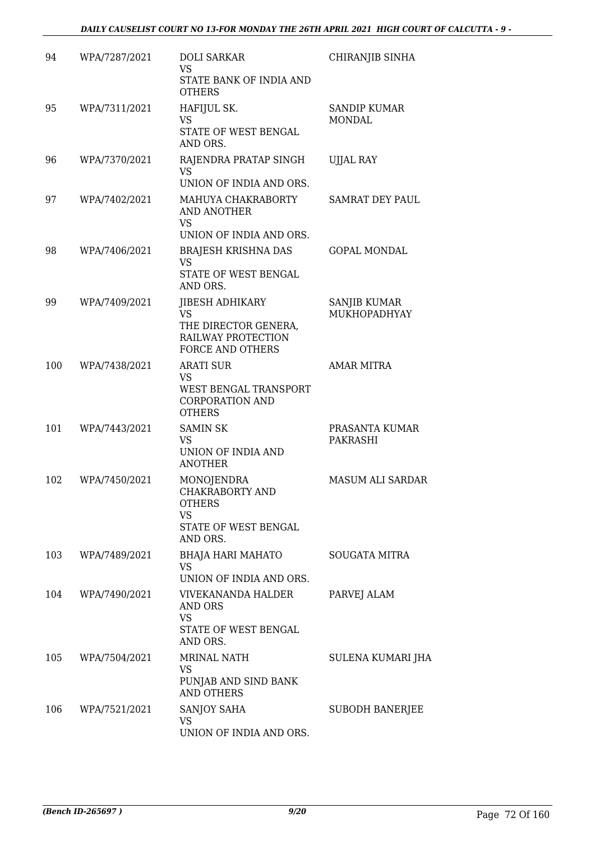## *DAILY CAUSELIST COURT NO 13-FOR MONDAY THE 26TH APRIL 2021 HIGH COURT OF CALCUTTA - 9 -*

| 94  | WPA/7287/2021 | <b>DOLI SARKAR</b><br>VS<br>STATE BANK OF INDIA AND<br><b>OTHERS</b>                                         | CHIRANJIB SINHA                      |
|-----|---------------|--------------------------------------------------------------------------------------------------------------|--------------------------------------|
| 95  | WPA/7311/2021 | HAFIJUL SK.<br><b>VS</b><br>STATE OF WEST BENGAL<br>AND ORS.                                                 | <b>SANDIP KUMAR</b><br><b>MONDAL</b> |
| 96  | WPA/7370/2021 | RAJENDRA PRATAP SINGH<br><b>VS</b><br>UNION OF INDIA AND ORS.                                                | <b>UJJAL RAY</b>                     |
| 97  | WPA/7402/2021 | MAHUYA CHAKRABORTY<br>AND ANOTHER<br><b>VS</b><br>UNION OF INDIA AND ORS.                                    | <b>SAMRAT DEY PAUL</b>               |
| 98  | WPA/7406/2021 | <b>BRAJESH KRISHNA DAS</b><br><b>VS</b><br>STATE OF WEST BENGAL<br>AND ORS.                                  | <b>GOPAL MONDAL</b>                  |
| 99  | WPA/7409/2021 | <b>JIBESH ADHIKARY</b><br><b>VS</b><br>THE DIRECTOR GENERA,<br>RAILWAY PROTECTION<br><b>FORCE AND OTHERS</b> | <b>SANJIB KUMAR</b><br>MUKHOPADHYAY  |
| 100 | WPA/7438/2021 | <b>ARATI SUR</b><br>VS<br>WEST BENGAL TRANSPORT<br><b>CORPORATION AND</b><br><b>OTHERS</b>                   | <b>AMAR MITRA</b>                    |
| 101 | WPA/7443/2021 | <b>SAMIN SK</b><br><b>VS</b><br>UNION OF INDIA AND<br><b>ANOTHER</b>                                         | PRASANTA KUMAR<br>PAKRASHI           |
| 102 | WPA/7450/2021 | MONOJENDRA<br>CHAKRABORTY AND<br>OTHERS<br><b>VS</b><br>STATE OF WEST BENGAL<br>AND ORS.                     | <b>MASUM ALI SARDAR</b>              |
| 103 | WPA/7489/2021 | BHAJA HARI MAHATO<br>VS<br>UNION OF INDIA AND ORS.                                                           | <b>SOUGATA MITRA</b>                 |
| 104 | WPA/7490/2021 | VIVEKANANDA HALDER<br>AND ORS<br>VS<br>STATE OF WEST BENGAL<br>AND ORS.                                      | PARVEJ ALAM                          |
| 105 | WPA/7504/2021 | MRINAL NATH<br>VS<br>PUNJAB AND SIND BANK<br><b>AND OTHERS</b>                                               | SULENA KUMARI JHA                    |
| 106 | WPA/7521/2021 | SANJOY SAHA<br>VS<br>UNION OF INDIA AND ORS.                                                                 | SUBODH BANERJEE                      |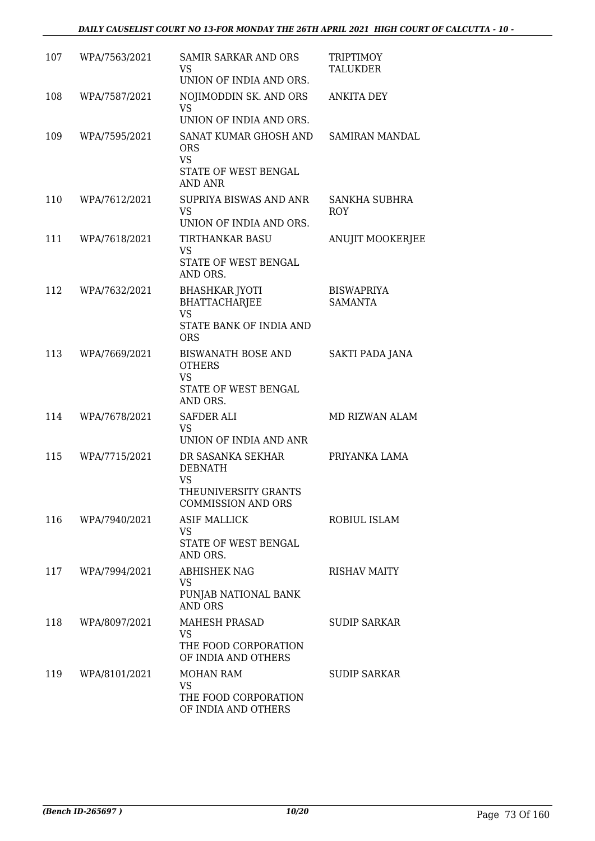| 107 | WPA/7563/2021 | <b>SAMIR SARKAR AND ORS</b><br><b>VS</b>                                                    | <b>TRIPTIMOY</b><br>TALUKDER        |
|-----|---------------|---------------------------------------------------------------------------------------------|-------------------------------------|
|     |               | UNION OF INDIA AND ORS.                                                                     |                                     |
| 108 | WPA/7587/2021 | NOJIMODDIN SK. AND ORS<br>VS                                                                | <b>ANKITA DEY</b>                   |
|     |               | UNION OF INDIA AND ORS.                                                                     |                                     |
| 109 | WPA/7595/2021 | SANAT KUMAR GHOSH AND<br><b>ORS</b><br><b>VS</b><br>STATE OF WEST BENGAL<br><b>AND ANR</b>  | SAMIRAN MANDAL                      |
| 110 | WPA/7612/2021 | SUPRIYA BISWAS AND ANR<br><b>VS</b>                                                         | SANKHA SUBHRA<br><b>ROY</b>         |
|     |               | UNION OF INDIA AND ORS.                                                                     |                                     |
| 111 | WPA/7618/2021 | <b>TIRTHANKAR BASU</b><br><b>VS</b><br>STATE OF WEST BENGAL                                 | <b>ANUJIT MOOKERJEE</b>             |
|     |               | AND ORS.                                                                                    |                                     |
| 112 | WPA/7632/2021 | <b>BHASHKAR JYOTI</b><br><b>BHATTACHARJEE</b><br><b>VS</b>                                  | <b>BISWAPRIYA</b><br><b>SAMANTA</b> |
|     |               | STATE BANK OF INDIA AND<br><b>ORS</b>                                                       |                                     |
| 113 | WPA/7669/2021 | <b>BISWANATH BOSE AND</b><br><b>OTHERS</b><br><b>VS</b><br>STATE OF WEST BENGAL<br>AND ORS. | SAKTI PADA JANA                     |
| 114 | WPA/7678/2021 | <b>SAFDER ALI</b><br><b>VS</b>                                                              | MD RIZWAN ALAM                      |
|     |               | UNION OF INDIA AND ANR                                                                      |                                     |
| 115 | WPA/7715/2021 | DR SASANKA SEKHAR<br><b>DEBNATH</b><br>VS<br>THEUNIVERSITY GRANTS                           | PRIYANKA LAMA                       |
|     |               | <b>COMMISSION AND ORS</b>                                                                   |                                     |
| 116 | WPA/7940/2021 | <b>ASIF MALLICK</b><br><b>VS</b>                                                            | ROBIUL ISLAM                        |
|     |               | STATE OF WEST BENGAL<br>AND ORS.                                                            |                                     |
| 117 | WPA/7994/2021 | <b>ABHISHEK NAG</b><br><b>VS</b>                                                            | <b>RISHAV MAITY</b>                 |
|     |               | PUNJAB NATIONAL BANK<br><b>AND ORS</b>                                                      |                                     |
| 118 | WPA/8097/2021 | MAHESH PRASAD<br><b>VS</b><br>THE FOOD CORPORATION<br>OF INDIA AND OTHERS                   | <b>SUDIP SARKAR</b>                 |
| 119 | WPA/8101/2021 | MOHAN RAM<br><b>VS</b>                                                                      | <b>SUDIP SARKAR</b>                 |
|     |               | THE FOOD CORPORATION<br>OF INDIA AND OTHERS                                                 |                                     |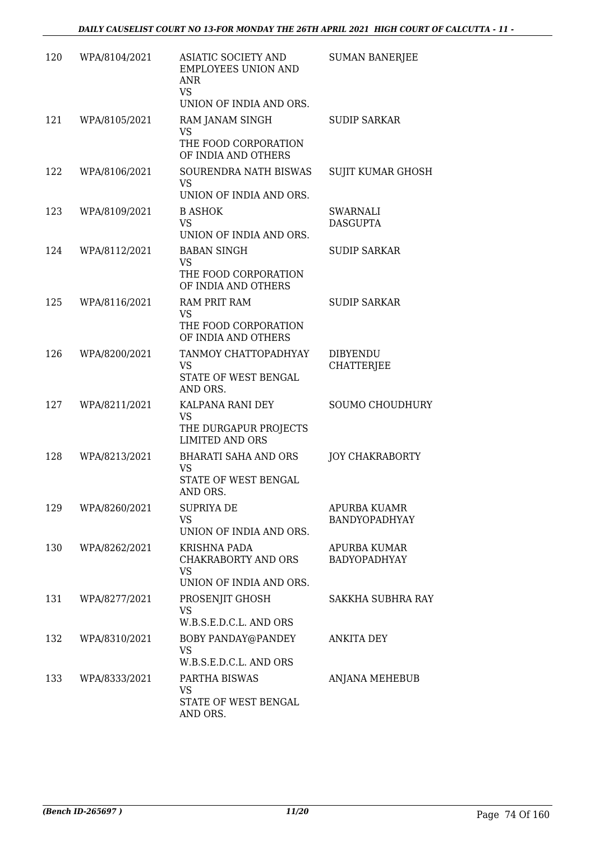| 120 | WPA/8104/2021 | ASIATIC SOCIETY AND<br><b>EMPLOYEES UNION AND</b><br>ANR<br><b>VS</b><br>UNION OF INDIA AND ORS. | <b>SUMAN BANERJEE</b>                |
|-----|---------------|--------------------------------------------------------------------------------------------------|--------------------------------------|
| 121 | WPA/8105/2021 | RAM JANAM SINGH<br><b>VS</b><br>THE FOOD CORPORATION<br>OF INDIA AND OTHERS                      | <b>SUDIP SARKAR</b>                  |
| 122 | WPA/8106/2021 | SOURENDRA NATH BISWAS<br>VS.<br>UNION OF INDIA AND ORS.                                          | SUJIT KUMAR GHOSH                    |
| 123 | WPA/8109/2021 | <b>B ASHOK</b><br><b>VS</b><br>UNION OF INDIA AND ORS.                                           | <b>SWARNALI</b><br><b>DASGUPTA</b>   |
| 124 | WPA/8112/2021 | <b>BABAN SINGH</b><br><b>VS</b><br>THE FOOD CORPORATION<br>OF INDIA AND OTHERS                   | <b>SUDIP SARKAR</b>                  |
| 125 | WPA/8116/2021 | <b>RAM PRIT RAM</b><br>VS<br>THE FOOD CORPORATION<br>OF INDIA AND OTHERS                         | <b>SUDIP SARKAR</b>                  |
| 126 | WPA/8200/2021 | TANMOY CHATTOPADHYAY<br><b>VS</b><br>STATE OF WEST BENGAL<br>AND ORS.                            | <b>DIBYENDU</b><br><b>CHATTERJEE</b> |
| 127 | WPA/8211/2021 | KALPANA RANI DEY<br><b>VS</b><br>THE DURGAPUR PROJECTS<br><b>LIMITED AND ORS</b>                 | <b>SOUMO CHOUDHURY</b>               |
| 128 | WPA/8213/2021 | <b>BHARATI SAHA AND ORS</b><br>VS<br>STATE OF WEST BENGAL<br>AND ORS.                            | <b>JOY CHAKRABORTY</b>               |
| 129 | WPA/8260/2021 | <b>SUPRIYA DE</b><br><b>VS</b><br>UNION OF INDIA AND ORS.                                        | APURBA KUAMR<br>BANDYOPADHYAY        |
| 130 | WPA/8262/2021 | <b>KRISHNA PADA</b><br><b>CHAKRABORTY AND ORS</b><br>VS<br>UNION OF INDIA AND ORS.               | APURBA KUMAR<br><b>BADYOPADHYAY</b>  |
| 131 | WPA/8277/2021 | PROSENJIT GHOSH<br><b>VS</b><br>W.B.S.E.D.C.L. AND ORS                                           | SAKKHA SUBHRA RAY                    |
| 132 | WPA/8310/2021 | BOBY PANDAY@PANDEY<br>VS.<br>W.B.S.E.D.C.L. AND ORS                                              | ANKITA DEY                           |
| 133 | WPA/8333/2021 | PARTHA BISWAS<br>VS<br>STATE OF WEST BENGAL<br>AND ORS.                                          | ANJANA MEHEBUB                       |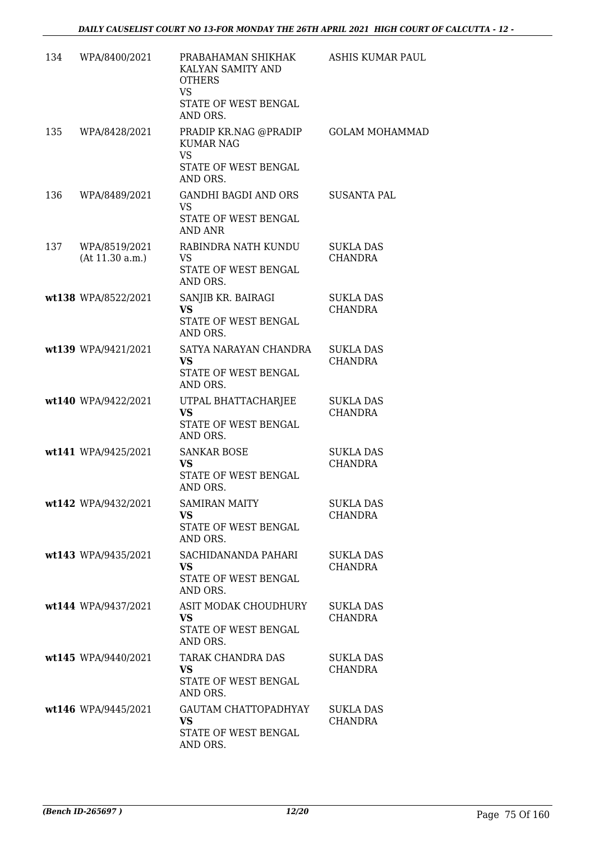| 134 | WPA/8400/2021                    | PRABAHAMAN SHIKHAK<br>KALYAN SAMITY AND<br><b>OTHERS</b><br><b>VS</b>                      | ASHIS KUMAR PAUL                   |
|-----|----------------------------------|--------------------------------------------------------------------------------------------|------------------------------------|
|     |                                  | STATE OF WEST BENGAL<br>AND ORS.                                                           |                                    |
| 135 | WPA/8428/2021                    | PRADIP KR.NAG @PRADIP<br><b>KUMAR NAG</b><br><b>VS</b><br>STATE OF WEST BENGAL<br>AND ORS. | <b>GOLAM MOHAMMAD</b>              |
| 136 | WPA/8489/2021                    | <b>GANDHI BAGDI AND ORS</b><br><b>VS</b><br>STATE OF WEST BENGAL<br>AND ANR                | <b>SUSANTA PAL</b>                 |
| 137 | WPA/8519/2021<br>(At 11.30 a.m.) | RABINDRA NATH KUNDU<br>VS.<br>STATE OF WEST BENGAL<br>AND ORS.                             | <b>SUKLA DAS</b><br><b>CHANDRA</b> |
|     | wt138 WPA/8522/2021              | SANJIB KR. BAIRAGI<br><b>VS</b><br>STATE OF WEST BENGAL<br>AND ORS.                        | <b>SUKLA DAS</b><br><b>CHANDRA</b> |
|     | wt139 WPA/9421/2021              | SATYA NARAYAN CHANDRA<br><b>VS</b><br>STATE OF WEST BENGAL<br>AND ORS.                     | <b>SUKLA DAS</b><br><b>CHANDRA</b> |
|     | wt140 WPA/9422/2021              | UTPAL BHATTACHARJEE<br><b>VS</b><br>STATE OF WEST BENGAL<br>AND ORS.                       | <b>SUKLA DAS</b><br><b>CHANDRA</b> |
|     | wt141 WPA/9425/2021              | <b>SANKAR BOSE</b><br><b>VS</b><br>STATE OF WEST BENGAL<br>AND ORS.                        | <b>SUKLA DAS</b><br>CHANDRA        |
|     | wt142 WPA/9432/2021              | <b>SAMIRAN MAITY</b><br><b>VS</b><br>STATE OF WEST BENGAL<br>AND ORS.                      | <b>SUKLA DAS</b><br>CHANDRA        |
|     | wt143 WPA/9435/2021              | SACHIDANANDA PAHARI<br><b>VS</b><br>STATE OF WEST BENGAL<br>AND ORS.                       | SUKLA DAS<br><b>CHANDRA</b>        |
|     | wt144 WPA/9437/2021              | ASIT MODAK CHOUDHURY<br><b>VS</b><br>STATE OF WEST BENGAL<br>AND ORS.                      | <b>SUKLA DAS</b><br>CHANDRA        |
|     | wt145 WPA/9440/2021              | TARAK CHANDRA DAS<br><b>VS</b><br>STATE OF WEST BENGAL<br>AND ORS.                         | SUKLA DAS<br>CHANDRA               |
|     | wt146 WPA/9445/2021              | GAUTAM CHATTOPADHYAY<br><b>VS</b><br>STATE OF WEST BENGAL<br>AND ORS.                      | SUKLA DAS<br><b>CHANDRA</b>        |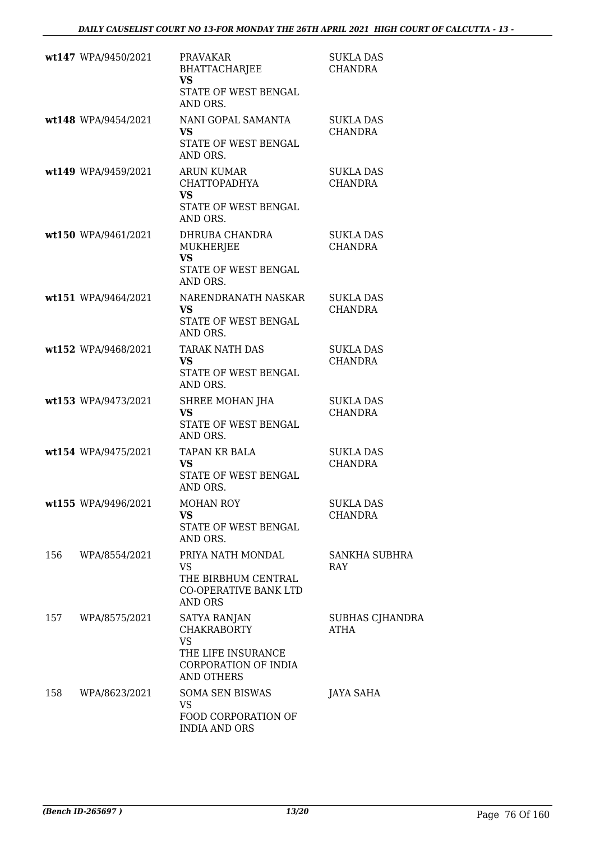|     | wt147 WPA/9450/2021 | <b>PRAVAKAR</b><br><b>BHATTACHARJEE</b><br><b>VS</b><br>STATE OF WEST BENGAL<br>AND ORS.                    | SUKLA DAS<br><b>CHANDRA</b>        |
|-----|---------------------|-------------------------------------------------------------------------------------------------------------|------------------------------------|
|     | wt148 WPA/9454/2021 | NANI GOPAL SAMANTA<br><b>VS</b><br>STATE OF WEST BENGAL<br>AND ORS.                                         | SUKLA DAS<br><b>CHANDRA</b>        |
|     | wt149 WPA/9459/2021 | <b>ARUN KUMAR</b><br>CHATTOPADHYA<br><b>VS</b><br>STATE OF WEST BENGAL<br>AND ORS.                          | <b>SUKLA DAS</b><br>CHANDRA        |
|     | wt150 WPA/9461/2021 | DHRUBA CHANDRA<br>MUKHERJEE<br><b>VS</b><br>STATE OF WEST BENGAL<br>AND ORS.                                | SUKLA DAS<br><b>CHANDRA</b>        |
|     | wt151 WPA/9464/2021 | NARENDRANATH NASKAR<br>VS.<br>STATE OF WEST BENGAL<br>AND ORS.                                              | SUKLA DAS<br>CHANDRA               |
|     | wt152 WPA/9468/2021 | TARAK NATH DAS<br><b>VS</b><br>STATE OF WEST BENGAL<br>AND ORS.                                             | <b>SUKLA DAS</b><br>CHANDRA        |
|     | wt153 WPA/9473/2021 | SHREE MOHAN JHA<br><b>VS</b><br>STATE OF WEST BENGAL<br>AND ORS.                                            | <b>SUKLA DAS</b><br>CHANDRA        |
|     | wt154 WPA/9475/2021 | TAPAN KR BALA<br><b>VS</b><br>STATE OF WEST BENGAL<br>AND ORS.                                              | <b>SUKLA DAS</b><br>CHANDRA        |
|     | wt155 WPA/9496/2021 | <b>MOHAN ROY</b><br><b>VS</b><br>STATE OF WEST BENGAL<br>AND ORS.                                           | <b>SUKLA DAS</b><br><b>CHANDRA</b> |
| 156 | WPA/8554/2021       | PRIYA NATH MONDAL<br>VS.<br>THE BIRBHUM CENTRAL<br>CO-OPERATIVE BANK LTD<br><b>AND ORS</b>                  | SANKHA SUBHRA<br>RAY               |
| 157 | WPA/8575/2021       | SATYA RANJAN<br><b>CHAKRABORTY</b><br>VS<br>THE LIFE INSURANCE<br>CORPORATION OF INDIA<br><b>AND OTHERS</b> | SUBHAS CJHANDRA<br>ATHA            |
| 158 | WPA/8623/2021       | <b>SOMA SEN BISWAS</b><br><b>VS</b><br>FOOD CORPORATION OF<br><b>INDIA AND ORS</b>                          | <b>JAYA SAHA</b>                   |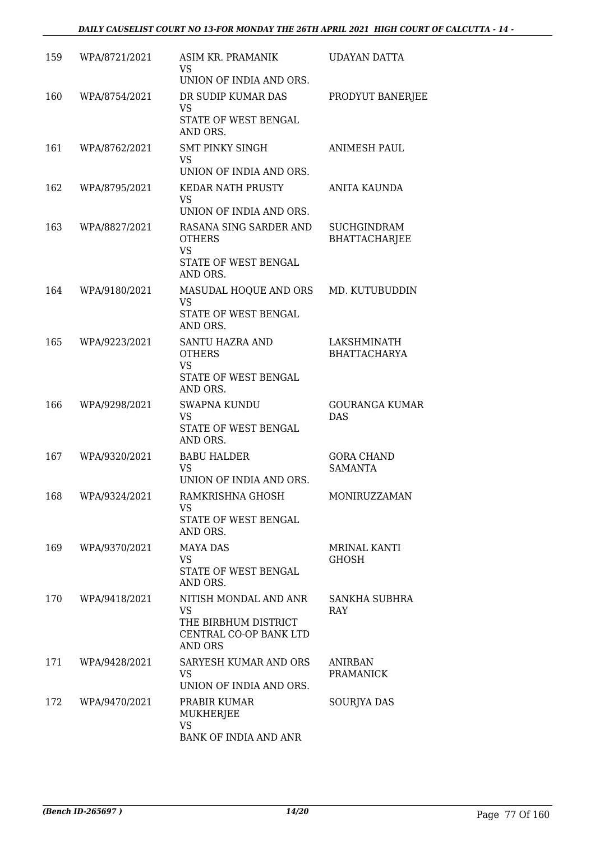| 159 | WPA/8721/2021 | ASIM KR. PRAMANIK<br>VS<br>UNION OF INDIA AND ORS.                                              | <b>UDAYAN DATTA</b>                        |
|-----|---------------|-------------------------------------------------------------------------------------------------|--------------------------------------------|
| 160 | WPA/8754/2021 | DR SUDIP KUMAR DAS<br>VS<br>STATE OF WEST BENGAL<br>AND ORS.                                    | PRODYUT BANERJEE                           |
| 161 | WPA/8762/2021 | <b>SMT PINKY SINGH</b><br>VS<br>UNION OF INDIA AND ORS.                                         | <b>ANIMESH PAUL</b>                        |
| 162 | WPA/8795/2021 | <b>KEDAR NATH PRUSTY</b><br>VS<br>UNION OF INDIA AND ORS.                                       | ANITA KAUNDA                               |
| 163 | WPA/8827/2021 | RASANA SING SARDER AND<br><b>OTHERS</b><br><b>VS</b><br><b>STATE OF WEST BENGAL</b><br>AND ORS. | <b>SUCHGINDRAM</b><br><b>BHATTACHARJEE</b> |
| 164 | WPA/9180/2021 | MASUDAL HOQUE AND ORS<br><b>VS</b><br>STATE OF WEST BENGAL<br>AND ORS.                          | MD. KUTUBUDDIN                             |
| 165 | WPA/9223/2021 | <b>SANTU HAZRA AND</b><br><b>OTHERS</b><br><b>VS</b><br>STATE OF WEST BENGAL<br>AND ORS.        | LAKSHMINATH<br><b>BHATTACHARYA</b>         |
| 166 | WPA/9298/2021 | <b>SWAPNA KUNDU</b><br>VS<br>STATE OF WEST BENGAL<br>AND ORS.                                   | <b>GOURANGA KUMAR</b><br><b>DAS</b>        |
| 167 | WPA/9320/2021 | <b>BABU HALDER</b><br><b>VS</b><br>UNION OF INDIA AND ORS.                                      | <b>GORA CHAND</b><br><b>SAMANTA</b>        |
| 168 | WPA/9324/2021 | RAMKRISHNA GHOSH<br>VS<br>STATE OF WEST BENGAL<br>AND ORS.                                      | <b>MONIRUZZAMAN</b>                        |
| 169 | WPA/9370/2021 | <b>MAYA DAS</b><br>VS.<br>STATE OF WEST BENGAL<br>AND ORS.                                      | MRINAL KANTI<br><b>GHOSH</b>               |
| 170 | WPA/9418/2021 | NITISH MONDAL AND ANR<br><b>VS</b><br>THE BIRBHUM DISTRICT<br>CENTRAL CO-OP BANK LTD<br>AND ORS | SANKHA SUBHRA<br><b>RAY</b>                |
| 171 | WPA/9428/2021 | SARYESH KUMAR AND ORS<br>VS.<br>UNION OF INDIA AND ORS.                                         | ANIRBAN<br><b>PRAMANICK</b>                |
| 172 | WPA/9470/2021 | PRABIR KUMAR<br>MUKHERJEE<br><b>VS</b><br>BANK OF INDIA AND ANR                                 | SOURJYA DAS                                |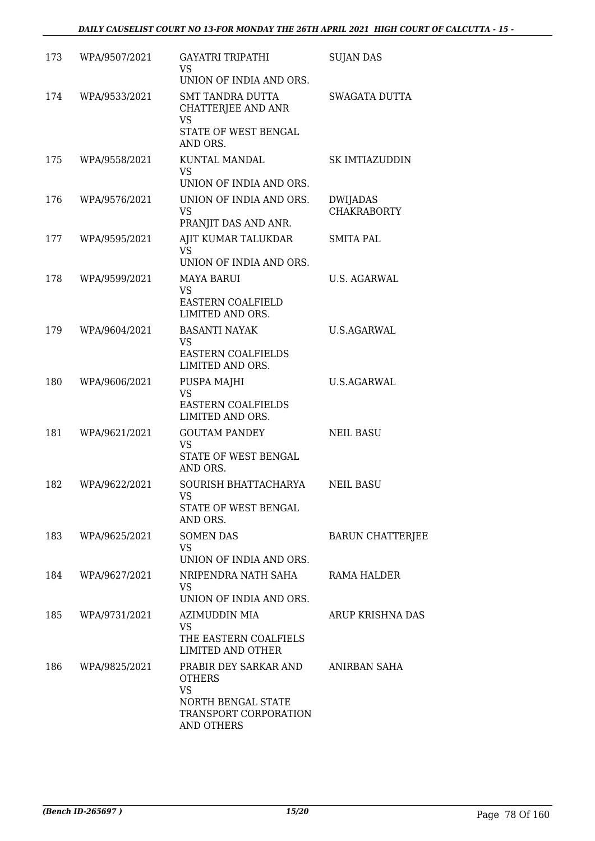| 173 | WPA/9507/2021 | <b>GAYATRI TRIPATHI</b><br>VS.<br>UNION OF INDIA AND ORS.                                                        | <b>SUJAN DAS</b>                      |
|-----|---------------|------------------------------------------------------------------------------------------------------------------|---------------------------------------|
| 174 | WPA/9533/2021 | <b>SMT TANDRA DUTTA</b><br>CHATTERJEE AND ANR<br>VS<br>STATE OF WEST BENGAL<br>AND ORS.                          | <b>SWAGATA DUTTA</b>                  |
| 175 | WPA/9558/2021 | KUNTAL MANDAL<br>VS.<br>UNION OF INDIA AND ORS.                                                                  | SK IMTIAZUDDIN                        |
| 176 | WPA/9576/2021 | UNION OF INDIA AND ORS.<br>VS<br>PRANJIT DAS AND ANR.                                                            | <b>DWIJADAS</b><br><b>CHAKRABORTY</b> |
| 177 | WPA/9595/2021 | AJIT KUMAR TALUKDAR<br><b>VS</b><br>UNION OF INDIA AND ORS.                                                      | <b>SMITA PAL</b>                      |
| 178 | WPA/9599/2021 | <b>MAYA BARUI</b><br>VS<br>EASTERN COALFIELD<br>LIMITED AND ORS.                                                 | U.S. AGARWAL                          |
| 179 | WPA/9604/2021 | <b>BASANTI NAYAK</b><br>VS.<br><b>EASTERN COALFIELDS</b><br>LIMITED AND ORS.                                     | U.S.AGARWAL                           |
| 180 | WPA/9606/2021 | PUSPA MAJHI<br><b>VS</b><br><b>EASTERN COALFIELDS</b><br>LIMITED AND ORS.                                        | U.S.AGARWAL                           |
| 181 | WPA/9621/2021 | <b>GOUTAM PANDEY</b><br><b>VS</b><br>STATE OF WEST BENGAL<br>AND ORS.                                            | <b>NEIL BASU</b>                      |
| 182 | WPA/9622/2021 | SOURISH BHATTACHARYA<br>VS<br>STATE OF WEST BENGAL<br>AND ORS.                                                   | <b>NEIL BASU</b>                      |
| 183 | WPA/9625/2021 | <b>SOMEN DAS</b><br><b>VS</b><br>UNION OF INDIA AND ORS.                                                         | <b>BARUN CHATTERJEE</b>               |
| 184 | WPA/9627/2021 | NRIPENDRA NATH SAHA<br>VS.<br>UNION OF INDIA AND ORS.                                                            | RAMA HALDER                           |
| 185 | WPA/9731/2021 | AZIMUDDIN MIA<br>VS<br>THE EASTERN COALFIELS<br><b>LIMITED AND OTHER</b>                                         | ARUP KRISHNA DAS                      |
| 186 | WPA/9825/2021 | PRABIR DEY SARKAR AND<br><b>OTHERS</b><br><b>VS</b><br>NORTH BENGAL STATE<br>TRANSPORT CORPORATION<br>AND OTHERS | ANIRBAN SAHA                          |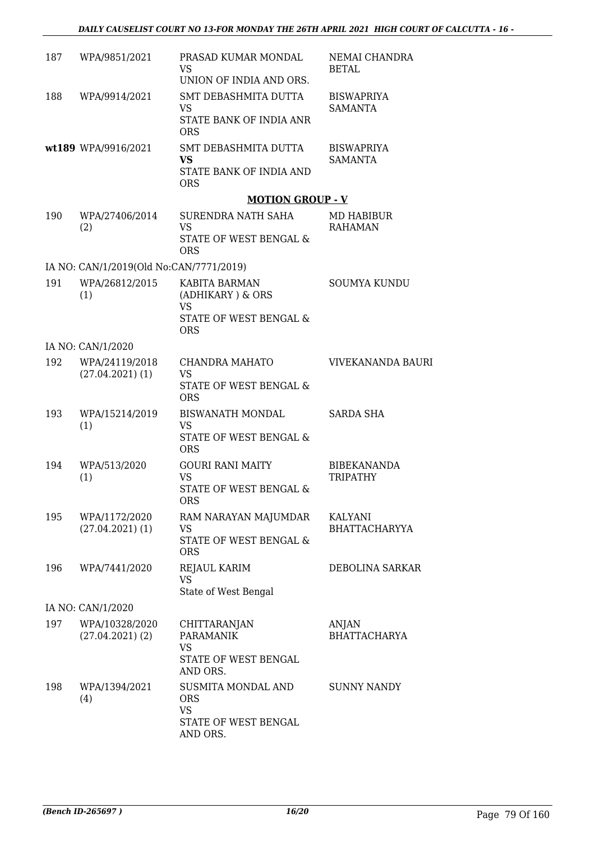| 187 | WPA/9851/2021                           | PRASAD KUMAR MONDAL<br>VS.<br>UNION OF INDIA AND ORS.                             | NEMAI CHANDRA<br><b>BETAL</b>       |
|-----|-----------------------------------------|-----------------------------------------------------------------------------------|-------------------------------------|
| 188 | WPA/9914/2021                           | SMT DEBASHMITA DUTTA<br>VS.<br>STATE BANK OF INDIA ANR<br><b>ORS</b>              | <b>BISWAPRIYA</b><br><b>SAMANTA</b> |
|     | wt189 WPA/9916/2021                     | SMT DEBASHMITA DUTTA<br><b>VS</b><br>STATE BANK OF INDIA AND<br><b>ORS</b>        | <b>BISWAPRIYA</b><br><b>SAMANTA</b> |
|     |                                         | <b>MOTION GROUP - V</b>                                                           |                                     |
| 190 | WPA/27406/2014<br>(2)                   | SURENDRA NATH SAHA<br><b>VS</b><br>STATE OF WEST BENGAL &<br><b>ORS</b>           | MD HABIBUR<br><b>RAHAMAN</b>        |
|     | IA NO: CAN/1/2019(Old No:CAN/7771/2019) |                                                                                   |                                     |
| 191 | WPA/26812/2015<br>(1)                   | KABITA BARMAN<br>(ADHIKARY ) $\&$ ORS<br><b>VS</b>                                | <b>SOUMYA KUNDU</b>                 |
|     |                                         | STATE OF WEST BENGAL &<br><b>ORS</b>                                              |                                     |
|     | IA NO: CAN/1/2020                       |                                                                                   |                                     |
| 192 | WPA/24119/2018<br>$(27.04.2021)$ (1)    | CHANDRA MAHATO<br><b>VS</b><br>STATE OF WEST BENGAL &<br><b>ORS</b>               | VIVEKANANDA BAURI                   |
| 193 | WPA/15214/2019<br>(1)                   | BISWANATH MONDAL<br><b>VS</b><br>STATE OF WEST BENGAL &<br><b>ORS</b>             | SARDA SHA                           |
| 194 | WPA/513/2020<br>(1)                     | <b>GOURI RANI MAITY</b><br><b>VS</b><br>STATE OF WEST BENGAL &<br>ORS             | <b>BIBEKANANDA</b><br>TRIPATHY      |
| 195 | WPA/1172/2020<br>$(27.04.2021)$ (1)     | RAM NARAYAN MAJUMDAR<br>VS<br>STATE OF WEST BENGAL &<br><b>ORS</b>                | KALYANI<br><b>BHATTACHARYYA</b>     |
| 196 | WPA/7441/2020                           | <b>REJAUL KARIM</b><br>VS<br>State of West Bengal                                 | DEBOLINA SARKAR                     |
|     | IA NO: CAN/1/2020                       |                                                                                   |                                     |
| 197 | WPA/10328/2020<br>$(27.04.2021)$ $(2)$  | CHITTARANJAN<br><b>PARAMANIK</b><br><b>VS</b><br>STATE OF WEST BENGAL<br>AND ORS. | <b>ANJAN</b><br><b>BHATTACHARYA</b> |
| 198 | WPA/1394/2021<br>(4)                    | SUSMITA MONDAL AND<br><b>ORS</b><br><b>VS</b><br>STATE OF WEST BENGAL<br>AND ORS. | <b>SUNNY NANDY</b>                  |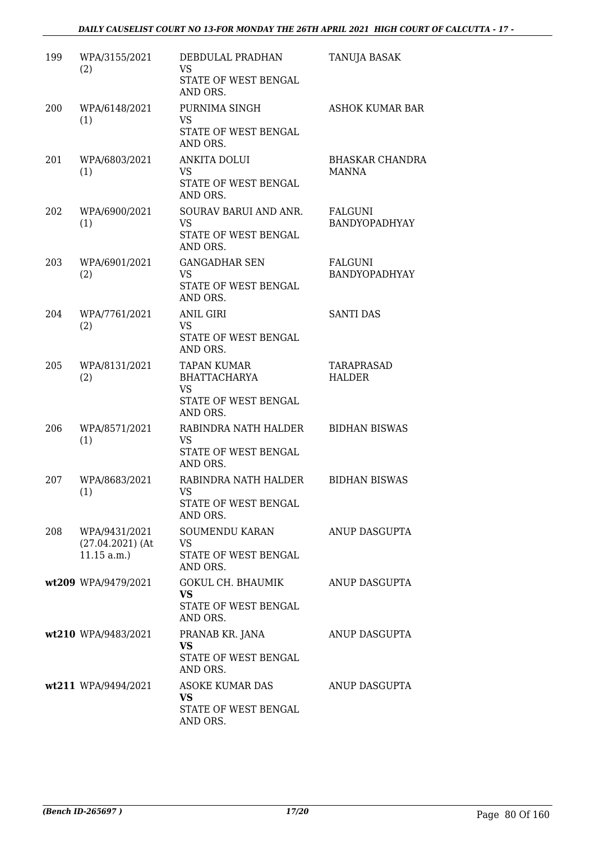| 199 | WPA/3155/2021<br>(2)                              | DEBDULAL PRADHAN<br><b>VS</b><br>STATE OF WEST BENGAL<br>AND ORS.                          | TANUJA BASAK                    |
|-----|---------------------------------------------------|--------------------------------------------------------------------------------------------|---------------------------------|
| 200 | WPA/6148/2021<br>(1)                              | PURNIMA SINGH<br><b>VS</b><br>STATE OF WEST BENGAL<br>AND ORS.                             | <b>ASHOK KUMAR BAR</b>          |
| 201 | WPA/6803/2021<br>(1)                              | <b>ANKITA DOLUI</b><br>VS.<br>STATE OF WEST BENGAL<br>AND ORS.                             | <b>BHASKAR CHANDRA</b><br>MANNA |
| 202 | WPA/6900/2021<br>(1)                              | SOURAV BARUI AND ANR.<br><b>VS</b><br>STATE OF WEST BENGAL<br>AND ORS.                     | FALGUNI<br>BANDYOPADHYAY        |
| 203 | WPA/6901/2021<br>(2)                              | <b>GANGADHAR SEN</b><br><b>VS</b><br>STATE OF WEST BENGAL<br>AND ORS.                      | FALGUNI<br>BANDYOPADHYAY        |
| 204 | WPA/7761/2021<br>(2)                              | <b>ANIL GIRI</b><br><b>VS</b><br>STATE OF WEST BENGAL<br>AND ORS.                          | <b>SANTI DAS</b>                |
| 205 | WPA/8131/2021<br>(2)                              | <b>TAPAN KUMAR</b><br><b>BHATTACHARYA</b><br><b>VS</b><br>STATE OF WEST BENGAL<br>AND ORS. | TARAPRASAD<br><b>HALDER</b>     |
| 206 | WPA/8571/2021<br>(1)                              | RABINDRA NATH HALDER<br><b>VS</b><br>STATE OF WEST BENGAL<br>AND ORS.                      | <b>BIDHAN BISWAS</b>            |
| 207 | WPA/8683/2021<br>(1)                              | RABINDRA NATH HALDER<br><b>VS</b><br>STATE OF WEST BENGAL<br>AND ORS.                      | <b>BIDHAN BISWAS</b>            |
| 208 | WPA/9431/2021<br>$(27.04.2021)$ (At<br>11.15 a.m. | SOUMENDU KARAN<br>VS<br>STATE OF WEST BENGAL<br>AND ORS.                                   | ANUP DASGUPTA                   |
|     | wt209 WPA/9479/2021                               | GOKUL CH. BHAUMIK<br><b>VS</b><br>STATE OF WEST BENGAL<br>AND ORS.                         | ANUP DASGUPTA                   |
|     | wt210 WPA/9483/2021                               | PRANAB KR. JANA<br><b>VS</b><br>STATE OF WEST BENGAL<br>AND ORS.                           | ANUP DASGUPTA                   |
|     | wt211 WPA/9494/2021                               | ASOKE KUMAR DAS<br>VS<br>STATE OF WEST BENGAL<br>AND ORS.                                  | ANUP DASGUPTA                   |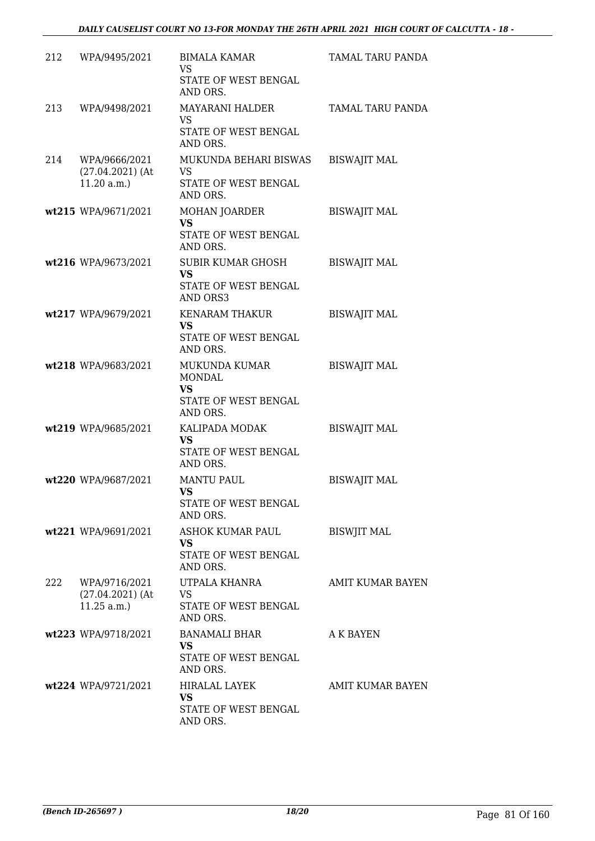| 212 | WPA/9495/2021                                     | <b>BIMALA KAMAR</b><br>VS<br>STATE OF WEST BENGAL<br>AND ORS.                   | TAMAL TARU PANDA    |
|-----|---------------------------------------------------|---------------------------------------------------------------------------------|---------------------|
| 213 | WPA/9498/2021                                     | <b>MAYARANI HALDER</b><br>VS<br>STATE OF WEST BENGAL<br>AND ORS.                | TAMAL TARU PANDA    |
| 214 | WPA/9666/2021<br>$(27.04.2021)$ (At<br>11.20 a.m. | MUKUNDA BEHARI BISWAS<br><b>VS</b><br>STATE OF WEST BENGAL<br>AND ORS.          | <b>BISWAJIT MAL</b> |
|     | wt215 WPA/9671/2021                               | <b>MOHAN JOARDER</b><br><b>VS</b><br>STATE OF WEST BENGAL<br>AND ORS.           | <b>BISWAJIT MAL</b> |
|     | wt216 WPA/9673/2021                               | SUBIR KUMAR GHOSH<br><b>VS</b><br>STATE OF WEST BENGAL<br>AND ORS3              | <b>BISWAJIT MAL</b> |
|     | wt217 WPA/9679/2021                               | KENARAM THAKUR<br><b>VS</b><br>STATE OF WEST BENGAL<br>AND ORS.                 | <b>BISWAJIT MAL</b> |
|     | wt218 WPA/9683/2021                               | MUKUNDA KUMAR<br><b>MONDAL</b><br><b>VS</b><br>STATE OF WEST BENGAL<br>AND ORS. | <b>BISWAJIT MAL</b> |
|     | wt219 WPA/9685/2021                               | KALIPADA MODAK<br><b>VS</b><br>STATE OF WEST BENGAL<br>AND ORS.                 | <b>BISWAJIT MAL</b> |
|     | wt220 WPA/9687/2021                               | <b>MANTU PAUL</b><br>VS<br>STATE OF WEST BENGAL<br>AND ORS.                     | <b>BISWAJIT MAL</b> |
|     | wt221 WPA/9691/2021                               | ASHOK KUMAR PAUL<br><b>VS</b><br>STATE OF WEST BENGAL<br>AND ORS.               | <b>BISWJIT MAL</b>  |
| 222 | WPA/9716/2021<br>$(27.04.2021)$ (At<br>11.25 a.m. | UTPALA KHANRA<br>VS.<br>STATE OF WEST BENGAL<br>AND ORS.                        | AMIT KUMAR BAYEN    |
|     | wt223 WPA/9718/2021                               | <b>BANAMALI BHAR</b><br><b>VS</b><br>STATE OF WEST BENGAL<br>AND ORS.           | A K BAYEN           |
|     | wt224 WPA/9721/2021                               | <b>HIRALAL LAYEK</b><br><b>VS</b><br>STATE OF WEST BENGAL<br>AND ORS.           | AMIT KUMAR BAYEN    |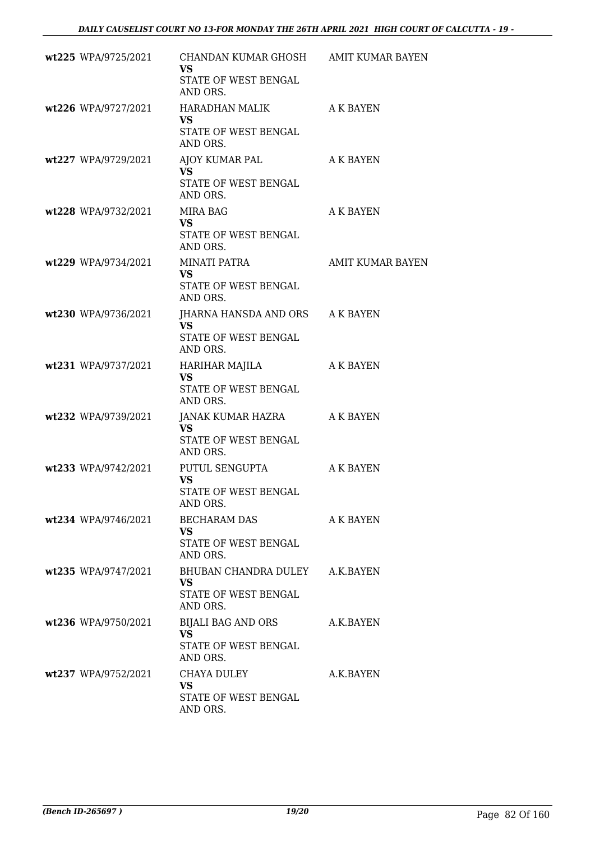| wt225 WPA/9725/2021   | CHANDAN KUMAR GHOSH AMIT KUMAR BAYEN<br><b>VS</b><br>STATE OF WEST BENGAL<br>AND ORS. |                         |
|-----------------------|---------------------------------------------------------------------------------------|-------------------------|
| wt226 WPA/9727/2021   | HARADHAN MALIK<br><b>VS</b><br>STATE OF WEST BENGAL<br>AND ORS.                       | A K BAYEN               |
| wt227 WPA/9729/2021   | AJOY KUMAR PAL<br><b>VS</b><br>STATE OF WEST BENGAL<br>AND ORS.                       | A K BAYEN               |
| wt228 WPA/9732/2021   | MIRA BAG<br>VS.<br>STATE OF WEST BENGAL<br>AND ORS.                                   | A K BAYEN               |
| wt229 WPA/9734/2021   | MINATI PATRA<br>VS<br>STATE OF WEST BENGAL<br>AND ORS.                                | <b>AMIT KUMAR BAYEN</b> |
| wt230 WPA/9736/2021   | JHARNA HANSDA AND ORS A K BAYEN<br><b>VS</b><br>STATE OF WEST BENGAL<br>AND ORS.      |                         |
| wt231 WPA/9737/2021   | HARIHAR MAJILA<br><b>VS</b><br>STATE OF WEST BENGAL<br>AND ORS.                       | A K BAYEN               |
| wt232 WPA/9739/2021   | JANAK KUMAR HAZRA<br><b>VS</b><br>STATE OF WEST BENGAL<br>AND ORS.                    | A K BAYEN               |
| wt233 WPA/9742/2021   | PUTUL SENGUPTA<br><b>VS</b><br>STATE OF WEST BENGAL<br>AND ORS.                       | A K BAYEN               |
| wt234 WPA/9746/2021   | BECHARAM DAS<br>VS.<br>STATE OF WEST BENGAL<br>AND ORS.                               | A K BAYEN               |
| wt235 WPA/9747/2021   | BHUBAN CHANDRA DULEY A.K.BAYEN<br>VS.<br>STATE OF WEST BENGAL<br>AND ORS.             |                         |
| wt236 WPA/9750/2021   | BIJALI BAG AND ORS<br><b>VS</b><br>STATE OF WEST BENGAL<br>AND ORS.                   | A.K.BAYEN               |
| $wt237$ WPA/9752/2021 | CHAYA DULEY<br><b>VS</b><br>STATE OF WEST BENGAL<br>AND ORS.                          | A.K.BAYEN               |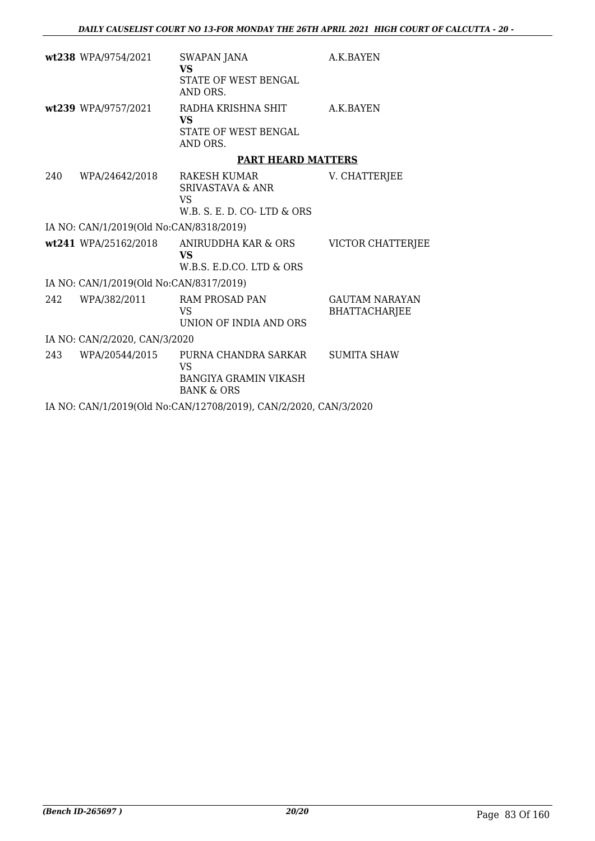|     | wt238 WPA/9754/2021                     | <b>SWAPAN JANA</b><br><b>VS</b><br>STATE OF WEST BENGAL<br>AND ORS.                 | A.K.BAYEN                                     |
|-----|-----------------------------------------|-------------------------------------------------------------------------------------|-----------------------------------------------|
|     | wt239 WPA/9757/2021                     | RADHA KRISHNA SHIT<br><b>VS</b><br>STATE OF WEST BENGAL<br>AND ORS.                 | A.K.BAYEN                                     |
|     |                                         | <b>PART HEARD MATTERS</b>                                                           |                                               |
| 240 | WPA/24642/2018                          | RAKESH KUMAR<br><b>SRIVASTAVA &amp; ANR</b><br>VS.<br>W.B. S. E. D. CO-LTD & ORS    | V. CHATTERJEE                                 |
|     | IA NO: CAN/1/2019(Old No:CAN/8318/2019) |                                                                                     |                                               |
|     | wt241 WPA/25162/2018                    | ANIRUDDHA KAR & ORS<br><b>VS</b><br>W.B.S. E.D.CO. LTD & ORS                        | VICTOR CHATTERJEE                             |
|     | IA NO: CAN/1/2019(Old No:CAN/8317/2019) |                                                                                     |                                               |
| 242 | WPA/382/2011                            | <b>RAM PROSAD PAN</b><br><b>VS</b><br>UNION OF INDIA AND ORS                        | <b>GAUTAM NARAYAN</b><br><b>BHATTACHARJEE</b> |
|     | IA NO: CAN/2/2020, CAN/3/2020           |                                                                                     |                                               |
| 243 | WPA/20544/2015                          | PURNA CHANDRA SARKAR<br>VS<br><b>BANGIYA GRAMIN VIKASH</b><br><b>BANK &amp; ORS</b> | <b>SUMITA SHAW</b>                            |
|     |                                         | IA NO: CAN/1/2019(Old No:CAN/12708/2019), CAN/2/2020, CAN/3/2020                    |                                               |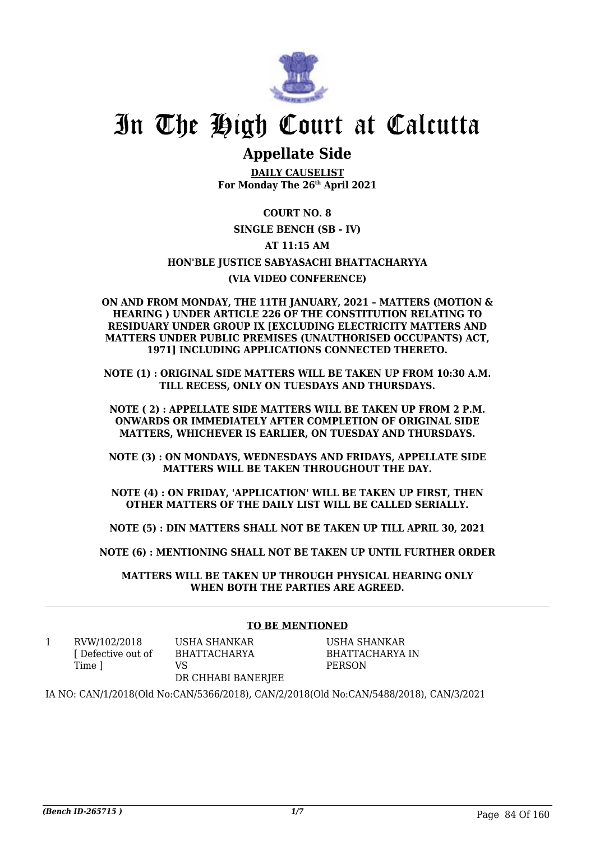

# In The High Court at Calcutta

## **Appellate Side**

**DAILY CAUSELIST For Monday The 26th April 2021**

## **COURT NO. 8**

## **SINGLE BENCH (SB - IV)**

## **AT 11:15 AM**

## **HON'BLE JUSTICE SABYASACHI BHATTACHARYYA**

## **(VIA VIDEO CONFERENCE)**

#### **ON AND FROM MONDAY, THE 11TH JANUARY, 2021 – MATTERS (MOTION & HEARING ) UNDER ARTICLE 226 OF THE CONSTITUTION RELATING TO RESIDUARY UNDER GROUP IX [EXCLUDING ELECTRICITY MATTERS AND MATTERS UNDER PUBLIC PREMISES (UNAUTHORISED OCCUPANTS) ACT, 1971] INCLUDING APPLICATIONS CONNECTED THERETO.**

**NOTE (1) : ORIGINAL SIDE MATTERS WILL BE TAKEN UP FROM 10:30 A.M. TILL RECESS, ONLY ON TUESDAYS AND THURSDAYS.**

**NOTE ( 2) : APPELLATE SIDE MATTERS WILL BE TAKEN UP FROM 2 P.M. ONWARDS OR IMMEDIATELY AFTER COMPLETION OF ORIGINAL SIDE MATTERS, WHICHEVER IS EARLIER, ON TUESDAY AND THURSDAYS.**

**NOTE (3) : ON MONDAYS, WEDNESDAYS AND FRIDAYS, APPELLATE SIDE MATTERS WILL BE TAKEN THROUGHOUT THE DAY.**

**NOTE (4) : ON FRIDAY, 'APPLICATION' WILL BE TAKEN UP FIRST, THEN OTHER MATTERS OF THE DAILY LIST WILL BE CALLED SERIALLY.**

**NOTE (5) : DIN MATTERS SHALL NOT BE TAKEN UP TILL APRIL 30, 2021**

**NOTE (6) : MENTIONING SHALL NOT BE TAKEN UP UNTIL FURTHER ORDER**

**MATTERS WILL BE TAKEN UP THROUGH PHYSICAL HEARING ONLY WHEN BOTH THE PARTIES ARE AGREED.**

## **TO BE MENTIONED**

1 RVW/102/2018 [ Defective out of Time ]

USHA SHANKAR BHATTACHARYA  $V<sub>S</sub>$ 

USHA SHANKAR BHATTACHARYA IN PERSON

### DR CHHABI BANERJEE

IA NO: CAN/1/2018(Old No:CAN/5366/2018), CAN/2/2018(Old No:CAN/5488/2018), CAN/3/2021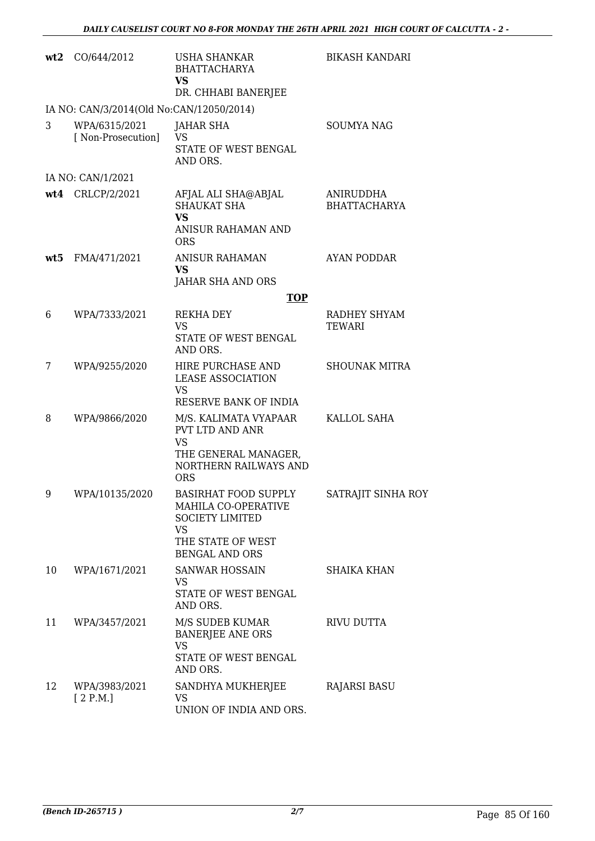| wt2 | CO/644/2012                              | <b>USHA SHANKAR</b><br><b>BHATTACHARYA</b><br><b>VS</b><br>DR. CHHABI BANERJEE                                                   | <b>BIKASH KANDARI</b>            |
|-----|------------------------------------------|----------------------------------------------------------------------------------------------------------------------------------|----------------------------------|
|     | IA NO: CAN/3/2014(Old No:CAN/12050/2014) |                                                                                                                                  |                                  |
| 3   | WPA/6315/2021<br>[ Non-Prosecution]      | <b>JAHAR SHA</b><br><b>VS</b><br>STATE OF WEST BENGAL<br>AND ORS.                                                                | <b>SOUMYA NAG</b>                |
|     | IA NO: CAN/1/2021                        |                                                                                                                                  |                                  |
|     | wt4 CRLCP/2/2021                         | AFJAL ALI SHA@ABJAL<br><b>SHAUKAT SHA</b><br><b>VS</b><br><b>ANISUR RAHAMAN AND</b><br><b>ORS</b>                                | ANIRUDDHA<br><b>BHATTACHARYA</b> |
| wt5 | FMA/471/2021                             | <b>ANISUR RAHAMAN</b><br><b>VS</b><br>JAHAR SHA AND ORS                                                                          | AYAN PODDAR                      |
|     |                                          | <b>TOP</b>                                                                                                                       |                                  |
| 6   | WPA/7333/2021                            | REKHA DEY<br><b>VS</b><br>STATE OF WEST BENGAL<br>AND ORS.                                                                       | RADHEY SHYAM<br><b>TEWARI</b>    |
| 7   | WPA/9255/2020                            | HIRE PURCHASE AND<br><b>LEASE ASSOCIATION</b><br><b>VS</b><br>RESERVE BANK OF INDIA                                              | <b>SHOUNAK MITRA</b>             |
| 8   | WPA/9866/2020                            | M/S. KALIMATA VYAPAAR<br>PVT LTD AND ANR<br><b>VS</b><br>THE GENERAL MANAGER,<br>NORTHERN RAILWAYS AND<br><b>ORS</b>             | KALLOL SAHA                      |
| 9   | WPA/10135/2020                           | BASIRHAT FOOD SUPPLY<br>MAHILA CO-OPERATIVE<br><b>SOCIETY LIMITED</b><br><b>VS</b><br>THE STATE OF WEST<br><b>BENGAL AND ORS</b> | SATRAJIT SINHA ROY               |
| 10  | WPA/1671/2021                            | <b>SANWAR HOSSAIN</b><br>VS.<br>STATE OF WEST BENGAL<br>AND ORS.                                                                 | <b>SHAIKA KHAN</b>               |
| 11  | WPA/3457/2021                            | M/S SUDEB KUMAR<br><b>BANERJEE ANE ORS</b><br><b>VS</b><br>STATE OF WEST BENGAL<br>AND ORS.                                      | RIVU DUTTA                       |
| 12  | WPA/3983/2021<br>[2 P.M.]                | SANDHYA MUKHERJEE<br>VS<br>UNION OF INDIA AND ORS.                                                                               | <b>RAJARSI BASU</b>              |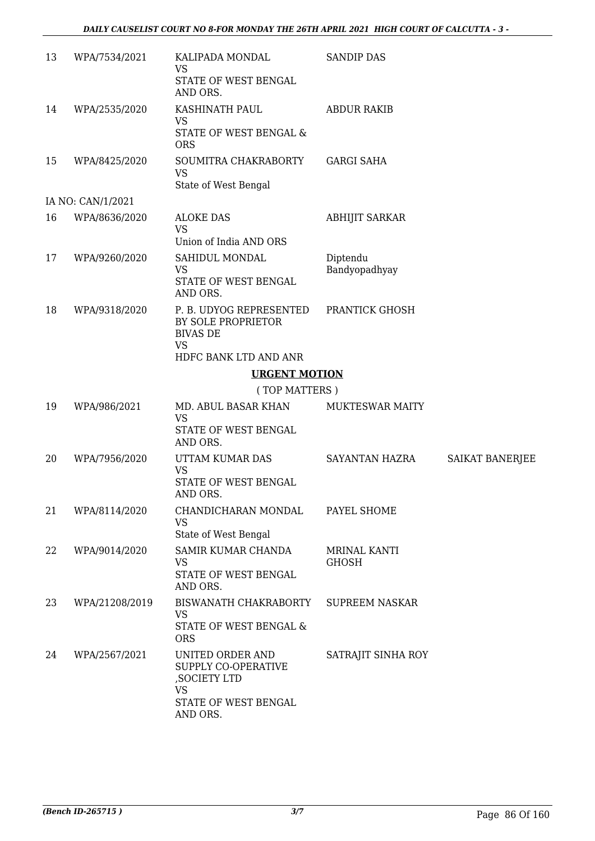| 13 | WPA/7534/2021     | KALIPADA MONDAL<br><b>VS</b><br>STATE OF WEST BENGAL<br>AND ORS.                              | <b>SANDIP DAS</b>            |                        |
|----|-------------------|-----------------------------------------------------------------------------------------------|------------------------------|------------------------|
| 14 | WPA/2535/2020     | KASHINATH PAUL<br><b>VS</b>                                                                   | <b>ABDUR RAKIB</b>           |                        |
|    |                   | STATE OF WEST BENGAL &<br><b>ORS</b>                                                          |                              |                        |
| 15 | WPA/8425/2020     | SOUMITRA CHAKRABORTY<br><b>VS</b><br>State of West Bengal                                     | <b>GARGI SAHA</b>            |                        |
|    | IA NO: CAN/1/2021 |                                                                                               |                              |                        |
| 16 | WPA/8636/2020     | <b>ALOKE DAS</b>                                                                              | <b>ABHIJIT SARKAR</b>        |                        |
|    |                   | <b>VS</b><br>Union of India AND ORS                                                           |                              |                        |
| 17 | WPA/9260/2020     | SAHIDUL MONDAL                                                                                | Diptendu                     |                        |
|    |                   | VS<br>STATE OF WEST BENGAL<br>AND ORS.                                                        | Bandyopadhyay                |                        |
| 18 | WPA/9318/2020     | P. B. UDYOG REPRESENTED<br>BY SOLE PROPRIETOR<br><b>BIVAS DE</b><br><b>VS</b>                 | PRANTICK GHOSH               |                        |
|    |                   | HDFC BANK LTD AND ANR                                                                         |                              |                        |
|    |                   | <b>URGENT MOTION</b>                                                                          |                              |                        |
|    |                   | (TOP MATTERS)                                                                                 |                              |                        |
| 19 | WPA/986/2021      | MD. ABUL BASAR KHAN<br><b>VS</b><br>STATE OF WEST BENGAL<br>AND ORS.                          | <b>MUKTESWAR MAITY</b>       |                        |
| 20 | WPA/7956/2020     | UTTAM KUMAR DAS<br><b>VS</b><br>STATE OF WEST BENGAL<br>AND ORS.                              | SAYANTAN HAZRA               | <b>SAIKAT BANERJEE</b> |
| 21 | WPA/8114/2020     | CHANDICHARAN MONDAL<br><b>VS</b>                                                              | PAYEL SHOME                  |                        |
|    |                   | State of West Bengal                                                                          |                              |                        |
| 22 | WPA/9014/2020     | SAMIR KUMAR CHANDA<br><b>VS</b>                                                               | MRINAL KANTI<br><b>GHOSH</b> |                        |
|    |                   | STATE OF WEST BENGAL<br>AND ORS.                                                              |                              |                        |
| 23 | WPA/21208/2019    | BISWANATH CHAKRABORTY<br><b>VS</b><br>STATE OF WEST BENGAL &<br><b>ORS</b>                    | <b>SUPREEM NASKAR</b>        |                        |
| 24 | WPA/2567/2021     | UNITED ORDER AND<br>SUPPLY CO-OPERATIVE<br>, SOCIETY LTD<br><b>VS</b><br>STATE OF WEST BENGAL | SATRAJIT SINHA ROY           |                        |
|    |                   | AND ORS.                                                                                      |                              |                        |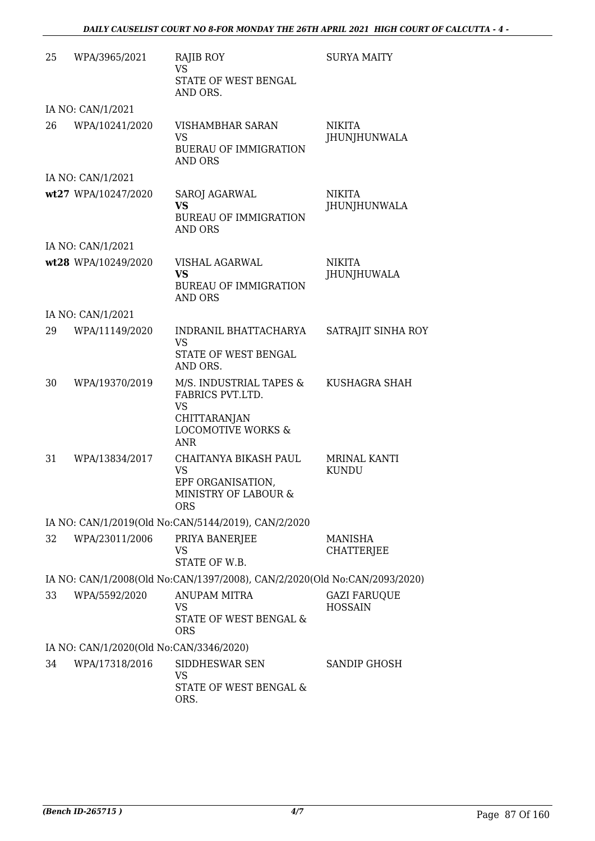| 25 | WPA/3965/2021                           | RAJIB ROY<br><b>VS</b><br>STATE OF WEST BENGAL<br>AND ORS.                                                       | <b>SURYA MAITY</b>                    |
|----|-----------------------------------------|------------------------------------------------------------------------------------------------------------------|---------------------------------------|
|    | IA NO: CAN/1/2021                       |                                                                                                                  |                                       |
| 26 | WPA/10241/2020                          | <b>VISHAMBHAR SARAN</b><br><b>VS</b><br><b>BUERAU OF IMMIGRATION</b><br><b>AND ORS</b>                           | <b>NIKITA</b><br>JHUNJHUNWALA         |
|    | IA NO: CAN/1/2021                       |                                                                                                                  |                                       |
|    | wt27 WPA/10247/2020                     | <b>SAROJ AGARWAL</b><br>VS<br><b>BUREAU OF IMMIGRATION</b><br><b>AND ORS</b>                                     | <b>NIKITA</b><br>JHUNJHUNWALA         |
|    | IA NO: CAN/1/2021                       |                                                                                                                  |                                       |
|    | wt28 WPA/10249/2020                     | VISHAL AGARWAL<br><b>VS</b><br><b>BUREAU OF IMMIGRATION</b><br><b>AND ORS</b>                                    | <b>NIKITA</b><br><b>JHUNJHUWALA</b>   |
|    | IA NO: CAN/1/2021                       |                                                                                                                  |                                       |
| 29 | WPA/11149/2020                          | INDRANIL BHATTACHARYA<br><b>VS</b><br>STATE OF WEST BENGAL<br>AND ORS.                                           | SATRAJIT SINHA ROY                    |
| 30 | WPA/19370/2019                          | M/S. INDUSTRIAL TAPES &<br>FABRICS PVT.LTD.<br>VS<br>CHITTARANJAN<br><b>LOCOMOTIVE WORKS &amp;</b><br><b>ANR</b> | KUSHAGRA SHAH                         |
| 31 | WPA/13834/2017                          | CHAITANYA BIKASH PAUL<br><b>VS</b><br>EPF ORGANISATION,<br>MINISTRY OF LABOUR &<br>ORS.                          | <b>MRINAL KANTI</b><br><b>KUNDU</b>   |
|    |                                         | IA NO: CAN/1/2019(Old No:CAN/5144/2019), CAN/2/2020                                                              |                                       |
| 32 | WPA/23011/2006                          | PRIYA BANERJEE<br>VS<br>STATE OF W.B.                                                                            | MANISHA<br>CHATTERJEE                 |
|    |                                         | IA NO: CAN/1/2008(Old No:CAN/1397/2008), CAN/2/2020(Old No:CAN/2093/2020)                                        |                                       |
| 33 | WPA/5592/2020                           | <b>ANUPAM MITRA</b><br>VS<br>STATE OF WEST BENGAL &<br><b>ORS</b>                                                | <b>GAZI FARUQUE</b><br><b>HOSSAIN</b> |
|    | IA NO: CAN/1/2020(Old No:CAN/3346/2020) |                                                                                                                  |                                       |
| 34 | WPA/17318/2016                          | SIDDHESWAR SEN<br><b>VS</b><br>STATE OF WEST BENGAL &<br>ORS.                                                    | SANDIP GHOSH                          |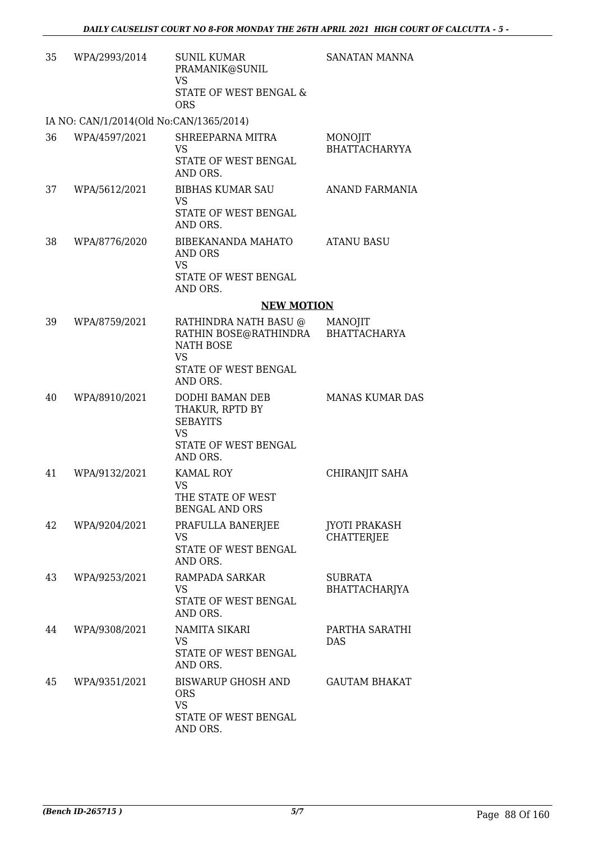| 35 | WPA/2993/2014                           | <b>SUNIL KUMAR</b><br>PRAMANIK@SUNIL<br><b>VS</b><br>STATE OF WEST BENGAL &<br><b>ORS</b>                           | <b>SANATAN MANNA</b>                      |
|----|-----------------------------------------|---------------------------------------------------------------------------------------------------------------------|-------------------------------------------|
|    | IA NO: CAN/1/2014(Old No:CAN/1365/2014) |                                                                                                                     |                                           |
| 36 | WPA/4597/2021                           | SHREEPARNA MITRA<br>VS<br>STATE OF WEST BENGAL<br>AND ORS.                                                          | MONOJIT<br><b>BHATTACHARYYA</b>           |
| 37 | WPA/5612/2021                           | <b>BIBHAS KUMAR SAU</b><br>VS<br>STATE OF WEST BENGAL<br>AND ORS.                                                   | ANAND FARMANIA                            |
| 38 | WPA/8776/2020                           | BIBEKANANDA MAHATO<br>AND ORS<br><b>VS</b><br>STATE OF WEST BENGAL<br>AND ORS.                                      | <b>ATANU BASU</b>                         |
|    |                                         | <b>NEW MOTION</b>                                                                                                   |                                           |
| 39 | WPA/8759/2021                           | RATHINDRA NATH BASU @<br>RATHIN BOSE@RATHINDRA<br><b>NATH BOSE</b><br><b>VS</b><br>STATE OF WEST BENGAL<br>AND ORS. | MANOJIT<br><b>BHATTACHARYA</b>            |
| 40 | WPA/8910/2021                           | DODHI BAMAN DEB<br>THAKUR, RPTD BY<br><b>SEBAYITS</b><br><b>VS</b><br>STATE OF WEST BENGAL<br>AND ORS.              | <b>MANAS KUMAR DAS</b>                    |
| 41 | WPA/9132/2021                           | <b>KAMAL ROY</b><br><b>VS</b><br>THE STATE OF WEST<br><b>BENGAL AND ORS</b>                                         | CHIRANJIT SAHA                            |
| 42 | WPA/9204/2021                           | PRAFULLA BANERJEE<br>VS<br>STATE OF WEST BENGAL<br>AND ORS.                                                         | <b>JYOTI PRAKASH</b><br><b>CHATTERJEE</b> |
| 43 | WPA/9253/2021                           | RAMPADA SARKAR<br>VS<br>STATE OF WEST BENGAL<br>AND ORS.                                                            | <b>SUBRATA</b><br>BHATTACHARJYA           |
| 44 | WPA/9308/2021                           | NAMITA SIKARI<br>VS.<br>STATE OF WEST BENGAL<br>AND ORS.                                                            | PARTHA SARATHI<br><b>DAS</b>              |
| 45 | WPA/9351/2021                           | <b>BISWARUP GHOSH AND</b><br><b>ORS</b><br><b>VS</b><br>STATE OF WEST BENGAL<br>AND ORS.                            | <b>GAUTAM BHAKAT</b>                      |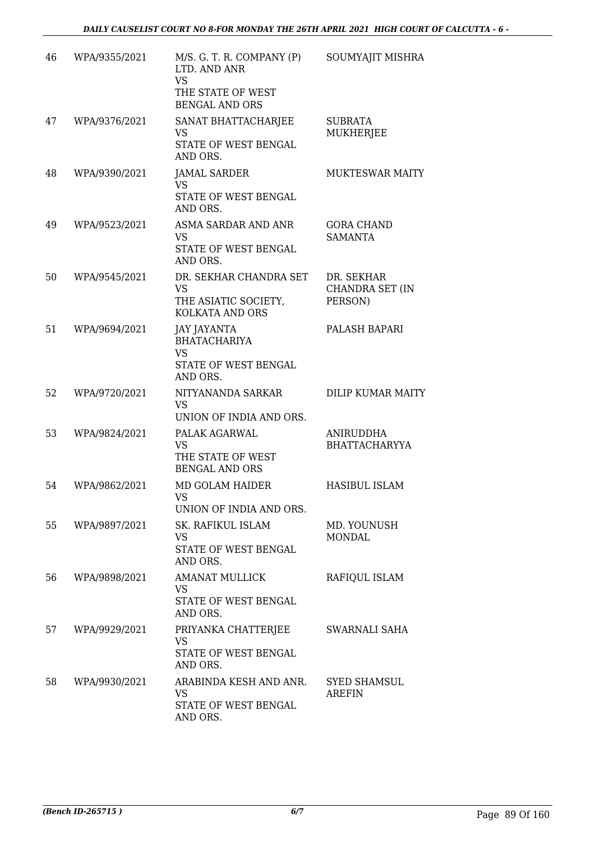| 46 | WPA/9355/2021 | M/S. G. T. R. COMPANY (P)<br>LTD. AND ANR<br>VS<br>THE STATE OF WEST<br><b>BENGAL AND ORS</b> | SOUMYAJIT MISHRA                         |
|----|---------------|-----------------------------------------------------------------------------------------------|------------------------------------------|
| 47 | WPA/9376/2021 | SANAT BHATTACHARJEE<br>VS<br>STATE OF WEST BENGAL<br>AND ORS.                                 | <b>SUBRATA</b><br><b>MUKHERJEE</b>       |
| 48 | WPA/9390/2021 | <b>JAMAL SARDER</b><br><b>VS</b><br>STATE OF WEST BENGAL<br>AND ORS.                          | <b>MUKTESWAR MAITY</b>                   |
| 49 | WPA/9523/2021 | ASMA SARDAR AND ANR<br><b>VS</b><br>STATE OF WEST BENGAL<br>AND ORS.                          | <b>GORA CHAND</b><br><b>SAMANTA</b>      |
| 50 | WPA/9545/2021 | DR. SEKHAR CHANDRA SET<br>VS<br>THE ASIATIC SOCIETY,<br>KOLKATA AND ORS                       | DR. SEKHAR<br>CHANDRA SET (IN<br>PERSON) |
| 51 | WPA/9694/2021 | JAY JAYANTA<br><b>BHATACHARIYA</b><br><b>VS</b><br>STATE OF WEST BENGAL<br>AND ORS.           | PALASH BAPARI                            |
| 52 | WPA/9720/2021 | NITYANANDA SARKAR<br><b>VS</b><br>UNION OF INDIA AND ORS.                                     | <b>DILIP KUMAR MAITY</b>                 |
| 53 | WPA/9824/2021 | PALAK AGARWAL<br><b>VS</b><br>THE STATE OF WEST<br><b>BENGAL AND ORS</b>                      | <b>ANIRUDDHA</b><br><b>BHATTACHARYYA</b> |
| 54 | WPA/9862/2021 | MD GOLAM HAIDER<br>VS FOR STRUMP.<br>UNION OF INDIA AND ORS.                                  | <b>HASIBUL ISLAM</b>                     |
| 55 | WPA/9897/2021 | SK. RAFIKUL ISLAM<br><b>VS</b><br>STATE OF WEST BENGAL<br>AND ORS.                            | MD. YOUNUSH<br><b>MONDAL</b>             |
| 56 | WPA/9898/2021 | <b>AMANAT MULLICK</b><br><b>VS</b><br>STATE OF WEST BENGAL<br>AND ORS.                        | RAFIQUL ISLAM                            |
| 57 | WPA/9929/2021 | PRIYANKA CHATTERJEE<br>VS<br>STATE OF WEST BENGAL<br>AND ORS.                                 | SWARNALI SAHA                            |
| 58 | WPA/9930/2021 | ARABINDA KESH AND ANR.<br>VS<br>STATE OF WEST BENGAL<br>AND ORS.                              | <b>SYED SHAMSUL</b><br>AREFIN            |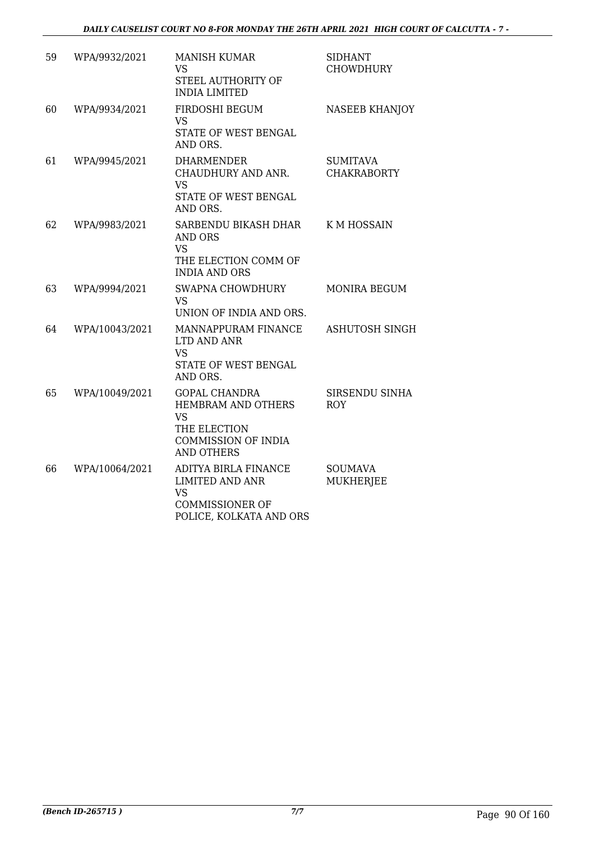| 59 | WPA/9932/2021  | <b>MANISH KUMAR</b><br><b>VS</b><br>STEEL AUTHORITY OF<br><b>INDIA LIMITED</b>                                                    | <b>SIDHANT</b><br><b>CHOWDHURY</b>    |
|----|----------------|-----------------------------------------------------------------------------------------------------------------------------------|---------------------------------------|
| 60 | WPA/9934/2021  | FIRDOSHI BEGUM<br>VS<br>STATE OF WEST BENGAL<br>AND ORS.                                                                          | <b>NASEEB KHANJOY</b>                 |
| 61 | WPA/9945/2021  | <b>DHARMENDER</b><br>CHAUDHURY AND ANR.<br><b>VS</b><br>STATE OF WEST BENGAL<br>AND ORS.                                          | <b>SUMITAVA</b><br><b>CHAKRABORTY</b> |
| 62 | WPA/9983/2021  | SARBENDU BIKASH DHAR<br><b>AND ORS</b><br><b>VS</b><br>THE ELECTION COMM OF<br><b>INDIA AND ORS</b>                               | K M HOSSAIN                           |
| 63 | WPA/9994/2021  | SWAPNA CHOWDHURY<br><b>VS</b><br>UNION OF INDIA AND ORS.                                                                          | <b>MONIRA BEGUM</b>                   |
| 64 | WPA/10043/2021 | MANNAPPURAM FINANCE<br>LTD AND ANR<br><b>VS</b><br>STATE OF WEST BENGAL<br>AND ORS.                                               | <b>ASHUTOSH SINGH</b>                 |
| 65 | WPA/10049/2021 | <b>GOPAL CHANDRA</b><br><b>HEMBRAM AND OTHERS</b><br><b>VS</b><br>THE ELECTION<br><b>COMMISSION OF INDIA</b><br><b>AND OTHERS</b> | SIRSENDU SINHA<br><b>ROY</b>          |
| 66 | WPA/10064/2021 | ADITYA BIRLA FINANCE<br><b>LIMITED AND ANR</b><br><b>VS</b><br><b>COMMISSIONER OF</b><br>POLICE, KOLKATA AND ORS                  | <b>SOUMAVA</b><br><b>MUKHERJEE</b>    |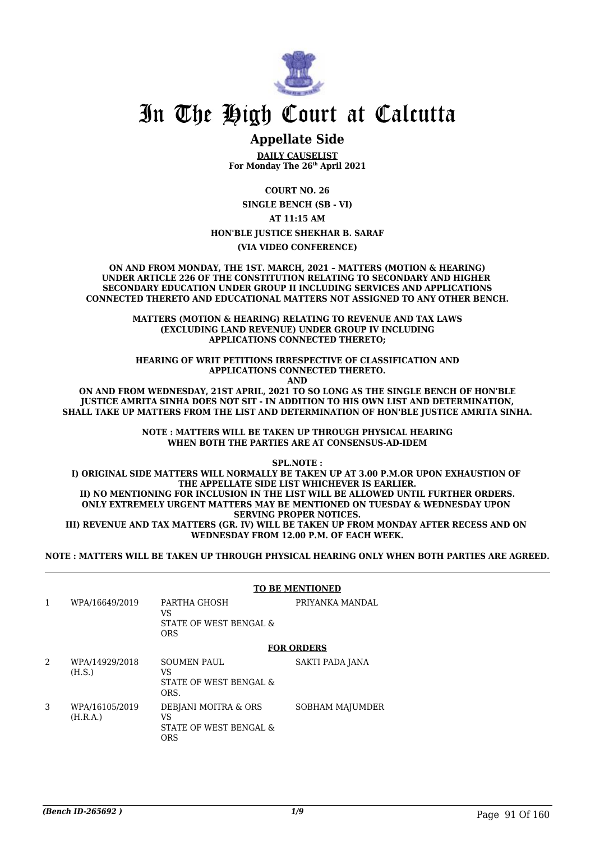

## In The High Court at Calcutta

## **Appellate Side**

**DAILY CAUSELIST For Monday The 26th April 2021**

**COURT NO. 26**

**SINGLE BENCH (SB - VI)**

**AT 11:15 AM**

**HON'BLE JUSTICE SHEKHAR B. SARAF**

**(VIA VIDEO CONFERENCE)**

**ON AND FROM MONDAY, THE 1ST. MARCH, 2021 – MATTERS (MOTION & HEARING) UNDER ARTICLE 226 OF THE CONSTITUTION RELATING TO SECONDARY AND HIGHER SECONDARY EDUCATION UNDER GROUP II INCLUDING SERVICES AND APPLICATIONS CONNECTED THERETO AND EDUCATIONAL MATTERS NOT ASSIGNED TO ANY OTHER BENCH.**

> **MATTERS (MOTION & HEARING) RELATING TO REVENUE AND TAX LAWS (EXCLUDING LAND REVENUE) UNDER GROUP IV INCLUDING APPLICATIONS CONNECTED THERETO;**

**HEARING OF WRIT PETITIONS IRRESPECTIVE OF CLASSIFICATION AND APPLICATIONS CONNECTED THERETO. AND**

**ON AND FROM WEDNESDAY, 21ST APRIL, 2021 TO SO LONG AS THE SINGLE BENCH OF HON'BLE JUSTICE AMRITA SINHA DOES NOT SIT - IN ADDITION TO HIS OWN LIST AND DETERMINATION, SHALL TAKE UP MATTERS FROM THE LIST AND DETERMINATION OF HON'BLE JUSTICE AMRITA SINHA.**

> **NOTE : MATTERS WILL BE TAKEN UP THROUGH PHYSICAL HEARING WHEN BOTH THE PARTIES ARE AT CONSENSUS-AD-IDEM**

**SPL.NOTE : I) ORIGINAL SIDE MATTERS WILL NORMALLY BE TAKEN UP AT 3.00 P.M.OR UPON EXHAUSTION OF THE APPELLATE SIDE LIST WHICHEVER IS EARLIER. II) NO MENTIONING FOR INCLUSION IN THE LIST WILL BE ALLOWED UNTIL FURTHER ORDERS. ONLY EXTREMELY URGENT MATTERS MAY BE MENTIONED ON TUESDAY & WEDNESDAY UPON SERVING PROPER NOTICES. III) REVENUE AND TAX MATTERS (GR. IV) WILL BE TAKEN UP FROM MONDAY AFTER RECESS AND ON WEDNESDAY FROM 12.00 P.M. OF EACH WEEK.**

**NOTE : MATTERS WILL BE TAKEN UP THROUGH PHYSICAL HEARING ONLY WHEN BOTH PARTIES ARE AGREED.**

|   |                            |                                                                    | <b>TO BE MENTIONED</b> |
|---|----------------------------|--------------------------------------------------------------------|------------------------|
| 1 | WPA/16649/2019             | PARTHA GHOSH<br>VS<br>STATE OF WEST BENGAL &<br><b>ORS</b>         | PRIYANKA MANDAL        |
|   |                            |                                                                    | <b>FOR ORDERS</b>      |
| 2 | WPA/14929/2018<br>(H.S.)   | <b>SOUMEN PAUL</b><br>VS<br>STATE OF WEST BENGAL &<br>ORS.         | SAKTI PADA JANA        |
| 3 | WPA/16105/2019<br>(H.R.A.) | DEBJANI MOITRA & ORS<br>VS<br>STATE OF WEST BENGAL &<br><b>ORS</b> | <b>SOBHAM MAJUMDER</b> |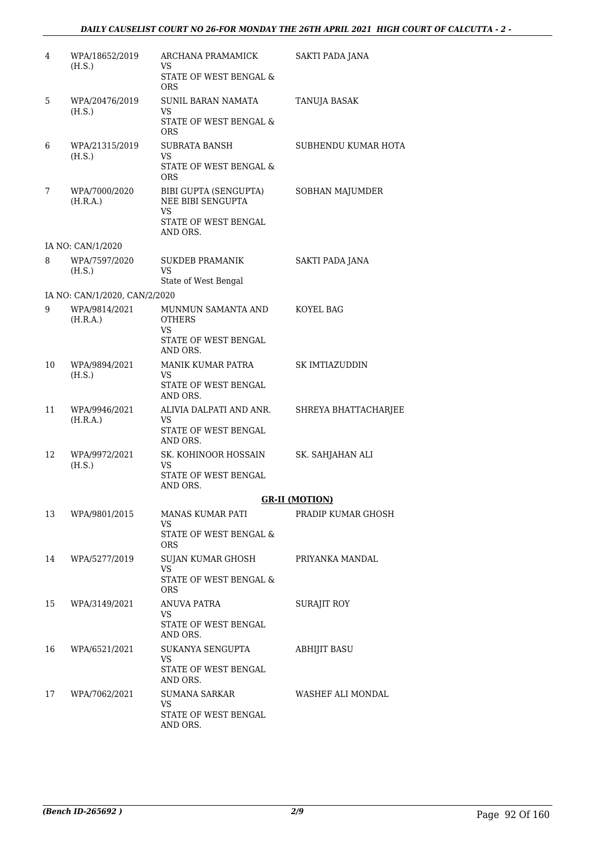| 4  | WPA/18652/2019<br>(H.S.)      | ARCHANA PRAMAMICK<br>VS.<br>STATE OF WEST BENGAL &                                          | SAKTI PADA JANA       |
|----|-------------------------------|---------------------------------------------------------------------------------------------|-----------------------|
| 5  | WPA/20476/2019                | <b>ORS</b><br><b>SUNIL BARAN NAMATA</b>                                                     | TANUJA BASAK          |
|    | (H.S.)                        | VS<br>STATE OF WEST BENGAL &<br><b>ORS</b>                                                  |                       |
| 6  | WPA/21315/2019<br>(H.S.)      | <b>SUBRATA BANSH</b><br><b>VS</b><br>STATE OF WEST BENGAL &<br><b>ORS</b>                   | SUBHENDU KUMAR HOTA   |
| 7  | WPA/7000/2020<br>(H.R.A.)     | BIBI GUPTA (SENGUPTA)<br>NEE BIBI SENGUPTA<br><b>VS</b><br>STATE OF WEST BENGAL<br>AND ORS. | SOBHAN MAJUMDER       |
|    | IA NO: CAN/1/2020             |                                                                                             |                       |
| 8  | WPA/7597/2020<br>(H.S.)       | <b>SUKDEB PRAMANIK</b><br>VS<br>State of West Bengal                                        | SAKTI PADA JANA       |
|    | IA NO: CAN/1/2020, CAN/2/2020 |                                                                                             |                       |
| 9  | WPA/9814/2021<br>(H.R.A.)     | MUNMUN SAMANTA AND<br><b>OTHERS</b><br>VS                                                   | KOYEL BAG             |
|    |                               | STATE OF WEST BENGAL<br>AND ORS.                                                            |                       |
| 10 | WPA/9894/2021<br>(H.S.)       | MANIK KUMAR PATRA<br>VS.<br>STATE OF WEST BENGAL<br>AND ORS.                                | SK IMTIAZUDDIN        |
| 11 | WPA/9946/2021<br>(H.R.A.)     | ALIVIA DALPATI AND ANR.<br>VS.<br>STATE OF WEST BENGAL<br>AND ORS.                          | SHREYA BHATTACHARJEE  |
| 12 | WPA/9972/2021<br>(H.S.)       | SK. KOHINOOR HOSSAIN<br>VS<br>STATE OF WEST BENGAL<br>AND ORS.                              | SK. SAHJAHAN ALI      |
|    |                               |                                                                                             | <b>GR-II (MOTION)</b> |
| 13 | WPA/9801/2015                 | <b>MANAS KUMAR PATI</b><br>VS                                                               | PRADIP KUMAR GHOSH    |
|    |                               | STATE OF WEST BENGAL &<br><b>ORS</b>                                                        |                       |
| 14 | WPA/5277/2019                 | SUJAN KUMAR GHOSH<br>VS<br>STATE OF WEST BENGAL &                                           | PRIYANKA MANDAL       |
| 15 | WPA/3149/2021                 | <b>ORS</b><br><b>ANUVA PATRA</b>                                                            | <b>SURAJIT ROY</b>    |
|    |                               | VS<br>STATE OF WEST BENGAL<br>AND ORS.                                                      |                       |
| 16 | WPA/6521/2021                 | SUKANYA SENGUPTA<br>VS.                                                                     | <b>ABHIJIT BASU</b>   |
|    |                               | STATE OF WEST BENGAL<br>AND ORS.                                                            |                       |
| 17 | WPA/7062/2021                 | SUMANA SARKAR<br>VS.                                                                        | WASHEF ALI MONDAL     |
|    |                               | STATE OF WEST BENGAL<br>AND ORS.                                                            |                       |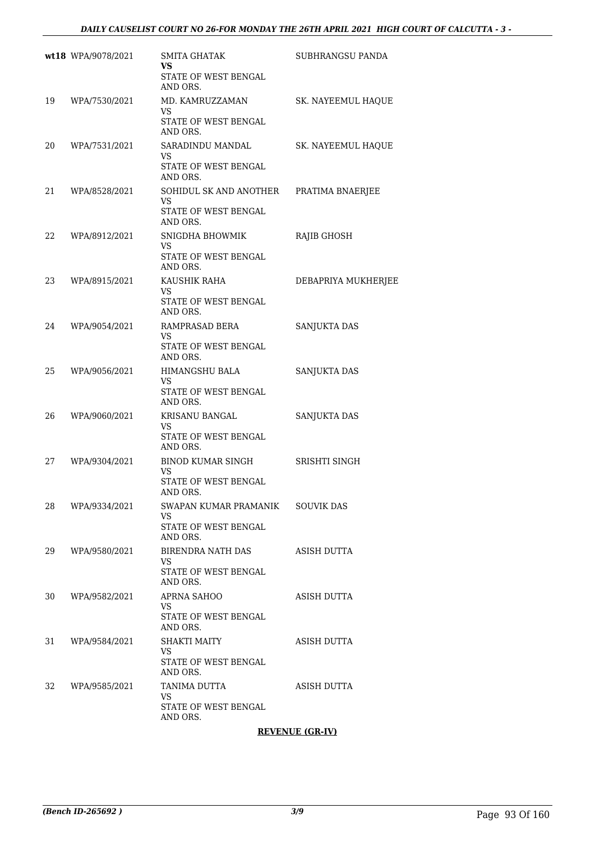|    | wt18 WPA/9078/2021 | SMITA GHATAK<br>VS<br>STATE OF WEST BENGAL                                   | SUBHRANGSU PANDA    |
|----|--------------------|------------------------------------------------------------------------------|---------------------|
| 19 | WPA/7530/2021      | AND ORS.<br>MD. KAMRUZZAMAN<br><b>VS</b><br>STATE OF WEST BENGAL<br>AND ORS. | SK. NAYEEMUL HAQUE  |
| 20 | WPA/7531/2021      | SARADINDU MANDAL<br>VS<br>STATE OF WEST BENGAL<br>AND ORS.                   | SK. NAYEEMUL HAQUE  |
| 21 | WPA/8528/2021      | SOHIDUL SK AND ANOTHER<br><b>VS</b><br>STATE OF WEST BENGAL<br>AND ORS.      | PRATIMA BNAERJEE    |
| 22 | WPA/8912/2021      | SNIGDHA BHOWMIK<br>VS<br>STATE OF WEST BENGAL<br>AND ORS.                    | RAJIB GHOSH         |
| 23 | WPA/8915/2021      | KAUSHIK RAHA<br><b>VS</b><br>STATE OF WEST BENGAL<br>AND ORS.                | DEBAPRIYA MUKHERJEE |
| 24 | WPA/9054/2021      | RAMPRASAD BERA<br>VS<br>STATE OF WEST BENGAL<br>AND ORS.                     | SANJUKTA DAS        |
| 25 | WPA/9056/2021      | HIMANGSHU BALA<br>VS.<br>STATE OF WEST BENGAL<br>AND ORS.                    | SANJUKTA DAS        |
| 26 | WPA/9060/2021      | KRISANU BANGAL<br>VS<br>STATE OF WEST BENGAL<br>AND ORS.                     | SANJUKTA DAS        |
| 27 | WPA/9304/2021      | <b>BINOD KUMAR SINGH</b><br>VS.<br>STATE OF WEST BENGAL                      | SRISHTI SINGH       |
| 28 | WPA/9334/2021      | AND ORS.<br>SWAPAN KUMAR PRAMANIK<br>VS.<br>STATE OF WEST BENGAL<br>AND ORS. | <b>SOUVIK DAS</b>   |
| 29 | WPA/9580/2021      | BIRENDRA NATH DAS<br>VS<br>STATE OF WEST BENGAL<br>AND ORS.                  | ASISH DUTTA         |
| 30 | WPA/9582/2021      | APRNA SAHOO<br>VS.<br>STATE OF WEST BENGAL<br>AND ORS.                       | ASISH DUTTA         |
| 31 | WPA/9584/2021      | SHAKTI MAITY<br>VS<br>STATE OF WEST BENGAL<br>AND ORS.                       | ASISH DUTTA         |
| 32 | WPA/9585/2021      | TANIMA DUTTA<br>VS<br>STATE OF WEST BENGAL<br>AND ORS.                       | ASISH DUTTA         |

**REVENUE (GR-IV)**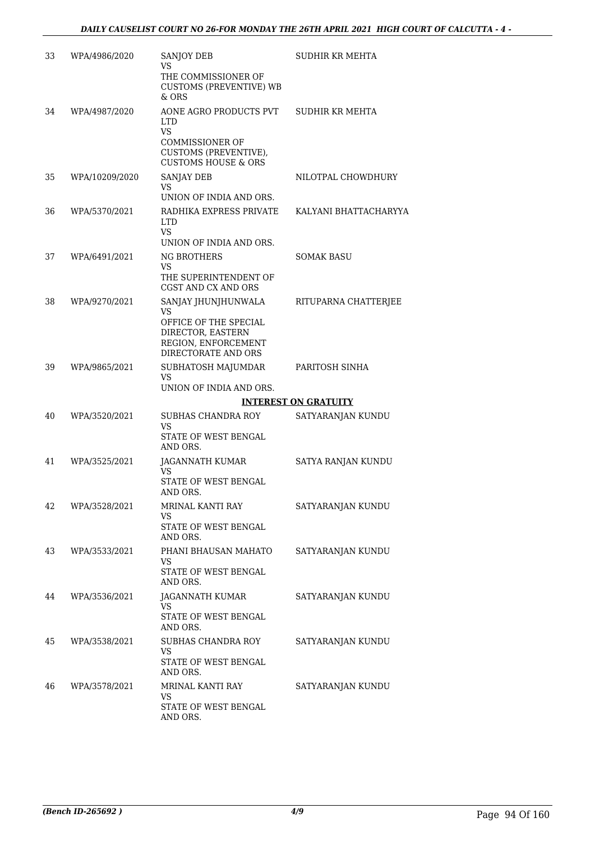| 33 | WPA/4986/2020  | <b>SANJOY DEB</b><br>VS<br>THE COMMISSIONER OF<br><b>CUSTOMS (PREVENTIVE) WB</b><br>$&$ ORS                                            | SUDHIR KR MEHTA             |
|----|----------------|----------------------------------------------------------------------------------------------------------------------------------------|-----------------------------|
| 34 | WPA/4987/2020  | AONE AGRO PRODUCTS PVT<br><b>LTD</b><br><b>VS</b><br><b>COMMISSIONER OF</b><br>CUSTOMS (PREVENTIVE),<br><b>CUSTOMS HOUSE &amp; ORS</b> | SUDHIR KR MEHTA             |
| 35 | WPA/10209/2020 | <b>SANJAY DEB</b><br>VS.<br>UNION OF INDIA AND ORS.                                                                                    | NILOTPAL CHOWDHURY          |
| 36 | WPA/5370/2021  | RADHIKA EXPRESS PRIVATE<br><b>LTD</b><br>VS.<br>UNION OF INDIA AND ORS.                                                                | KALYANI BHATTACHARYYA       |
| 37 | WPA/6491/2021  | <b>NG BROTHERS</b><br>VS.<br>THE SUPERINTENDENT OF<br>CGST AND CX AND ORS                                                              | SOMAK BASU                  |
| 38 | WPA/9270/2021  | SANJAY JHUNJHUNWALA<br>VS.<br>OFFICE OF THE SPECIAL<br>DIRECTOR, EASTERN<br>REGION, ENFORCEMENT<br>DIRECTORATE AND ORS                 | RITUPARNA CHATTERJEE        |
| 39 | WPA/9865/2021  | SUBHATOSH MAJUMDAR<br>VS.<br>UNION OF INDIA AND ORS.                                                                                   | PARITOSH SINHA              |
|    |                |                                                                                                                                        | <b>INTEREST ON GRATUITY</b> |
| 40 | WPA/3520/2021  | SUBHAS CHANDRA ROY<br>VS<br>STATE OF WEST BENGAL<br>AND ORS.                                                                           | SATYARANJAN KUNDU           |
| 41 | WPA/3525/2021  | JAGANNATH KUMAR<br>VS.<br>STATE OF WEST BENGAL<br>AND ORS.                                                                             | SATYA RANJAN KUNDU          |
| 42 | WPA/3528/2021  | MRINAL KANTI RAY<br>VS<br>STATE OF WEST BENGAL<br>AND ORS.                                                                             | SATYARANJAN KUNDU           |
| 43 | WPA/3533/2021  | PHANI BHAUSAN MAHATO<br>VS.<br>STATE OF WEST BENGAL<br>AND ORS.                                                                        | SATYARANJAN KUNDU           |
| 44 | WPA/3536/2021  | JAGANNATH KUMAR<br>VS<br>STATE OF WEST BENGAL<br>AND ORS.                                                                              | SATYARANJAN KUNDU           |
| 45 | WPA/3538/2021  | SUBHAS CHANDRA ROY<br>VS<br>STATE OF WEST BENGAL<br>AND ORS.                                                                           | SATYARANJAN KUNDU           |
| 46 | WPA/3578/2021  | MRINAL KANTI RAY<br>VS<br>STATE OF WEST BENGAL<br>AND ORS.                                                                             | SATYARANJAN KUNDU           |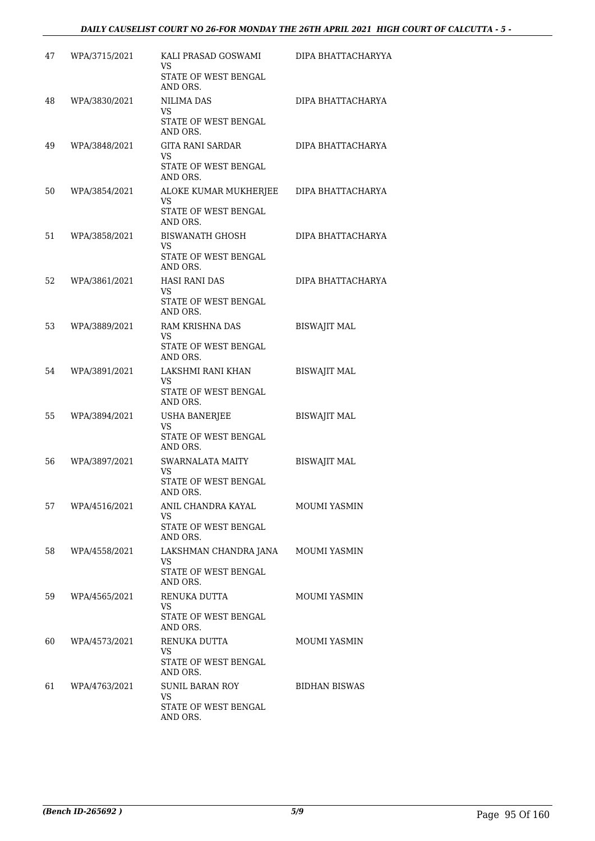| 47 | WPA/3715/2021 | KALI PRASAD GOSWAMI<br>VS<br>STATE OF WEST BENGAL                 | DIPA BHATTACHARYYA   |
|----|---------------|-------------------------------------------------------------------|----------------------|
|    |               | AND ORS.                                                          |                      |
| 48 | WPA/3830/2021 | <b>NILIMA DAS</b><br><b>VS</b><br>STATE OF WEST BENGAL            | DIPA BHATTACHARYA    |
|    |               | AND ORS.                                                          |                      |
| 49 | WPA/3848/2021 | GITA RANI SARDAR<br><b>VS</b>                                     | DIPA BHATTACHARYA    |
|    |               | STATE OF WEST BENGAL<br>AND ORS.                                  |                      |
| 50 | WPA/3854/2021 | ALOKE KUMAR MUKHERJEE<br><b>VS</b><br>STATE OF WEST BENGAL        | DIPA BHATTACHARYA    |
|    |               | AND ORS.                                                          |                      |
| 51 | WPA/3858/2021 | BISWANATH GHOSH<br>VS.<br><b>STATE OF WEST BENGAL</b><br>AND ORS. | DIPA BHATTACHARYA    |
| 52 | WPA/3861/2021 | <b>HASI RANI DAS</b>                                              | DIPA BHATTACHARYA    |
|    |               | VS                                                                |                      |
|    |               | STATE OF WEST BENGAL<br>AND ORS.                                  |                      |
| 53 | WPA/3889/2021 | RAM KRISHNA DAS<br>VS                                             | <b>BISWAJIT MAL</b>  |
|    |               | STATE OF WEST BENGAL<br>AND ORS.                                  |                      |
| 54 | WPA/3891/2021 | LAKSHMI RANI KHAN<br>VS.                                          | <b>BISWAJIT MAL</b>  |
|    |               | STATE OF WEST BENGAL<br>AND ORS.                                  |                      |
| 55 | WPA/3894/2021 | <b>USHA BANERJEE</b><br>VS                                        | <b>BISWAJIT MAL</b>  |
|    |               | STATE OF WEST BENGAL<br>AND ORS.                                  |                      |
| 56 | WPA/3897/2021 | <b>SWARNALATA MAITY</b><br>VS.                                    | <b>BISWAJIT MAL</b>  |
|    |               | STATE OF WEST BENGAL<br>AND ORS.                                  |                      |
| 57 | WPA/4516/2021 | ANIL CHANDRA KAYAL<br>VS                                          | <b>MOUMI YASMIN</b>  |
|    |               | STATE OF WEST BENGAL<br>AND ORS.                                  |                      |
| 58 | WPA/4558/2021 | LAKSHMAN CHANDRA JANA<br>VS                                       | MOUMI YASMIN         |
|    |               | STATE OF WEST BENGAL<br>AND ORS.                                  |                      |
| 59 | WPA/4565/2021 | RENUKA DUTTA<br>VS.                                               | <b>MOUMI YASMIN</b>  |
|    |               | STATE OF WEST BENGAL<br>AND ORS.                                  |                      |
| 60 | WPA/4573/2021 | RENUKA DUTTA                                                      | <b>MOUMI YASMIN</b>  |
|    |               | VS.<br>STATE OF WEST BENGAL<br>AND ORS.                           |                      |
| 61 | WPA/4763/2021 | SUNIL BARAN ROY<br>VS.                                            | <b>BIDHAN BISWAS</b> |
|    |               | STATE OF WEST BENGAL<br>AND ORS.                                  |                      |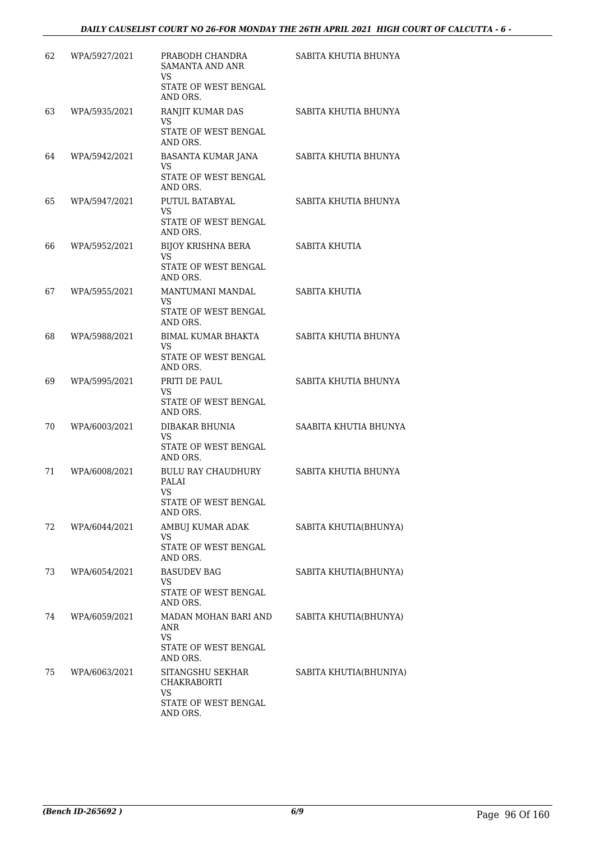| 62 | WPA/5927/2021 | PRABODH CHANDRA<br><b>SAMANTA AND ANR</b><br><b>VS</b><br>STATE OF WEST BENGAL<br>AND ORS. | SABITA KHUTIA BHUNYA   |
|----|---------------|--------------------------------------------------------------------------------------------|------------------------|
| 63 | WPA/5935/2021 | RANJIT KUMAR DAS<br>VS<br>STATE OF WEST BENGAL<br>AND ORS.                                 | SABITA KHUTIA BHUNYA   |
| 64 | WPA/5942/2021 | BASANTA KUMAR JANA<br>VS<br>STATE OF WEST BENGAL<br>AND ORS.                               | SABITA KHUTIA BHUNYA   |
| 65 | WPA/5947/2021 | PUTUL BATABYAL<br>VS.<br>STATE OF WEST BENGAL<br>AND ORS.                                  | SABITA KHUTIA BHUNYA   |
| 66 | WPA/5952/2021 | <b>BIJOY KRISHNA BERA</b><br><b>VS</b><br>STATE OF WEST BENGAL<br>AND ORS.                 | SABITA KHUTIA          |
| 67 | WPA/5955/2021 | MANTUMANI MANDAL<br>VS<br>STATE OF WEST BENGAL<br>AND ORS.                                 | SABITA KHUTIA          |
| 68 | WPA/5988/2021 | <b>BIMAL KUMAR BHAKTA</b><br>VS.<br>STATE OF WEST BENGAL<br>AND ORS.                       | SABITA KHUTIA BHUNYA   |
| 69 | WPA/5995/2021 | PRITI DE PAUL<br>VS.<br>STATE OF WEST BENGAL<br>AND ORS.                                   | SABITA KHUTIA BHUNYA   |
| 70 | WPA/6003/2021 | DIBAKAR BHUNIA<br>VS.<br>STATE OF WEST BENGAL<br>AND ORS.                                  | SAABITA KHUTIA BHUNYA  |
| 71 | WPA/6008/2021 | <b>BULU RAY CHAUDHURY</b><br>PALAI<br>VS<br>STATE OF WEST BENGAL<br>AND ORS.               | SABITA KHUTIA BHUNYA   |
| 72 | WPA/6044/2021 | AMBUJ KUMAR ADAK<br><b>VS</b><br>STATE OF WEST BENGAL<br>AND ORS.                          | SABITA KHUTIA(BHUNYA)  |
| 73 | WPA/6054/2021 | <b>BASUDEV BAG</b><br>VS<br>STATE OF WEST BENGAL<br>AND ORS.                               | SABITA KHUTIA(BHUNYA)  |
| 74 | WPA/6059/2021 | MADAN MOHAN BARI AND<br>ANR<br>VS.<br>STATE OF WEST BENGAL<br>AND ORS.                     | SABITA KHUTIA(BHUNYA)  |
| 75 | WPA/6063/2021 | SITANGSHU SEKHAR<br>CHAKRABORTI<br><b>VS</b><br>STATE OF WEST BENGAL<br>AND ORS.           | SABITA KHUTIA(BHUNIYA) |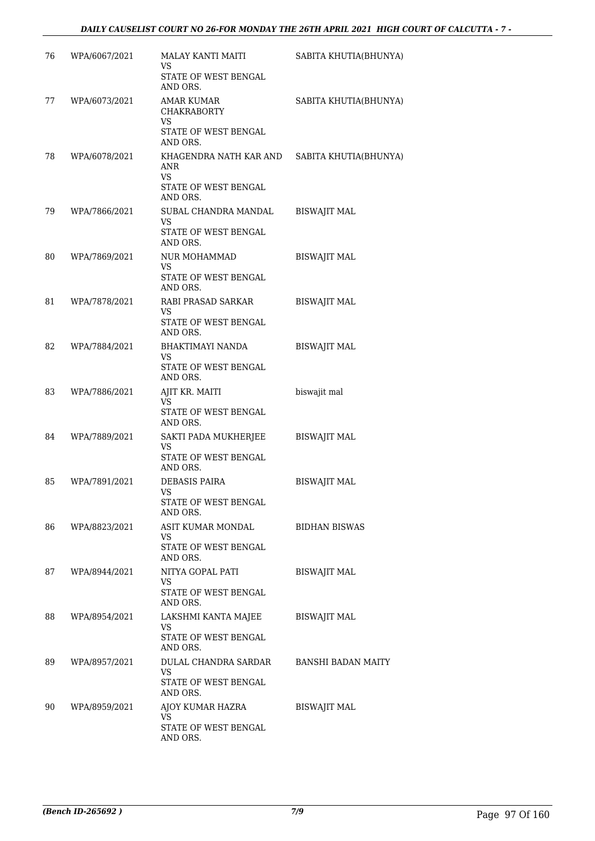| 76 | WPA/6067/2021 | MALAY KANTI MAITI<br>VS                                  | SABITA KHUTIA(BHUNYA) |
|----|---------------|----------------------------------------------------------|-----------------------|
|    |               | STATE OF WEST BENGAL<br>AND ORS.                         |                       |
| 77 | WPA/6073/2021 | <b>AMAR KUMAR</b><br><b>CHAKRABORTY</b><br><b>VS</b>     | SABITA KHUTIA(BHUNYA) |
|    |               | STATE OF WEST BENGAL<br>AND ORS.                         |                       |
| 78 | WPA/6078/2021 | KHAGENDRA NATH KAR AND<br>ANR<br><b>VS</b>               | SABITA KHUTIA(BHUNYA) |
|    |               | STATE OF WEST BENGAL<br>AND ORS.                         |                       |
| 79 | WPA/7866/2021 | SUBAL CHANDRA MANDAL<br>VS<br>STATE OF WEST BENGAL       | <b>BISWAJIT MAL</b>   |
|    |               | AND ORS.<br><b>NUR MOHAMMAD</b>                          | <b>BISWAJIT MAL</b>   |
| 80 | WPA/7869/2021 | <b>VS</b><br>STATE OF WEST BENGAL<br>AND ORS.            |                       |
| 81 | WPA/7878/2021 | RABI PRASAD SARKAR                                       | <b>BISWAJIT MAL</b>   |
|    |               | VS<br>STATE OF WEST BENGAL<br>AND ORS.                   |                       |
| 82 | WPA/7884/2021 | BHAKTIMAYI NANDA<br>VS.                                  | <b>BISWAJIT MAL</b>   |
|    |               | STATE OF WEST BENGAL<br>AND ORS.                         |                       |
| 83 | WPA/7886/2021 | AJIT KR. MAITI<br>VS<br>STATE OF WEST BENGAL<br>AND ORS. | biswajit mal          |
| 84 | WPA/7889/2021 | SAKTI PADA MUKHERJEE<br>VS.                              | <b>BISWAJIT MAL</b>   |
|    |               | STATE OF WEST BENGAL<br>AND ORS.                         |                       |
| 85 | WPA/7891/2021 | <b>DEBASIS PAIRA</b><br>VS                               | <b>BISWAJIT MAL</b>   |
|    |               | STATE OF WEST BENGAL<br>AND ORS.                         |                       |
| 86 | WPA/8823/2021 | ASIT KUMAR MONDAL<br>VS                                  | <b>BIDHAN BISWAS</b>  |
|    |               | STATE OF WEST BENGAL<br>AND ORS.                         |                       |
| 87 | WPA/8944/2021 | NITYA GOPAL PATI<br>VS.                                  | <b>BISWAJIT MAL</b>   |
|    |               | STATE OF WEST BENGAL<br>AND ORS.                         |                       |
| 88 | WPA/8954/2021 | LAKSHMI KANTA MAJEE<br>VS.                               | <b>BISWAJIT MAL</b>   |
|    |               | STATE OF WEST BENGAL<br>AND ORS.                         |                       |
| 89 | WPA/8957/2021 | DULAL CHANDRA SARDAR<br>VS.                              | BANSHI BADAN MAITY    |
|    |               | STATE OF WEST BENGAL<br>AND ORS.                         |                       |
| 90 | WPA/8959/2021 | AJOY KUMAR HAZRA<br>VS.                                  | <b>BISWAJIT MAL</b>   |
|    |               | STATE OF WEST BENGAL<br>AND ORS.                         |                       |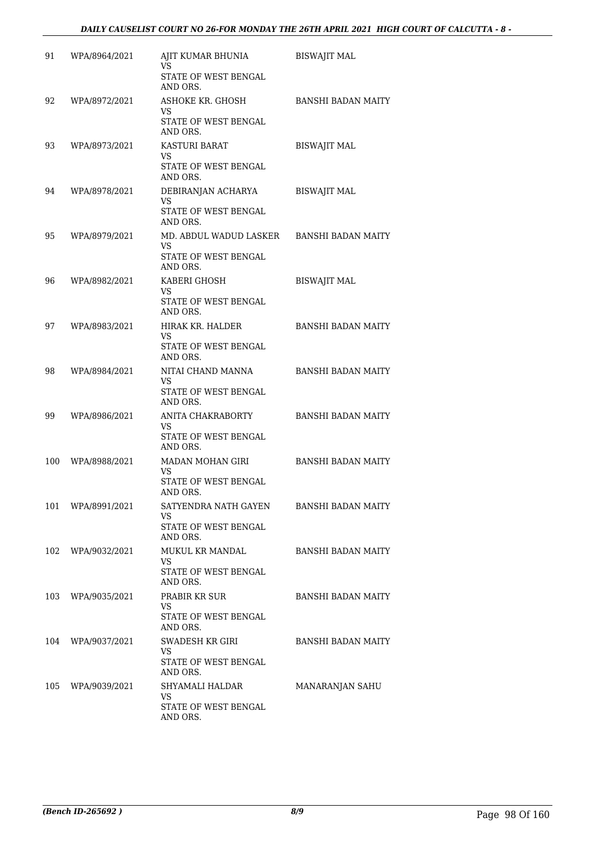| 91  | WPA/8964/2021     | AJIT KUMAR BHUNIA<br>VS<br>STATE OF WEST BENGAL                   | <b>BISWAJIT MAL</b>       |
|-----|-------------------|-------------------------------------------------------------------|---------------------------|
|     |                   | AND ORS.                                                          |                           |
| 92  | WPA/8972/2021     | ASHOKE KR. GHOSH<br>VS.<br>STATE OF WEST BENGAL                   | <b>BANSHI BADAN MAITY</b> |
|     |                   | AND ORS.                                                          |                           |
| 93  | WPA/8973/2021     | <b>KASTURI BARAT</b><br>VS.                                       | <b>BISWAJIT MAL</b>       |
|     |                   | STATE OF WEST BENGAL<br>AND ORS.                                  |                           |
| 94  | WPA/8978/2021     | DEBIRANJAN ACHARYA<br><b>VS</b><br>STATE OF WEST BENGAL           | <b>BISWAJIT MAL</b>       |
|     |                   | AND ORS.                                                          |                           |
| 95  | WPA/8979/2021     | MD. ABDUL WADUD LASKER<br>VS.<br>STATE OF WEST BENGAL<br>AND ORS. | <b>BANSHI BADAN MAITY</b> |
| 96  | WPA/8982/2021     | KABERI GHOSH                                                      | <b>BISWAJIT MAL</b>       |
|     |                   | VS.<br>STATE OF WEST BENGAL<br>AND ORS.                           |                           |
| 97  | WPA/8983/2021     | HIRAK KR. HALDER                                                  | <b>BANSHI BADAN MAITY</b> |
|     |                   | VS.<br>STATE OF WEST BENGAL<br>AND ORS.                           |                           |
| 98  | WPA/8984/2021     | NITAI CHAND MANNA<br><b>VS</b>                                    | <b>BANSHI BADAN MAITY</b> |
|     |                   | STATE OF WEST BENGAL<br>AND ORS.                                  |                           |
| 99  | WPA/8986/2021     | ANITA CHAKRABORTY<br>VS.                                          | <b>BANSHI BADAN MAITY</b> |
|     |                   | STATE OF WEST BENGAL<br>AND ORS.                                  |                           |
| 100 | WPA/8988/2021     | MADAN MOHAN GIRI<br>VS.                                           | <b>BANSHI BADAN MAITY</b> |
|     |                   | STATE OF WEST BENGAL<br>AND ORS.                                  |                           |
|     | 101 WPA/8991/2021 | SATYENDRA NATH GAYEN<br>VS.                                       | BANSHI BADAN MAITY        |
|     |                   | STATE OF WEST BENGAL<br>AND ORS.                                  |                           |
|     | 102 WPA/9032/2021 | MUKUL KR MANDAL<br><b>VS</b>                                      | BANSHI BADAN MAITY        |
|     |                   | STATE OF WEST BENGAL<br>AND ORS.                                  |                           |
| 103 | WPA/9035/2021     | PRABIR KR SUR<br>VS                                               | <b>BANSHI BADAN MAITY</b> |
|     |                   | STATE OF WEST BENGAL<br>AND ORS.                                  |                           |
| 104 | WPA/9037/2021     | SWADESH KR GIRI<br>VS.                                            | <b>BANSHI BADAN MAITY</b> |
|     |                   | STATE OF WEST BENGAL<br>AND ORS.                                  |                           |
| 105 | WPA/9039/2021     | SHYAMALI HALDAR<br>VS.                                            | MANARANJAN SAHU           |
|     |                   | STATE OF WEST BENGAL<br>AND ORS.                                  |                           |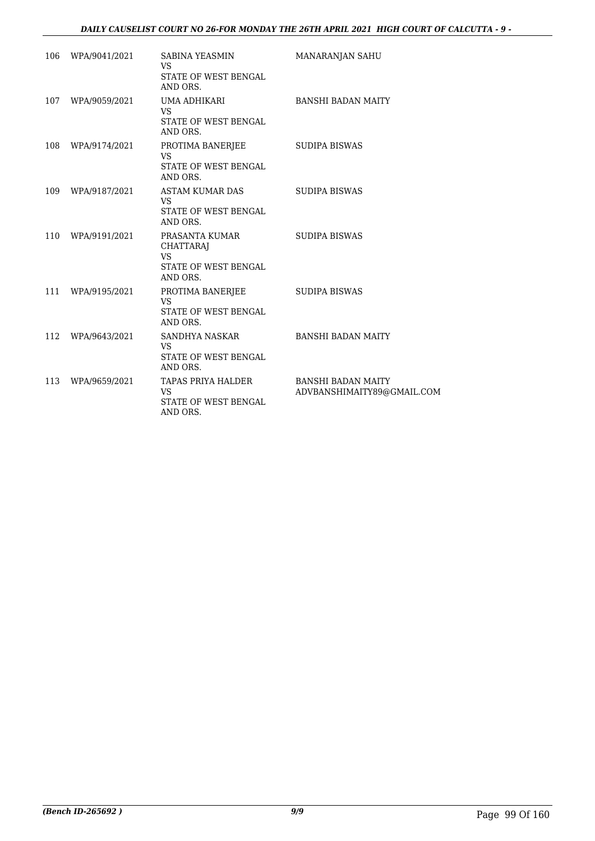## *DAILY CAUSELIST COURT NO 26-FOR MONDAY THE 26TH APRIL 2021 HIGH COURT OF CALCUTTA - 9 -*

| 106 | WPA/9041/2021     | SABINA YEASMIN<br>VS<br>STATE OF WEST BENGAL<br>AND ORS.                            | <b>MANARANJAN SAHU</b>                                  |
|-----|-------------------|-------------------------------------------------------------------------------------|---------------------------------------------------------|
| 107 | WPA/9059/2021     | UMA ADHIKARI<br>VS.<br>STATE OF WEST BENGAL<br>AND ORS.                             | <b>BANSHI BADAN MAITY</b>                               |
| 108 | WPA/9174/2021     | PROTIMA BANERJEE<br>VS<br>STATE OF WEST BENGAL<br>AND ORS.                          | <b>SUDIPA BISWAS</b>                                    |
| 109 | WPA/9187/2021     | ASTAM KUMAR DAS<br>VS.<br>STATE OF WEST BENGAL<br>AND ORS.                          | <b>SUDIPA BISWAS</b>                                    |
| 110 | WPA/9191/2021     | PRASANTA KUMAR<br><b>CHATTARAJ</b><br><b>VS</b><br>STATE OF WEST BENGAL<br>AND ORS. | <b>SUDIPA BISWAS</b>                                    |
| 111 | WPA/9195/2021     | PROTIMA BANERJEE<br>VS.<br>STATE OF WEST BENGAL<br>AND ORS.                         | <b>SUDIPA BISWAS</b>                                    |
| 112 | WPA/9643/2021     | SANDHYA NASKAR<br>VS.<br>STATE OF WEST BENGAL<br>AND ORS.                           | <b>BANSHI BADAN MAITY</b>                               |
|     | 113 WPA/9659/2021 | TAPAS PRIYA HALDER<br>VS.<br>STATE OF WEST BENGAL<br>AND ORS.                       | <b>BANSHI BADAN MAITY</b><br>ADVBANSHIMAITY89@GMAIL.COM |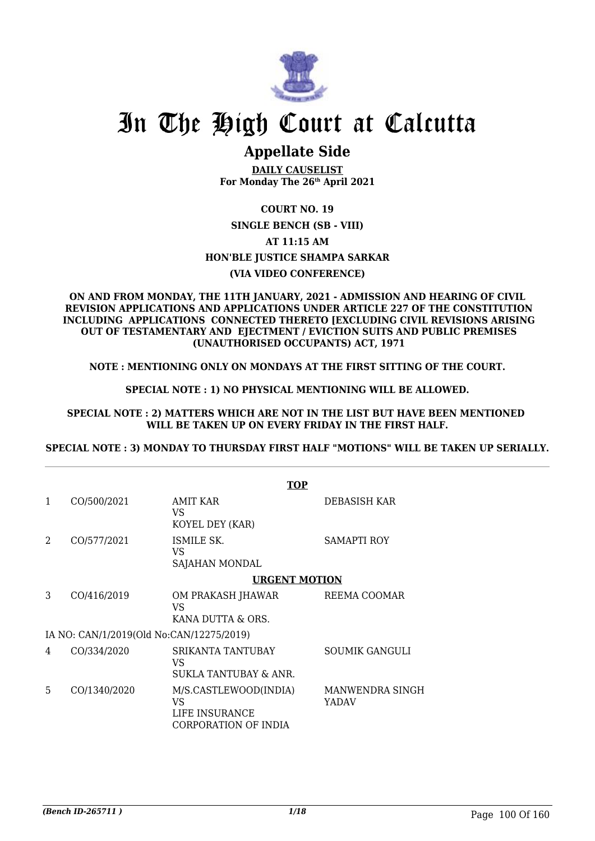

# In The High Court at Calcutta

## **Appellate Side**

**DAILY CAUSELIST For Monday The 26th April 2021**

## **COURT NO. 19**

**SINGLE BENCH (SB - VIII) AT 11:15 AM HON'BLE JUSTICE SHAMPA SARKAR (VIA VIDEO CONFERENCE)**

#### **ON AND FROM MONDAY, THE 11TH JANUARY, 2021 - ADMISSION AND HEARING OF CIVIL REVISION APPLICATIONS AND APPLICATIONS UNDER ARTICLE 227 OF THE CONSTITUTION INCLUDING APPLICATIONS CONNECTED THERETO [EXCLUDING CIVIL REVISIONS ARISING OUT OF TESTAMENTARY AND EJECTMENT / EVICTION SUITS AND PUBLIC PREMISES (UNAUTHORISED OCCUPANTS) ACT, 1971**

## **NOTE : MENTIONING ONLY ON MONDAYS AT THE FIRST SITTING OF THE COURT.**

## **SPECIAL NOTE : 1) NO PHYSICAL MENTIONING WILL BE ALLOWED.**

### **SPECIAL NOTE : 2) MATTERS WHICH ARE NOT IN THE LIST BUT HAVE BEEN MENTIONED WILL BE TAKEN UP ON EVERY FRIDAY IN THE FIRST HALF.**

### **SPECIAL NOTE : 3) MONDAY TO THURSDAY FIRST HALF "MOTIONS" WILL BE TAKEN UP SERIALLY.**

|                |              | <b>TOP</b>                                                            |                          |
|----------------|--------------|-----------------------------------------------------------------------|--------------------------|
| 1              | CO/500/2021  | <b>AMIT KAR</b><br>VS<br>KOYEL DEY (KAR)                              | DEBASISH KAR             |
| $\mathfrak{D}$ | CO/577/2021  | ISMILE SK.<br>VS<br>SAJAHAN MONDAL                                    | SAMAPTI ROY              |
|                |              | <b>URGENT MOTION</b>                                                  |                          |
| 3              | CO/416/2019  | OM PRAKASH JHAWAR<br>VS<br>KANA DUTTA & ORS.                          | REEMA COOMAR             |
|                |              | IA NO: CAN/1/2019(Old No:CAN/12275/2019)                              |                          |
| 4              | CO/334/2020  | SRIKANTA TANTUBAY<br>VS.<br>SUKLA TANTUBAY & ANR.                     | SOUMIK GANGULI           |
| 5              | CO/1340/2020 | M/S.CASTLEWOOD(INDIA)<br>VS<br>LIFE INSURANCE<br>CORPORATION OF INDIA | MANWENDRA SINGH<br>YADAV |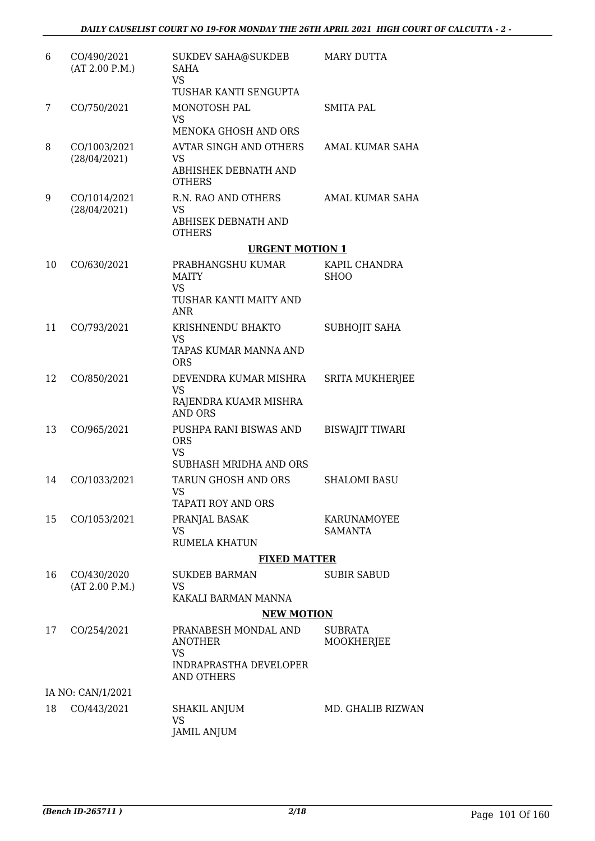| 6  | CO/490/2021<br>(AT 2.00 P.M.) | <b>SUKDEV SAHA@SUKDEB</b><br>SAHA<br><b>VS</b><br>TUSHAR KANTI SENGUPTA                            | <b>MARY DUTTA</b>            |
|----|-------------------------------|----------------------------------------------------------------------------------------------------|------------------------------|
| 7  | CO/750/2021                   | MONOTOSH PAL<br><b>VS</b><br><b>MENOKA GHOSH AND ORS</b>                                           | <b>SMITA PAL</b>             |
| 8  | CO/1003/2021<br>(28/04/2021)  | <b>AVTAR SINGH AND OTHERS</b><br>VS<br>ABHISHEK DEBNATH AND<br><b>OTHERS</b>                       | AMAL KUMAR SAHA              |
| 9  | CO/1014/2021<br>(28/04/2021)  | R.N. RAO AND OTHERS<br>VS<br>ABHISEK DEBNATH AND<br><b>OTHERS</b>                                  | AMAL KUMAR SAHA              |
|    |                               | <b>URGENT MOTION 1</b>                                                                             |                              |
| 10 | CO/630/2021                   | PRABHANGSHU KUMAR<br><b>MAITY</b><br><b>VS</b>                                                     | KAPIL CHANDRA<br><b>SHOO</b> |
|    |                               | TUSHAR KANTI MAITY AND<br><b>ANR</b>                                                               |                              |
| 11 | CO/793/2021                   | KRISHNENDU BHAKTO<br><b>VS</b><br>TAPAS KUMAR MANNA AND<br><b>ORS</b>                              | <b>SUBHOJIT SAHA</b>         |
| 12 | CO/850/2021                   | DEVENDRA KUMAR MISHRA<br><b>VS</b><br>RAJENDRA KUAMR MISHRA<br><b>AND ORS</b>                      | <b>SRITA MUKHERJEE</b>       |
| 13 | CO/965/2021                   | PUSHPA RANI BISWAS AND<br><b>ORS</b><br><b>VS</b>                                                  | <b>BISWAJIT TIWARI</b>       |
| 14 | CO/1033/2021                  | SUBHASH MRIDHA AND ORS<br><b>TARUN GHOSH AND ORS</b><br>VS                                         | <b>SHALOMI BASU</b>          |
| 15 | CO/1053/2021                  | TAPATI ROY AND ORS<br>PRANJAL BASAK<br>VS<br><b>RUMELA KHATUN</b>                                  | KARUNAMOYEE<br>SAMANTA       |
|    |                               | <b>FIXED MATTER</b>                                                                                |                              |
| 16 | CO/430/2020<br>(AT 2.00 P.M.) | <b>SUKDEB BARMAN</b><br><b>VS</b><br>KAKALI BARMAN MANNA                                           | <b>SUBIR SABUD</b>           |
|    |                               | <b>NEW MOTION</b>                                                                                  |                              |
| 17 | CO/254/2021                   | PRANABESH MONDAL AND<br><b>ANOTHER</b><br>VS<br><b>INDRAPRASTHA DEVELOPER</b><br><b>AND OTHERS</b> | <b>SUBRATA</b><br>MOOKHERJEE |
|    | IA NO: CAN/1/2021             |                                                                                                    |                              |
| 18 | CO/443/2021                   | SHAKIL ANJUM<br>VS<br><b>JAMIL ANJUM</b>                                                           | MD. GHALIB RIZWAN            |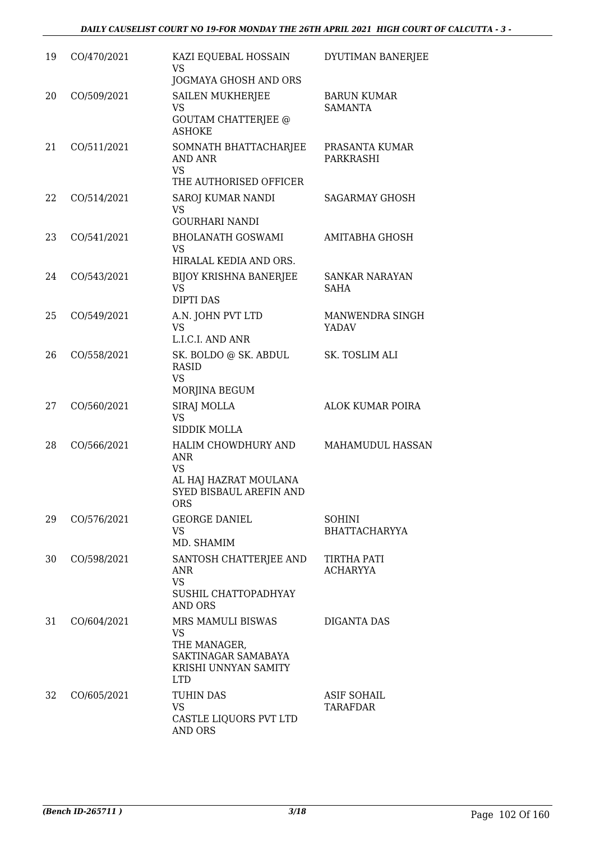| 19 | CO/470/2021 | KAZI EQUEBAL HOSSAIN<br><b>VS</b><br>JOGMAYA GHOSH AND ORS                                                | DYUTIMAN BANERJEE                     |
|----|-------------|-----------------------------------------------------------------------------------------------------------|---------------------------------------|
| 20 | CO/509/2021 | <b>SAILEN MUKHERJEE</b><br>VS<br><b>GOUTAM CHATTERJEE @</b><br><b>ASHOKE</b>                              | <b>BARUN KUMAR</b><br><b>SAMANTA</b>  |
| 21 | CO/511/2021 | SOMNATH BHATTACHARJEE<br>AND ANR<br><b>VS</b><br>THE AUTHORISED OFFICER                                   | PRASANTA KUMAR<br>PARKRASHI           |
| 22 | CO/514/2021 | SAROJ KUMAR NANDI<br><b>VS</b><br><b>GOURHARI NANDI</b>                                                   | <b>SAGARMAY GHOSH</b>                 |
| 23 | CO/541/2021 | <b>BHOLANATH GOSWAMI</b><br>VS<br>HIRALAL KEDIA AND ORS.                                                  | AMITABHA GHOSH                        |
| 24 | CO/543/2021 | <b>BIJOY KRISHNA BANERJEE</b><br><b>VS</b><br><b>DIPTI DAS</b>                                            | <b>SANKAR NARAYAN</b><br>SAHA         |
| 25 | CO/549/2021 | A.N. JOHN PVT LTD<br>VS<br>L.I.C.I. AND ANR                                                               | MANWENDRA SINGH<br><b>YADAV</b>       |
| 26 | CO/558/2021 | SK. BOLDO @ SK. ABDUL<br><b>RASID</b><br><b>VS</b><br>MORJINA BEGUM                                       | SK. TOSLIM ALI                        |
| 27 | CO/560/2021 | <b>SIRAJ MOLLA</b><br><b>VS</b><br><b>SIDDIK MOLLA</b>                                                    | ALOK KUMAR POIRA                      |
| 28 | CO/566/2021 | HALIM CHOWDHURY AND<br>ANR<br><b>VS</b><br>AL HAJ HAZRAT MOULANA<br>SYED BISBAUL AREFIN AND<br><b>ORS</b> | <b>MAHAMUDUL HASSAN</b>               |
| 29 | CO/576/2021 | <b>GEORGE DANIEL</b><br>VS<br>MD. SHAMIM                                                                  | <b>SOHINI</b><br><b>BHATTACHARYYA</b> |
| 30 | CO/598/2021 | SANTOSH CHATTERJEE AND<br>ANR<br><b>VS</b><br>SUSHIL CHATTOPADHYAY<br><b>AND ORS</b>                      | TIRTHA PATI<br>ACHARYYA               |
| 31 | CO/604/2021 | MRS MAMULI BISWAS<br>VS<br>THE MANAGER,<br>SAKTINAGAR SAMABAYA<br>KRISHI UNNYAN SAMITY<br><b>LTD</b>      | <b>DIGANTA DAS</b>                    |
| 32 | CO/605/2021 | TUHIN DAS<br><b>VS</b><br>CASTLE LIQUORS PVT LTD<br>AND ORS                                               | <b>ASIF SOHAIL</b><br>TARAFDAR        |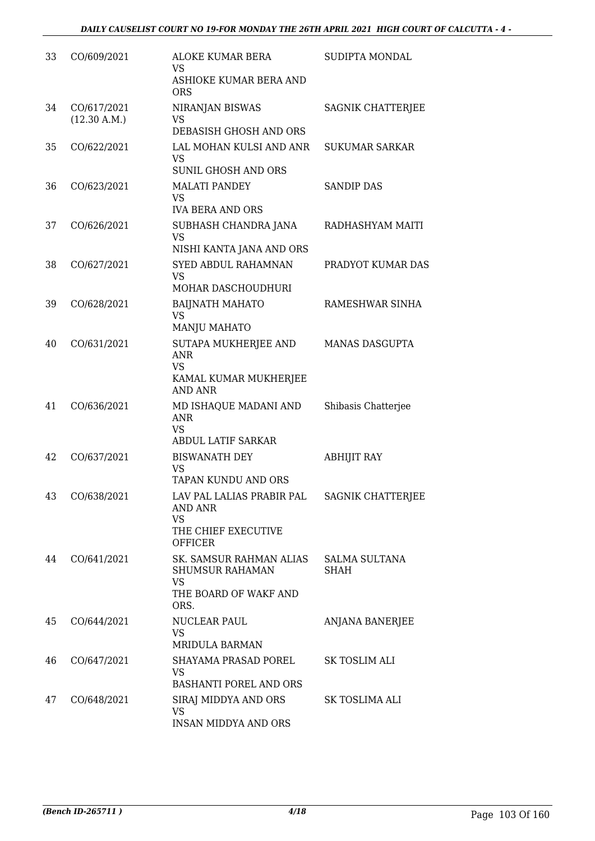| 33 | CO/609/2021                 | ALOKE KUMAR BERA<br>VS<br>ASHIOKE KUMAR BERA AND<br><b>ORS</b>                                  | SUDIPTA MONDAL               |
|----|-----------------------------|-------------------------------------------------------------------------------------------------|------------------------------|
| 34 | CO/617/2021<br>(12.30 A.M.) | NIRANJAN BISWAS<br><b>VS</b><br>DEBASISH GHOSH AND ORS                                          | SAGNIK CHATTERJEE            |
| 35 | CO/622/2021                 | LAL MOHAN KULSI AND ANR<br><b>VS</b><br><b>SUNIL GHOSH AND ORS</b>                              | <b>SUKUMAR SARKAR</b>        |
| 36 | CO/623/2021                 | <b>MALATI PANDEY</b><br><b>VS</b><br><b>IVA BERA AND ORS</b>                                    | <b>SANDIP DAS</b>            |
| 37 | CO/626/2021                 | SUBHASH CHANDRA JANA<br>VS<br>NISHI KANTA JANA AND ORS                                          | RADHASHYAM MAITI             |
| 38 | CO/627/2021                 | SYED ABDUL RAHAMNAN<br><b>VS</b><br>MOHAR DASCHOUDHURI                                          | PRADYOT KUMAR DAS            |
| 39 | CO/628/2021                 | <b>BAIJNATH MAHATO</b><br><b>VS</b><br>MANJU MAHATO                                             | RAMESHWAR SINHA              |
| 40 | CO/631/2021                 | SUTAPA MUKHERJEE AND<br>ANR<br><b>VS</b><br>KAMAL KUMAR MUKHERJEE<br><b>AND ANR</b>             | <b>MANAS DASGUPTA</b>        |
| 41 | CO/636/2021                 | MD ISHAQUE MADANI AND<br><b>ANR</b><br><b>VS</b><br>ABDUL LATIF SARKAR                          | Shibasis Chatterjee          |
| 42 | CO/637/2021                 | <b>BISWANATH DEY</b><br><b>VS</b><br>TAPAN KUNDU AND ORS                                        | <b>ABHIJIT RAY</b>           |
| 43 | CO/638/2021                 | LAV PAL LALIAS PRABIR PAL<br>AND ANR<br><b>VS</b><br>THE CHIEF EXECUTIVE<br><b>OFFICER</b>      | SAGNIK CHATTERJEE            |
| 44 | CO/641/2021                 | SK. SAMSUR RAHMAN ALIAS<br><b>SHUMSUR RAHAMAN</b><br><b>VS</b><br>THE BOARD OF WAKF AND<br>ORS. | <b>SALMA SULTANA</b><br>SHAH |
| 45 | CO/644/2021                 | NUCLEAR PAUL<br><b>VS</b><br><b>MRIDULA BARMAN</b>                                              | <b>ANJANA BANERJEE</b>       |
| 46 | CO/647/2021                 | SHAYAMA PRASAD POREL<br><b>VS</b><br>BASHANTI POREL AND ORS                                     | SK TOSLIM ALI                |
| 47 | CO/648/2021                 | SIRAJ MIDDYA AND ORS<br><b>VS</b><br><b>INSAN MIDDYA AND ORS</b>                                | SK TOSLIMA ALI               |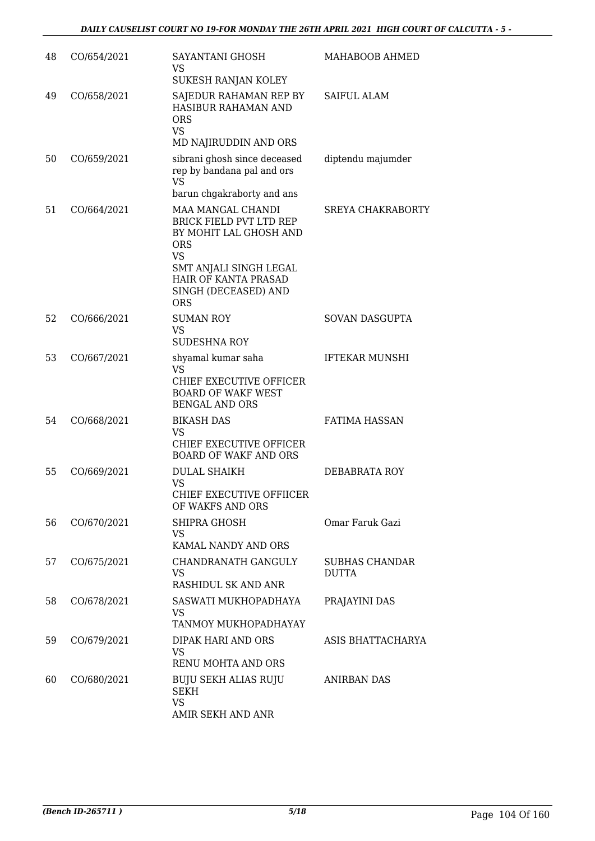| 48 | CO/654/2021 | SAYANTANI GHOSH<br>VS<br>SUKESH RANJAN KOLEY                                                                                                                                                     | MAHABOOB AHMED                        |
|----|-------------|--------------------------------------------------------------------------------------------------------------------------------------------------------------------------------------------------|---------------------------------------|
| 49 | CO/658/2021 | SAJEDUR RAHAMAN REP BY<br><b>HASIBUR RAHAMAN AND</b><br><b>ORS</b><br><b>VS</b><br>MD NAJIRUDDIN AND ORS                                                                                         | <b>SAIFUL ALAM</b>                    |
| 50 | CO/659/2021 | sibrani ghosh since deceased<br>rep by bandana pal and ors<br><b>VS</b><br>barun chgakraborty and ans                                                                                            | diptendu majumder                     |
| 51 | CO/664/2021 | MAA MANGAL CHANDI<br><b>BRICK FIELD PVT LTD REP</b><br>BY MOHIT LAL GHOSH AND<br><b>ORS</b><br><b>VS</b><br>SMT ANJALI SINGH LEGAL<br>HAIR OF KANTA PRASAD<br>SINGH (DECEASED) AND<br><b>ORS</b> | <b>SREYA CHAKRABORTY</b>              |
| 52 | CO/666/2021 | <b>SUMAN ROY</b><br>VS<br><b>SUDESHNA ROY</b>                                                                                                                                                    | SOVAN DASGUPTA                        |
| 53 | CO/667/2021 | shyamal kumar saha<br>VS<br>CHIEF EXECUTIVE OFFICER<br><b>BOARD OF WAKF WEST</b><br><b>BENGAL AND ORS</b>                                                                                        | <b>IFTEKAR MUNSHI</b>                 |
| 54 | CO/668/2021 | <b>BIKASH DAS</b><br>VS<br>CHIEF EXECUTIVE OFFICER<br><b>BOARD OF WAKF AND ORS</b>                                                                                                               | <b>FATIMA HASSAN</b>                  |
| 55 | CO/669/2021 | <b>DULAL SHAIKH</b><br>VS<br>CHIEF EXECUTIVE OFFIICER<br>OF WAKFS AND ORS                                                                                                                        | DEBABRATA ROY                         |
| 56 | CO/670/2021 | SHIPRA GHOSH<br>VS<br>KAMAL NANDY AND ORS                                                                                                                                                        | Omar Faruk Gazi                       |
| 57 | CO/675/2021 | CHANDRANATH GANGULY<br>VS<br>RASHIDUL SK AND ANR                                                                                                                                                 | <b>SUBHAS CHANDAR</b><br><b>DUTTA</b> |
| 58 | CO/678/2021 | SASWATI MUKHOPADHAYA<br>VS<br>TANMOY MUKHOPADHAYAY                                                                                                                                               | PRAJAYINI DAS                         |
| 59 | CO/679/2021 | DIPAK HARI AND ORS<br>VS<br>RENU MOHTA AND ORS                                                                                                                                                   | ASIS BHATTACHARYA                     |
| 60 | CO/680/2021 | <b>BUJU SEKH ALIAS RUJU</b><br><b>SEKH</b><br><b>VS</b><br>AMIR SEKH AND ANR                                                                                                                     | ANIRBAN DAS                           |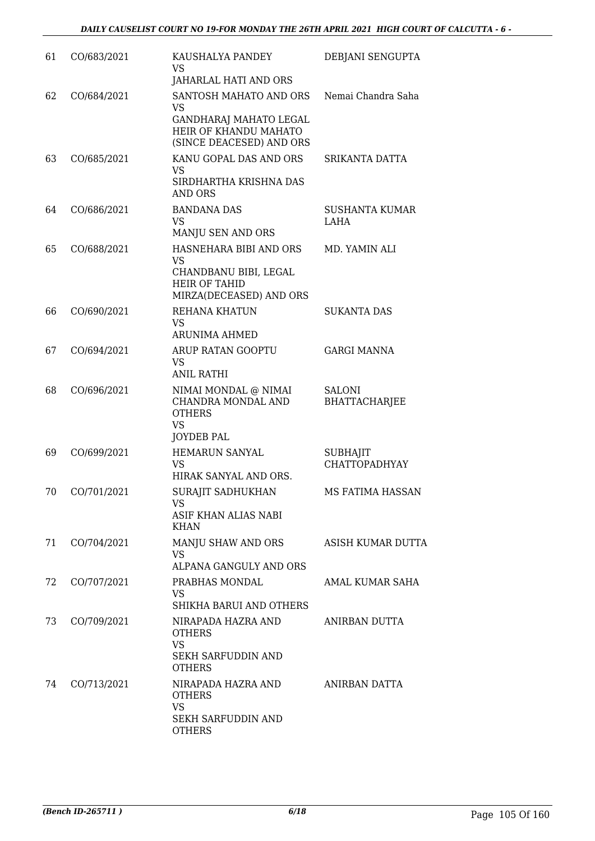| 61 | CO/683/2021 | KAUSHALYA PANDEY<br>VS<br>JAHARLAL HATI AND ORS                                                          | DEBJANI SENGUPTA                        |
|----|-------------|----------------------------------------------------------------------------------------------------------|-----------------------------------------|
| 62 | CO/684/2021 | SANTOSH MAHATO AND ORS<br>VS<br>GANDHARAJ MAHATO LEGAL<br>HEIR OF KHANDU MAHATO                          | Nemai Chandra Saha                      |
| 63 | CO/685/2021 | (SINCE DEACESED) AND ORS<br>KANU GOPAL DAS AND ORS<br><b>VS</b><br>SIRDHARTHA KRISHNA DAS<br>AND ORS     | SRIKANTA DATTA                          |
| 64 | CO/686/2021 | <b>BANDANA DAS</b><br><b>VS</b><br>MANJU SEN AND ORS                                                     | SUSHANTA KUMAR<br>LAHA                  |
| 65 | CO/688/2021 | HASNEHARA BIBI AND ORS<br>VS<br>CHANDBANU BIBI, LEGAL<br><b>HEIR OF TAHID</b><br>MIRZA(DECEASED) AND ORS | MD. YAMIN ALI                           |
| 66 | CO/690/2021 | <b>REHANA KHATUN</b><br><b>VS</b><br>ARUNIMA AHMED                                                       | <b>SUKANTA DAS</b>                      |
| 67 | CO/694/2021 | ARUP RATAN GOOPTU<br><b>VS</b><br><b>ANIL RATHI</b>                                                      | <b>GARGI MANNA</b>                      |
| 68 | CO/696/2021 | NIMAI MONDAL @ NIMAI<br>CHANDRA MONDAL AND<br><b>OTHERS</b><br><b>VS</b><br><b>JOYDEB PAL</b>            | <b>SALONI</b><br><b>BHATTACHARJEE</b>   |
| 69 | CO/699/2021 | <b>HEMARUN SANYAL</b><br>VS<br>HIRAK SANYAL AND ORS.                                                     | <b>SUBHAJIT</b><br><b>CHATTOPADHYAY</b> |
| 70 | CO/701/2021 | SURAJIT SADHUKHAN<br>VS<br>ASIF KHAN ALIAS NABI<br><b>KHAN</b>                                           | MS FATIMA HASSAN                        |
| 71 | CO/704/2021 | MANJU SHAW AND ORS<br>VS.<br>ALPANA GANGULY AND ORS                                                      | ASISH KUMAR DUTTA                       |
| 72 | CO/707/2021 | PRABHAS MONDAL<br><b>VS</b><br>SHIKHA BARUI AND OTHERS                                                   | AMAL KUMAR SAHA                         |
| 73 | CO/709/2021 | NIRAPADA HAZRA AND<br><b>OTHERS</b><br><b>VS</b><br><b>SEKH SARFUDDIN AND</b><br><b>OTHERS</b>           | ANIRBAN DUTTA                           |
| 74 | CO/713/2021 | NIRAPADA HAZRA AND<br><b>OTHERS</b><br><b>VS</b><br>SEKH SARFUDDIN AND<br><b>OTHERS</b>                  | ANIRBAN DATTA                           |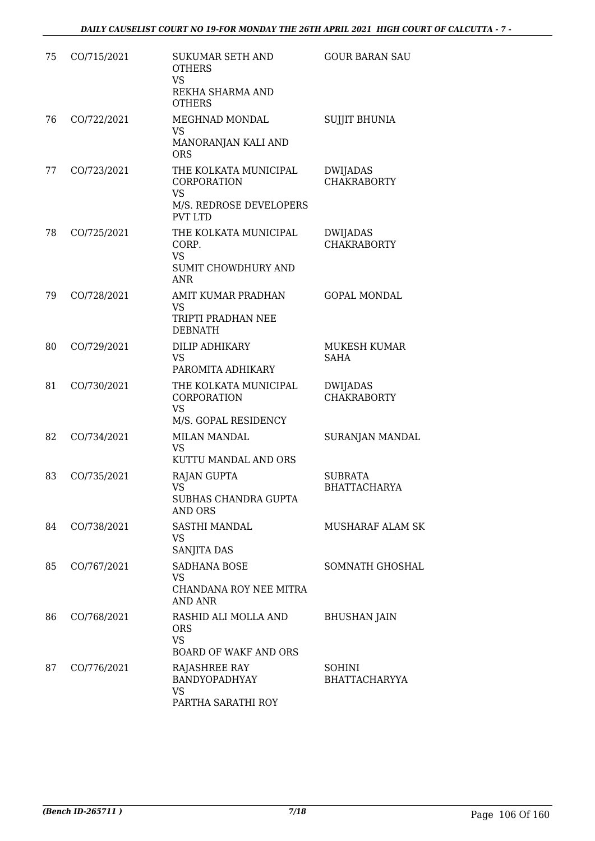| 75 | CO/715/2021 | <b>SUKUMAR SETH AND</b><br><b>OTHERS</b><br>VS<br>REKHA SHARMA AND<br><b>OTHERS</b>            | <b>GOUR BARAN SAU</b>                 |
|----|-------------|------------------------------------------------------------------------------------------------|---------------------------------------|
| 76 | CO/722/2021 | MEGHNAD MONDAL<br>VS<br>MANORANJAN KALI AND<br><b>ORS</b>                                      | <b>SUJJIT BHUNIA</b>                  |
| 77 | CO/723/2021 | THE KOLKATA MUNICIPAL<br>CORPORATION<br><b>VS</b><br>M/S. REDROSE DEVELOPERS<br><b>PVT LTD</b> | <b>DWIJADAS</b><br><b>CHAKRABORTY</b> |
| 78 | CO/725/2021 | THE KOLKATA MUNICIPAL<br>CORP.<br><b>VS</b><br>SUMIT CHOWDHURY AND<br><b>ANR</b>               | DWIJADAS<br><b>CHAKRABORTY</b>        |
| 79 | CO/728/2021 | AMIT KUMAR PRADHAN<br>VS<br>TRIPTI PRADHAN NEE<br><b>DEBNATH</b>                               | <b>GOPAL MONDAL</b>                   |
| 80 | CO/729/2021 | DILIP ADHIKARY<br><b>VS</b><br>PAROMITA ADHIKARY                                               | MUKESH KUMAR<br><b>SAHA</b>           |
| 81 | CO/730/2021 | THE KOLKATA MUNICIPAL<br>CORPORATION<br><b>VS</b><br>M/S. GOPAL RESIDENCY                      | <b>DWIJADAS</b><br><b>CHAKRABORTY</b> |
| 82 | CO/734/2021 | <b>MILAN MANDAL</b><br><b>VS</b><br>KUTTU MANDAL AND ORS                                       | SURANJAN MANDAL                       |
| 83 | CO/735/2021 | <b>RAJAN GUPTA</b><br>VS<br>SUBHAS CHANDRA GUPTA<br>AND ORS                                    | <b>SUBRATA</b><br><b>BHATTACHARYA</b> |
| 84 | CO/738/2021 | SASTHI MANDAL<br>VS<br>SANJITA DAS                                                             | MUSHARAF ALAM SK                      |
| 85 | CO/767/2021 | SADHANA BOSE<br>VS<br>CHANDANA ROY NEE MITRA<br>AND ANR                                        | <b>SOMNATH GHOSHAL</b>                |
| 86 | CO/768/2021 | RASHID ALI MOLLA AND<br><b>ORS</b><br><b>VS</b><br><b>BOARD OF WAKF AND ORS</b>                | <b>BHUSHAN JAIN</b>                   |
| 87 | CO/776/2021 | RAJASHREE RAY<br><b>BANDYOPADHYAY</b><br>VS<br>PARTHA SARATHI ROY                              | SOHINI<br><b>BHATTACHARYYA</b>        |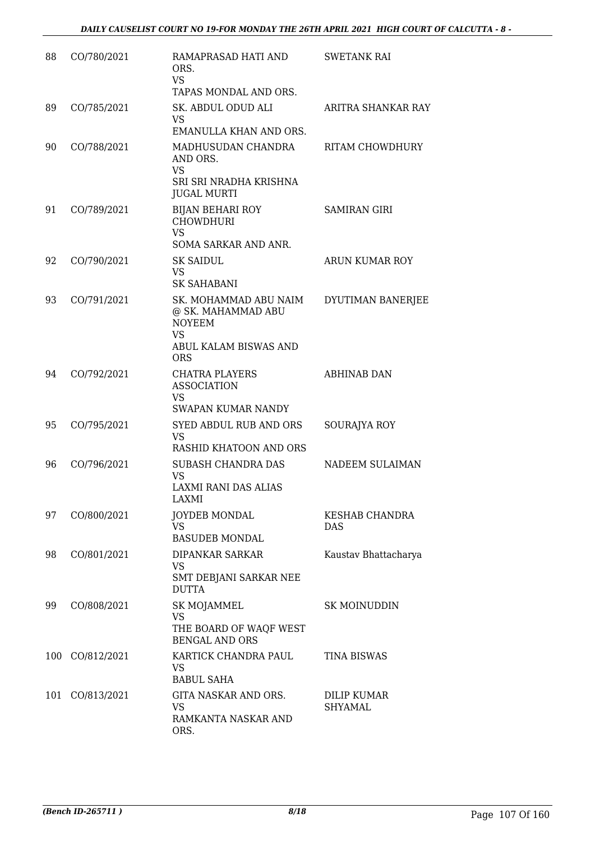| 88  | CO/780/2021 | RAMAPRASAD HATI AND<br>ORS.<br><b>VS</b><br>TAPAS MONDAL AND ORS.                                                | <b>SWETANK RAI</b>           |
|-----|-------------|------------------------------------------------------------------------------------------------------------------|------------------------------|
| 89  | CO/785/2021 | SK. ABDUL ODUD ALI<br><b>VS</b><br>EMANULLA KHAN AND ORS.                                                        | ARITRA SHANKAR RAY           |
| 90  | CO/788/2021 | MADHUSUDAN CHANDRA<br>AND ORS.<br><b>VS</b><br>SRI SRI NRADHA KRISHNA<br><b>JUGAL MURTI</b>                      | <b>RITAM CHOWDHURY</b>       |
| 91  | CO/789/2021 | <b>BIJAN BEHARI ROY</b><br><b>CHOWDHURI</b><br><b>VS</b><br>SOMA SARKAR AND ANR.                                 | <b>SAMIRAN GIRI</b>          |
| 92  | CO/790/2021 | SK SAIDUL<br><b>VS</b><br><b>SK SAHABANI</b>                                                                     | <b>ARUN KUMAR ROY</b>        |
| 93  | CO/791/2021 | SK. MOHAMMAD ABU NAIM<br>@ SK. MAHAMMAD ABU<br><b>NOYEEM</b><br><b>VS</b><br>ABUL KALAM BISWAS AND<br><b>ORS</b> | DYUTIMAN BANERJEE            |
| 94  | CO/792/2021 | <b>CHATRA PLAYERS</b><br><b>ASSOCIATION</b><br><b>VS</b><br><b>SWAPAN KUMAR NANDY</b>                            | <b>ABHINAB DAN</b>           |
| 95  | CO/795/2021 | <b>SYED ABDUL RUB AND ORS</b><br><b>VS</b><br>RASHID KHATOON AND ORS                                             | SOURAJYA ROY                 |
| 96  | CO/796/2021 | <b>SUBASH CHANDRA DAS</b><br>VS<br><b>LAXMI RANI DAS ALIAS</b><br>LAXMI                                          | NADEEM SULAIMAN              |
| 97  | CO/800/2021 | <b>JOYDEB MONDAL</b><br><b>VS</b><br><b>BASUDEB MONDAL</b>                                                       | KESHAB CHANDRA<br><b>DAS</b> |
| 98  | CO/801/2021 | DIPANKAR SARKAR<br><b>VS</b><br>SMT DEBJANI SARKAR NEE<br><b>DUTTA</b>                                           | Kaustav Bhattacharya         |
| 99  | CO/808/2021 | <b>SK MOJAMMEL</b><br>VS<br>THE BOARD OF WAQF WEST<br><b>BENGAL AND ORS</b>                                      | <b>SK MOINUDDIN</b>          |
| 100 | CO/812/2021 | KARTICK CHANDRA PAUL<br><b>VS</b><br><b>BABUL SAHA</b>                                                           | <b>TINA BISWAS</b>           |
| 101 | CO/813/2021 | GITA NASKAR AND ORS.<br><b>VS</b><br>RAMKANTA NASKAR AND<br>ORS.                                                 | DILIP KUMAR<br>SHYAMAL       |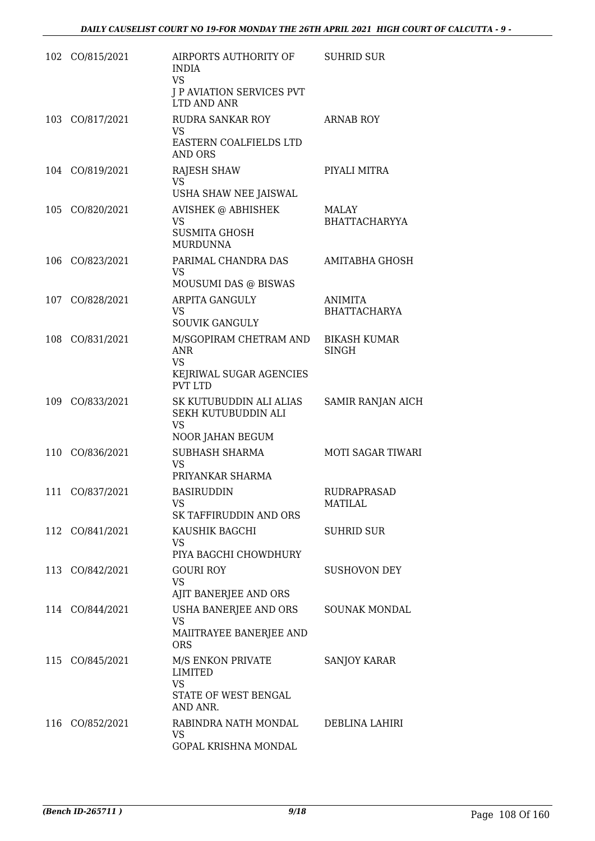| 102 | CO/815/2021     | AIRPORTS AUTHORITY OF<br><b>INDIA</b><br>VS.<br><b>J P AVIATION SERVICES PVT</b><br>LTD AND ANR | <b>SUHRID SUR</b>                   |
|-----|-----------------|-------------------------------------------------------------------------------------------------|-------------------------------------|
|     | 103 CO/817/2021 | RUDRA SANKAR ROY<br>VS<br>EASTERN COALFIELDS LTD<br>AND ORS                                     | <b>ARNAB ROY</b>                    |
| 104 | CO/819/2021     | <b>RAJESH SHAW</b><br>VS<br>USHA SHAW NEE JAISWAL                                               | PIYALI MITRA                        |
|     | 105 CO/820/2021 | AVISHEK @ ABHISHEK<br><b>VS</b><br><b>SUSMITA GHOSH</b><br><b>MURDUNNA</b>                      | MALAY<br><b>BHATTACHARYYA</b>       |
| 106 | CO/823/2021     | PARIMAL CHANDRA DAS<br>VS.<br>MOUSUMI DAS @ BISWAS                                              | <b>AMITABHA GHOSH</b>               |
|     | 107 CO/828/2021 | ARPITA GANGULY<br>VS<br><b>SOUVIK GANGULY</b>                                                   | ANIMITA<br><b>BHATTACHARYA</b>      |
| 108 | CO/831/2021     | M/SGOPIRAM CHETRAM AND<br><b>ANR</b><br>VS<br>KEJRIWAL SUGAR AGENCIES<br><b>PVT LTD</b>         | <b>BIKASH KUMAR</b><br><b>SINGH</b> |
|     | 109 CO/833/2021 | SK KUTUBUDDIN ALI ALIAS<br>SEKH KUTUBUDDIN ALI<br><b>VS</b><br>NOOR JAHAN BEGUM                 | SAMIR RANJAN AICH                   |
| 110 | CO/836/2021     | <b>SUBHASH SHARMA</b><br>VS.<br>PRIYANKAR SHARMA                                                | <b>MOTI SAGAR TIWARI</b>            |
| 111 | CO/837/2021     | <b>BASIRUDDIN</b><br>VS<br>SK TAFFIRUDDIN AND ORS                                               | RUDRAPRASAD<br><b>MATILAL</b>       |
|     | 112 CO/841/2021 | KAUSHIK BAGCHI<br>VS.<br>PIYA BAGCHI CHOWDHURY                                                  | SUHRID SUR                          |
|     | 113 CO/842/2021 | <b>GOURI ROY</b><br>VS<br>AJIT BANERJEE AND ORS                                                 | <b>SUSHOVON DEY</b>                 |
|     | 114 CO/844/2021 | USHA BANERJEE AND ORS<br><b>VS</b><br>MAIITRAYEE BANERJEE AND<br><b>ORS</b>                     | SOUNAK MONDAL                       |
|     | 115 CO/845/2021 | M/S ENKON PRIVATE<br>LIMITED<br><b>VS</b><br>STATE OF WEST BENGAL<br>AND ANR.                   | <b>SANJOY KARAR</b>                 |
| 116 | CO/852/2021     | RABINDRA NATH MONDAL<br>VS<br>GOPAL KRISHNA MONDAL                                              | DEBLINA LAHIRI                      |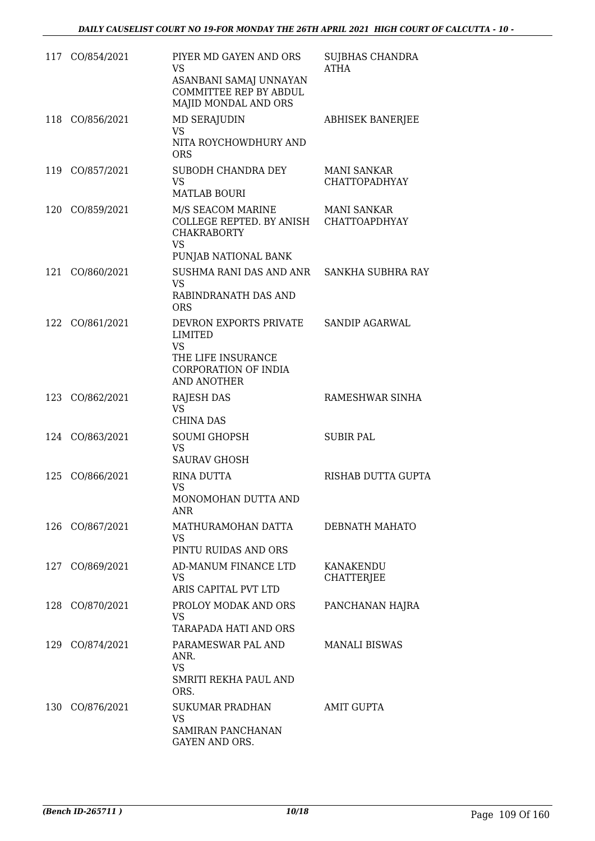|     | 117 CO/854/2021 | PIYER MD GAYEN AND ORS<br><b>VS</b><br>ASANBANI SAMAJ UNNAYAN<br>COMMITTEE REP BY ABDUL<br>MAJID MONDAL AND ORS        | <b>SUJBHAS CHANDRA</b><br>ATHA             |
|-----|-----------------|------------------------------------------------------------------------------------------------------------------------|--------------------------------------------|
| 118 | CO/856/2021     | <b>MD SERAJUDIN</b><br>VS<br>NITA ROYCHOWDHURY AND<br><b>ORS</b>                                                       | <b>ABHISEK BANERJEE</b>                    |
| 119 | CO/857/2021     | SUBODH CHANDRA DEY<br><b>VS</b><br><b>MATLAB BOURI</b>                                                                 | <b>MANI SANKAR</b><br><b>CHATTOPADHYAY</b> |
| 120 | CO/859/2021     | M/S SEACOM MARINE<br>COLLEGE REPTED. BY ANISH CHATTOAPDHYAY<br><b>CHAKRABORTY</b><br><b>VS</b><br>PUNJAB NATIONAL BANK | <b>MANI SANKAR</b>                         |
| 121 | CO/860/2021     | SUSHMA RANI DAS AND ANR<br><b>VS</b><br>RABINDRANATH DAS AND<br><b>ORS</b>                                             | SANKHA SUBHRA RAY                          |
| 122 | CO/861/2021     | DEVRON EXPORTS PRIVATE<br>LIMITED<br>VS<br>THE LIFE INSURANCE<br>CORPORATION OF INDIA<br>AND ANOTHER                   | <b>SANDIP AGARWAL</b>                      |
| 123 | CO/862/2021     | RAJESH DAS<br><b>VS</b><br><b>CHINA DAS</b>                                                                            | RAMESHWAR SINHA                            |
|     | 124 CO/863/2021 | <b>SOUMI GHOPSH</b><br>VS<br><b>SAURAV GHOSH</b>                                                                       | <b>SUBIR PAL</b>                           |
| 125 | CO/866/2021     | <b>RINA DUTTA</b><br>VS<br>MONOMOHAN DUTTA AND<br>ANR                                                                  | <b>RISHAB DUTTA GUPTA</b>                  |
| 126 | CO/867/2021     | MATHURAMOHAN DATTA<br>VS<br>PINTU RUIDAS AND ORS                                                                       | DEBNATH MAHATO                             |
| 127 | CO/869/2021     | AD-MANUM FINANCE LTD<br>VS<br>ARIS CAPITAL PVT LTD                                                                     | KANAKENDU<br><b>CHATTERJEE</b>             |
| 128 | CO/870/2021     | PROLOY MODAK AND ORS<br>VS<br>TARAPADA HATI AND ORS                                                                    | PANCHANAN HAJRA                            |
|     | 129 CO/874/2021 | PARAMESWAR PAL AND<br>ANR.<br><b>VS</b><br>SMRITI REKHA PAUL AND<br>ORS.                                               | <b>MANALI BISWAS</b>                       |
| 130 | CO/876/2021     | <b>SUKUMAR PRADHAN</b><br><b>VS</b><br>SAMIRAN PANCHANAN<br>GAYEN AND ORS.                                             | <b>AMIT GUPTA</b>                          |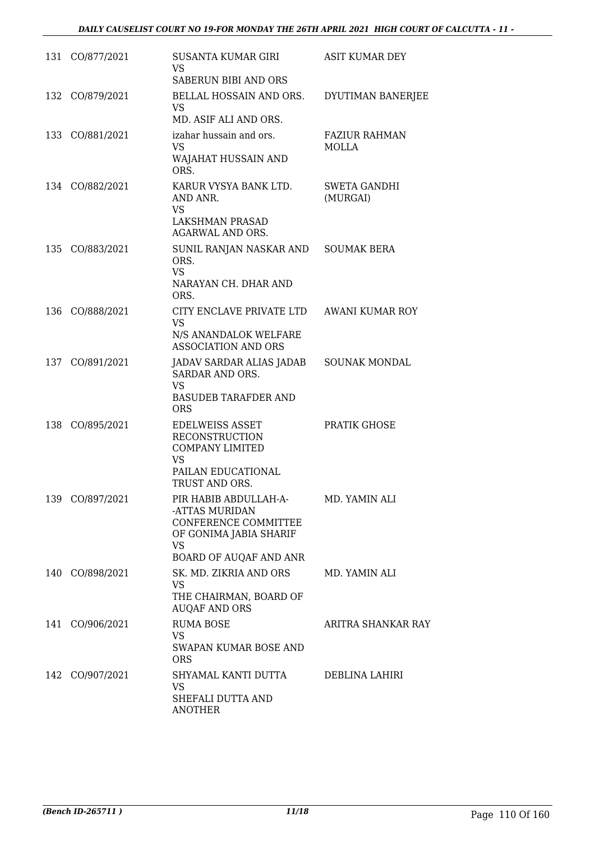|     | 131 CO/877/2021 | SUSANTA KUMAR GIRI<br><b>VS</b><br>SABERUN BIBI AND ORS                                                                   | <b>ASIT KUMAR DEY</b>         |
|-----|-----------------|---------------------------------------------------------------------------------------------------------------------------|-------------------------------|
|     | 132 CO/879/2021 | BELLAL HOSSAIN AND ORS.<br>VS.<br>MD. ASIF ALI AND ORS.                                                                   | DYUTIMAN BANERJEE             |
|     | 133 CO/881/2021 | izahar hussain and ors.<br><b>VS</b><br>WAJAHAT HUSSAIN AND<br>ORS.                                                       | <b>FAZIUR RAHMAN</b><br>MOLLA |
|     | 134 CO/882/2021 | KARUR VYSYA BANK LTD.<br>AND ANR.<br>VS<br>LAKSHMAN PRASAD                                                                | SWETA GANDHI<br>(MURGAI)      |
|     | 135 CO/883/2021 | AGARWAL AND ORS.<br>SUNIL RANJAN NASKAR AND<br>ORS.<br><b>VS</b><br>NARAYAN CH. DHAR AND<br>ORS.                          | <b>SOUMAK BERA</b>            |
| 136 | CO/888/2021     | CITY ENCLAVE PRIVATE LTD<br><b>VS</b><br>N/S ANANDALOK WELFARE<br>ASSOCIATION AND ORS                                     | <b>AWANI KUMAR ROY</b>        |
|     | 137 CO/891/2021 | JADAV SARDAR ALIAS JADAB<br>SARDAR AND ORS.<br><b>VS</b><br><b>BASUDEB TARAFDER AND</b><br><b>ORS</b>                     | <b>SOUNAK MONDAL</b>          |
|     | 138 CO/895/2021 | <b>EDELWEISS ASSET</b><br><b>RECONSTRUCTION</b><br><b>COMPANY LIMITED</b><br>VS<br>PAILAN EDUCATIONAL<br>TRUST AND ORS.   | PRATIK GHOSE                  |
|     | 139 CO/897/2021 | PIR HABIB ABDULLAH-A-<br>-ATTAS MURIDAN<br>CONFERENCE COMMITTEE<br>OF GONIMA JABIA SHARIF<br>VS<br>BOARD OF AUQAF AND ANR | MD. YAMIN ALI                 |
|     | 140 CO/898/2021 | SK. MD. ZIKRIA AND ORS<br><b>VS</b><br>THE CHAIRMAN, BOARD OF<br><b>AUQAF AND ORS</b>                                     | MD. YAMIN ALI                 |
|     | 141 CO/906/2021 | <b>RUMA BOSE</b><br>VS.<br>SWAPAN KUMAR BOSE AND<br><b>ORS</b>                                                            | ARITRA SHANKAR RAY            |
|     | 142 CO/907/2021 | SHYAMAL KANTI DUTTA<br>VS<br>SHEFALI DUTTA AND<br>ANOTHER                                                                 | DEBLINA LAHIRI                |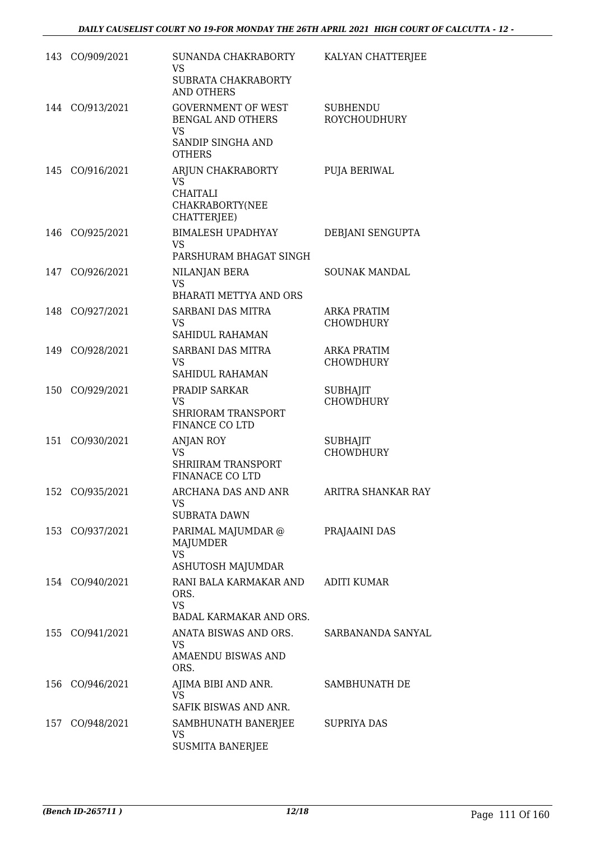|     | 143 CO/909/2021 | SUNANDA CHAKRABORTY<br><b>VS</b><br>SUBRATA CHAKRABORTY<br><b>AND OTHERS</b>                      | KALYAN CHATTERJEE                      |
|-----|-----------------|---------------------------------------------------------------------------------------------------|----------------------------------------|
|     | 144 CO/913/2021 | <b>GOVERNMENT OF WEST</b><br>BENGAL AND OTHERS<br><b>VS</b><br>SANDIP SINGHA AND<br><b>OTHERS</b> | <b>SUBHENDU</b><br><b>ROYCHOUDHURY</b> |
| 145 | CO/916/2021     | ARJUN CHAKRABORTY<br><b>VS</b><br><b>CHAITALI</b><br>CHAKRABORTY(NEE<br>CHATTERJEE)               | PUJA BERIWAL                           |
| 146 | CO/925/2021     | BIMALESH UPADHYAY<br><b>VS</b><br>PARSHURAM BHAGAT SINGH                                          | DEBJANI SENGUPTA                       |
|     | 147 CO/926/2021 | NILANJAN BERA<br><b>VS</b><br><b>BHARATI METTYA AND ORS</b>                                       | <b>SOUNAK MANDAL</b>                   |
|     | 148 CO/927/2021 | SARBANI DAS MITRA<br><b>VS</b><br><b>SAHIDUL RAHAMAN</b>                                          | <b>ARKA PRATIM</b><br><b>CHOWDHURY</b> |
| 149 | CO/928/2021     | SARBANI DAS MITRA<br><b>VS</b><br>SAHIDUL RAHAMAN                                                 | <b>ARKA PRATIM</b><br><b>CHOWDHURY</b> |
| 150 | CO/929/2021     | PRADIP SARKAR<br>VS<br><b>SHRIORAM TRANSPORT</b><br>FINANCE CO LTD                                | <b>SUBHAJIT</b><br><b>CHOWDHURY</b>    |
| 151 | CO/930/2021     | <b>ANJAN ROY</b><br><b>VS</b><br>SHRIIRAM TRANSPORT<br><b>FINANACE CO LTD</b>                     | <b>SUBHAJIT</b><br><b>CHOWDHURY</b>    |
| 152 | CO/935/2021     | ARCHANA DAS AND ANR<br>VS<br><b>SUBRATA DAWN</b>                                                  | ARITRA SHANKAR RAY                     |
|     | 153 CO/937/2021 | PARIMAL MAJUMDAR @<br>MAJUMDER<br><b>VS</b><br><b>ASHUTOSH MAJUMDAR</b>                           | PRAJAAINI DAS                          |
|     | 154 CO/940/2021 | RANI BALA KARMAKAR AND<br>ORS.<br><b>VS</b><br>BADAL KARMAKAR AND ORS.                            | <b>ADITI KUMAR</b>                     |
|     | 155 CO/941/2021 | ANATA BISWAS AND ORS.<br>VS.<br>AMAENDU BISWAS AND<br>ORS.                                        | SARBANANDA SANYAL                      |
| 156 | CO/946/2021     | AJIMA BIBI AND ANR.<br>VS<br>SAFIK BISWAS AND ANR.                                                | SAMBHUNATH DE                          |
|     | 157 CO/948/2021 | SAMBHUNATH BANERJEE<br>VS<br><b>SUSMITA BANERJEE</b>                                              | SUPRIYA DAS                            |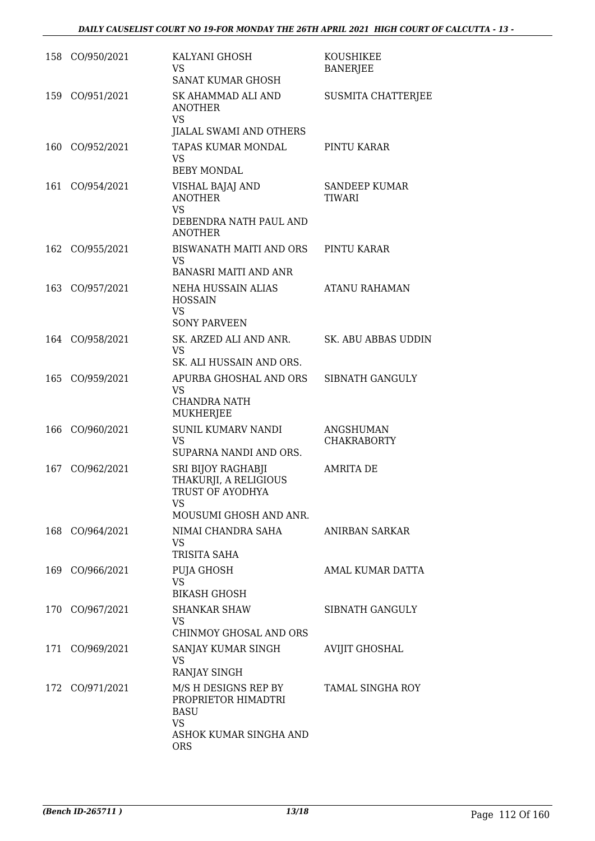|     | 158 CO/950/2021 | KALYANI GHOSH<br>VS.<br>SANAT KUMAR GHOSH                                                                | KOUSHIKEE<br><b>BANERJEE</b>    |
|-----|-----------------|----------------------------------------------------------------------------------------------------------|---------------------------------|
| 159 | CO/951/2021     | SK AHAMMAD ALI AND<br><b>ANOTHER</b><br>VS                                                               | SUSMITA CHATTERJEE              |
|     |                 | JIALAL SWAMI AND OTHERS                                                                                  |                                 |
|     | 160 CO/952/2021 | TAPAS KUMAR MONDAL<br>VS.<br><b>BEBY MONDAL</b>                                                          | PINTU KARAR                     |
| 161 | CO/954/2021     | VISHAL BAJAJ AND<br><b>ANOTHER</b><br><b>VS</b><br>DEBENDRA NATH PAUL AND<br><b>ANOTHER</b>              | <b>SANDEEP KUMAR</b><br>TIWARI  |
|     | 162 CO/955/2021 | BISWANATH MAITI AND ORS<br>VS.<br><b>BANASRI MAITI AND ANR</b>                                           | PINTU KARAR                     |
| 163 | CO/957/2021     | NEHA HUSSAIN ALIAS<br><b>HOSSAIN</b><br>VS<br><b>SONY PARVEEN</b>                                        | <b>ATANU RAHAMAN</b>            |
|     | 164 CO/958/2021 | SK. ARZED ALI AND ANR.<br>VS<br>SK. ALI HUSSAIN AND ORS.                                                 | SK. ABU ABBAS UDDIN             |
|     | 165 CO/959/2021 | APURBA GHOSHAL AND ORS<br>VS<br><b>CHANDRA NATH</b><br>MUKHERJEE                                         | SIBNATH GANGULY                 |
| 166 | CO/960/2021     | <b>SUNIL KUMARV NANDI</b><br><b>VS</b><br>SUPARNA NANDI AND ORS.                                         | ANGSHUMAN<br><b>CHAKRABORTY</b> |
| 167 | CO/962/2021     | <b>SRI BIJOY RAGHABJI</b><br>THAKURJI, A RELIGIOUS<br>TRUST OF AYODHYA<br>VS<br>MOUSUMI GHOSH AND ANR.   | <b>AMRITA DE</b>                |
|     | 168 CO/964/2021 | NIMAI CHANDRA SAHA<br>VS<br>TRISITA SAHA                                                                 | ANIRBAN SARKAR                  |
|     | 169 CO/966/2021 | PUJA GHOSH<br><b>VS</b><br><b>BIKASH GHOSH</b>                                                           | AMAL KUMAR DATTA                |
|     | 170 CO/967/2021 | <b>SHANKAR SHAW</b><br>VS.<br>CHINMOY GHOSAL AND ORS                                                     | SIBNATH GANGULY                 |
|     | 171 CO/969/2021 | SANJAY KUMAR SINGH<br>VS.<br>RANJAY SINGH                                                                | <b>AVIJIT GHOSHAL</b>           |
|     | 172 CO/971/2021 | M/S H DESIGNS REP BY<br>PROPRIETOR HIMADTRI<br><b>BASU</b><br>VS<br>ASHOK KUMAR SINGHA AND<br><b>ORS</b> | <b>TAMAL SINGHA ROY</b>         |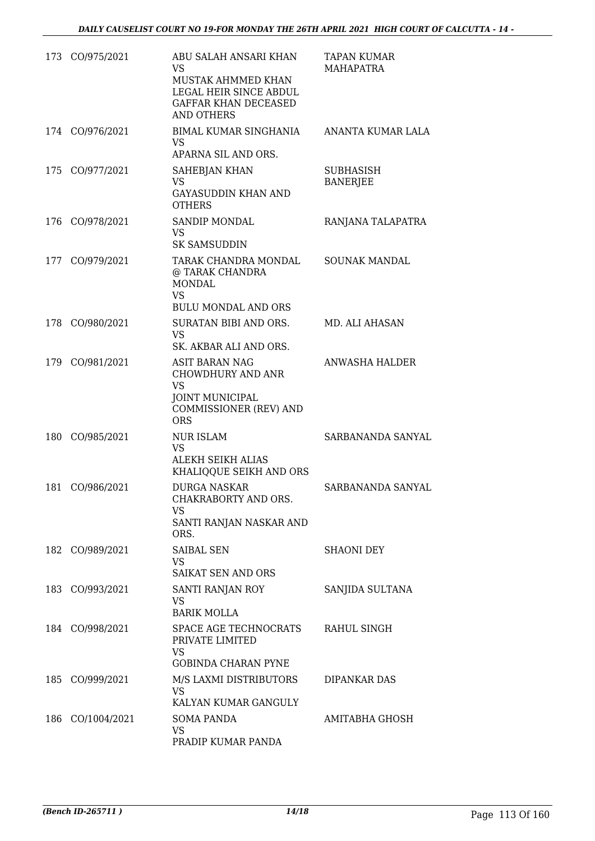|     | 173 CO/975/2021 | ABU SALAH ANSARI KHAN<br>VS<br>MUSTAK AHMMED KHAN<br>LEGAL HEIR SINCE ABDUL<br><b>GAFFAR KHAN DECEASED</b><br><b>AND OTHERS</b> | TAPAN KUMAR<br>MAHAPATRA            |
|-----|-----------------|---------------------------------------------------------------------------------------------------------------------------------|-------------------------------------|
|     | 174 CO/976/2021 | BIMAL KUMAR SINGHANIA<br>VS<br>APARNA SIL AND ORS.                                                                              | ANANTA KUMAR LALA                   |
| 175 | CO/977/2021     | SAHEBJAN KHAN<br>VS<br><b>GAYASUDDIN KHAN AND</b><br><b>OTHERS</b>                                                              | <b>SUBHASISH</b><br><b>BANERJEE</b> |
|     | 176 CO/978/2021 | SANDIP MONDAL<br>VS<br><b>SK SAMSUDDIN</b>                                                                                      | RANJANA TALAPATRA                   |
|     | 177 CO/979/2021 | TARAK CHANDRA MONDAL<br>@ TARAK CHANDRA<br><b>MONDAL</b><br><b>VS</b><br><b>BULU MONDAL AND ORS</b>                             | <b>SOUNAK MANDAL</b>                |
| 178 | CO/980/2021     | SURATAN BIBI AND ORS.<br><b>VS</b><br>SK. AKBAR ALI AND ORS.                                                                    | MD. ALI AHASAN                      |
| 179 | CO/981/2021     | <b>ASIT BARAN NAG</b><br>CHOWDHURY AND ANR<br>VS<br><b>JOINT MUNICIPAL</b><br>COMMISSIONER (REV) AND<br><b>ORS</b>              | ANWASHA HALDER                      |
| 180 | CO/985/2021     | <b>NUR ISLAM</b><br>VS<br>ALEKH SEIKH ALIAS<br>KHALIQQUE SEIKH AND ORS                                                          | SARBANANDA SANYAL                   |
| 181 | CO/986/2021     | <b>DURGA NASKAR</b><br>CHAKRABORTY AND ORS.<br>VS<br>SANTI RANJAN NASKAR AND<br>ORS.                                            | SARBANANDA SANYAL                   |
|     | 182 CO/989/2021 | <b>SAIBAL SEN</b><br>VS.<br>SAIKAT SEN AND ORS                                                                                  | SHAONI DEY                          |
|     | 183 CO/993/2021 | SANTI RANJAN ROY<br>VS<br><b>BARIK MOLLA</b>                                                                                    | SANJIDA SULTANA                     |
|     | 184 CO/998/2021 | SPACE AGE TECHNOCRATS<br>PRIVATE LIMITED<br>VS<br><b>GOBINDA CHARAN PYNE</b>                                                    | RAHUL SINGH                         |
| 185 | CO/999/2021     | M/S LAXMI DISTRIBUTORS<br><b>VS</b><br>KALYAN KUMAR GANGULY                                                                     | DIPANKAR DAS                        |
| 186 | CO/1004/2021    | SOMA PANDA<br>VS<br>PRADIP KUMAR PANDA                                                                                          | AMITABHA GHOSH                      |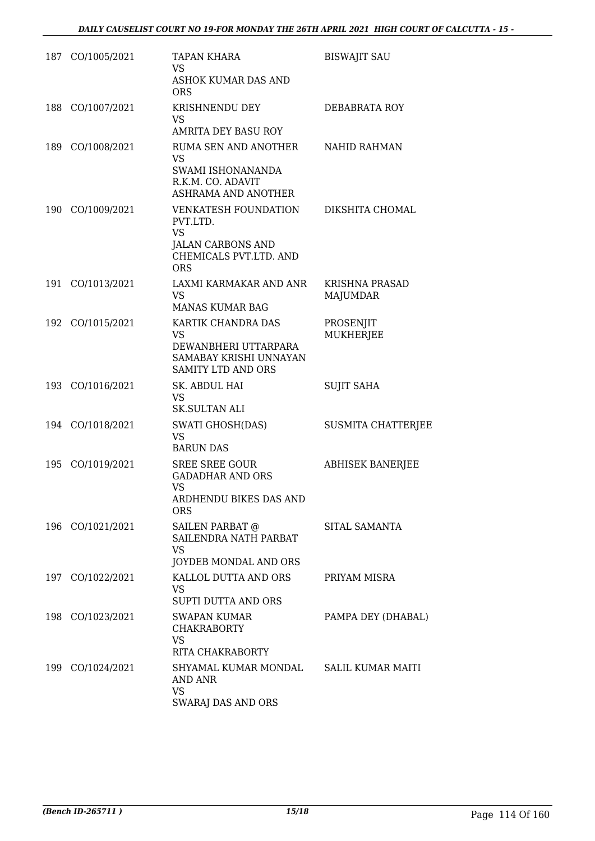|     | 187 CO/1005/2021 | <b>TAPAN KHARA</b><br><b>VS</b><br>ASHOK KUMAR DAS AND<br><b>ORS</b>                                              | <b>BISWAJIT SAU</b>                      |
|-----|------------------|-------------------------------------------------------------------------------------------------------------------|------------------------------------------|
| 188 | CO/1007/2021     | KRISHNENDU DEY<br>VS<br>AMRITA DEY BASU ROY                                                                       | DEBABRATA ROY                            |
| 189 | CO/1008/2021     | RUMA SEN AND ANOTHER<br><b>VS</b><br>SWAMI ISHONANANDA<br>R.K.M. CO. ADAVIT<br><b>ASHRAMA AND ANOTHER</b>         | NAHID RAHMAN                             |
| 190 | CO/1009/2021     | <b>VENKATESH FOUNDATION</b><br>PVT.LTD.<br><b>VS</b><br>JALAN CARBONS AND<br>CHEMICALS PVT.LTD. AND<br><b>ORS</b> | DIKSHITA CHOMAL                          |
| 191 | CO/1013/2021     | LAXMI KARMAKAR AND ANR<br><b>VS</b><br><b>MANAS KUMAR BAG</b>                                                     | <b>KRISHNA PRASAD</b><br><b>MAJUMDAR</b> |
| 192 | CO/1015/2021     | KARTIK CHANDRA DAS<br>VS<br>DEWANBHERI UTTARPARA<br>SAMABAY KRISHI UNNAYAN<br><b>SAMITY LTD AND ORS</b>           | PROSENJIT<br><b>MUKHERJEE</b>            |
| 193 | CO/1016/2021     | SK. ABDUL HAI<br><b>VS</b><br><b>SK.SULTAN ALI</b>                                                                | <b>SUJIT SAHA</b>                        |
|     | 194 CO/1018/2021 | <b>SWATI GHOSH(DAS)</b><br><b>VS</b><br><b>BARUN DAS</b>                                                          | <b>SUSMITA CHATTERJEE</b>                |
| 195 | CO/1019/2021     | <b>SREE SREE GOUR</b><br><b>GADADHAR AND ORS</b><br>VS<br><b>ARDHENDU BIKES DAS AND</b><br><b>ORS</b>             | <b>ABHISEK BANERJEE</b>                  |
|     | 196 CO/1021/2021 | SAILEN PARBAT @<br>SAILENDRA NATH PARBAT<br><b>VS</b><br><b>JOYDEB MONDAL AND ORS</b>                             | SITAL SAMANTA                            |
| 197 | CO/1022/2021     | KALLOL DUTTA AND ORS<br>VS<br>SUPTI DUTTA AND ORS                                                                 | PRIYAM MISRA                             |
|     | 198 CO/1023/2021 | <b>SWAPAN KUMAR</b><br><b>CHAKRABORTY</b><br>VS<br>RITA CHAKRABORTY                                               | PAMPA DEY (DHABAL)                       |
|     | 199 CO/1024/2021 | SHYAMAL KUMAR MONDAL<br>AND ANR<br><b>VS</b><br>SWARAJ DAS AND ORS                                                | <b>SALIL KUMAR MAITI</b>                 |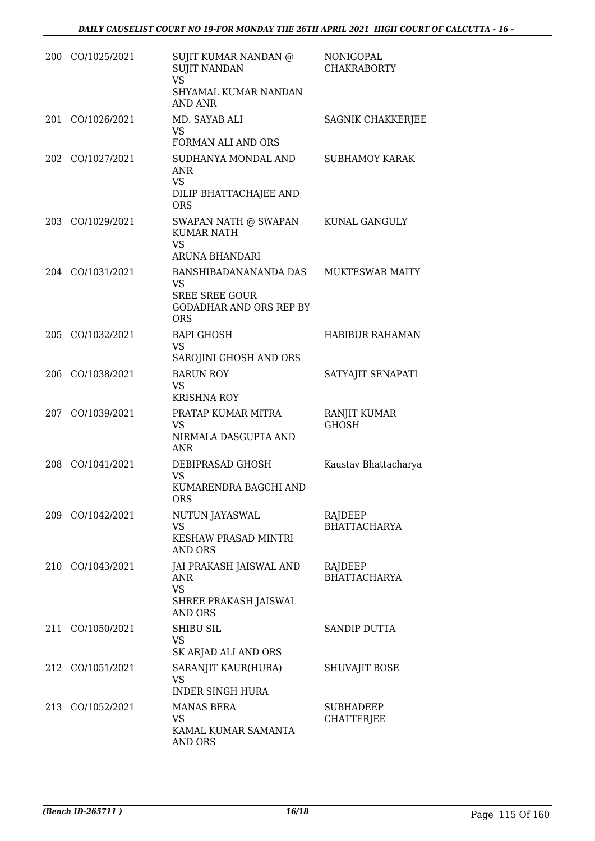| 200 | CO/1025/2021     | SUJIT KUMAR NANDAN @<br><b>SUJIT NANDAN</b><br><b>VS</b><br>SHYAMAL KUMAR NANDAN                      | NONIGOPAL<br><b>CHAKRABORTY</b> |
|-----|------------------|-------------------------------------------------------------------------------------------------------|---------------------------------|
|     | 201 CO/1026/2021 | <b>AND ANR</b><br>MD. SAYAB ALI<br>VS.                                                                | SAGNIK CHAKKERJEE               |
| 202 | CO/1027/2021     | FORMAN ALI AND ORS<br>SUDHANYA MONDAL AND<br><b>ANR</b><br>VS<br>DILIP BHATTACHAJEE AND<br><b>ORS</b> | <b>SUBHAMOY KARAK</b>           |
|     | 203 CO/1029/2021 | SWAPAN NATH @ SWAPAN<br><b>KUMAR NATH</b><br><b>VS</b><br>ARUNA BHANDARI                              | KUNAL GANGULY                   |
|     | 204 CO/1031/2021 | BANSHIBADANANANDA DAS<br>VS<br><b>SREE SREE GOUR</b><br><b>GODADHAR AND ORS REP BY</b><br><b>ORS</b>  | <b>MUKTESWAR MAITY</b>          |
| 205 | CO/1032/2021     | <b>BAPI GHOSH</b><br>VS<br>SAROJINI GHOSH AND ORS                                                     | <b>HABIBUR RAHAMAN</b>          |
| 206 | CO/1038/2021     | <b>BARUN ROY</b><br>VS<br><b>KRISHNA ROY</b>                                                          | SATYAJIT SENAPATI               |
|     | 207 CO/1039/2021 | PRATAP KUMAR MITRA<br>VS<br>NIRMALA DASGUPTA AND<br><b>ANR</b>                                        | RANJIT KUMAR<br><b>GHOSH</b>    |
| 208 | CO/1041/2021     | DEBIPRASAD GHOSH<br>VS<br>KUMARENDRA BAGCHI AND<br>ORS                                                | Kaustav Bhattacharya            |
|     | 209 CO/1042/2021 | NUTUN JAYASWAL<br><b>VS</b><br><b>KESHAW PRASAD MINTRI</b><br><b>AND ORS</b>                          | RAJDEEP<br><b>BHATTACHARYA</b>  |
| 210 | CO/1043/2021     | JAI PRAKASH JAISWAL AND<br><b>ANR</b><br><b>VS</b><br>SHREE PRAKASH JAISWAL<br>AND ORS                | RAJDEEP<br><b>BHATTACHARYA</b>  |
| 211 | CO/1050/2021     | <b>SHIBU SIL</b><br>VS<br>SK ARJAD ALI AND ORS                                                        | <b>SANDIP DUTTA</b>             |
|     | 212 CO/1051/2021 | SARANJIT KAUR(HURA)<br>VS<br><b>INDER SINGH HURA</b>                                                  | <b>SHUVAJIT BOSE</b>            |
|     | 213 CO/1052/2021 | <b>MANAS BERA</b><br>VS<br>KAMAL KUMAR SAMANTA<br>AND ORS                                             | SUBHADEEP<br>CHATTERJEE         |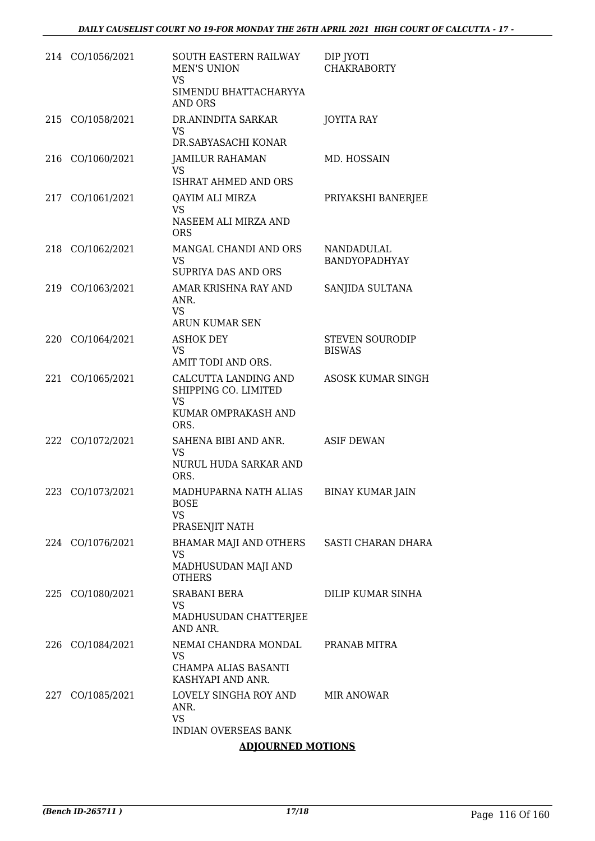|     | 214 CO/1056/2021 | SOUTH EASTERN RAILWAY<br><b>MEN'S UNION</b><br>VS<br>SIMENDU BHATTACHARYYA<br><b>AND ORS</b> | DIP JYOTI<br><b>CHAKRABORTY</b>         |
|-----|------------------|----------------------------------------------------------------------------------------------|-----------------------------------------|
|     | 215 CO/1058/2021 | DR.ANINDITA SARKAR<br>VS.<br>DR.SABYASACHI KONAR                                             | <b>JOYITA RAY</b>                       |
| 216 | CO/1060/2021     | <b>JAMILUR RAHAMAN</b><br>VS<br>ISHRAT AHMED AND ORS                                         | MD. HOSSAIN                             |
|     | 217 CO/1061/2021 | QAYIM ALI MIRZA<br>VS<br>NASEEM ALI MIRZA AND<br><b>ORS</b>                                  | PRIYAKSHI BANERJEE                      |
|     | 218 CO/1062/2021 | MANGAL CHANDI AND ORS<br>VS<br><b>SUPRIYA DAS AND ORS</b>                                    | NANDADULAL<br><b>BANDYOPADHYAY</b>      |
|     | 219 CO/1063/2021 | AMAR KRISHNA RAY AND<br>ANR.<br>VS<br>ARUN KUMAR SEN                                         | SANJIDA SULTANA                         |
| 220 | CO/1064/2021     | <b>ASHOK DEY</b><br><b>VS</b><br>AMIT TODI AND ORS.                                          | <b>STEVEN SOURODIP</b><br><b>BISWAS</b> |
| 221 | CO/1065/2021     | CALCUTTA LANDING AND<br>SHIPPING CO. LIMITED<br><b>VS</b><br>KUMAR OMPRAKASH AND<br>ORS.     | <b>ASOSK KUMAR SINGH</b>                |
|     | 222 CO/1072/2021 | SAHENA BIBI AND ANR.<br>VS<br>NURUL HUDA SARKAR AND<br>ORS.                                  | <b>ASIF DEWAN</b>                       |
| 223 | CO/1073/2021     | MADHUPARNA NATH ALIAS<br><b>BOSE</b><br><b>VS</b><br>PRASENJIT NATH                          | <b>BINAY KUMAR JAIN</b>                 |
|     | 224 CO/1076/2021 | BHAMAR MAJI AND OTHERS<br>VS<br>MADHUSUDAN MAJI AND<br><b>OTHERS</b>                         | SASTI CHARAN DHARA                      |
|     | 225 CO/1080/2021 | <b>SRABANI BERA</b><br>VS<br>MADHUSUDAN CHATTERJEE<br>AND ANR.                               | DILIP KUMAR SINHA                       |
|     | 226 CO/1084/2021 | NEMAI CHANDRA MONDAL<br>VS<br>CHAMPA ALIAS BASANTI<br>KASHYAPI AND ANR.                      | PRANAB MITRA                            |
|     | 227 CO/1085/2021 | LOVELY SINGHA ROY AND<br>ANR.<br>VS<br><b>INDIAN OVERSEAS BANK</b>                           | MIR ANOWAR                              |

# **ADJOURNED MOTIONS**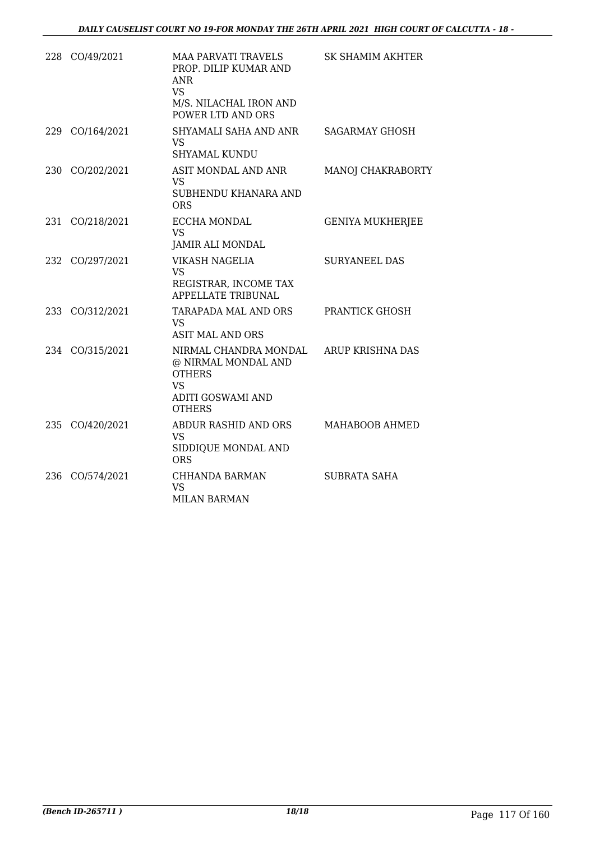|     | 228 CO/49/2021  | <b>MAA PARVATI TRAVELS</b><br>PROP. DILIP KUMAR AND<br>ANR<br><b>VS</b><br>M/S. NILACHAL IRON AND<br>POWER LTD AND ORS  | SK SHAMIM AKHTER        |
|-----|-----------------|-------------------------------------------------------------------------------------------------------------------------|-------------------------|
|     | 229 CO/164/2021 | SHYAMALI SAHA AND ANR<br>VS.<br><b>SHYAMAL KUNDU</b>                                                                    | <b>SAGARMAY GHOSH</b>   |
|     | 230 CO/202/2021 | ASIT MONDAL AND ANR<br>VS.<br>SUBHENDU KHANARA AND<br><b>ORS</b>                                                        | MANOJ CHAKRABORTY       |
| 231 | CO/218/2021     | ECCHA MONDAL<br><b>VS</b><br><b>JAMIR ALI MONDAL</b>                                                                    | <b>GENIYA MUKHERJEE</b> |
|     | 232 CO/297/2021 | VIKASH NAGELIA<br>VS.<br>REGISTRAR, INCOME TAX<br>APPELLATE TRIBUNAL                                                    | <b>SURYANEEL DAS</b>    |
|     | 233 CO/312/2021 | TARAPADA MAL AND ORS<br><b>VS</b><br><b>ASIT MAL AND ORS</b>                                                            | PRANTICK GHOSH          |
|     | 234 CO/315/2021 | NIRMAL CHANDRA MONDAL<br>@ NIRMAL MONDAL AND<br><b>OTHERS</b><br><b>VS</b><br><b>ADITI GOSWAMI AND</b><br><b>OTHERS</b> | <b>ARUP KRISHNA DAS</b> |
|     | 235 CO/420/2021 | ABDUR RASHID AND ORS<br>VS.<br>SIDDIQUE MONDAL AND<br><b>ORS</b>                                                        | MAHABOOB AHMED          |
| 236 | CO/574/2021     | CHHANDA BARMAN<br><b>VS</b><br><b>MILAN BARMAN</b>                                                                      | SUBRATA SAHA            |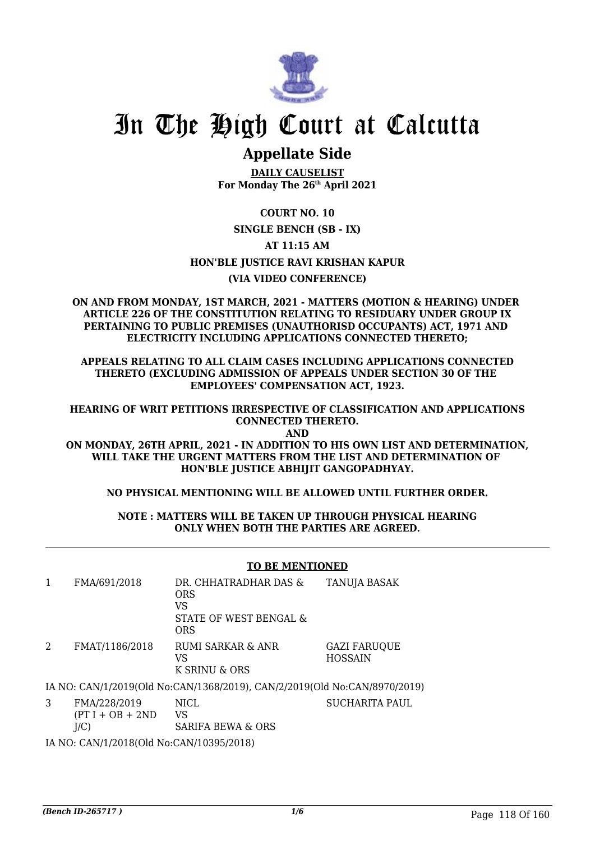

# **Appellate Side**

**DAILY CAUSELIST For Monday The 26th April 2021**

**COURT NO. 10**

**SINGLE BENCH (SB - IX)**

**AT 11:15 AM**

**HON'BLE JUSTICE RAVI KRISHAN KAPUR**

# **(VIA VIDEO CONFERENCE)**

**ON AND FROM MONDAY, 1ST MARCH, 2021 - MATTERS (MOTION & HEARING) UNDER ARTICLE 226 OF THE CONSTITUTION RELATING TO RESIDUARY UNDER GROUP IX PERTAINING TO PUBLIC PREMISES (UNAUTHORISD OCCUPANTS) ACT, 1971 AND ELECTRICITY INCLUDING APPLICATIONS CONNECTED THERETO;**

**APPEALS RELATING TO ALL CLAIM CASES INCLUDING APPLICATIONS CONNECTED THERETO (EXCLUDING ADMISSION OF APPEALS UNDER SECTION 30 OF THE EMPLOYEES' COMPENSATION ACT, 1923.**

**HEARING OF WRIT PETITIONS IRRESPECTIVE OF CLASSIFICATION AND APPLICATIONS CONNECTED THERETO.**

**AND**

**ON MONDAY, 26TH APRIL, 2021 - IN ADDITION TO HIS OWN LIST AND DETERMINATION, WILL TAKE THE URGENT MATTERS FROM THE LIST AND DETERMINATION OF HON'BLE JUSTICE ABHIJIT GANGOPADHYAY.**

# **NO PHYSICAL MENTIONING WILL BE ALLOWED UNTIL FURTHER ORDER.**

**NOTE : MATTERS WILL BE TAKEN UP THROUGH PHYSICAL HEARING ONLY WHEN BOTH THE PARTIES ARE AGREED.**

### **TO BE MENTIONED**

| FMA/691/2018   | DR. CHHATRADHAR DAS &<br><b>ORS</b><br>VS<br>STATE OF WEST BENGAL &<br>ORS  | <b>TANUJA BASAK</b>                   |
|----------------|-----------------------------------------------------------------------------|---------------------------------------|
| FMAT/1186/2018 | <b>RUMI SARKAR &amp; ANR</b><br>VS<br>K SRINU & ORS                         | <b>GAZI FARUOUE</b><br><b>HOSSAIN</b> |
|                | IA NO. CANI/1/2010/OIJ No.CANI/1269/2010). CANI/2/2010/OIJ No.CANI/9070/201 |                                       |

IA NO: CAN/1/2019(Old No:CAN/1368/2019), CAN/2/2019(Old No:CAN/8970/2019)

3 FMA/228/2019  $(PT I + OB + 2ND$  $J/C$ NICL. VS SARIFA BEWA & ORS

IA NO: CAN/1/2018(Old No:CAN/10395/2018)

SUCHARITA PAUL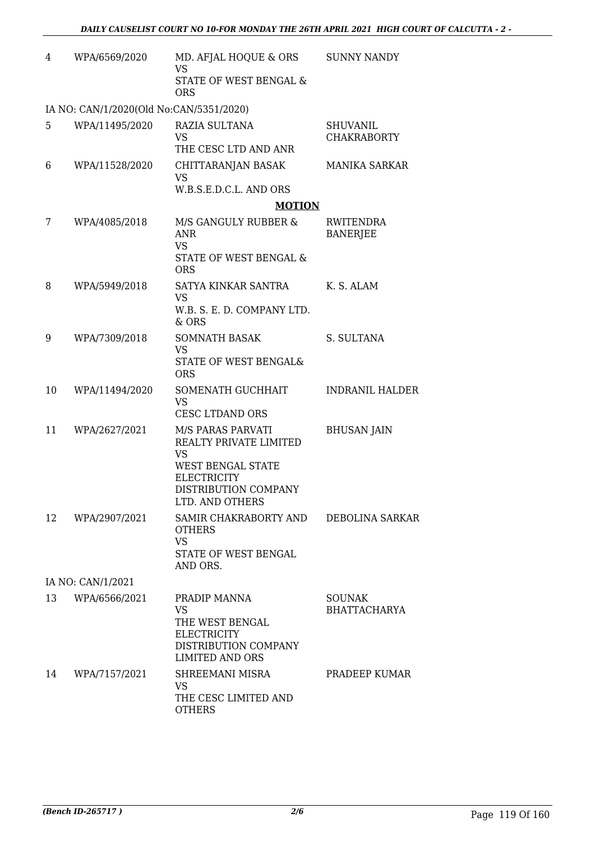| 4                 | WPA/6569/2020                           | MD. AFJAL HOQUE & ORS<br><b>VS</b><br>STATE OF WEST BENGAL &<br><b>ORS</b>                                                                            | <b>SUNNY NANDY</b>                    |  |  |
|-------------------|-----------------------------------------|-------------------------------------------------------------------------------------------------------------------------------------------------------|---------------------------------------|--|--|
|                   | IA NO: CAN/1/2020(Old No:CAN/5351/2020) |                                                                                                                                                       |                                       |  |  |
| 5                 | WPA/11495/2020                          | RAZIA SULTANA<br>VS<br>THE CESC LTD AND ANR                                                                                                           | <b>SHUVANIL</b><br><b>CHAKRABORTY</b> |  |  |
| 6                 | WPA/11528/2020                          | CHITTARANJAN BASAK<br>VS<br>W.B.S.E.D.C.L. AND ORS                                                                                                    | <b>MANIKA SARKAR</b>                  |  |  |
|                   |                                         | <b>MOTION</b>                                                                                                                                         |                                       |  |  |
| 7                 | WPA/4085/2018                           | M/S GANGULY RUBBER &<br><b>ANR</b><br><b>VS</b><br>STATE OF WEST BENGAL &<br><b>ORS</b>                                                               | RWITENDRA<br><b>BANERJEE</b>          |  |  |
| 8                 | WPA/5949/2018                           | SATYA KINKAR SANTRA<br><b>VS</b><br>W.B. S. E. D. COMPANY LTD.                                                                                        | K. S. ALAM                            |  |  |
| 9                 | WPA/7309/2018                           | & ORS<br><b>SOMNATH BASAK</b><br><b>VS</b><br>STATE OF WEST BENGAL&<br><b>ORS</b>                                                                     | S. SULTANA                            |  |  |
| 10                | WPA/11494/2020                          | SOMENATH GUCHHAIT<br><b>VS</b><br>CESC LTDAND ORS                                                                                                     | <b>INDRANIL HALDER</b>                |  |  |
| 11                | WPA/2627/2021                           | M/S PARAS PARVATI<br>REALTY PRIVATE LIMITED<br><b>VS</b><br><b>WEST BENGAL STATE</b><br><b>ELECTRICITY</b><br>DISTRIBUTION COMPANY<br>LTD. AND OTHERS | <b>BHUSAN JAIN</b>                    |  |  |
| 12                | WPA/2907/2021                           | SAMIR CHAKRABORTY AND<br><b>OTHERS</b><br><b>VS</b><br>STATE OF WEST BENGAL<br>AND ORS.                                                               | <b>DEBOLINA SARKAR</b>                |  |  |
| IA NO: CAN/1/2021 |                                         |                                                                                                                                                       |                                       |  |  |
| 13                | WPA/6566/2021                           | PRADIP MANNA<br>VS<br>THE WEST BENGAL<br>ELECTRICITY<br>DISTRIBUTION COMPANY<br><b>LIMITED AND ORS</b>                                                | <b>SOUNAK</b><br><b>BHATTACHARYA</b>  |  |  |
| 14                | WPA/7157/2021                           | SHREEMANI MISRA<br>VS<br>THE CESC LIMITED AND<br><b>OTHERS</b>                                                                                        | PRADEEP KUMAR                         |  |  |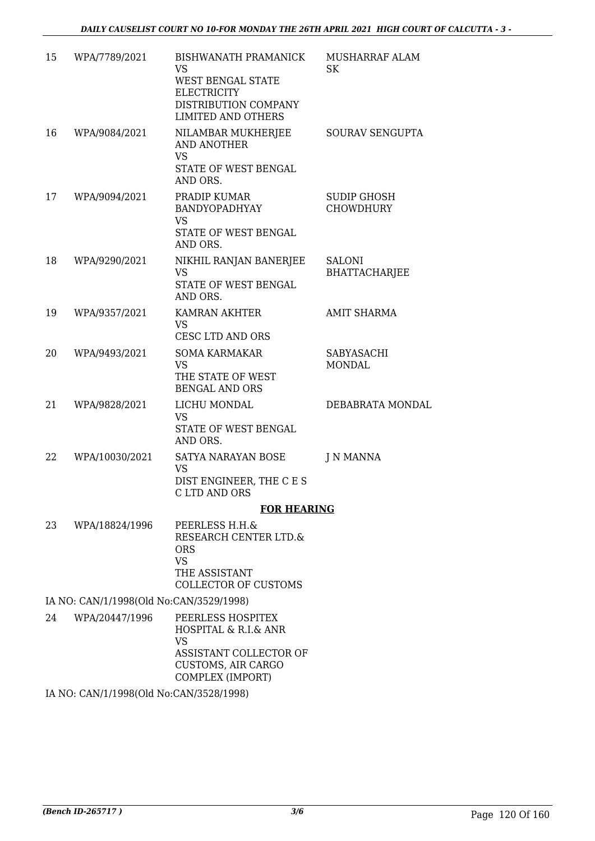| 15 | WPA/7789/2021                           | <b>BISHWANATH PRAMANICK</b><br>VS                                                                                                 | MUSHARRAF ALAM<br><b>SK</b>     |
|----|-----------------------------------------|-----------------------------------------------------------------------------------------------------------------------------------|---------------------------------|
|    |                                         | WEST BENGAL STATE<br><b>ELECTRICITY</b><br>DISTRIBUTION COMPANY<br><b>LIMITED AND OTHERS</b>                                      |                                 |
| 16 | WPA/9084/2021                           | NILAMBAR MUKHERJEE<br><b>AND ANOTHER</b><br><b>VS</b><br>STATE OF WEST BENGAL<br>AND ORS.                                         | SOURAV SENGUPTA                 |
| 17 | WPA/9094/2021                           | PRADIP KUMAR<br>BANDYOPADHYAY<br>VS<br>STATE OF WEST BENGAL<br>AND ORS.                                                           | SUDIP GHOSH<br><b>CHOWDHURY</b> |
| 18 | WPA/9290/2021                           | NIKHIL RANJAN BANERJEE<br><b>VS</b><br>STATE OF WEST BENGAL<br>AND ORS.                                                           | SALONI<br><b>BHATTACHARJEE</b>  |
| 19 | WPA/9357/2021                           | <b>KAMRAN AKHTER</b><br><b>VS</b><br><b>CESC LTD AND ORS</b>                                                                      | <b>AMIT SHARMA</b>              |
| 20 | WPA/9493/2021                           | <b>SOMA KARMAKAR</b><br><b>VS</b><br>THE STATE OF WEST<br><b>BENGAL AND ORS</b>                                                   | SABYASACHI<br><b>MONDAL</b>     |
| 21 | WPA/9828/2021                           | LICHU MONDAL<br><b>VS</b><br>STATE OF WEST BENGAL<br>AND ORS.                                                                     | DEBABRATA MONDAL                |
| 22 | WPA/10030/2021                          | SATYA NARAYAN BOSE<br><b>VS</b><br>DIST ENGINEER, THE C E S<br>C LTD AND ORS                                                      | J N MANNA                       |
|    |                                         | <b>FOR HEARING</b>                                                                                                                |                                 |
| 23 | WPA/18824/1996                          | PEERLESS H.H.&<br>RESEARCH CENTER LTD.&<br><b>ORS</b><br><b>VS</b><br>THE ASSISTANT<br><b>COLLECTOR OF CUSTOMS</b>                |                                 |
|    | IA NO: CAN/1/1998(Old No:CAN/3529/1998) |                                                                                                                                   |                                 |
| 24 | WPA/20447/1996                          | PEERLESS HOSPITEX<br>HOSPITAL & R.I.& ANR<br><b>VS</b><br>ASSISTANT COLLECTOR OF<br><b>CUSTOMS, AIR CARGO</b><br>COMPLEX (IMPORT) |                                 |

IA NO: CAN/1/1998(Old No:CAN/3528/1998)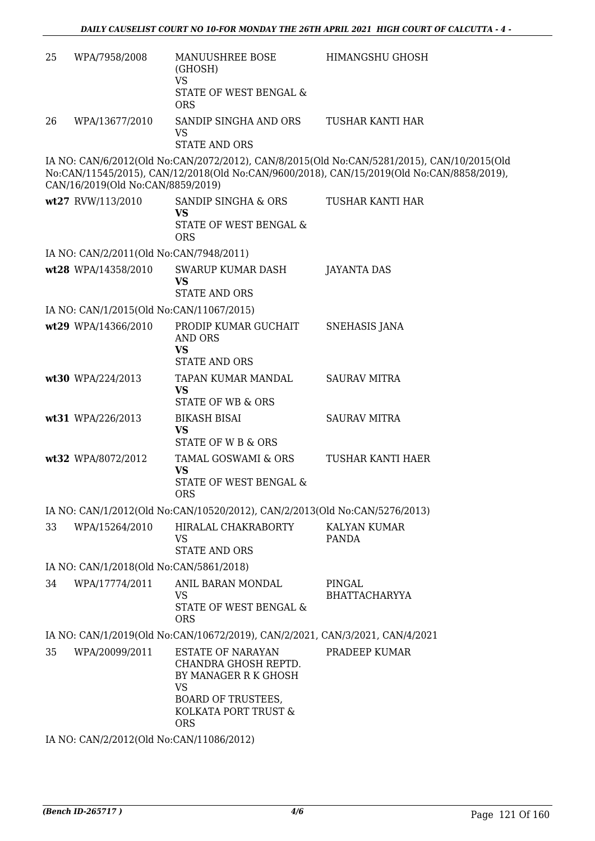| 25 | WPA/7958/2008                                                                | MANUUSHREE BOSE<br>(GHOSH)<br><b>VS</b><br>STATE OF WEST BENGAL &<br><b>ORS</b>                                                                          | <b>HIMANGSHU GHOSH</b>                                                                                                                                                                  |  |  |  |
|----|------------------------------------------------------------------------------|----------------------------------------------------------------------------------------------------------------------------------------------------------|-----------------------------------------------------------------------------------------------------------------------------------------------------------------------------------------|--|--|--|
| 26 | WPA/13677/2010                                                               | SANDIP SINGHA AND ORS<br><b>VS</b><br><b>STATE AND ORS</b>                                                                                               | TUSHAR KANTI HAR                                                                                                                                                                        |  |  |  |
|    | CAN/16/2019(Old No:CAN/8859/2019)                                            |                                                                                                                                                          | IA NO: CAN/6/2012(Old No:CAN/2072/2012), CAN/8/2015(Old No:CAN/5281/2015), CAN/10/2015(Old<br>No:CAN/11545/2015), CAN/12/2018(Old No:CAN/9600/2018), CAN/15/2019(Old No:CAN/8858/2019), |  |  |  |
|    | wt27 RVW/113/2010                                                            | SANDIP SINGHA & ORS<br><b>VS</b><br>STATE OF WEST BENGAL &<br><b>ORS</b>                                                                                 | TUSHAR KANTI HAR                                                                                                                                                                        |  |  |  |
|    | IA NO: CAN/2/2011(Old No:CAN/7948/2011)                                      |                                                                                                                                                          |                                                                                                                                                                                         |  |  |  |
|    | wt28 WPA/14358/2010                                                          | SWARUP KUMAR DASH<br><b>VS</b><br><b>STATE AND ORS</b>                                                                                                   | JAYANTA DAS                                                                                                                                                                             |  |  |  |
|    | IA NO: CAN/1/2015(Old No:CAN/11067/2015)                                     |                                                                                                                                                          |                                                                                                                                                                                         |  |  |  |
|    | wt29 WPA/14366/2010                                                          | PRODIP KUMAR GUCHAIT<br><b>AND ORS</b><br><b>VS</b>                                                                                                      | <b>SNEHASIS JANA</b>                                                                                                                                                                    |  |  |  |
|    |                                                                              | <b>STATE AND ORS</b>                                                                                                                                     |                                                                                                                                                                                         |  |  |  |
|    | wt30 WPA/224/2013                                                            | TAPAN KUMAR MANDAL<br><b>VS</b><br><b>STATE OF WB &amp; ORS</b>                                                                                          | <b>SAURAV MITRA</b>                                                                                                                                                                     |  |  |  |
|    | wt31 WPA/226/2013                                                            | <b>BIKASH BISAI</b><br><b>VS</b><br><b>STATE OF W B &amp; ORS</b>                                                                                        | <b>SAURAV MITRA</b>                                                                                                                                                                     |  |  |  |
|    | wt32 WPA/8072/2012                                                           | TAMAL GOSWAMI & ORS<br><b>VS</b><br><b>STATE OF WEST BENGAL &amp;</b><br><b>ORS</b>                                                                      | TUSHAR KANTI HAER                                                                                                                                                                       |  |  |  |
|    |                                                                              | IA NO: CAN/1/2012(Old No:CAN/10520/2012), CAN/2/2013(Old No:CAN/5276/2013)                                                                               |                                                                                                                                                                                         |  |  |  |
| 33 | WPA/15264/2010                                                               | HIRALAL CHAKRABORTY<br><b>VS</b><br><b>STATE AND ORS</b>                                                                                                 | KALYAN KUMAR<br>PANDA                                                                                                                                                                   |  |  |  |
|    | IA NO: CAN/1/2018(Old No:CAN/5861/2018)                                      |                                                                                                                                                          |                                                                                                                                                                                         |  |  |  |
| 34 | WPA/17774/2011                                                               | ANIL BARAN MONDAL<br><b>VS</b><br>STATE OF WEST BENGAL &<br><b>ORS</b>                                                                                   | PINGAL<br><b>BHATTACHARYYA</b>                                                                                                                                                          |  |  |  |
|    | IA NO: CAN/1/2019(Old No:CAN/10672/2019), CAN/2/2021, CAN/3/2021, CAN/4/2021 |                                                                                                                                                          |                                                                                                                                                                                         |  |  |  |
| 35 | WPA/20099/2011                                                               | <b>ESTATE OF NARAYAN</b><br>CHANDRA GHOSH REPTD.<br>BY MANAGER R K GHOSH<br><b>VS</b><br><b>BOARD OF TRUSTEES,</b><br>KOLKATA PORT TRUST &<br><b>ORS</b> | PRADEEP KUMAR                                                                                                                                                                           |  |  |  |
|    | IA NO: CAN/2/2012(Old No:CAN/11086/2012)                                     |                                                                                                                                                          |                                                                                                                                                                                         |  |  |  |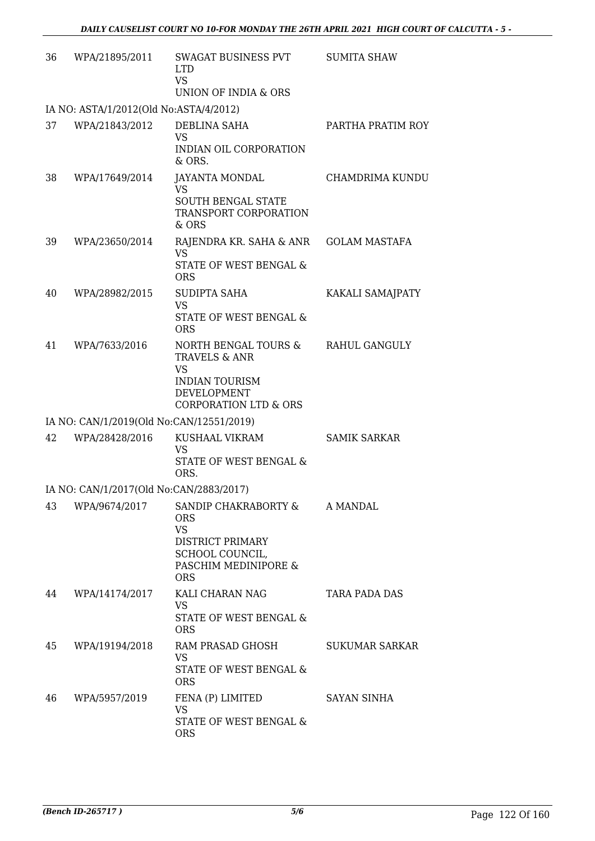| 36 | WPA/21895/2011                           | SWAGAT BUSINESS PVT<br><b>LTD</b><br><b>VS</b><br>UNION OF INDIA & ORS                                                         | <b>SUMITA SHAW</b>    |
|----|------------------------------------------|--------------------------------------------------------------------------------------------------------------------------------|-----------------------|
|    | IA NO: ASTA/1/2012(Old No:ASTA/4/2012)   |                                                                                                                                |                       |
| 37 | WPA/21843/2012                           | DEBLINA SAHA<br><b>VS</b><br>INDIAN OIL CORPORATION<br>& ORS.                                                                  | PARTHA PRATIM ROY     |
| 38 | WPA/17649/2014                           | JAYANTA MONDAL<br>VS<br><b>SOUTH BENGAL STATE</b><br>TRANSPORT CORPORATION<br>& ORS                                            | CHAMDRIMA KUNDU       |
| 39 | WPA/23650/2014                           | RAJENDRA KR. SAHA & ANR<br><b>VS</b><br>STATE OF WEST BENGAL &<br><b>ORS</b>                                                   | <b>GOLAM MASTAFA</b>  |
| 40 | WPA/28982/2015                           | SUDIPTA SAHA<br><b>VS</b><br><b>STATE OF WEST BENGAL &amp;</b><br><b>ORS</b>                                                   | KAKALI SAMAJPATY      |
| 41 | WPA/7633/2016                            | NORTH BENGAL TOURS &<br>TRAVELS & ANR<br><b>VS</b><br><b>INDIAN TOURISM</b><br>DEVELOPMENT<br><b>CORPORATION LTD &amp; ORS</b> | RAHUL GANGULY         |
|    | IA NO: CAN/1/2019(Old No:CAN/12551/2019) |                                                                                                                                |                       |
| 42 | WPA/28428/2016                           | KUSHAAL VIKRAM<br><b>VS</b><br>STATE OF WEST BENGAL &<br>ORS.                                                                  | <b>SAMIK SARKAR</b>   |
|    | IA NO: CAN/1/2017(Old No:CAN/2883/2017)  |                                                                                                                                |                       |
| 43 | WPA/9674/2017                            | SANDIP CHAKRABORTY &<br><b>ORS</b><br><b>VS</b><br>DISTRICT PRIMARY<br>SCHOOL COUNCIL,<br>PASCHIM MEDINIPORE &<br><b>ORS</b>   | A MANDAL              |
| 44 | WPA/14174/2017                           | KALI CHARAN NAG<br><b>VS</b><br>STATE OF WEST BENGAL &<br><b>ORS</b>                                                           | <b>TARA PADA DAS</b>  |
| 45 | WPA/19194/2018                           | RAM PRASAD GHOSH<br><b>VS</b><br>STATE OF WEST BENGAL &<br><b>ORS</b>                                                          | <b>SUKUMAR SARKAR</b> |
| 46 | WPA/5957/2019                            | FENA (P) LIMITED<br>VS<br>STATE OF WEST BENGAL &<br><b>ORS</b>                                                                 | SAYAN SINHA           |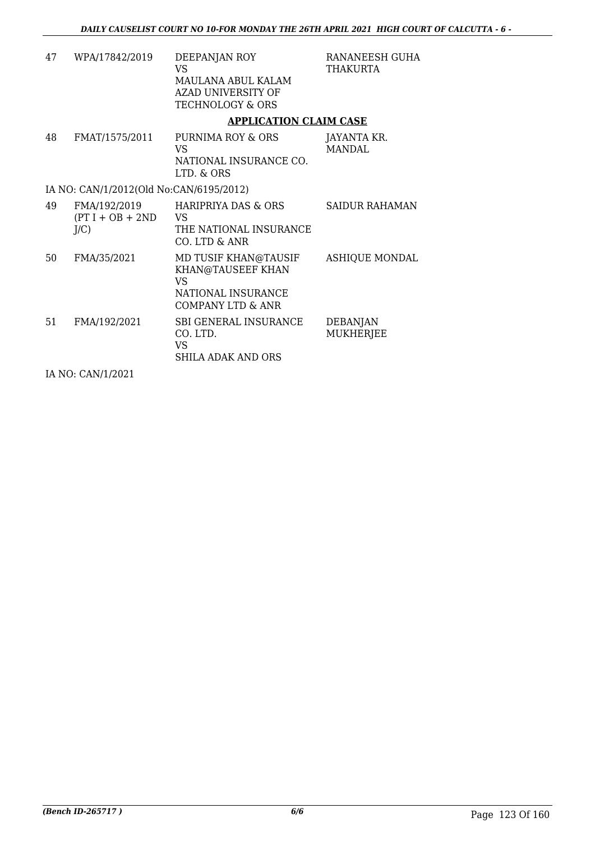| 47 | WPA/17842/2019                                | DEEPANJAN ROY<br>VS<br>MAULANA ABUL KALAM<br>AZAD UNIVERSITY OF<br><b>TECHNOLOGY &amp; ORS</b>    | RANANEESH GUHA<br>THAKURTA          |
|----|-----------------------------------------------|---------------------------------------------------------------------------------------------------|-------------------------------------|
|    |                                               | <b>APPLICATION CLAIM CASE</b>                                                                     |                                     |
| 48 | FMAT/1575/2011                                | PURNIMA ROY & ORS<br>VS<br>NATIONAL INSURANCE CO.<br>LTD. & ORS                                   | JAYANTA KR.<br><b>MANDAL</b>        |
|    | IA NO: CAN/1/2012(Old No:CAN/6195/2012)       |                                                                                                   |                                     |
| 49 | FMA/192/2019<br>$(PT I + OB + 2ND$<br>$J/C$ ) | HARIPRIYA DAS & ORS<br>VS.<br>THE NATIONAL INSURANCE<br>CO. LTD & ANR                             | <b>SAIDUR RAHAMAN</b>               |
| 50 | FMA/35/2021                                   | MD TUSIF KHAN@TAUSIF<br>KHAN@TAUSEEF KHAN<br><b>VS</b><br>NATIONAL INSURANCE<br>COMPANY LTD & ANR | <b>ASHIQUE MONDAL</b>               |
| 51 | FMA/192/2021<br>----------                    | SBI GENERAL INSURANCE<br>CO. LTD.<br>VS<br><b>SHILA ADAK AND ORS</b>                              | <b>DEBANJAN</b><br><b>MUKHERJEE</b> |

IA NO: CAN/1/2021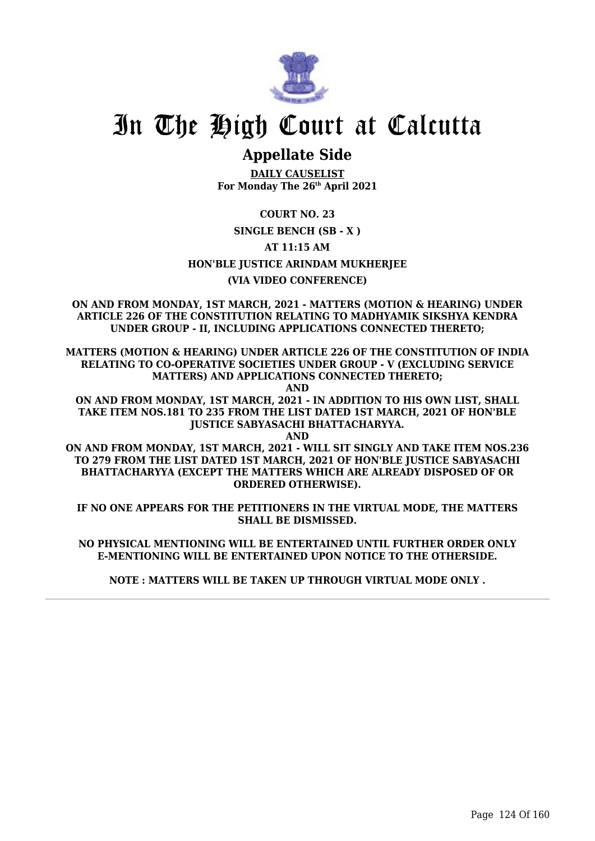

# **Appellate Side**

**DAILY CAUSELIST For Monday The 26th April 2021**

**COURT NO. 23**

# **SINGLE BENCH (SB - X )**

**AT 11:15 AM**

**HON'BLE JUSTICE ARINDAM MUKHERJEE**

# **(VIA VIDEO CONFERENCE)**

**ON AND FROM MONDAY, 1ST MARCH, 2021 - MATTERS (MOTION & HEARING) UNDER ARTICLE 226 OF THE CONSTITUTION RELATING TO MADHYAMIK SIKSHYA KENDRA UNDER GROUP - II, INCLUDING APPLICATIONS CONNECTED THERETO;**

**MATTERS (MOTION & HEARING) UNDER ARTICLE 226 OF THE CONSTITUTION OF INDIA RELATING TO CO-OPERATIVE SOCIETIES UNDER GROUP - V (EXCLUDING SERVICE MATTERS) AND APPLICATIONS CONNECTED THERETO;**

**AND**

**ON AND FROM MONDAY, 1ST MARCH, 2021 - IN ADDITION TO HIS OWN LIST, SHALL TAKE ITEM NOS.181 TO 235 FROM THE LIST DATED 1ST MARCH, 2021 OF HON'BLE JUSTICE SABYASACHI BHATTACHARYYA.**

**AND**

**ON AND FROM MONDAY, 1ST MARCH, 2021 - WILL SIT SINGLY AND TAKE ITEM NOS.236 TO 279 FROM THE LIST DATED 1ST MARCH, 2021 OF HON'BLE JUSTICE SABYASACHI BHATTACHARYYA (EXCEPT THE MATTERS WHICH ARE ALREADY DISPOSED OF OR ORDERED OTHERWISE).**

**IF NO ONE APPEARS FOR THE PETITIONERS IN THE VIRTUAL MODE, THE MATTERS SHALL BE DISMISSED.**

**NO PHYSICAL MENTIONING WILL BE ENTERTAINED UNTIL FURTHER ORDER ONLY E-MENTIONING WILL BE ENTERTAINED UPON NOTICE TO THE OTHERSIDE.**

**NOTE : MATTERS WILL BE TAKEN UP THROUGH VIRTUAL MODE ONLY .**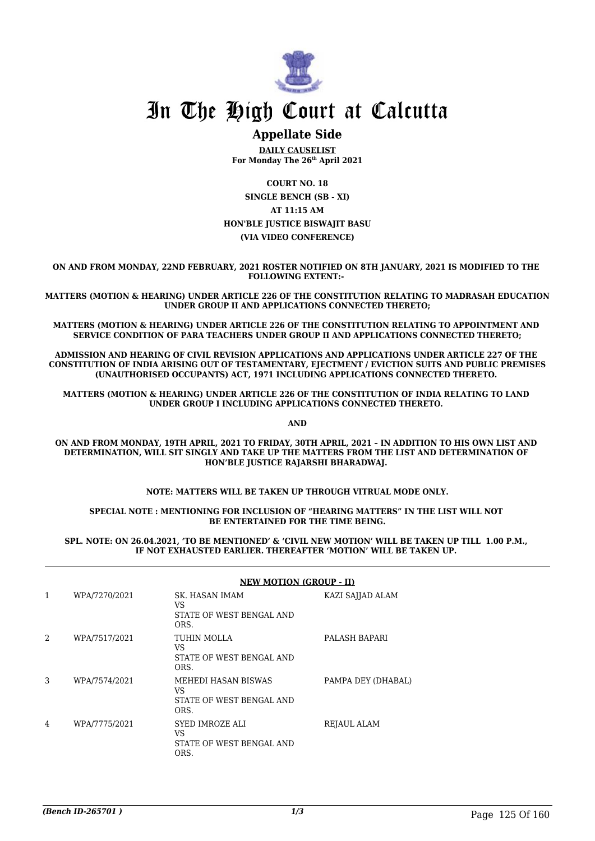

# **Appellate Side**

**DAILY CAUSELIST For Monday The 26th April 2021**

**COURT NO. 18 SINGLE BENCH (SB - XI) AT 11:15 AM HON'BLE JUSTICE BISWAJIT BASU (VIA VIDEO CONFERENCE)**

**ON AND FROM MONDAY, 22ND FEBRUARY, 2021 ROSTER NOTIFIED ON 8TH JANUARY, 2021 IS MODIFIED TO THE FOLLOWING EXTENT:-** 

**MATTERS (MOTION & HEARING) UNDER ARTICLE 226 OF THE CONSTITUTION RELATING TO MADRASAH EDUCATION UNDER GROUP II AND APPLICATIONS CONNECTED THERETO;**

**MATTERS (MOTION & HEARING) UNDER ARTICLE 226 OF THE CONSTITUTION RELATING TO APPOINTMENT AND SERVICE CONDITION OF PARA TEACHERS UNDER GROUP II AND APPLICATIONS CONNECTED THERETO;**

**ADMISSION AND HEARING OF CIVIL REVISION APPLICATIONS AND APPLICATIONS UNDER ARTICLE 227 OF THE CONSTITUTION OF INDIA ARISING OUT OF TESTAMENTARY, EJECTMENT / EVICTION SUITS AND PUBLIC PREMISES (UNAUTHORISED OCCUPANTS) ACT, 1971 INCLUDING APPLICATIONS CONNECTED THERETO.** 

**MATTERS (MOTION & HEARING) UNDER ARTICLE 226 OF THE CONSTITUTION OF INDIA RELATING TO LAND UNDER GROUP I INCLUDING APPLICATIONS CONNECTED THERETO.** 

**AND**

**ON AND FROM MONDAY, 19TH APRIL, 2021 TO FRIDAY, 30TH APRIL, 2021 – IN ADDITION TO HIS OWN LIST AND DETERMINATION, WILL SIT SINGLY AND TAKE UP THE MATTERS FROM THE LIST AND DETERMINATION OF HON'BLE JUSTICE RAJARSHI BHARADWAJ.** 

**NOTE: MATTERS WILL BE TAKEN UP THROUGH VITRUAL MODE ONLY.**

**SPECIAL NOTE : MENTIONING FOR INCLUSION OF "HEARING MATTERS" IN THE LIST WILL NOT BE ENTERTAINED FOR THE TIME BEING.**

**SPL. NOTE: ON 26.04.2021, 'TO BE MENTIONED' & 'CIVIL NEW MOTION' WILL BE TAKEN UP TILL 1.00 P.M., IF NOT EXHAUSTED EARLIER. THEREAFTER 'MOTION' WILL BE TAKEN UP.** 

|   |               | <b>NEW MOTION (GROUP - II)</b>                                |                    |  |
|---|---------------|---------------------------------------------------------------|--------------------|--|
| 1 | WPA/7270/2021 | SK. HASAN IMAM<br>VS<br>STATE OF WEST BENGAL AND<br>ORS.      | KAZI SAJJAD ALAM   |  |
| 2 | WPA/7517/2021 | TUHIN MOLLA<br>VS<br>STATE OF WEST BENGAL AND<br>ORS.         | PALASH BAPARI      |  |
| 3 | WPA/7574/2021 | MEHEDI HASAN BISWAS<br>VS<br>STATE OF WEST BENGAL AND<br>ORS. | PAMPA DEY (DHABAL) |  |
| 4 | WPA/7775/2021 | SYED IMROZE ALI<br>VS<br>STATE OF WEST BENGAL AND<br>ORS.     | REJAUL ALAM        |  |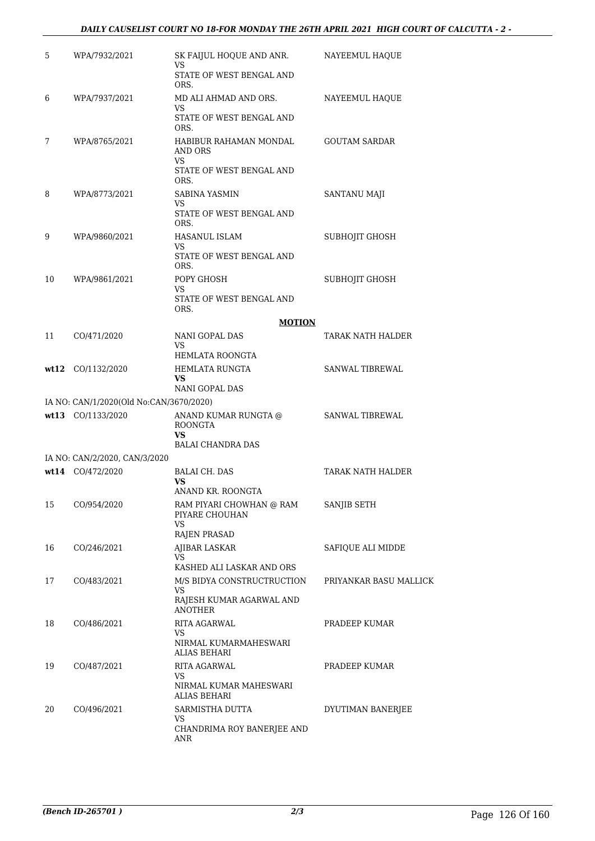## *DAILY CAUSELIST COURT NO 18-FOR MONDAY THE 26TH APRIL 2021 HIGH COURT OF CALCUTTA - 2 -*

| 5  | WPA/7932/2021                                                | SK FAIJUL HOQUE AND ANR.<br>VS<br>STATE OF WEST BENGAL AND<br>ORS.             | NAYEEMUL HAQUE         |
|----|--------------------------------------------------------------|--------------------------------------------------------------------------------|------------------------|
| 6  | WPA/7937/2021                                                | MD ALI AHMAD AND ORS.<br>VS<br>STATE OF WEST BENGAL AND<br>ORS.                | NAYEEMUL HAQUE         |
| 7  | WPA/8765/2021                                                | HABIBUR RAHAMAN MONDAL<br>AND ORS<br>VS                                        | <b>GOUTAM SARDAR</b>   |
|    |                                                              | STATE OF WEST BENGAL AND<br>ORS.                                               |                        |
| 8  | WPA/8773/2021                                                | SABINA YASMIN<br>VS<br>STATE OF WEST BENGAL AND<br>ORS.                        | SANTANU MAJI           |
| 9  | WPA/9860/2021                                                | HASANUL ISLAM<br>VS<br>STATE OF WEST BENGAL AND                                | SUBHOJIT GHOSH         |
| 10 | WPA/9861/2021                                                | ORS.<br>POPY GHOSH<br>VS                                                       | SUBHOJIT GHOSH         |
|    |                                                              | STATE OF WEST BENGAL AND<br>ORS.                                               |                        |
|    |                                                              | <b>MOTION</b>                                                                  |                        |
| 11 | CO/471/2020                                                  | NANI GOPAL DAS<br>VS<br>HEMLATA ROONGTA                                        | TARAK NATH HALDER      |
|    | $\textbf{wt12}$ CO/1132/2020                                 | HEMLATA RUNGTA<br>VS                                                           | SANWAL TIBREWAL        |
|    |                                                              | NANI GOPAL DAS                                                                 |                        |
|    | IA NO: CAN/1/2020(Old No:CAN/3670/2020)<br>wt13 CO/1133/2020 | ANAND KUMAR RUNGTA @                                                           | SANWAL TIBREWAL        |
|    |                                                              | <b>ROONGTA</b><br>VS                                                           |                        |
|    |                                                              | <b>BALAI CHANDRA DAS</b>                                                       |                        |
|    | IA NO: CAN/2/2020, CAN/3/2020<br>wt14 CO/472/2020            | BALAI CH. DAS                                                                  | TARAK NATH HALDER      |
|    |                                                              | VS<br>ANAND KR. ROONGTA                                                        |                        |
| 15 | CO/954/2020                                                  | RAM PIYARI CHOWHAN @ RAM<br>PIYARE CHOUHAN<br>VS                               | SANJIB SETH            |
|    |                                                              | <b>RAJEN PRASAD</b>                                                            |                        |
| 16 | CO/246/2021                                                  | AJIBAR LASKAR<br>VS<br>KASHED ALI LASKAR AND ORS                               | SAFIQUE ALI MIDDE      |
| 17 | CO/483/2021                                                  | M/S BIDYA CONSTRUCTRUCTION<br>VS<br>RAJESH KUMAR AGARWAL AND<br><b>ANOTHER</b> | PRIYANKAR BASU MALLICK |
| 18 | CO/486/2021                                                  | RITA AGARWAL<br>VS<br>NIRMAL KUMARMAHESWARI<br><b>ALIAS BEHARI</b>             | PRADEEP KUMAR          |
| 19 | CO/487/2021                                                  | RITA AGARWAL<br>VS<br>NIRMAL KUMAR MAHESWARI<br><b>ALIAS BEHARI</b>            | PRADEEP KUMAR          |
| 20 | CO/496/2021                                                  | SARMISTHA DUTTA<br>VS<br>CHANDRIMA ROY BANERJEE AND<br>ANR                     | DYUTIMAN BANERJEE      |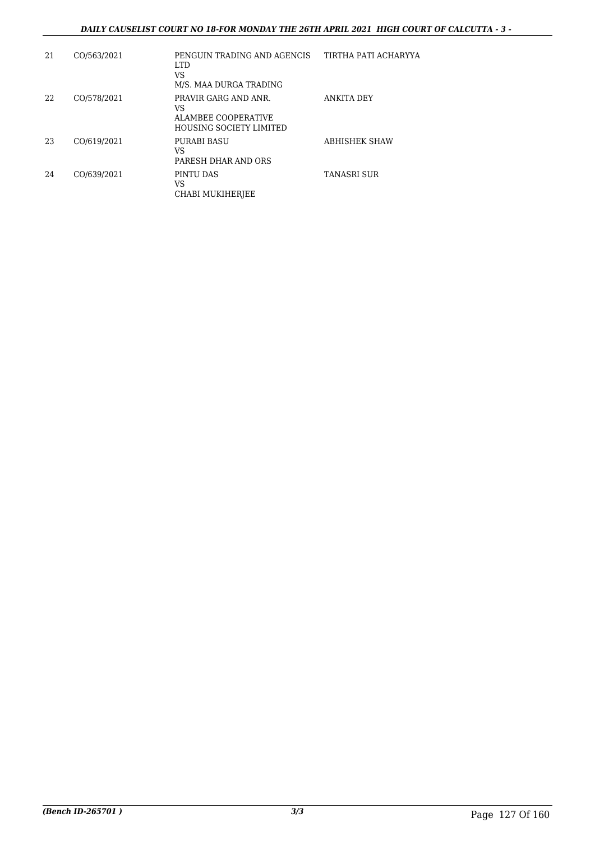## *DAILY CAUSELIST COURT NO 18-FOR MONDAY THE 26TH APRIL 2021 HIGH COURT OF CALCUTTA - 3 -*

| 21 | CO/563/2021 | PENGUIN TRADING AND AGENCIS<br><b>LTD</b><br>VS<br>M/S. MAA DURGA TRADING           | TIRTHA PATI ACHARYYA |
|----|-------------|-------------------------------------------------------------------------------------|----------------------|
| 22 | CO/578/2021 | PRAVIR GARG AND ANR.<br>VS<br>ALAMBEE COOPERATIVE<br><b>HOUSING SOCIETY LIMITED</b> | ANKITA DEY           |
| 23 | CO/619/2021 | PURABI BASU<br>VS<br>PARESH DHAR AND ORS                                            | ABHISHEK SHAW        |
| 24 | CO/639/2021 | PINTU DAS<br>VS<br>CHABI MUKIHERJEE                                                 | TANASRI SUR          |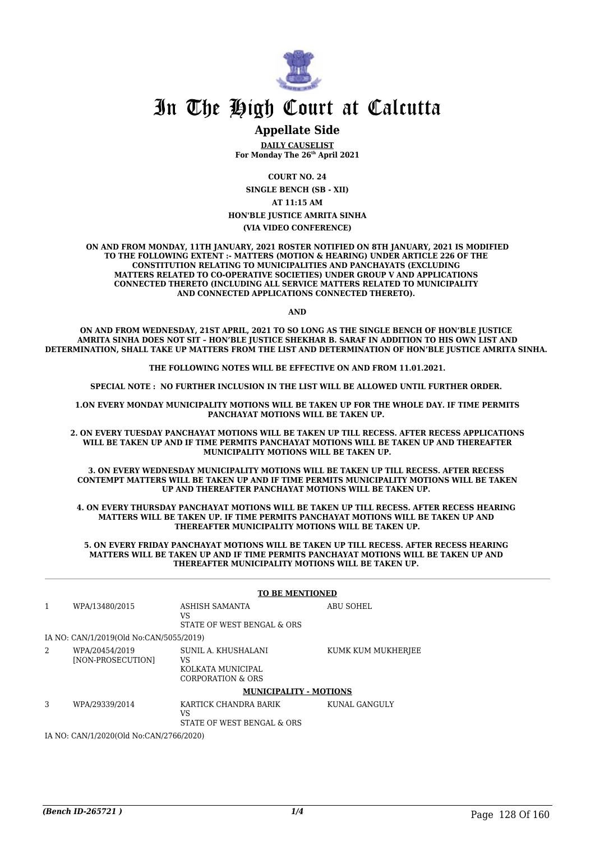

# **Appellate Side**

**DAILY CAUSELIST For Monday The 26th April 2021**

**COURT NO. 24**

**SINGLE BENCH (SB - XII)**

**AT 11:15 AM**

**HON'BLE JUSTICE AMRITA SINHA**

**(VIA VIDEO CONFERENCE)**

**ON AND FROM MONDAY, 11TH JANUARY, 2021 ROSTER NOTIFIED ON 8TH JANUARY, 2021 IS MODIFIED TO THE FOLLOWING EXTENT :- MATTERS (MOTION & HEARING) UNDER ARTICLE 226 OF THE CONSTITUTION RELATING TO MUNICIPALITIES AND PANCHAYATS (EXCLUDING MATTERS RELATED TO CO-OPERATIVE SOCIETIES) UNDER GROUP V AND APPLICATIONS CONNECTED THERETO (INCLUDING ALL SERVICE MATTERS RELATED TO MUNICIPALITY AND CONNECTED APPLICATIONS CONNECTED THERETO).** 

**AND**

**ON AND FROM WEDNESDAY, 21ST APRIL, 2021 TO SO LONG AS THE SINGLE BENCH OF HON'BLE JUSTICE AMRITA SINHA DOES NOT SIT – HON'BLE JUSTICE SHEKHAR B. SARAF IN ADDITION TO HIS OWN LIST AND DETERMINATION, SHALL TAKE UP MATTERS FROM THE LIST AND DETERMINATION OF HON'BLE JUSTICE AMRITA SINHA.** 

**THE FOLLOWING NOTES WILL BE EFFECTIVE ON AND FROM 11.01.2021.**

**SPECIAL NOTE : NO FURTHER INCLUSION IN THE LIST WILL BE ALLOWED UNTIL FURTHER ORDER.** 

**1.ON EVERY MONDAY MUNICIPALITY MOTIONS WILL BE TAKEN UP FOR THE WHOLE DAY. IF TIME PERMITS PANCHAYAT MOTIONS WILL BE TAKEN UP.** 

**2. ON EVERY TUESDAY PANCHAYAT MOTIONS WILL BE TAKEN UP TILL RECESS. AFTER RECESS APPLICATIONS WILL BE TAKEN UP AND IF TIME PERMITS PANCHAYAT MOTIONS WILL BE TAKEN UP AND THEREAFTER MUNICIPALITY MOTIONS WILL BE TAKEN UP.**

**3. ON EVERY WEDNESDAY MUNICIPALITY MOTIONS WILL BE TAKEN UP TILL RECESS. AFTER RECESS CONTEMPT MATTERS WILL BE TAKEN UP AND IF TIME PERMITS MUNICIPALITY MOTIONS WILL BE TAKEN UP AND THEREAFTER PANCHAYAT MOTIONS WILL BE TAKEN UP.** 

**4. ON EVERY THURSDAY PANCHAYAT MOTIONS WILL BE TAKEN UP TILL RECESS. AFTER RECESS HEARING MATTERS WILL BE TAKEN UP. IF TIME PERMITS PANCHAYAT MOTIONS WILL BE TAKEN UP AND THEREAFTER MUNICIPALITY MOTIONS WILL BE TAKEN UP.**

**5. ON EVERY FRIDAY PANCHAYAT MOTIONS WILL BE TAKEN UP TILL RECESS. AFTER RECESS HEARING MATTERS WILL BE TAKEN UP AND IF TIME PERMITS PANCHAYAT MOTIONS WILL BE TAKEN UP AND THEREAFTER MUNICIPALITY MOTIONS WILL BE TAKEN UP.** 

|                                         | <b>TO BE MENTIONED</b>                  |                                                                     |                    |
|-----------------------------------------|-----------------------------------------|---------------------------------------------------------------------|--------------------|
| 1                                       | WPA/13480/2015                          | ASHISH SAMANTA<br>VS<br>STATE OF WEST BENGAL & ORS                  | <b>ABU SOHEL</b>   |
|                                         | IA NO: CAN/1/2019(Old No:CAN/5055/2019) |                                                                     |                    |
| 2                                       | WPA/20454/2019<br>[NON-PROSECUTION]     | SUNIL A. KHUSHALANI<br>VS<br>KOLKATA MUNICIPAL<br>CORPORATION & ORS | KUMK KUM MUKHERJEE |
|                                         |                                         | <b>MUNICIPALITY - MOTIONS</b>                                       |                    |
| 3                                       | WPA/29339/2014                          | KARTICK CHANDRA BARIK<br>VS<br>STATE OF WEST BENGAL & ORS           | KUNAL GANGULY      |
| IA NO: CAN/1/2020(Old No:CAN/2766/2020) |                                         |                                                                     |                    |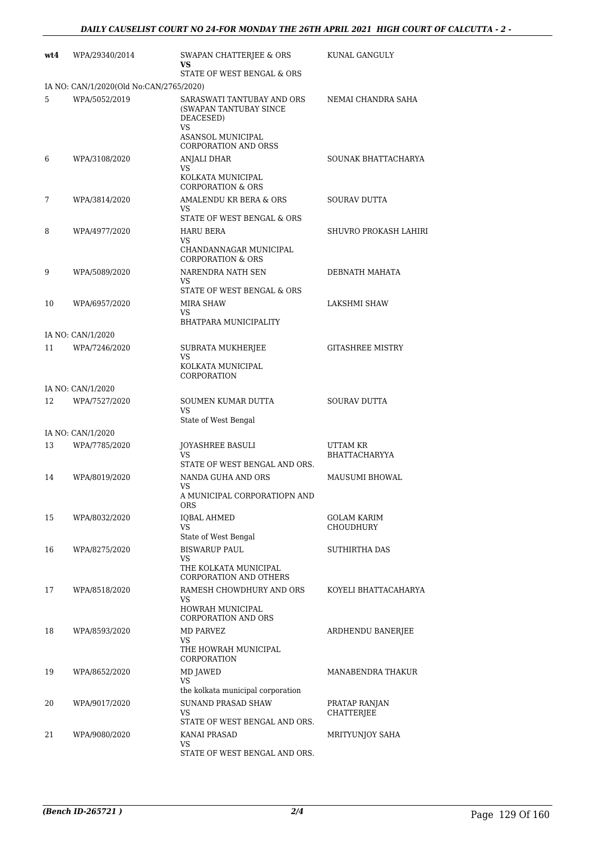| wt4 | WPA/29340/2014                          | SWAPAN CHATTERJEE & ORS<br>VS                                                                                | KUNAL GANGULY                      |
|-----|-----------------------------------------|--------------------------------------------------------------------------------------------------------------|------------------------------------|
|     | IA NO: CAN/1/2020(Old No:CAN/2765/2020) | STATE OF WEST BENGAL & ORS                                                                                   |                                    |
| 5   | WPA/5052/2019                           | SARASWATI TANTUBAY AND ORS<br>(SWAPAN TANTUBAY SINCE<br>DEACESED)<br><b>VS</b><br>ASANSOL MUNICIPAL          | NEMAI CHANDRA SAHA                 |
| 6   | WPA/3108/2020                           | <b>CORPORATION AND ORSS</b><br><b>ANJALI DHAR</b><br>VS<br>KOLKATA MUNICIPAL<br><b>CORPORATION &amp; ORS</b> | SOUNAK BHATTACHARYA                |
| 7   | WPA/3814/2020                           | AMALENDU KR BERA & ORS<br>VS.<br>STATE OF WEST BENGAL & ORS                                                  | SOURAV DUTTA                       |
| 8   | WPA/4977/2020                           | <b>HARU BERA</b><br>VS<br>CHANDANNAGAR MUNICIPAL<br><b>CORPORATION &amp; ORS</b>                             | SHUVRO PROKASH LAHIRI              |
| 9   | WPA/5089/2020                           | NARENDRA NATH SEN<br>VS.<br>STATE OF WEST BENGAL & ORS                                                       | DEBNATH MAHATA                     |
| 10  | WPA/6957/2020                           | MIRA SHAW<br>VS<br>BHATPARA MUNICIPALITY                                                                     | <b>LAKSHMI SHAW</b>                |
|     | IA NO: CAN/1/2020                       |                                                                                                              |                                    |
| 11  | WPA/7246/2020                           | SUBRATA MUKHERJEE<br>VS<br>KOLKATA MUNICIPAL<br>CORPORATION                                                  | <b>GITASHREE MISTRY</b>            |
|     | IA NO: CAN/1/2020                       |                                                                                                              |                                    |
| 12  | WPA/7527/2020                           | SOUMEN KUMAR DUTTA<br><b>VS</b><br>State of West Bengal                                                      | <b>SOURAV DUTTA</b>                |
|     | IA NO: CAN/1/2020                       |                                                                                                              |                                    |
| 13  | WPA/7785/2020                           | <b>JOYASHREE BASULI</b><br><b>VS</b><br>STATE OF WEST BENGAL AND ORS.                                        | UTTAM KR<br><b>BHATTACHARYYA</b>   |
| 14  | WPA/8019/2020                           | NANDA GUHA AND ORS<br>VS<br>A MUNICIPAL CORPORATIOPN AND<br>ORS                                              | MAUSUMI BHOWAL                     |
| 15  | WPA/8032/2020                           | <b>IQBAL AHMED</b><br><b>VS</b><br>State of West Bengal                                                      | GOLAM KARIM<br>CHOUDHURY           |
| 16  | WPA/8275/2020                           | <b>BISWARUP PAUL</b><br>VS<br>THE KOLKATA MUNICIPAL<br><b>CORPORATION AND OTHERS</b>                         | SUTHIRTHA DAS                      |
| 17  | WPA/8518/2020                           | RAMESH CHOWDHURY AND ORS<br>VS<br>HOWRAH MUNICIPAL<br><b>CORPORATION AND ORS</b>                             | KOYELI BHATTACAHARYA               |
| 18  | WPA/8593/2020                           | MD PARVEZ<br>VS<br>THE HOWRAH MUNICIPAL<br>CORPORATION                                                       | ARDHENDU BANERJEE                  |
| 19  | WPA/8652/2020                           | MD JAWED<br><b>VS</b>                                                                                        | MANABENDRA THAKUR                  |
| 20  | WPA/9017/2020                           | the kolkata municipal corporation<br>SUNAND PRASAD SHAW<br>VS<br>STATE OF WEST BENGAL AND ORS.               | PRATAP RANJAN<br><b>CHATTERJEE</b> |
| 21  | WPA/9080/2020                           | <b>KANAI PRASAD</b><br>VS<br>STATE OF WEST BENGAL AND ORS.                                                   | MRITYUNJOY SAHA                    |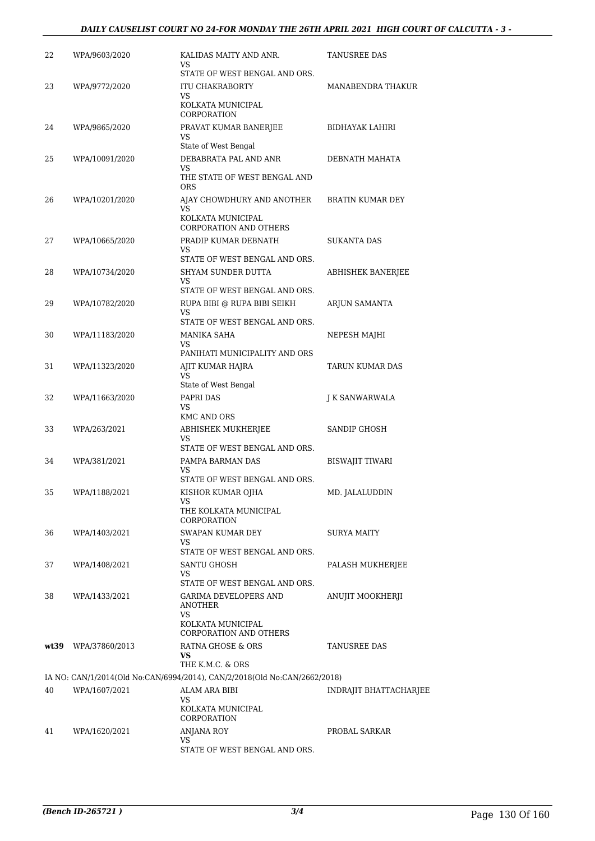| 22 | WPA/9603/2020       | KALIDAS MAITY AND ANR.<br>VS                                                                  | TANUSREE DAS            |
|----|---------------------|-----------------------------------------------------------------------------------------------|-------------------------|
| 23 | WPA/9772/2020       | STATE OF WEST BENGAL AND ORS.<br><b>ITU CHAKRABORTY</b><br>VS<br>KOLKATA MUNICIPAL            | MANABENDRA THAKUR       |
| 24 | WPA/9865/2020       | CORPORATION<br>PRAVAT KUMAR BANERJEE<br>VS                                                    | BIDHAYAK LAHIRI         |
| 25 | WPA/10091/2020      | State of West Bengal<br>DEBABRATA PAL AND ANR<br>VS<br>THE STATE OF WEST BENGAL AND           | DEBNATH MAHATA          |
| 26 | WPA/10201/2020      | <b>ORS</b><br>AJAY CHOWDHURY AND ANOTHER<br><b>VS</b>                                         | <b>BRATIN KUMAR DEY</b> |
| 27 | WPA/10665/2020      | KOLKATA MUNICIPAL<br><b>CORPORATION AND OTHERS</b><br>PRADIP KUMAR DEBNATH<br>VS              | <b>SUKANTA DAS</b>      |
| 28 | WPA/10734/2020      | STATE OF WEST BENGAL AND ORS.<br>SHYAM SUNDER DUTTA<br>VS                                     | ABHISHEK BANERJEE       |
| 29 | WPA/10782/2020      | STATE OF WEST BENGAL AND ORS.<br>RUPA BIBI @ RUPA BIBI SEIKH<br><b>VS</b>                     | ARJUN SAMANTA           |
| 30 | WPA/11183/2020      | STATE OF WEST BENGAL AND ORS.<br>MANIKA SAHA<br>VS                                            | NEPESH MAJHI            |
| 31 | WPA/11323/2020      | PANIHATI MUNICIPALITY AND ORS<br>AJIT KUMAR HAJRA<br>VS                                       | TARUN KUMAR DAS         |
| 32 | WPA/11663/2020      | State of West Bengal<br>PAPRI DAS<br>VS<br><b>KMC AND ORS</b>                                 | J K SANWARWALA          |
| 33 | WPA/263/2021        | ABHISHEK MUKHERJEE<br>VS<br>STATE OF WEST BENGAL AND ORS.                                     | SANDIP GHOSH            |
| 34 | WPA/381/2021        | PAMPA BARMAN DAS<br><b>VS</b><br>STATE OF WEST BENGAL AND ORS.                                | <b>BISWAJIT TIWARI</b>  |
| 35 | WPA/1188/2021       | KISHOR KUMAR OJHA<br>VS<br>THE KOLKATA MUNICIPAL                                              | MD. JALALUDDIN          |
| 36 | WPA/1403/2021       | CORPORATION<br>SWAPAN KUMAR DEY<br>VS                                                         | SURYA MAITY             |
| 37 | WPA/1408/2021       | STATE OF WEST BENGAL AND ORS.<br>SANTU GHOSH<br>VS<br>STATE OF WEST BENGAL AND ORS.           | PALASH MUKHERJEE        |
| 38 | WPA/1433/2021       | GARIMA DEVELOPERS AND<br>ANOTHER<br>VS<br>KOLKATA MUNICIPAL<br>CORPORATION AND OTHERS         | ANUJIT MOOKHERJI        |
|    | wt39 WPA/37860/2013 | RATNA GHOSE & ORS<br>VS                                                                       | TANUSREE DAS            |
|    |                     | THE K.M.C. & ORS<br>IA NO: CAN/1/2014(Old No:CAN/6994/2014), CAN/2/2018(Old No:CAN/2662/2018) |                         |
| 40 | WPA/1607/2021       | ALAM ARA BIBI<br>VS<br>KOLKATA MUNICIPAL                                                      | INDRAJIT BHATTACHARJEE  |
|    |                     | CORPORATION                                                                                   |                         |
| 41 | WPA/1620/2021       | <b>ANJANA ROY</b><br>VS<br>STATE OF WEST BENGAL AND ORS.                                      | PROBAL SARKAR           |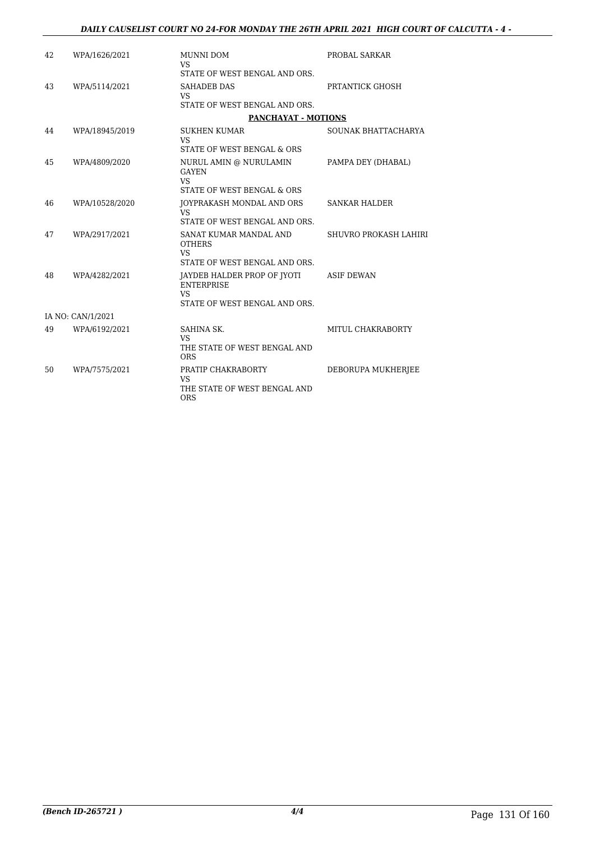| 42 | WPA/1626/2021     | MUNNI DOM<br>VS.<br>STATE OF WEST BENGAL AND ORS.                                              | PROBAL SARKAR         |
|----|-------------------|------------------------------------------------------------------------------------------------|-----------------------|
| 43 | WPA/5114/2021     | <b>SAHADEB DAS</b><br><b>VS</b><br>STATE OF WEST BENGAL AND ORS.                               | PRTANTICK GHOSH       |
|    |                   | <b>PANCHAYAT - MOTIONS</b>                                                                     |                       |
| 44 | WPA/18945/2019    | <b>SUKHEN KUMAR</b><br><b>VS</b>                                                               | SOUNAK BHATTACHARYA   |
|    |                   | STATE OF WEST BENGAL & ORS                                                                     |                       |
| 45 | WPA/4809/2020     | NURUL AMIN @ NURULAMIN<br><b>GAYEN</b><br><b>VS</b><br>STATE OF WEST BENGAL & ORS              | PAMPA DEY (DHABAL)    |
| 46 | WPA/10528/2020    | JOYPRAKASH MONDAL AND ORS<br><b>VS</b><br>STATE OF WEST BENGAL AND ORS.                        | <b>SANKAR HALDER</b>  |
| 47 | WPA/2917/2021     | SANAT KUMAR MANDAL AND<br><b>OTHERS</b><br><b>VS</b><br>STATE OF WEST BENGAL AND ORS.          | SHUVRO PROKASH LAHIRI |
| 48 | WPA/4282/2021     | JAYDEB HALDER PROP OF JYOTI<br><b>ENTERPRISE</b><br><b>VS</b><br>STATE OF WEST BENGAL AND ORS. | <b>ASIF DEWAN</b>     |
|    | IA NO: CAN/1/2021 |                                                                                                |                       |
| 49 | WPA/6192/2021     | SAHINA SK.<br>VS.<br>THE STATE OF WEST BENGAL AND<br><b>ORS</b>                                | MITUL CHAKRABORTY     |
| 50 | WPA/7575/2021     | PRATIP CHAKRABORTY<br><b>VS</b><br>THE STATE OF WEST BENGAL AND<br><b>ORS</b>                  | DEBORUPA MUKHERJEE    |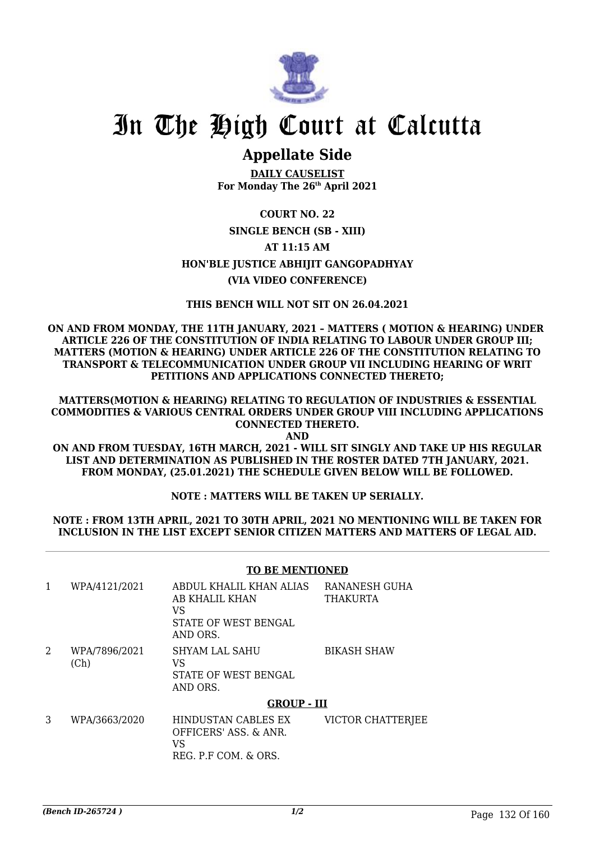

# **Appellate Side**

**DAILY CAUSELIST For Monday The 26th April 2021**

# **COURT NO. 22 SINGLE BENCH (SB - XIII) AT 11:15 AM HON'BLE JUSTICE ABHIJIT GANGOPADHYAY (VIA VIDEO CONFERENCE)**

# **THIS BENCH WILL NOT SIT ON 26.04.2021**

**ON AND FROM MONDAY, THE 11TH JANUARY, 2021 – MATTERS ( MOTION & HEARING) UNDER ARTICLE 226 OF THE CONSTITUTION OF INDIA RELATING TO LABOUR UNDER GROUP III; MATTERS (MOTION & HEARING) UNDER ARTICLE 226 OF THE CONSTITUTION RELATING TO TRANSPORT & TELECOMMUNICATION UNDER GROUP VII INCLUDING HEARING OF WRIT PETITIONS AND APPLICATIONS CONNECTED THERETO;**

**MATTERS(MOTION & HEARING) RELATING TO REGULATION OF INDUSTRIES & ESSENTIAL COMMODITIES & VARIOUS CENTRAL ORDERS UNDER GROUP VIII INCLUDING APPLICATIONS CONNECTED THERETO.**

**AND**

**ON AND FROM TUESDAY, 16TH MARCH, 2021 - WILL SIT SINGLY AND TAKE UP HIS REGULAR LIST AND DETERMINATION AS PUBLISHED IN THE ROSTER DATED 7TH JANUARY, 2021. FROM MONDAY, (25.01.2021) THE SCHEDULE GIVEN BELOW WILL BE FOLLOWED.**

# **NOTE : MATTERS WILL BE TAKEN UP SERIALLY.**

**NOTE : FROM 13TH APRIL, 2021 TO 30TH APRIL, 2021 NO MENTIONING WILL BE TAKEN FOR INCLUSION IN THE LIST EXCEPT SENIOR CITIZEN MATTERS AND MATTERS OF LEGAL AID.**

### **TO BE MENTIONED**

|   | WPA/4121/2021         | ABDUL KHALIL KHAN ALIAS<br>AB KHALIL KHAN<br>VS<br>STATE OF WEST BENGAL<br>AND ORS. | RANANESH GUHA<br>THAKURTA |
|---|-----------------------|-------------------------------------------------------------------------------------|---------------------------|
| 2 | WPA/7896/2021<br>(Ch) | SHYAM LAL SAHU<br>VS<br>STATE OF WEST BENGAL<br>AND ORS.                            | <b>BIKASH SHAW</b>        |
|   |                       | <b>GROUP - III</b>                                                                  |                           |
| C | MDA DEED DOOD         | UININIICTANI OADI EC EV                                                             | UICTOD CUATTEDIEE         |

|  | WPA/3663/2020 | HINDUSTAN CABLES EX   | VICTOR CHATTERJEE |
|--|---------------|-----------------------|-------------------|
|  |               | OFFICERS' ASS. & ANR. |                   |
|  |               | VS.                   |                   |
|  |               | REG. P.F COM. & ORS.  |                   |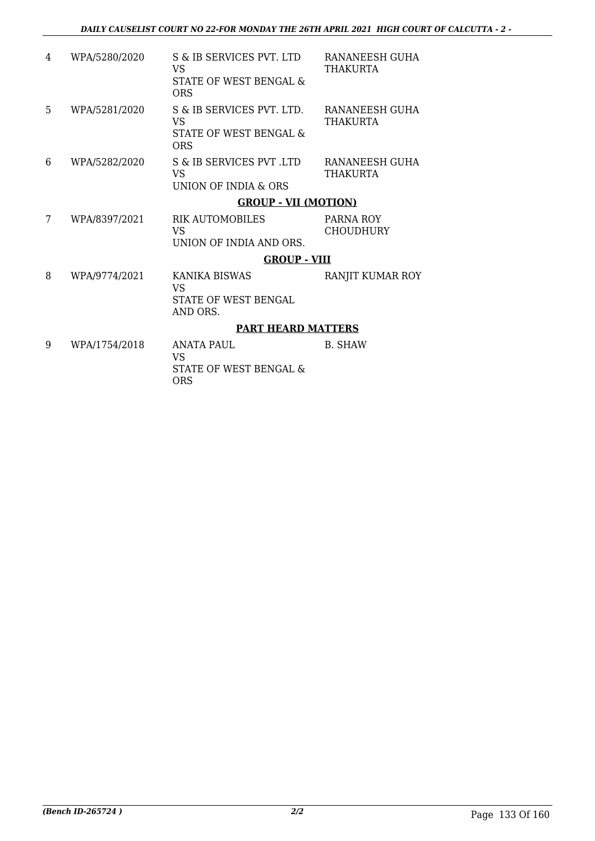| 4 | WPA/5280/2020 | S & IB SERVICES PVT. LTD<br>VS<br>STATE OF WEST BENGAL &<br>ORS                | RANANEESH GUHA<br>THAKURTA    |
|---|---------------|--------------------------------------------------------------------------------|-------------------------------|
| 5 | WPA/5281/2020 | S & IB SERVICES PVT. LTD.<br><b>VS</b><br>STATE OF WEST BENGAL &<br><b>ORS</b> | RANANEESH GUHA<br>THAKURTA    |
| 6 | WPA/5282/2020 | S & IB SERVICES PVT .LTD<br>VS<br><b>UNION OF INDIA &amp; ORS</b>              | RANANEESH GUHA<br>THAKURTA    |
|   |               | <b>GROUP - VII (MOTION)</b>                                                    |                               |
| 7 | WPA/8397/2021 | RIK AUTOMOBILES<br><b>VS</b><br>UNION OF INDIA AND ORS.                        | PARNA ROY<br><b>CHOUDHURY</b> |
|   |               | <b>GROUP - VIII</b>                                                            |                               |
| 8 | WPA/9774/2021 | KANIKA BISWAS<br><b>VS</b><br><b>STATE OF WEST BENGAL</b><br>AND ORS.          | RANJIT KUMAR ROY              |
|   |               | <b>PART HEARD MATTERS</b>                                                      |                               |
| 9 | WPA/1754/2018 | ANATA PAUL.<br><b>VS</b><br>STATE OF WEST BENGAL &<br>ORS                      | <b>B. SHAW</b>                |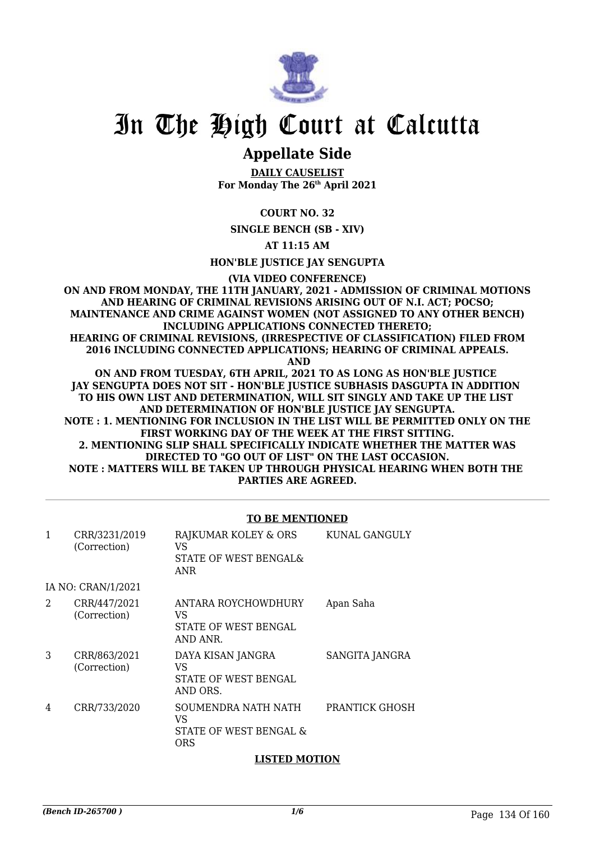

# **Appellate Side**

**DAILY CAUSELIST For Monday The 26th April 2021**

# **COURT NO. 32**

**SINGLE BENCH (SB - XIV)**

## **AT 11:15 AM**

**HON'BLE JUSTICE JAY SENGUPTA**

**(VIA VIDEO CONFERENCE)**

**ON AND FROM MONDAY, THE 11TH JANUARY, 2021 - ADMISSION OF CRIMINAL MOTIONS AND HEARING OF CRIMINAL REVISIONS ARISING OUT OF N.I. ACT; POCSO; MAINTENANCE AND CRIME AGAINST WOMEN (NOT ASSIGNED TO ANY OTHER BENCH) INCLUDING APPLICATIONS CONNECTED THERETO; HEARING OF CRIMINAL REVISIONS, (IRRESPECTIVE OF CLASSIFICATION) FILED FROM 2016 INCLUDING CONNECTED APPLICATIONS; HEARING OF CRIMINAL APPEALS. AND**

**ON AND FROM TUESDAY, 6TH APRIL, 2021 TO AS LONG AS HON'BLE JUSTICE JAY SENGUPTA DOES NOT SIT - HON'BLE JUSTICE SUBHASIS DASGUPTA IN ADDITION TO HIS OWN LIST AND DETERMINATION, WILL SIT SINGLY AND TAKE UP THE LIST AND DETERMINATION OF HON'BLE JUSTICE JAY SENGUPTA. NOTE : 1. MENTIONING FOR INCLUSION IN THE LIST WILL BE PERMITTED ONLY ON THE FIRST WORKING DAY OF THE WEEK AT THE FIRST SITTING. 2. MENTIONING SLIP SHALL SPECIFICALLY INDICATE WHETHER THE MATTER WAS DIRECTED TO "GO OUT OF LIST" ON THE LAST OCCASION. NOTE : MATTERS WILL BE TAKEN UP THROUGH PHYSICAL HEARING WHEN BOTH THE PARTIES ARE AGREED.**

### **TO BE MENTIONED**

| 1              | CRR/3231/2019<br>(Correction) | RAJKUMAR KOLEY & ORS<br>VS.<br>STATE OF WEST BENGAL&<br>ANR       | KUNAL GANGULY  |
|----------------|-------------------------------|-------------------------------------------------------------------|----------------|
|                | IA NO: CRAN/1/2021            |                                                                   |                |
| $\mathfrak{D}$ | CRR/447/2021<br>(Correction)  | ANTARA ROYCHOWDHURY<br>VS<br>STATE OF WEST BENGAL<br>AND ANR.     | Apan Saha      |
| 3              | CRR/863/2021<br>(Correction)  | DAYA KISAN JANGRA<br>VS<br>STATE OF WEST BENGAL<br>AND ORS.       | SANGITA JANGRA |
| 4              | CRR/733/2020                  | SOUMENDRA NATH NATH<br>VS<br>STATE OF WEST BENGAL &<br><b>ORS</b> | PRANTICK GHOSH |

# **LISTED MOTION**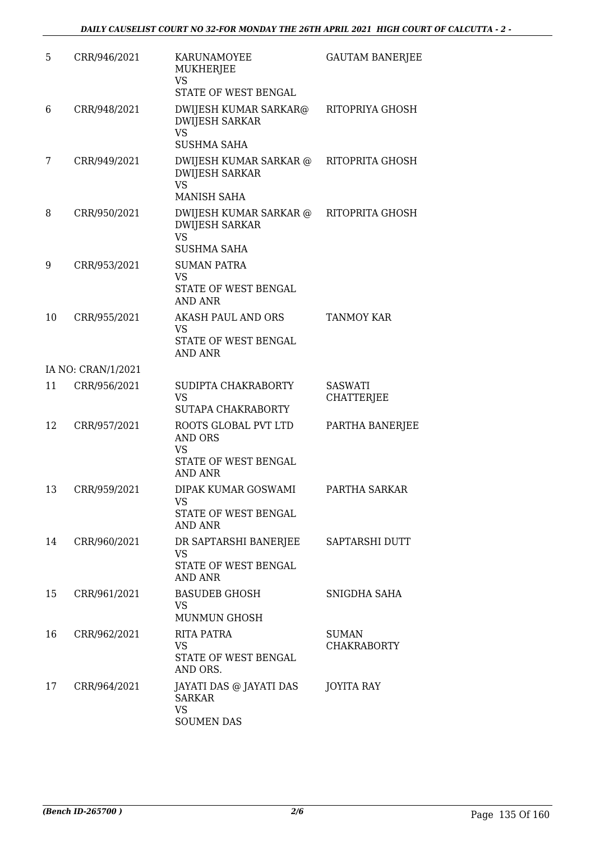| 5  | CRR/946/2021       | KARUNAMOYEE<br>MUKHERJEE<br><b>VS</b>                                              | <b>GAUTAM BANERJEE</b>              |
|----|--------------------|------------------------------------------------------------------------------------|-------------------------------------|
|    |                    | STATE OF WEST BENGAL                                                               |                                     |
| 6  | CRR/948/2021       | DWIJESH KUMAR SARKAR@<br><b>DWIJESH SARKAR</b><br><b>VS</b>                        | RITOPRIYA GHOSH                     |
|    |                    | <b>SUSHMA SAHA</b>                                                                 |                                     |
| 7  | CRR/949/2021       | DWIJESH KUMAR SARKAR @<br><b>DWIJESH SARKAR</b><br><b>VS</b>                       | RITOPRITA GHOSH                     |
|    |                    | <b>MANISH SAHA</b>                                                                 |                                     |
| 8  | CRR/950/2021       | DWIJESH KUMAR SARKAR @<br><b>DWIJESH SARKAR</b><br><b>VS</b><br><b>SUSHMA SAHA</b> | RITOPRITA GHOSH                     |
| 9  | CRR/953/2021       | <b>SUMAN PATRA</b><br><b>VS</b><br>STATE OF WEST BENGAL                            |                                     |
|    |                    | <b>AND ANR</b>                                                                     |                                     |
| 10 | CRR/955/2021       | AKASH PAUL AND ORS<br><b>VS</b>                                                    | <b>TANMOY KAR</b>                   |
|    |                    | STATE OF WEST BENGAL<br><b>AND ANR</b>                                             |                                     |
|    | IA NO: CRAN/1/2021 |                                                                                    |                                     |
| 11 | CRR/956/2021       | SUDIPTA CHAKRABORTY<br><b>VS</b>                                                   | <b>SASWATI</b><br><b>CHATTERJEE</b> |
|    |                    | SUTAPA CHAKRABORTY                                                                 |                                     |
| 12 | CRR/957/2021       | ROOTS GLOBAL PVT LTD<br>AND ORS<br>VS<br>STATE OF WEST BENGAL<br>AND ANR           | PARTHA BANERJEE                     |
| 13 | CRR/959/2021       | DIPAK KUMAR GOSWAMI                                                                | PARTHA SARKAR                       |
|    |                    | VS<br>STATE OF WEST BENGAL<br><b>AND ANR</b>                                       |                                     |
| 14 | CRR/960/2021       | DR SAPTARSHI BANERJEE                                                              | SAPTARSHI DUTT                      |
|    |                    | VS.<br>STATE OF WEST BENGAL<br><b>AND ANR</b>                                      |                                     |
| 15 | CRR/961/2021       | <b>BASUDEB GHOSH</b><br><b>VS</b><br><b>MUNMUN GHOSH</b>                           | SNIGDHA SAHA                        |
| 16 | CRR/962/2021       | RITA PATRA                                                                         | <b>SUMAN</b>                        |
|    |                    | <b>VS</b><br>STATE OF WEST BENGAL<br>AND ORS.                                      | <b>CHAKRABORTY</b>                  |
| 17 | CRR/964/2021       | JAYATI DAS @ JAYATI DAS<br><b>SARKAR</b><br><b>VS</b><br><b>SOUMEN DAS</b>         | <b>JOYITA RAY</b>                   |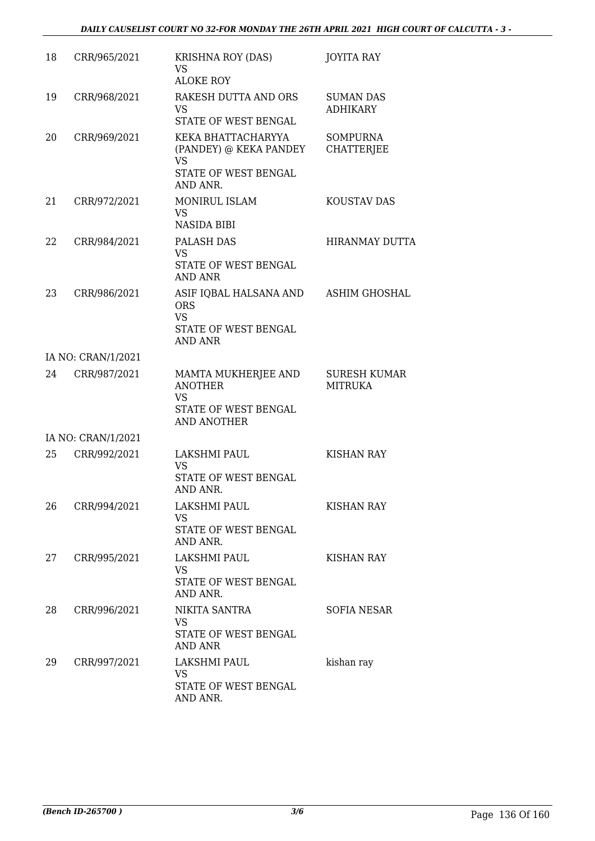| 18 | CRR/965/2021       | <b>KRISHNA ROY (DAS)</b><br><b>VS</b><br><b>ALOKE ROY</b>                                     | <b>JOYITA RAY</b>                     |
|----|--------------------|-----------------------------------------------------------------------------------------------|---------------------------------------|
| 19 | CRR/968/2021       | RAKESH DUTTA AND ORS<br><b>VS</b><br>STATE OF WEST BENGAL                                     | <b>SUMAN DAS</b><br><b>ADHIKARY</b>   |
| 20 | CRR/969/2021       | KEKA BHATTACHARYYA<br>(PANDEY) @ KEKA PANDEY<br><b>VS</b><br>STATE OF WEST BENGAL<br>AND ANR. | <b>SOMPURNA</b><br><b>CHATTERJEE</b>  |
| 21 | CRR/972/2021       | MONIRUL ISLAM<br>VS<br><b>NASIDA BIBI</b>                                                     | KOUSTAV DAS                           |
| 22 | CRR/984/2021       | PALASH DAS<br><b>VS</b><br>STATE OF WEST BENGAL<br><b>AND ANR</b>                             | <b>HIRANMAY DUTTA</b>                 |
| 23 | CRR/986/2021       | ASIF IQBAL HALSANA AND<br><b>ORS</b><br><b>VS</b><br>STATE OF WEST BENGAL<br><b>AND ANR</b>   | ASHIM GHOSHAL                         |
|    | IA NO: CRAN/1/2021 |                                                                                               |                                       |
| 24 | CRR/987/2021       | MAMTA MUKHERJEE AND<br><b>ANOTHER</b><br>VS<br>STATE OF WEST BENGAL<br><b>AND ANOTHER</b>     | <b>SURESH KUMAR</b><br><b>MITRUKA</b> |
|    | IA NO: CRAN/1/2021 |                                                                                               |                                       |
| 25 | CRR/992/2021       | LAKSHMI PAUL<br><b>VS</b><br>STATE OF WEST BENGAL<br>AND ANR.                                 | <b>KISHAN RAY</b>                     |
| 26 | CRR/994/2021       | LAKSHMI PAUL<br><b>VS</b><br>STATE OF WEST BENGAL<br>AND ANR.                                 | <b>KISHAN RAY</b>                     |
| 27 | CRR/995/2021       | LAKSHMI PAUL<br><b>VS</b><br>STATE OF WEST BENGAL<br>AND ANR.                                 | KISHAN RAY                            |
| 28 | CRR/996/2021       | NIKITA SANTRA<br>VS<br>STATE OF WEST BENGAL<br>AND ANR                                        | SOFIA NESAR                           |
| 29 | CRR/997/2021       | LAKSHMI PAUL<br>VS<br>STATE OF WEST BENGAL<br>AND ANR.                                        | kishan ray                            |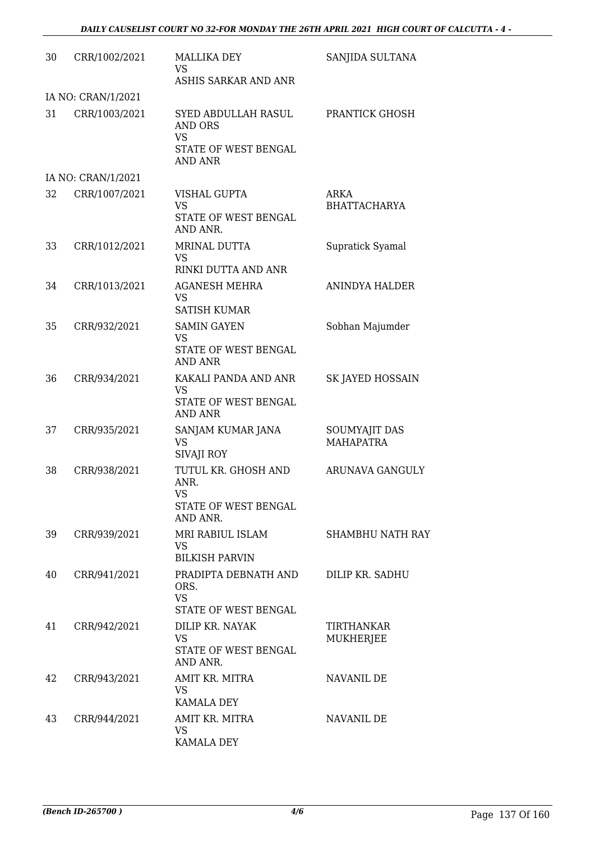| 30 | CRR/1002/2021      | <b>MALLIKA DEY</b><br>VS<br>ASHIS SARKAR AND ANR                                      | SANJIDA SULTANA                   |
|----|--------------------|---------------------------------------------------------------------------------------|-----------------------------------|
|    | IA NO: CRAN/1/2021 |                                                                                       |                                   |
| 31 | CRR/1003/2021      | SYED ABDULLAH RASUL<br>AND ORS<br><b>VS</b><br>STATE OF WEST BENGAL<br><b>AND ANR</b> | PRANTICK GHOSH                    |
|    | IA NO: CRAN/1/2021 |                                                                                       |                                   |
| 32 | CRR/1007/2021      | VISHAL GUPTA<br><b>VS</b><br>STATE OF WEST BENGAL                                     | ARKA<br><b>BHATTACHARYA</b>       |
| 33 | CRR/1012/2021      | AND ANR.<br>MRINAL DUTTA<br><b>VS</b><br>RINKI DUTTA AND ANR                          | Supratick Syamal                  |
| 34 | CRR/1013/2021      | <b>AGANESH MEHRA</b><br>VS<br><b>SATISH KUMAR</b>                                     | <b>ANINDYA HALDER</b>             |
| 35 | CRR/932/2021       | <b>SAMIN GAYEN</b><br><b>VS</b><br>STATE OF WEST BENGAL<br><b>AND ANR</b>             | Sobhan Majumder                   |
| 36 | CRR/934/2021       | KAKALI PANDA AND ANR<br><b>VS</b><br>STATE OF WEST BENGAL<br><b>AND ANR</b>           | SK JAYED HOSSAIN                  |
| 37 | CRR/935/2021       | SANJAM KUMAR JANA<br><b>VS</b><br>SIVAJI ROY                                          | SOUMYAJIT DAS<br><b>MAHAPATRA</b> |
| 38 | CRR/938/2021       | TUTUL KR. GHOSH AND<br>ANR.<br><b>VS</b><br>STATE OF WEST BENGAL<br>AND ANR.          | ARUNAVA GANGULY                   |
| 39 | CRR/939/2021       | MRI RABIUL ISLAM<br><b>VS</b><br><b>BILKISH PARVIN</b>                                | <b>SHAMBHU NATH RAY</b>           |
| 40 | CRR/941/2021       | PRADIPTA DEBNATH AND<br>ORS.<br><b>VS</b><br>STATE OF WEST BENGAL                     | DILIP KR. SADHU                   |
| 41 | CRR/942/2021       | DILIP KR. NAYAK<br><b>VS</b><br>STATE OF WEST BENGAL<br>AND ANR.                      | TIRTHANKAR<br><b>MUKHERJEE</b>    |
| 42 | CRR/943/2021       | AMIT KR. MITRA<br>VS.<br><b>KAMALA DEY</b>                                            | NAVANIL DE                        |
| 43 | CRR/944/2021       | AMIT KR. MITRA<br><b>VS</b><br><b>KAMALA DEY</b>                                      | NAVANIL DE                        |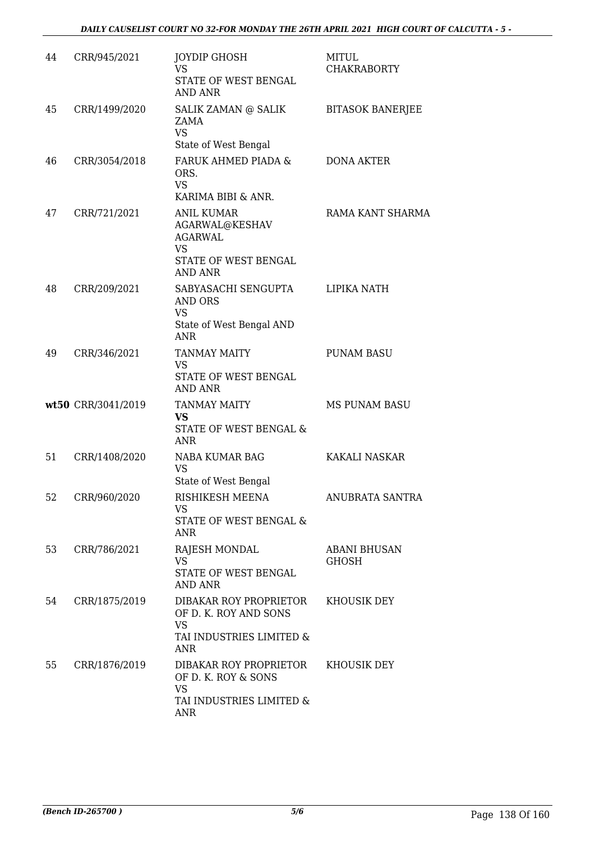| 44 | CRR/945/2021       | <b>JOYDIP GHOSH</b><br><b>VS</b><br>STATE OF WEST BENGAL<br><b>AND ANR</b>                             | <b>MITUL</b><br><b>CHAKRABORTY</b>  |
|----|--------------------|--------------------------------------------------------------------------------------------------------|-------------------------------------|
| 45 | CRR/1499/2020      | SALIK ZAMAN @ SALIK<br>ZAMA<br><b>VS</b><br>State of West Bengal                                       | <b>BITASOK BANERJEE</b>             |
| 46 | CRR/3054/2018      | FARUK AHMED PIADA &<br>ORS.<br><b>VS</b><br>KARIMA BIBI & ANR.                                         | <b>DONA AKTER</b>                   |
| 47 | CRR/721/2021       | <b>ANIL KUMAR</b><br>AGARWAL@KESHAV<br><b>AGARWAL</b><br><b>VS</b><br>STATE OF WEST BENGAL<br>AND ANR  | RAMA KANT SHARMA                    |
| 48 | CRR/209/2021       | SABYASACHI SENGUPTA<br><b>AND ORS</b><br><b>VS</b><br>State of West Bengal AND<br><b>ANR</b>           | LIPIKA NATH                         |
| 49 | CRR/346/2021       | <b>TANMAY MAITY</b><br><b>VS</b><br>STATE OF WEST BENGAL<br><b>AND ANR</b>                             | <b>PUNAM BASU</b>                   |
|    | wt50 CRR/3041/2019 | <b>TANMAY MAITY</b><br><b>VS</b><br>STATE OF WEST BENGAL &<br><b>ANR</b>                               | <b>MS PUNAM BASU</b>                |
| 51 | CRR/1408/2020      | NABA KUMAR BAG<br><b>VS</b><br>State of West Bengal                                                    | KAKALI NASKAR                       |
| 52 | CRR/960/2020       | RISHIKESH MEENA<br>VS<br>STATE OF WEST BENGAL &<br>ANR                                                 | ANUBRATA SANTRA                     |
| 53 | CRR/786/2021       | RAJESH MONDAL<br><b>VS</b><br>STATE OF WEST BENGAL<br><b>AND ANR</b>                                   | <b>ABANI BHUSAN</b><br><b>GHOSH</b> |
| 54 | CRR/1875/2019      | DIBAKAR ROY PROPRIETOR<br>OF D. K. ROY AND SONS<br><b>VS</b><br>TAI INDUSTRIES LIMITED &<br><b>ANR</b> | KHOUSIK DEY                         |
| 55 | CRR/1876/2019      | DIBAKAR ROY PROPRIETOR<br>OF D. K. ROY & SONS<br><b>VS</b><br>TAI INDUSTRIES LIMITED &<br><b>ANR</b>   | KHOUSIK DEY                         |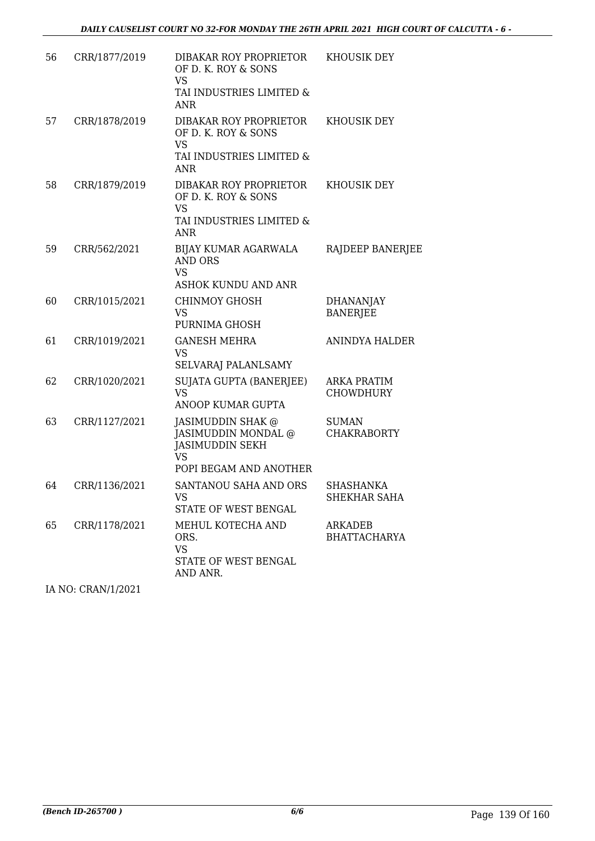| 56 | CRR/1877/2019 | DIBAKAR ROY PROPRIETOR<br>OF D. K. ROY & SONS<br><b>VS</b><br>TAI INDUSTRIES LIMITED &<br><b>ANR</b>      | KHOUSIK DEY                             |
|----|---------------|-----------------------------------------------------------------------------------------------------------|-----------------------------------------|
| 57 | CRR/1878/2019 | DIBAKAR ROY PROPRIETOR<br>OF D. K. ROY & SONS<br><b>VS</b><br>TAI INDUSTRIES LIMITED &<br><b>ANR</b>      | <b>KHOUSIK DEY</b>                      |
| 58 | CRR/1879/2019 | DIBAKAR ROY PROPRIETOR<br>OF D. K. ROY & SONS<br><b>VS</b><br>TAI INDUSTRIES LIMITED &<br><b>ANR</b>      | KHOUSIK DEY                             |
| 59 | CRR/562/2021  | BIJAY KUMAR AGARWALA<br><b>AND ORS</b><br><b>VS</b><br><b>ASHOK KUNDU AND ANR</b>                         | RAJDEEP BANERJEE                        |
| 60 | CRR/1015/2021 | <b>CHINMOY GHOSH</b><br><b>VS</b><br>PURNIMA GHOSH                                                        | <b>DHANANJAY</b><br><b>BANERJEE</b>     |
| 61 | CRR/1019/2021 | <b>GANESH MEHRA</b><br><b>VS</b><br>SELVARAJ PALANLSAMY                                                   | <b>ANINDYA HALDER</b>                   |
| 62 | CRR/1020/2021 | SUJATA GUPTA (BANERJEE)<br><b>VS</b><br>ANOOP KUMAR GUPTA                                                 | <b>ARKA PRATIM</b><br><b>CHOWDHURY</b>  |
| 63 | CRR/1127/2021 | JASIMUDDIN SHAK @<br>JASIMUDDIN MONDAL @<br><b>JASIMUDDIN SEKH</b><br><b>VS</b><br>POPI BEGAM AND ANOTHER | <b>SUMAN</b><br><b>CHAKRABORTY</b>      |
| 64 | CRR/1136/2021 | SANTANOU SAHA AND ORS<br>VS<br>STATE OF WEST BENGAL                                                       | <b>SHASHANKA</b><br><b>SHEKHAR SAHA</b> |
| 65 | CRR/1178/2021 | MEHUL KOTECHA AND<br>ORS.<br><b>VS</b><br>STATE OF WEST BENGAL<br>AND ANR.                                | ARKADEB<br><b>BHATTACHARYA</b>          |

IA NO: CRAN/1/2021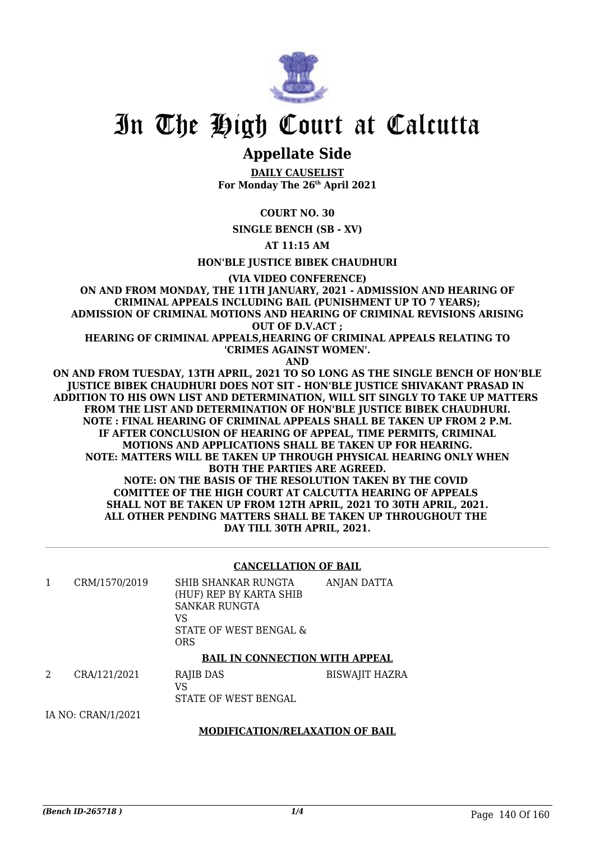

# **Appellate Side**

**DAILY CAUSELIST For Monday The 26th April 2021**

**COURT NO. 30**

**SINGLE BENCH (SB - XV)**

**AT 11:15 AM**

**HON'BLE JUSTICE BIBEK CHAUDHURI**

**(VIA VIDEO CONFERENCE)**

**ON AND FROM MONDAY, THE 11TH JANUARY, 2021 - ADMISSION AND HEARING OF CRIMINAL APPEALS INCLUDING BAIL (PUNISHMENT UP TO 7 YEARS); ADMISSION OF CRIMINAL MOTIONS AND HEARING OF CRIMINAL REVISIONS ARISING OUT OF D.V.ACT ;**

**HEARING OF CRIMINAL APPEALS,HEARING OF CRIMINAL APPEALS RELATING TO 'CRIMES AGAINST WOMEN'.**

**AND**

**ON AND FROM TUESDAY, 13TH APRIL, 2021 TO SO LONG AS THE SINGLE BENCH OF HON'BLE JUSTICE BIBEK CHAUDHURI DOES NOT SIT - HON'BLE JUSTICE SHIVAKANT PRASAD IN ADDITION TO HIS OWN LIST AND DETERMINATION, WILL SIT SINGLY TO TAKE UP MATTERS FROM THE LIST AND DETERMINATION OF HON'BLE JUSTICE BIBEK CHAUDHURI. NOTE : FINAL HEARING OF CRIMINAL APPEALS SHALL BE TAKEN UP FROM 2 P.M. IF AFTER CONCLUSION OF HEARING OF APPEAL, TIME PERMITS, CRIMINAL MOTIONS AND APPLICATIONS SHALL BE TAKEN UP FOR HEARING. NOTE: MATTERS WILL BE TAKEN UP THROUGH PHYSICAL HEARING ONLY WHEN BOTH THE PARTIES ARE AGREED. NOTE: ON THE BASIS OF THE RESOLUTION TAKEN BY THE COVID COMITTEE OF THE HIGH COURT AT CALCUTTA HEARING OF APPEALS SHALL NOT BE TAKEN UP FROM 12TH APRIL, 2021 TO 30TH APRIL, 2021. ALL OTHER PENDING MATTERS SHALL BE TAKEN UP THROUGHOUT THE DAY TILL 30TH APRIL, 2021.**

#### **CANCELLATION OF BAIL**

| CRM/1570/2019 | SHIB SHANKAR RUNGTA<br>(HUF) REP BY KARTA SHIB<br>SANKAR RUNGTA<br>VS<br>STATE OF WEST BENGAL &<br>ORS | ANJAN DATTA |
|---------------|--------------------------------------------------------------------------------------------------------|-------------|
|               |                                                                                                        |             |

### **BAIL IN CONNECTION WITH APPEAL**

| CRA/121/2021 | RAJIB DAS            | BISWAJIT HAZRA |
|--------------|----------------------|----------------|
|              |                      |                |
|              | STATE OF WEST BENGAL |                |
|              |                      |                |

IA NO: CRAN/1/2021

### **MODIFICATION/RELAXATION OF BAIL**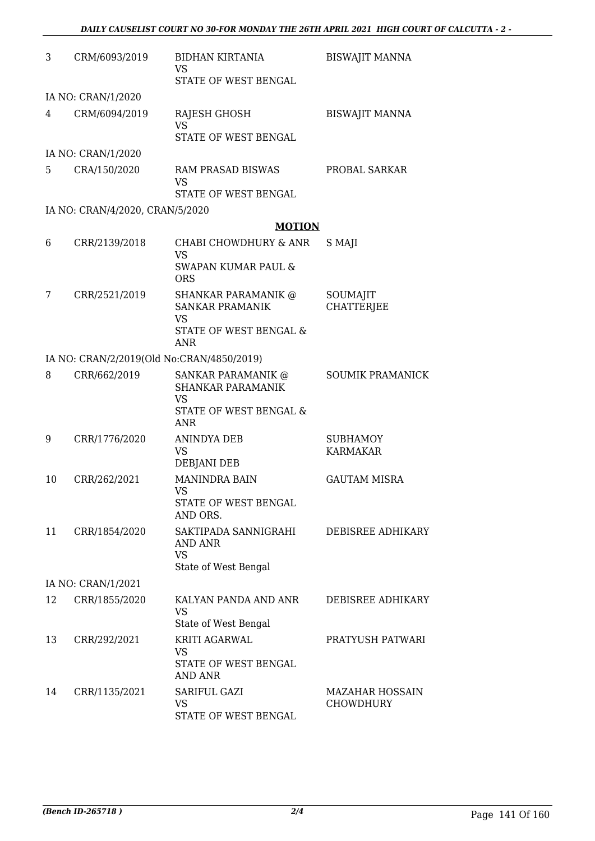| 3  | CRM/6093/2019                             | <b>BIDHAN KIRTANIA</b><br>VS                                 | <b>BISWAJIT MANNA</b>              |
|----|-------------------------------------------|--------------------------------------------------------------|------------------------------------|
|    |                                           | STATE OF WEST BENGAL                                         |                                    |
|    | IA NO: CRAN/1/2020                        |                                                              |                                    |
| 4  | CRM/6094/2019                             | RAJESH GHOSH<br><b>VS</b>                                    | <b>BISWAJIT MANNA</b>              |
|    |                                           | STATE OF WEST BENGAL                                         |                                    |
|    | IA NO: CRAN/1/2020                        |                                                              |                                    |
| 5  | CRA/150/2020                              | RAM PRASAD BISWAS<br><b>VS</b>                               | PROBAL SARKAR                      |
|    |                                           | STATE OF WEST BENGAL                                         |                                    |
|    | IA NO: CRAN/4/2020, CRAN/5/2020           |                                                              |                                    |
|    |                                           | <b>MOTION</b>                                                |                                    |
| 6  | CRR/2139/2018                             | CHABI CHOWDHURY & ANR<br><b>VS</b>                           | S MAJI                             |
|    |                                           | <b>SWAPAN KUMAR PAUL &amp;</b><br><b>ORS</b>                 |                                    |
| 7  | CRR/2521/2019                             | <b>SHANKAR PARAMANIK @</b><br><b>SANKAR PRAMANIK</b>         | SOUMAJIT<br><b>CHATTERJEE</b>      |
|    |                                           | <b>VS</b><br><b>STATE OF WEST BENGAL &amp;</b><br><b>ANR</b> |                                    |
|    | IA NO: CRAN/2/2019(Old No:CRAN/4850/2019) |                                                              |                                    |
| 8  | CRR/662/2019                              | SANKAR PARAMANIK @<br><b>SHANKAR PARAMANIK</b><br>VS         | <b>SOUMIK PRAMANICK</b>            |
|    |                                           | STATE OF WEST BENGAL &<br><b>ANR</b>                         |                                    |
| 9  | CRR/1776/2020                             | <b>ANINDYA DEB</b><br>VS                                     | <b>SUBHAMOY</b><br><b>KARMAKAR</b> |
|    |                                           | DEBJANI DEB                                                  |                                    |
| 10 | CRR/262/2021                              | <b>MANINDRA BAIN</b><br>VS.                                  | <b>GAUTAM MISRA</b>                |
|    |                                           | STATE OF WEST BENGAL<br>AND ORS.                             |                                    |
| 11 | CRR/1854/2020                             | SAKTIPADA SANNIGRAHI<br>AND ANR                              | DEBISREE ADHIKARY                  |
|    |                                           | <b>VS</b><br>State of West Bengal                            |                                    |
|    | IA NO: CRAN/1/2021                        |                                                              |                                    |
| 12 | CRR/1855/2020                             | KALYAN PANDA AND ANR                                         | DEBISREE ADHIKARY                  |
|    |                                           | <b>VS</b><br>State of West Bengal                            |                                    |
| 13 | CRR/292/2021                              | KRITI AGARWAL                                                | PRATYUSH PATWARI                   |
|    |                                           | VS<br>STATE OF WEST BENGAL<br><b>AND ANR</b>                 |                                    |
| 14 | CRR/1135/2021                             | SARIFUL GAZI                                                 | <b>MAZAHAR HOSSAIN</b>             |
|    |                                           | <b>VS</b><br>STATE OF WEST BENGAL                            | <b>CHOWDHURY</b>                   |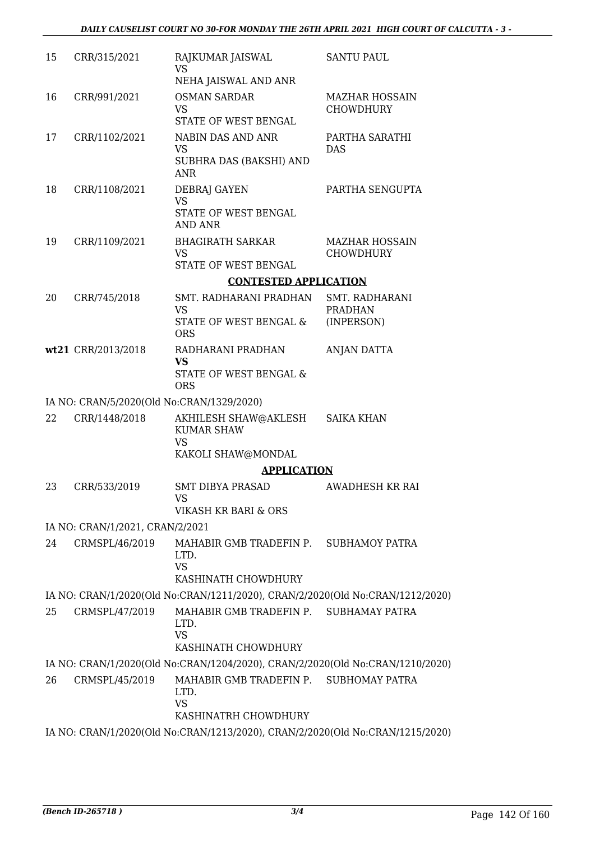| 15 | CRR/315/2021                              | RAJKUMAR JAISWAL<br>VS<br>NEHA JAISWAL AND ANR                                      | <b>SANTU PAUL</b>                         |
|----|-------------------------------------------|-------------------------------------------------------------------------------------|-------------------------------------------|
| 16 | CRR/991/2021                              | <b>OSMAN SARDAR</b><br><b>VS</b><br>STATE OF WEST BENGAL                            | <b>MAZHAR HOSSAIN</b><br><b>CHOWDHURY</b> |
| 17 | CRR/1102/2021                             | NABIN DAS AND ANR<br><b>VS</b><br>SUBHRA DAS (BAKSHI) AND<br><b>ANR</b>             | PARTHA SARATHI<br><b>DAS</b>              |
| 18 | CRR/1108/2021                             | DEBRAJ GAYEN<br>VS<br>STATE OF WEST BENGAL<br><b>AND ANR</b>                        | PARTHA SENGUPTA                           |
| 19 | CRR/1109/2021                             | <b>BHAGIRATH SARKAR</b><br><b>VS</b><br>STATE OF WEST BENGAL                        | <b>MAZHAR HOSSAIN</b><br><b>CHOWDHURY</b> |
|    |                                           | <b>CONTESTED APPLICATION</b>                                                        |                                           |
| 20 | CRR/745/2018                              | SMT. RADHARANI PRADHAN                                                              | SMT. RADHARANI                            |
|    |                                           | <b>VS</b><br>STATE OF WEST BENGAL &<br><b>ORS</b>                                   | <b>PRADHAN</b><br>(INPERSON)              |
|    | wt21 CRR/2013/2018                        | RADHARANI PRADHAN<br><b>VS</b>                                                      | ANJAN DATTA                               |
|    |                                           | STATE OF WEST BENGAL &<br><b>ORS</b>                                                |                                           |
|    | IA NO: CRAN/5/2020(Old No:CRAN/1329/2020) |                                                                                     |                                           |
| 22 | CRR/1448/2018                             | AKHILESH SHAW@AKLESH<br><b>KUMAR SHAW</b><br><b>VS</b>                              | <b>SAIKA KHAN</b>                         |
|    |                                           | KAKOLI SHAW@MONDAL                                                                  |                                           |
|    |                                           | <b>APPLICATION</b>                                                                  |                                           |
| 23 | CRR/533/2019                              | <b>SMT DIBYA PRASAD</b><br><b>VS</b>                                                | <b>AWADHESH KR RAI</b>                    |
|    |                                           | VIKASH KR BARI & ORS                                                                |                                           |
|    | IA NO: CRAN/1/2021, CRAN/2/2021           |                                                                                     |                                           |
| 24 | CRMSPL/46/2019                            | MAHABIR GMB TRADEFIN P. SUBHAMOY PATRA<br>LTD.<br><b>VS</b><br>KASHINATH CHOWDHURY  |                                           |
|    |                                           | IA NO: CRAN/1/2020(Old No:CRAN/1211/2020), CRAN/2/2020(Old No:CRAN/1212/2020)       |                                           |
| 25 | CRMSPL/47/2019                            | MAHABIR GMB TRADEFIN P. SUBHAMAY PATRA<br>LTD.<br><b>VS</b>                         |                                           |
|    |                                           | KASHINATH CHOWDHURY                                                                 |                                           |
|    |                                           | IA NO: CRAN/1/2020(Old No:CRAN/1204/2020), CRAN/2/2020(Old No:CRAN/1210/2020)       |                                           |
| 26 | CRMSPL/45/2019                            | MAHABIR GMB TRADEFIN P. SUBHOMAY PATRA<br>LTD.<br><b>VS</b><br>KASHINATRH CHOWDHURY |                                           |
|    |                                           | IA NO: CRAN/1/2020(Old No:CRAN/1213/2020), CRAN/2/2020(Old No:CRAN/1215/2020)       |                                           |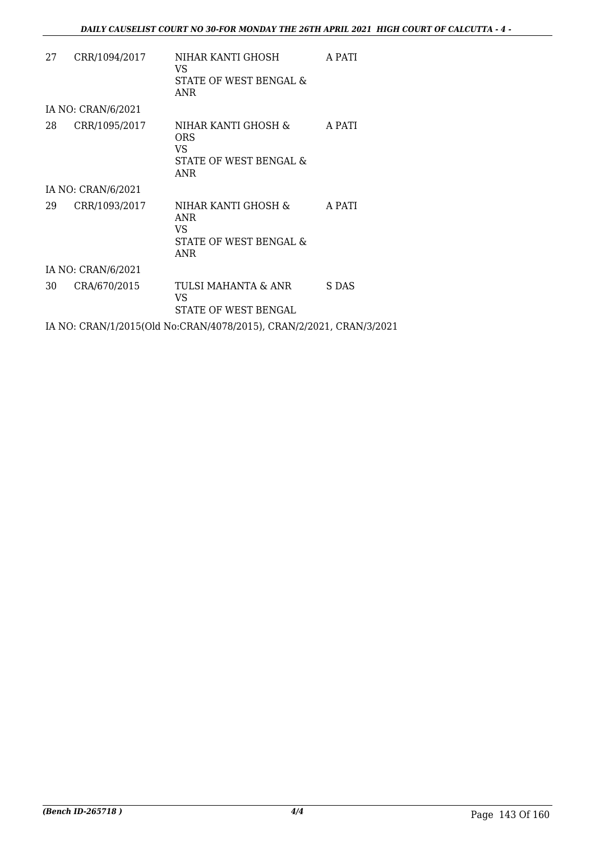| 27 | CRR/1094/2017      | NIHAR KANTI GHOSH<br>VS.<br>STATE OF WEST BENGAL &<br>ANR                 | A PATI |
|----|--------------------|---------------------------------------------------------------------------|--------|
|    | IA NO: CRAN/6/2021 |                                                                           |        |
| 28 | CRR/1095/2017      | NIHAR KANTI GHOSH &<br>ORS<br>VS.<br>STATE OF WEST BENGAL &<br>ANR        | A PATI |
|    | IA NO: CRAN/6/2021 |                                                                           |        |
| 29 | CRR/1093/2017      | NIHAR KANTI GHOSH &<br><b>ANR</b><br>VS.<br>STATE OF WEST BENGAL &<br>ANR | A PATI |
|    | IA NO: CRAN/6/2021 |                                                                           |        |
| 30 | CRA/670/2015       | TULSI MAHANTA & ANR<br>VS<br>STATE OF WEST BENGAL                         | S DAS  |
|    |                    | IA NO: CRAN/1/2015(Old No:CRAN/4078/2015), CRAN/2/2021, CRAN/3/2021       |        |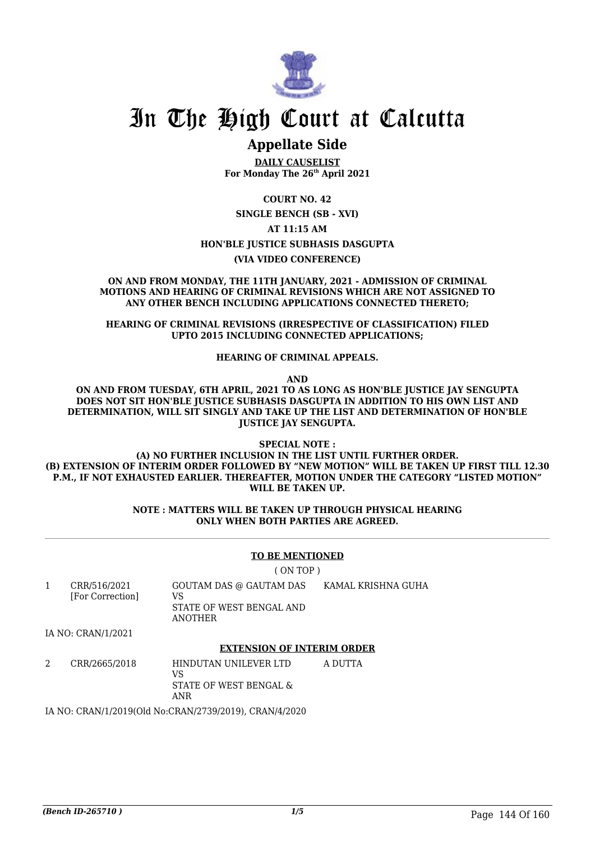

## In The High Court at Calcutta

### **Appellate Side**

**DAILY CAUSELIST For Monday The 26th April 2021**

**COURT NO. 42**

**SINGLE BENCH (SB - XVI)**

#### **AT 11:15 AM**

#### **HON'BLE JUSTICE SUBHASIS DASGUPTA**

**(VIA VIDEO CONFERENCE)**

**ON AND FROM MONDAY, THE 11TH JANUARY, 2021 - ADMISSION OF CRIMINAL MOTIONS AND HEARING OF CRIMINAL REVISIONS WHICH ARE NOT ASSIGNED TO ANY OTHER BENCH INCLUDING APPLICATIONS CONNECTED THERETO;**

**HEARING OF CRIMINAL REVISIONS (IRRESPECTIVE OF CLASSIFICATION) FILED UPTO 2015 INCLUDING CONNECTED APPLICATIONS;**

**HEARING OF CRIMINAL APPEALS.**

**AND**

**ON AND FROM TUESDAY, 6TH APRIL, 2021 TO AS LONG AS HON'BLE JUSTICE JAY SENGUPTA DOES NOT SIT HON'BLE JUSTICE SUBHASIS DASGUPTA IN ADDITION TO HIS OWN LIST AND DETERMINATION, WILL SIT SINGLY AND TAKE UP THE LIST AND DETERMINATION OF HON'BLE JUSTICE JAY SENGUPTA.**

**SPECIAL NOTE :**

**(A) NO FURTHER INCLUSION IN THE LIST UNTIL FURTHER ORDER. (B) EXTENSION OF INTERIM ORDER FOLLOWED BY "NEW MOTION" WILL BE TAKEN UP FIRST TILL 12.30 P.M., IF NOT EXHAUSTED EARLIER. THEREAFTER, MOTION UNDER THE CATEGORY "LISTED MOTION" WILL BE TAKEN UP.**

> **NOTE : MATTERS WILL BE TAKEN UP THROUGH PHYSICAL HEARING ONLY WHEN BOTH PARTIES ARE AGREED.**

#### **TO BE MENTIONED**

( ON TOP )

| CRR/516/2021<br>[For Correction] | GOUTAM DAS @ GAUTAM DAS<br>VS<br>STATE OF WEST BENGAL AND<br>ANOTHER | KAMAL KRISHNA GUHA |
|----------------------------------|----------------------------------------------------------------------|--------------------|
| IA NO: CRAN/1/2021               |                                                                      |                    |

#### **EXTENSION OF INTERIM ORDER**

2 CRR/2665/2018 HINDUTAN UNILEVER LTD VS STATE OF WEST BENGAL & ANR A DUTTA

IA NO: CRAN/1/2019(Old No:CRAN/2739/2019), CRAN/4/2020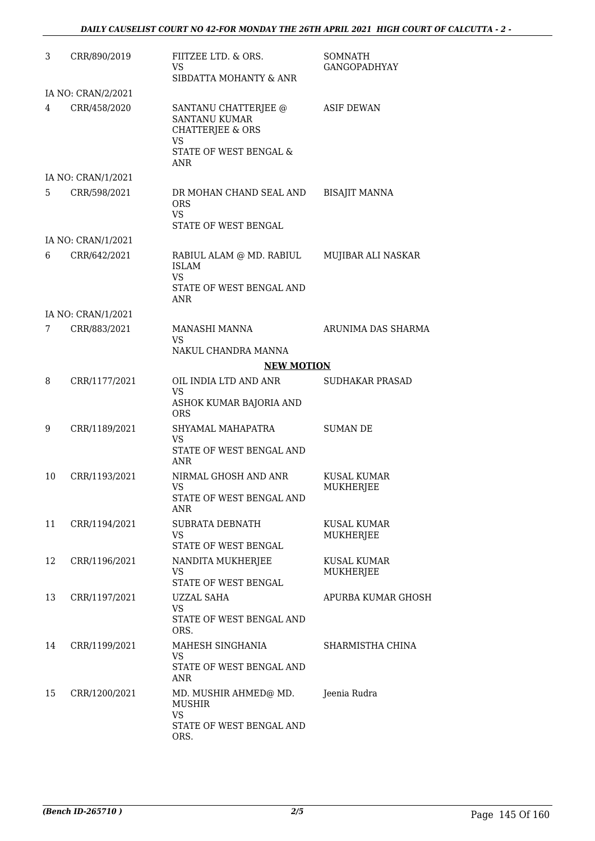| 3  | CRR/890/2019       | FIITZEE LTD. & ORS.<br>VS.<br>SIBDATTA MOHANTY & ANR                                                                | <b>SOMNATH</b><br>GANGOPADHYAY         |
|----|--------------------|---------------------------------------------------------------------------------------------------------------------|----------------------------------------|
|    | IA NO: CRAN/2/2021 |                                                                                                                     |                                        |
| 4  | CRR/458/2020       | SANTANU CHATTERJEE @<br><b>SANTANU KUMAR</b><br><b>CHATTERJEE &amp; ORS</b><br>VS.<br>STATE OF WEST BENGAL &<br>ANR | <b>ASIF DEWAN</b>                      |
|    | IA NO: CRAN/1/2021 |                                                                                                                     |                                        |
| 5. | CRR/598/2021       | DR MOHAN CHAND SEAL AND<br><b>ORS</b><br><b>VS</b><br>STATE OF WEST BENGAL                                          | <b>BISAJIT MANNA</b>                   |
|    | IA NO: CRAN/1/2021 |                                                                                                                     |                                        |
| 6  | CRR/642/2021       | RABIUL ALAM @ MD. RABIUL<br><b>ISLAM</b><br><b>VS</b><br>STATE OF WEST BENGAL AND<br>ANR                            | MUJIBAR ALI NASKAR                     |
|    | IA NO: CRAN/1/2021 |                                                                                                                     |                                        |
| 7  | CRR/883/2021       | MANASHI MANNA<br><b>VS</b><br>NAKUL CHANDRA MANNA                                                                   | ARUNIMA DAS SHARMA                     |
|    |                    | <b>NEW MOTION</b>                                                                                                   |                                        |
| 8  | CRR/1177/2021      | OIL INDIA LTD AND ANR                                                                                               | <b>SUDHAKAR PRASAD</b>                 |
|    |                    | <b>VS</b><br>ASHOK KUMAR BAJORIA AND<br><b>ORS</b>                                                                  |                                        |
| 9  | CRR/1189/2021      | SHYAMAL MAHAPATRA<br>VS.<br>STATE OF WEST BENGAL AND<br>ANR                                                         | <b>SUMAN DE</b>                        |
| 10 | CRR/1193/2021      | NIRMAL GHOSH AND ANR<br>VS<br>STATE OF WEST BENGAL AND<br>ANR                                                       | <b>KUSAL KUMAR</b><br><b>MUKHERJEE</b> |
| 11 | CRR/1194/2021      | <b>SUBRATA DEBNATH</b><br><b>VS</b><br>STATE OF WEST BENGAL                                                         | <b>KUSAL KUMAR</b><br><b>MUKHERJEE</b> |
| 12 | CRR/1196/2021      | NANDITA MUKHERJEE<br><b>VS</b><br>STATE OF WEST BENGAL                                                              | KUSAL KUMAR<br>MUKHERJEE               |
| 13 | CRR/1197/2021      | UZZAL SAHA<br><b>VS</b><br>STATE OF WEST BENGAL AND<br>ORS.                                                         | APURBA KUMAR GHOSH                     |
| 14 | CRR/1199/2021      | MAHESH SINGHANIA<br><b>VS</b><br>STATE OF WEST BENGAL AND<br>ANR                                                    | SHARMISTHA CHINA                       |
| 15 | CRR/1200/2021      | MD. MUSHIR AHMED@ MD.<br><b>MUSHIR</b><br><b>VS</b><br>STATE OF WEST BENGAL AND<br>ORS.                             | Jeenia Rudra                           |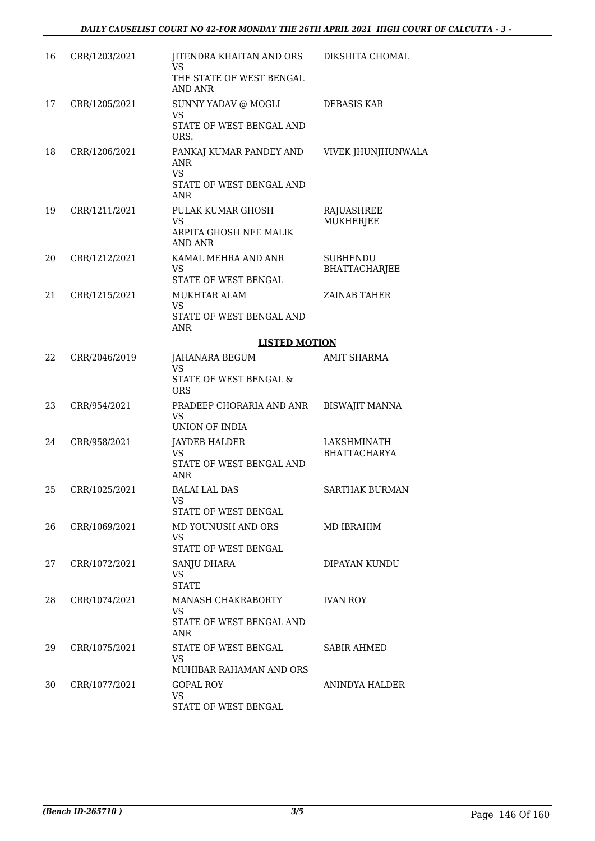| 16 | CRR/1203/2021 | JITENDRA KHAITAN AND ORS<br><b>VS</b><br>THE STATE OF WEST BENGAL<br><b>AND ANR</b>   | DIKSHITA CHOMAL                         |
|----|---------------|---------------------------------------------------------------------------------------|-----------------------------------------|
| 17 | CRR/1205/2021 | SUNNY YADAV @ MOGLI<br><b>VS</b><br>STATE OF WEST BENGAL AND<br>ORS.                  | <b>DEBASIS KAR</b>                      |
| 18 | CRR/1206/2021 | PANKAJ KUMAR PANDEY AND<br><b>ANR</b><br><b>VS</b><br>STATE OF WEST BENGAL AND<br>ANR | VIVEK JHUNJHUNWALA                      |
| 19 | CRR/1211/2021 | PULAK KUMAR GHOSH<br><b>VS</b><br>ARPITA GHOSH NEE MALIK<br><b>AND ANR</b>            | RAJUASHREE<br>MUKHERJEE                 |
| 20 | CRR/1212/2021 | KAMAL MEHRA AND ANR<br><b>VS</b><br>STATE OF WEST BENGAL                              | <b>SUBHENDU</b><br><b>BHATTACHARJEE</b> |
| 21 | CRR/1215/2021 | MUKHTAR ALAM<br><b>VS</b><br>STATE OF WEST BENGAL AND<br><b>ANR</b>                   | <b>ZAINAB TAHER</b>                     |
|    |               | <b>LISTED MOTION</b>                                                                  |                                         |
| 22 | CRR/2046/2019 | JAHANARA BEGUM<br><b>VS</b><br>STATE OF WEST BENGAL &<br><b>ORS</b>                   | AMIT SHARMA                             |
| 23 | CRR/954/2021  | PRADEEP CHORARIA AND ANR<br><b>VS</b><br>UNION OF INDIA                               | <b>BISWAJIT MANNA</b>                   |
| 24 | CRR/958/2021  | <b>JAYDEB HALDER</b><br><b>VS</b><br>STATE OF WEST BENGAL AND<br><b>ANR</b>           | LAKSHMINATH<br>BHATTACHARYA             |
| 25 | CRR/1025/2021 | <b>BALAI LAL DAS</b><br><b>VS</b><br>STATE OF WEST BENGAL                             | <b>SARTHAK BURMAN</b>                   |
| 26 | CRR/1069/2021 | MD YOUNUSH AND ORS<br><b>VS</b><br>STATE OF WEST BENGAL                               | MD IBRAHIM                              |
| 27 | CRR/1072/2021 | SANJU DHARA<br>VS<br><b>STATE</b>                                                     | DIPAYAN KUNDU                           |
| 28 | CRR/1074/2021 | <b>MANASH CHAKRABORTY</b><br><b>VS</b><br>STATE OF WEST BENGAL AND<br>ANR             | <b>IVAN ROY</b>                         |
| 29 | CRR/1075/2021 | STATE OF WEST BENGAL<br><b>VS</b><br>MUHIBAR RAHAMAN AND ORS                          | <b>SABIR AHMED</b>                      |
| 30 | CRR/1077/2021 | <b>GOPAL ROY</b><br><b>VS</b><br>STATE OF WEST BENGAL                                 | ANINDYA HALDER                          |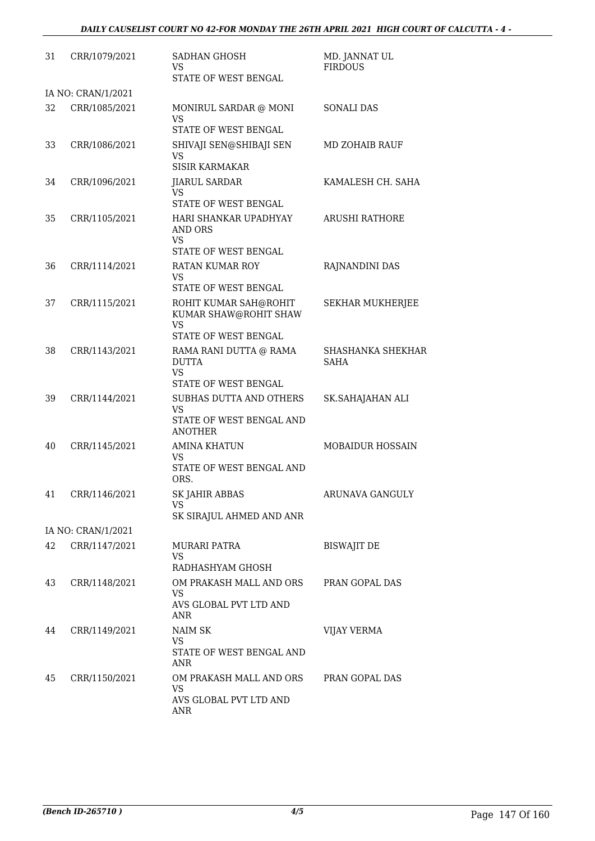| 31 | CRR/1079/2021      | <b>SADHAN GHOSH</b><br><b>VS</b><br>STATE OF WEST BENGAL                                      | MD. JANNAT UL<br><b>FIRDOUS</b> |
|----|--------------------|-----------------------------------------------------------------------------------------------|---------------------------------|
|    | IA NO: CRAN/1/2021 |                                                                                               |                                 |
| 32 | CRR/1085/2021      | MONIRUL SARDAR @ MONI<br><b>VS</b><br><b>STATE OF WEST BENGAL</b>                             | <b>SONALI DAS</b>               |
| 33 | CRR/1086/2021      | SHIVAJI SEN@SHIBAJI SEN<br><b>VS</b><br><b>SISIR KARMAKAR</b>                                 | MD ZOHAIB RAUF                  |
| 34 | CRR/1096/2021      | <b>JIARUL SARDAR</b><br><b>VS</b><br>STATE OF WEST BENGAL                                     | KAMALESH CH. SAHA               |
| 35 | CRR/1105/2021      | HARI SHANKAR UPADHYAY<br><b>AND ORS</b><br><b>VS</b><br>STATE OF WEST BENGAL                  | <b>ARUSHI RATHORE</b>           |
| 36 | CRR/1114/2021      | RATAN KUMAR ROY<br><b>VS</b><br>STATE OF WEST BENGAL                                          | RAJNANDINI DAS                  |
| 37 | CRR/1115/2021      | ROHIT KUMAR SAH@ROHIT<br>KUMAR SHAW@ROHIT SHAW<br><b>VS</b>                                   | <b>SEKHAR MUKHERJEE</b>         |
| 38 | CRR/1143/2021      | STATE OF WEST BENGAL<br>RAMA RANI DUTTA @ RAMA<br><b>DUTTA</b><br>VS.<br>STATE OF WEST BENGAL | SHASHANKA SHEKHAR<br>SAHA       |
| 39 | CRR/1144/2021      | SUBHAS DUTTA AND OTHERS<br><b>VS</b><br>STATE OF WEST BENGAL AND<br><b>ANOTHER</b>            | SK.SAHAJAHAN ALI                |
| 40 | CRR/1145/2021      | <b>AMINA KHATUN</b><br><b>VS</b><br>STATE OF WEST BENGAL AND<br>ORS.                          | <b>MOBAIDUR HOSSAIN</b>         |
| 41 | CRR/1146/2021      | <b>SK JAHIR ABBAS</b><br>VS<br>SK SIRAJUL AHMED AND ANR                                       | ARUNAVA GANGULY                 |
|    | IA NO: CRAN/1/2021 |                                                                                               |                                 |
| 42 | CRR/1147/2021      | <b>MURARI PATRA</b><br><b>VS</b><br>RADHASHYAM GHOSH                                          | <b>BISWAJIT DE</b>              |
| 43 | CRR/1148/2021      | OM PRAKASH MALL AND ORS<br><b>VS</b><br>AVS GLOBAL PVT LTD AND<br><b>ANR</b>                  | PRAN GOPAL DAS                  |
| 44 | CRR/1149/2021      | NAIM SK<br><b>VS</b><br>STATE OF WEST BENGAL AND<br><b>ANR</b>                                | <b>VIJAY VERMA</b>              |
| 45 | CRR/1150/2021      | OM PRAKASH MALL AND ORS<br><b>VS</b><br>AVS GLOBAL PVT LTD AND<br>ANR                         | PRAN GOPAL DAS                  |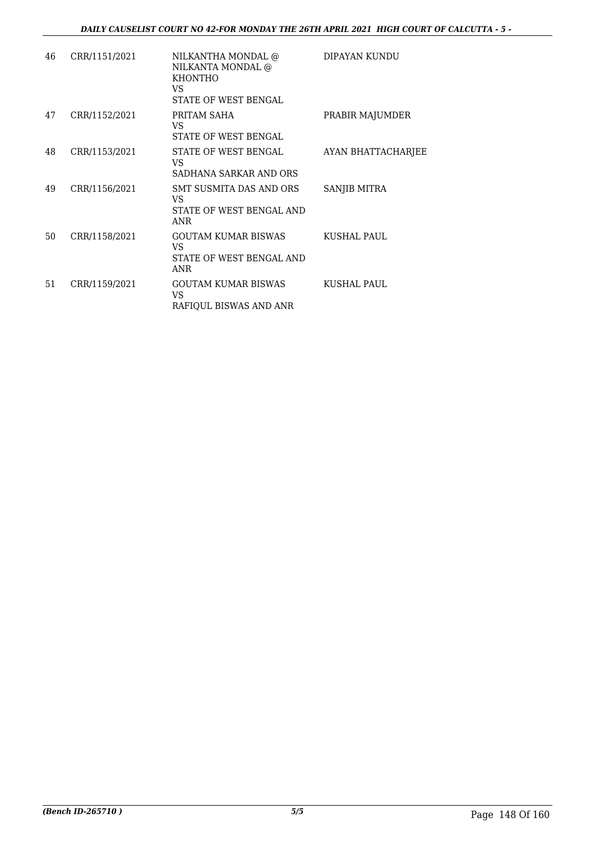| 46 | CRR/1151/2021 | NILKANTHA MONDAL @<br>NILKANTA MONDAL @<br><b>KHONTHO</b><br>VS.<br>STATE OF WEST BENGAL | DIPAYAN KUNDU      |
|----|---------------|------------------------------------------------------------------------------------------|--------------------|
| 47 | CRR/1152/2021 | PRITAM SAHA<br>VS.<br><b>STATE OF WEST BENGAL</b>                                        | PRABIR MAJUMDER    |
| 48 | CRR/1153/2021 | STATE OF WEST BENGAL<br>VS.<br>SADHANA SARKAR AND ORS                                    | AYAN BHATTACHARJEE |
| 49 | CRR/1156/2021 | SMT SUSMITA DAS AND ORS<br>VS.<br>STATE OF WEST BENGAL AND<br><b>ANR</b>                 | SANJIB MITRA       |
| 50 | CRR/1158/2021 | GOUTAM KUMAR BISWAS<br>VS.<br>STATE OF WEST BENGAL AND<br><b>ANR</b>                     | <b>KUSHAL PAUL</b> |
| 51 | CRR/1159/2021 | GOUTAM KUMAR BISWAS<br>VS.<br>RAFIQUL BISWAS AND ANR                                     | KUSHAL PAUL        |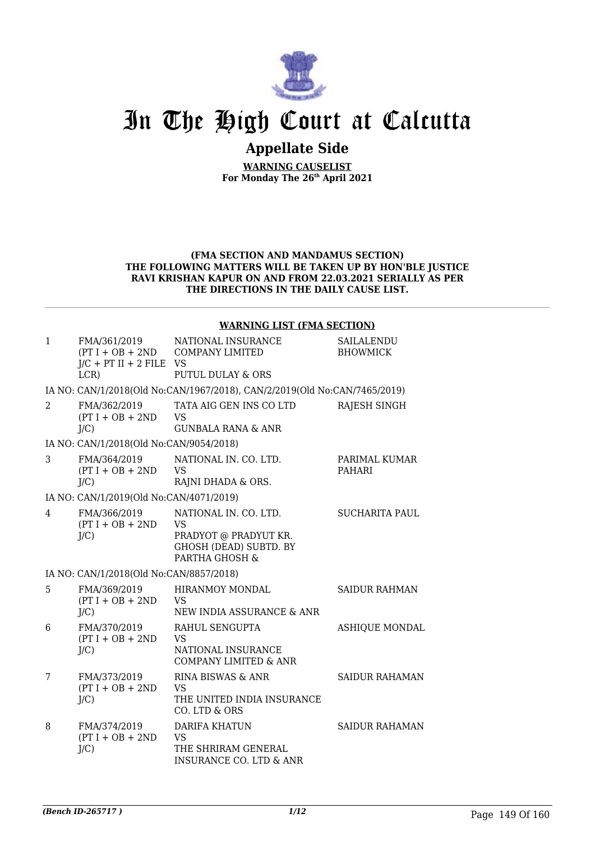

# In The High Court at Calcutta

## **Appellate Side**

**WARNING CAUSELIST For Monday The 26th April 2021**

#### **(FMA SECTION AND MANDAMUS SECTION) THE FOLLOWING MATTERS WILL BE TAKEN UP BY HON'BLE JUSTICE RAVI KRISHAN KAPUR ON AND FROM 22.03.2021 SERIALLY AS PER THE DIRECTIONS IN THE DAILY CAUSE LIST.**

#### **WARNING LIST (FMA SECTION)**

| $\mathbf{1}$   | FMA/361/2019<br>$(PT I + OB + 2ND$<br>$J/C$ + PT II + 2 FILE VS | NATIONAL INSURANCE<br><b>COMPANY LIMITED</b>                                                                   | SAILALENDU<br><b>BHOWMICK</b>  |
|----------------|-----------------------------------------------------------------|----------------------------------------------------------------------------------------------------------------|--------------------------------|
|                | LCR)                                                            | <b>PUTUL DULAY &amp; ORS</b>                                                                                   |                                |
|                |                                                                 | IA NO: CAN/1/2018(Old No:CAN/1967/2018), CAN/2/2019(Old No:CAN/7465/2019)                                      |                                |
| $\overline{2}$ | FMA/362/2019<br>$(PT I + OB + 2ND$<br>$J/C$ )                   | TATA AIG GEN INS CO LTD<br><b>VS</b><br><b>GUNBALA RANA &amp; ANR</b>                                          | RAJESH SINGH                   |
|                | IA NO: CAN/1/2018(Old No:CAN/9054/2018)                         |                                                                                                                |                                |
| 3              | FMA/364/2019                                                    | NATIONAL IN. CO. LTD.                                                                                          |                                |
|                | $(PT I + OB + 2ND$                                              | <b>VS</b>                                                                                                      | PARIMAL KUMAR<br><b>PAHARI</b> |
|                | $J/C$ )                                                         | RAJNI DHADA & ORS.                                                                                             |                                |
|                | IA NO: CAN/1/2019(Old No:CAN/4071/2019)                         |                                                                                                                |                                |
| 4              | FMA/366/2019<br>$(PT I + OB + 2ND$<br>$J/C$ )                   | NATIONAL IN. CO. LTD.<br><b>VS</b><br>PRADYOT @ PRADYUT KR.<br><b>GHOSH (DEAD) SUBTD. BY</b><br>PARTHA GHOSH & | <b>SUCHARITA PAUL</b>          |
|                | IA NO: CAN/1/2018(Old No:CAN/8857/2018)                         |                                                                                                                |                                |
| 5              | FMA/369/2019<br>$(PT I + OB + 2ND$<br>$J/C$ )                   | <b>HIRANMOY MONDAL</b><br><b>VS</b><br>NEW INDIA ASSURANCE & ANR                                               | <b>SAIDUR RAHMAN</b>           |
| 6              | FMA/370/2019<br>$(PT I + OB + 2ND$<br>$J/C$ )                   | RAHUL SENGUPTA<br><b>VS</b><br>NATIONAL INSURANCE<br><b>COMPANY LIMITED &amp; ANR</b>                          | <b>ASHIQUE MONDAL</b>          |
| 7              | FMA/373/2019<br>$(PT I + OB + 2ND$<br>$J/C$ )                   | RINA BISWAS & ANR<br><b>VS</b><br>THE UNITED INDIA INSURANCE<br>CO. LTD & ORS                                  | <b>SAIDUR RAHAMAN</b>          |
| 8              | FMA/374/2019<br>$(PT I + OB + 2ND$<br>$J/C$ )                   | <b>DARIFA KHATUN</b><br><b>VS</b><br>THE SHRIRAM GENERAL<br>INSURANCE CO. LTD & ANR                            | <b>SAIDUR RAHAMAN</b>          |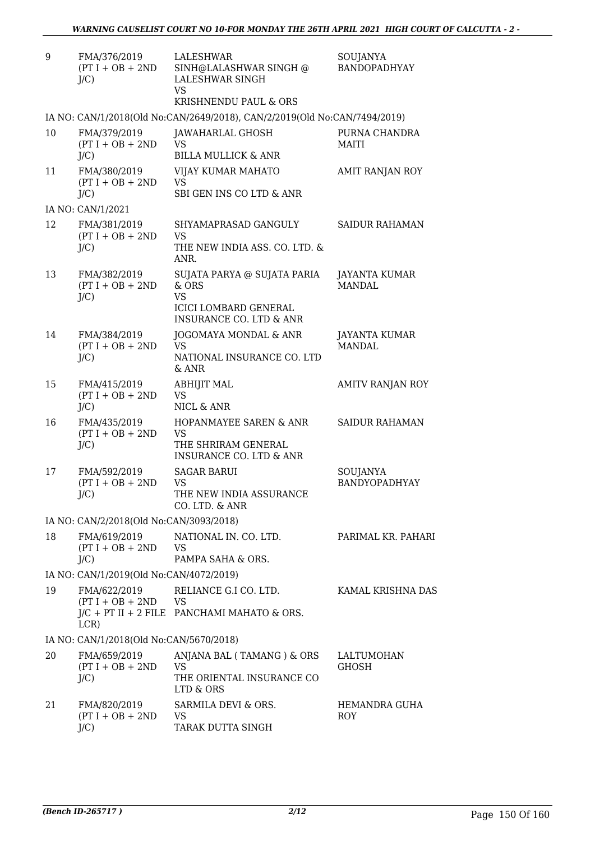| 9  | FMA/376/2019<br>$(PT I + OB + 2ND$<br>$J/C$ ) | LALESHWAR<br>SINH@LALASHWAR SINGH @<br>LALESHWAR SINGH<br>VS.                                                           | SOUJANYA<br>BANDOPADHYAY              |
|----|-----------------------------------------------|-------------------------------------------------------------------------------------------------------------------------|---------------------------------------|
|    |                                               | <b>KRISHNENDU PAUL &amp; ORS</b>                                                                                        |                                       |
|    |                                               | IA NO: CAN/1/2018(Old No:CAN/2649/2018), CAN/2/2019(Old No:CAN/7494/2019)                                               |                                       |
| 10 | FMA/379/2019<br>$(PT I + OB + 2ND$<br>$J/C$ ) | JAWAHARLAL GHOSH<br>VS<br><b>BILLA MULLICK &amp; ANR</b>                                                                | PURNA CHANDRA<br><b>MAITI</b>         |
| 11 | FMA/380/2019<br>$(PT I + OB + 2ND$<br>$J/C$ ) | VIJAY KUMAR MAHATO<br><b>VS</b><br>SBI GEN INS CO LTD & ANR                                                             | AMIT RANJAN ROY                       |
|    | IA NO: CAN/1/2021                             |                                                                                                                         |                                       |
| 12 | FMA/381/2019<br>$(PT I + OB + 2ND$<br>$J/C$ ) | SHYAMAPRASAD GANGULY<br><b>VS</b><br>THE NEW INDIA ASS, CO. LTD. &<br>ANR.                                              | <b>SAIDUR RAHAMAN</b>                 |
| 13 | FMA/382/2019<br>$(PT I + OB + 2ND$<br>$J/C$ ) | SUJATA PARYA @ SUJATA PARIA<br>& ORS<br><b>VS</b><br><b>ICICI LOMBARD GENERAL</b><br><b>INSURANCE CO. LTD &amp; ANR</b> | <b>JAYANTA KUMAR</b><br><b>MANDAL</b> |
| 14 | FMA/384/2019<br>$(PT I + OB + 2ND$<br>$J/C$ ) | JOGOMAYA MONDAL & ANR<br><b>VS</b><br>NATIONAL INSURANCE CO. LTD<br>& ANR                                               | JAYANTA KUMAR<br><b>MANDAL</b>        |
| 15 | FMA/415/2019<br>$(PT I + OB + 2ND$<br>$J/C$ ) | <b>ABHIJIT MAL</b><br><b>VS</b><br>NICL & ANR                                                                           | AMITV RANJAN ROY                      |
| 16 | FMA/435/2019<br>$(PT I + OB + 2ND$<br>$J/C$ ) | HOPANMAYEE SAREN & ANR<br><b>VS</b><br>THE SHRIRAM GENERAL<br><b>INSURANCE CO. LTD &amp; ANR</b>                        | SAIDUR RAHAMAN                        |
| 17 | FMA/592/2019<br>$(PT I + OB + 2ND$<br>$J/C$ ) | <b>SAGAR BARUI</b><br>VS<br>THE NEW INDIA ASSURANCE<br>CO. LTD. & ANR                                                   | SOUJANYA<br>BANDYOPADHYAY             |
|    | IA NO: CAN/2/2018(Old No:CAN/3093/2018)       |                                                                                                                         |                                       |
| 18 | FMA/619/2019<br>$(PT I + OB + 2ND$<br>$J/C$ ) | NATIONAL IN. CO. LTD.<br>VS<br>PAMPA SAHA & ORS.                                                                        | PARIMAL KR. PAHARI                    |
|    | IA NO: CAN/1/2019(Old No:CAN/4072/2019)       |                                                                                                                         |                                       |
| 19 | FMA/622/2019<br>$(PT I + OB + 2ND$<br>LCR)    | RELIANCE G.I CO. LTD.<br><b>VS</b><br>$J/C$ + PT II + 2 FILE PANCHAMI MAHATO & ORS.                                     | KAMAL KRISHNA DAS                     |
|    | IA NO: CAN/1/2018(Old No:CAN/5670/2018)       |                                                                                                                         |                                       |
| 20 | FMA/659/2019<br>$(PT I + OB + 2ND$<br>$J/C$ ) | ANJANA BAL (TAMANG) & ORS<br><b>VS</b><br>THE ORIENTAL INSURANCE CO<br>LTD & ORS                                        | LALTUMOHAN<br><b>GHOSH</b>            |
| 21 | FMA/820/2019<br>$(PT I + OB + 2ND$<br>$J/C$ ) | SARMILA DEVI & ORS.<br><b>VS</b><br>TARAK DUTTA SINGH                                                                   | HEMANDRA GUHA<br><b>ROY</b>           |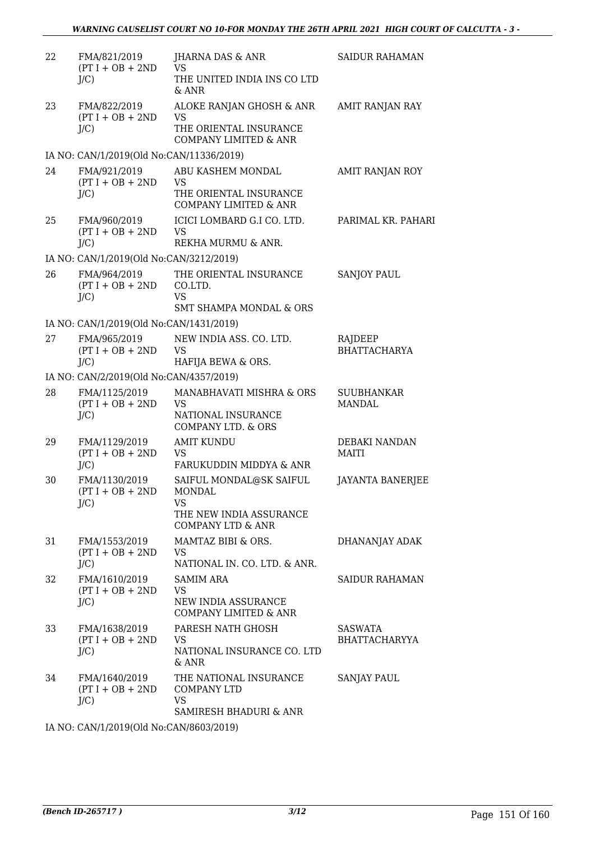| 22 | FMA/821/2019<br>$(PT I + OB + 2ND$<br>$J/C$ )  | <b>JHARNA DAS &amp; ANR</b><br><b>VS</b><br>THE UNITED INDIA INS CO LTD<br>$&$ ANR                               | <b>SAIDUR RAHAMAN</b>          |
|----|------------------------------------------------|------------------------------------------------------------------------------------------------------------------|--------------------------------|
| 23 | FMA/822/2019<br>$(PT I + OB + 2ND$<br>$J/C$ )  | ALOKE RANJAN GHOSH & ANR<br><b>VS</b><br>THE ORIENTAL INSURANCE<br><b>COMPANY LIMITED &amp; ANR</b>              | <b>AMIT RANJAN RAY</b>         |
|    | IA NO: CAN/1/2019(Old No:CAN/11336/2019)       |                                                                                                                  |                                |
| 24 | FMA/921/2019<br>$(PT I + OB + 2ND$<br>J/C      | ABU KASHEM MONDAL<br><b>VS</b><br>THE ORIENTAL INSURANCE<br><b>COMPANY LIMITED &amp; ANR</b>                     | AMIT RANJAN ROY                |
| 25 | FMA/960/2019<br>$(PT I + OB + 2ND$<br>$J/C$ )  | ICICI LOMBARD G.I CO. LTD.<br><b>VS</b><br>REKHA MURMU & ANR.                                                    | PARIMAL KR. PAHARI             |
|    | IA NO: CAN/1/2019(Old No:CAN/3212/2019)        |                                                                                                                  |                                |
| 26 | FMA/964/2019<br>$(PT I + OB + 2ND$<br>$J/C$ )  | THE ORIENTAL INSURANCE<br>CO.LTD.<br><b>VS</b><br><b>SMT SHAMPA MONDAL &amp; ORS</b>                             | <b>SANJOY PAUL</b>             |
|    | IA NO: CAN/1/2019(Old No:CAN/1431/2019)        |                                                                                                                  |                                |
| 27 | FMA/965/2019<br>$(PT I + OB + 2ND$<br>J/C      | NEW INDIA ASS. CO. LTD.<br><b>VS</b><br>HAFIJA BEWA & ORS.                                                       | RAJDEEP<br><b>BHATTACHARYA</b> |
|    | IA NO: CAN/2/2019(Old No:CAN/4357/2019)        |                                                                                                                  |                                |
| 28 | FMA/1125/2019<br>$(PT I + OB + 2ND$<br>$J/C$ ) | MANABHAVATI MISHRA & ORS<br><b>VS</b><br>NATIONAL INSURANCE<br><b>COMPANY LTD. &amp; ORS</b>                     | <b>SUUBHANKAR</b><br>MANDAL    |
| 29 | FMA/1129/2019<br>$(PT I + OB + 2ND$<br>$J/C$ ) | <b>AMIT KUNDU</b><br><b>VS</b><br>FARUKUDDIN MIDDYA & ANR                                                        | DEBAKI NANDAN<br>MAITI         |
| 30 | FMA/1130/2019<br>$(PT I + OB + 2ND$<br>$J/C$ ) | SAIFUL MONDAL@SK SAIFUL<br><b>MONDAL</b><br><b>VS</b><br>THE NEW INDIA ASSURANCE<br><b>COMPANY LTD &amp; ANR</b> | <b>JAYANTA BANERJEE</b>        |
| 31 | FMA/1553/2019<br>$(PT I + OB + 2ND$<br>J/C     | MAMTAZ BIBI & ORS.<br>VS<br>NATIONAL IN. CO. LTD. & ANR.                                                         | DHANANJAY ADAK                 |
| 32 | FMA/1610/2019<br>$(PT I + OB + 2ND$<br>J/C     | <b>SAMIM ARA</b><br><b>VS</b><br>NEW INDIA ASSURANCE<br><b>COMPANY LIMITED &amp; ANR</b>                         | SAIDUR RAHAMAN                 |
| 33 | FMA/1638/2019<br>$(PT I + OB + 2ND$<br>$J/C$ ) | PARESH NATH GHOSH<br>VS<br>NATIONAL INSURANCE CO. LTD<br>& ANR                                                   | SASWATA<br>BHATTACHARYYA       |
| 34 | FMA/1640/2019<br>$(PT I + OB + 2ND$<br>$J/C$ ) | THE NATIONAL INSURANCE<br><b>COMPANY LTD</b><br><b>VS</b><br>SAMIRESH BHADURI & ANR                              | SANJAY PAUL                    |

IA NO: CAN/1/2019(Old No:CAN/8603/2019)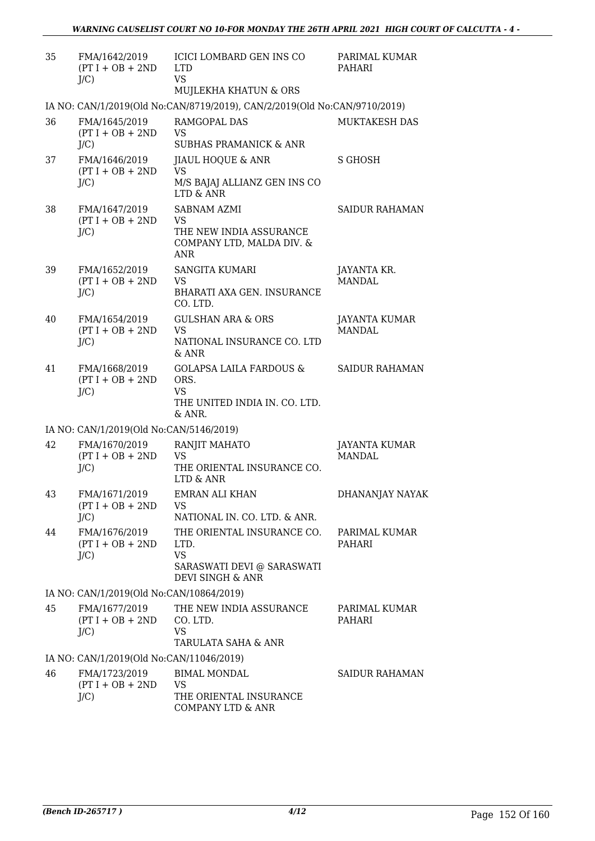| 35 | FMA/1642/2019<br>$(PT I + OB + 2ND$<br>$J/C$ ) | ICICI LOMBARD GEN INS CO<br><b>LTD</b><br><b>VS</b><br>MUJLEKHA KHATUN & ORS                       | PARIMAL KUMAR<br>PAHARI               |
|----|------------------------------------------------|----------------------------------------------------------------------------------------------------|---------------------------------------|
|    |                                                | IA NO: CAN/1/2019(Old No:CAN/8719/2019), CAN/2/2019(Old No:CAN/9710/2019)                          |                                       |
| 36 | FMA/1645/2019<br>$(PT I + OB + 2ND$<br>J/C     | RAMGOPAL DAS<br><b>VS</b><br><b>SUBHAS PRAMANICK &amp; ANR</b>                                     | MUKTAKESH DAS                         |
| 37 | FMA/1646/2019<br>$(PT I + OB + 2ND$<br>$J/C$ ) | <b>JIAUL HOQUE &amp; ANR</b><br><b>VS</b><br>M/S BAJAJ ALLIANZ GEN INS CO<br>LTD & ANR             | <b>S GHOSH</b>                        |
| 38 | FMA/1647/2019<br>$(PT I + OB + 2ND$<br>$J/C$ ) | SABNAM AZMI<br>VS<br>THE NEW INDIA ASSURANCE<br>COMPANY LTD, MALDA DIV. &<br>ANR                   | <b>SAIDUR RAHAMAN</b>                 |
| 39 | FMA/1652/2019<br>$(PT I + OB + 2ND$<br>$J/C$ ) | <b>SANGITA KUMARI</b><br>VS<br>BHARATI AXA GEN. INSURANCE<br>CO. LTD.                              | JAYANTA KR.<br><b>MANDAL</b>          |
| 40 | FMA/1654/2019<br>$(PT I + OB + 2ND$<br>$J/C$ ) | <b>GULSHAN ARA &amp; ORS</b><br><b>VS</b><br>NATIONAL INSURANCE CO. LTD<br>$&$ ANR                 | <b>JAYANTA KUMAR</b><br><b>MANDAL</b> |
| 41 | FMA/1668/2019<br>$(PT I + OB + 2ND$<br>$J/C$ ) | <b>GOLAPSA LAILA FARDOUS &amp;</b><br>ORS.<br><b>VS</b><br>THE UNITED INDIA IN. CO. LTD.<br>& ANR. | <b>SAIDUR RAHAMAN</b>                 |
|    | IA NO: CAN/1/2019(Old No:CAN/5146/2019)        |                                                                                                    |                                       |
| 42 | FMA/1670/2019<br>$(PT I + OB + 2ND$<br>$J/C$ ) | RANJIT MAHATO<br><b>VS</b><br>THE ORIENTAL INSURANCE CO.<br>LTD & ANR                              | <b>JAYANTA KUMAR</b><br><b>MANDAL</b> |
| 43 | FMA/1671/2019<br>$(PT I + OB + 2ND$<br>$J/C$ ) | EMRAN ALI KHAN<br><b>VS</b><br>NATIONAL IN. CO. LTD. & ANR.                                        | DHANANJAY NAYAK                       |
| 44 | FMA/1676/2019<br>$(PT I + OB + 2ND$<br>$J/C$ ) | THE ORIENTAL INSURANCE CO.<br>LTD.<br><b>VS</b><br>SARASWATI DEVI @ SARASWATI<br>DEVI SINGH & ANR  | PARIMAL KUMAR<br><b>PAHARI</b>        |
|    | IA NO: CAN/1/2019(Old No:CAN/10864/2019)       |                                                                                                    |                                       |
| 45 | FMA/1677/2019<br>$(PT I + OB + 2ND$<br>$J/C$ ) | THE NEW INDIA ASSURANCE<br>CO. LTD.<br><b>VS</b><br>TARULATA SAHA & ANR                            | PARIMAL KUMAR<br>PAHARI               |
|    | IA NO: CAN/1/2019(Old No:CAN/11046/2019)       |                                                                                                    |                                       |
| 46 | FMA/1723/2019<br>$(PT I + OB + 2ND$<br>$J/C$ ) | <b>BIMAL MONDAL</b><br><b>VS</b><br>THE ORIENTAL INSURANCE<br><b>COMPANY LTD &amp; ANR</b>         | SAIDUR RAHAMAN                        |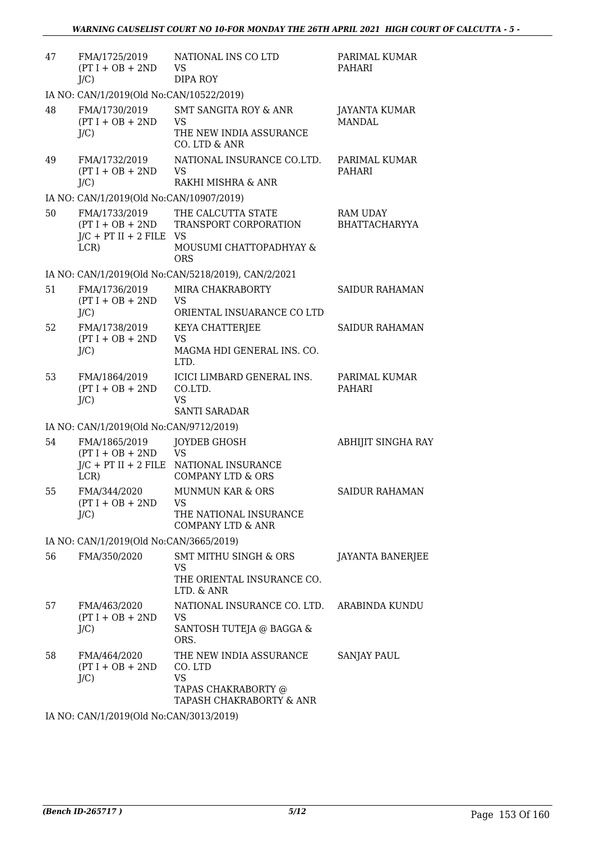| 47 | FMA/1725/2019<br>$(PT I + OB + 2ND$<br>$J/C$ )                           | NATIONAL INS CO LTD<br><b>VS</b><br><b>DIPA ROY</b>                                                    | PARIMAL KUMAR<br>PAHARI                 |
|----|--------------------------------------------------------------------------|--------------------------------------------------------------------------------------------------------|-----------------------------------------|
|    | IA NO: CAN/1/2019(Old No:CAN/10522/2019)                                 |                                                                                                        |                                         |
| 48 | FMA/1730/2019<br>$(PT I + OB + 2ND$<br>$J/C$ )                           | <b>SMT SANGITA ROY &amp; ANR</b><br><b>VS</b><br>THE NEW INDIA ASSURANCE<br>CO. LTD & ANR              | JAYANTA KUMAR<br><b>MANDAL</b>          |
| 49 | FMA/1732/2019<br>$(PT I + OB + 2ND$<br>$J/C$ )                           | NATIONAL INSURANCE CO.LTD.<br><b>VS</b><br>RAKHI MISHRA & ANR                                          | PARIMAL KUMAR<br><b>PAHARI</b>          |
|    | IA NO: CAN/1/2019(Old No:CAN/10907/2019)                                 |                                                                                                        |                                         |
| 50 | FMA/1733/2019<br>$(PT I + OB + 2ND$<br>$J/C$ + PT II + 2 FILE VS<br>LCR) | THE CALCUTTA STATE<br>TRANSPORT CORPORATION<br>MOUSUMI CHATTOPADHYAY &<br><b>ORS</b>                   | <b>RAM UDAY</b><br><b>BHATTACHARYYA</b> |
|    |                                                                          | IA NO: CAN/1/2019(Old No:CAN/5218/2019), CAN/2/2021                                                    |                                         |
| 51 | FMA/1736/2019<br>$(PT I + OB + 2ND$<br>$J/C$ )                           | MIRA CHAKRABORTY<br><b>VS</b><br>ORIENTAL INSUARANCE CO LTD                                            | <b>SAIDUR RAHAMAN</b>                   |
| 52 | FMA/1738/2019<br>$(PT I + OB + 2ND$<br>$J/C$ )                           | <b>KEYA CHATTERJEE</b><br><b>VS</b><br>MAGMA HDI GENERAL INS. CO.<br>LTD.                              | <b>SAIDUR RAHAMAN</b>                   |
| 53 | FMA/1864/2019<br>$(PT I + OB + 2ND$<br>$J/C$ )                           | ICICI LIMBARD GENERAL INS.<br>CO.LTD.<br><b>VS</b><br><b>SANTI SARADAR</b>                             | PARIMAL KUMAR<br>PAHARI                 |
|    | IA NO: CAN/1/2019(Old No:CAN/9712/2019)                                  |                                                                                                        |                                         |
| 54 | FMA/1865/2019<br>$(PT I + OB + 2ND$<br>LCR                               | JOYDEB GHOSH<br><b>VS</b><br>$J/C$ + PT II + 2 FILE NATIONAL INSURANCE<br><b>COMPANY LTD &amp; ORS</b> | <b>ABHIJIT SINGHA RAY</b>               |
| 55 | FMA/344/2020<br>$(PT I + OB + 2ND$<br>$J/C$ )                            | MUNMUN KAR & ORS<br><b>VS</b><br>THE NATIONAL INSURANCE<br><b>COMPANY LTD &amp; ANR</b>                | <b>SAIDUR RAHAMAN</b>                   |
|    | IA NO: CAN/1/2019(Old No:CAN/3665/2019)                                  |                                                                                                        |                                         |
| 56 | FMA/350/2020                                                             | SMT MITHU SINGH & ORS<br>VS<br>THE ORIENTAL INSURANCE CO.<br>LTD. & ANR                                | JAYANTA BANERJEE                        |
| 57 | FMA/463/2020<br>$(PT I + OB + 2ND$<br>$J/C$ )                            | NATIONAL INSURANCE CO. LTD.<br>VS<br>SANTOSH TUTEJA @ BAGGA &<br>ORS.                                  | ARABINDA KUNDU                          |
| 58 | FMA/464/2020<br>$(PT I + OB + 2ND$<br>$J/C$ )                            | THE NEW INDIA ASSURANCE<br>CO. LTD<br><b>VS</b><br>TAPAS CHAKRABORTY @<br>TAPASH CHAKRABORTY & ANR     | <b>SANJAY PAUL</b>                      |
|    |                                                                          |                                                                                                        |                                         |

IA NO: CAN/1/2019(Old No:CAN/3013/2019)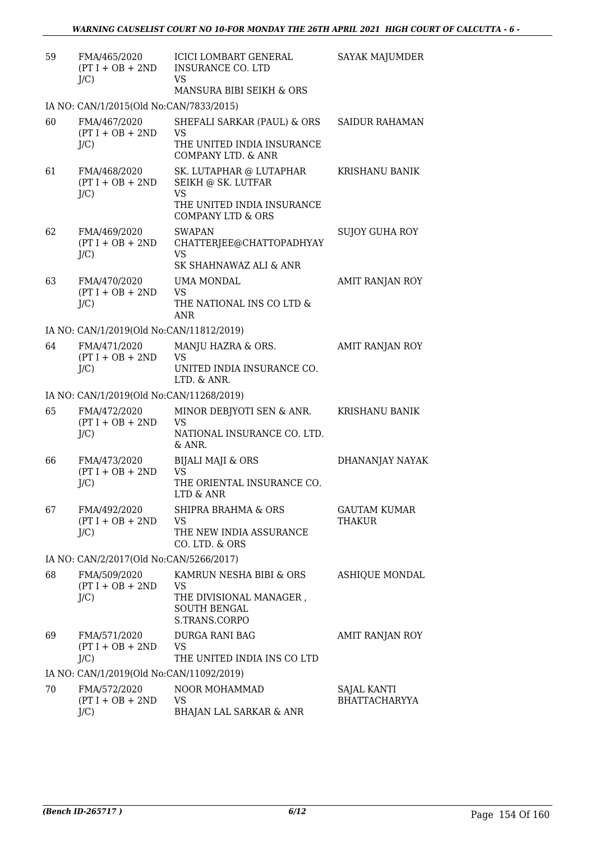| 59 | FMA/465/2020<br>$(PT I + OB + 2ND$<br>J/C     | ICICI LOMBART GENERAL<br><b>INSURANCE CO. LTD</b><br><b>VS</b><br>MANSURA BIBI SEIKH & ORS                               | <b>SAYAK MAJUMDER</b>                |
|----|-----------------------------------------------|--------------------------------------------------------------------------------------------------------------------------|--------------------------------------|
|    | IA NO: CAN/1/2015(Old No:CAN/7833/2015)       |                                                                                                                          |                                      |
| 60 | FMA/467/2020<br>$(PT I + OB + 2ND$<br>J/C     | SHEFALI SARKAR (PAUL) & ORS<br><b>VS</b><br>THE UNITED INDIA INSURANCE<br>COMPANY LTD, & ANR                             | SAIDUR RAHAMAN                       |
| 61 | FMA/468/2020<br>$(PT I + OB + 2ND$<br>$J/C$ ) | SK. LUTAPHAR @ LUTAPHAR<br>SEIKH @ SK. LUTFAR<br><b>VS</b><br>THE UNITED INDIA INSURANCE<br><b>COMPANY LTD &amp; ORS</b> | KRISHANU BANIK                       |
| 62 | FMA/469/2020<br>$(PT I + OB + 2ND$<br>J/C     | <b>SWAPAN</b><br>CHATTERJEE@CHATTOPADHYAY<br><b>VS</b>                                                                   | SUJOY GUHA ROY                       |
| 63 | FMA/470/2020<br>$(PT I + OB + 2ND$<br>J/C     | SK SHAHNAWAZ ALI & ANR<br>UMA MONDAL<br><b>VS</b><br>THE NATIONAL INS CO LTD &<br><b>ANR</b>                             | AMIT RANJAN ROY                      |
|    | IA NO: CAN/1/2019(Old No:CAN/11812/2019)      |                                                                                                                          |                                      |
| 64 | FMA/471/2020<br>$(PT I + OB + 2ND$<br>J/C     | MANJU HAZRA & ORS.<br>VS<br>UNITED INDIA INSURANCE CO.<br>LTD. & ANR.                                                    | AMIT RANJAN ROY                      |
|    | IA NO: CAN/1/2019(Old No:CAN/11268/2019)      |                                                                                                                          |                                      |
| 65 | FMA/472/2020<br>$(PT I + OB + 2ND$<br>$J/C$ ) | MINOR DEBJYOTI SEN & ANR.<br><b>VS</b><br>NATIONAL INSURANCE CO. LTD.<br>& ANR.                                          | KRISHANU BANIK                       |
| 66 | FMA/473/2020<br>$(PT I + OB + 2ND$<br>J/C     | <b>BIJALI MAJI &amp; ORS</b><br><b>VS</b><br>THE ORIENTAL INSURANCE CO.<br>LTD & ANR                                     | DHANANJAY NAYAK                      |
| 67 | FMA/492/2020<br>$(PT I + OB + 2ND$<br>J/C     | <b>SHIPRA BRAHMA &amp; ORS</b><br>VS<br>THE NEW INDIA ASSURANCE<br>CO. LTD. & ORS                                        | <b>GAUTAM KUMAR</b><br><b>THAKUR</b> |
|    | IA NO: CAN/2/2017(Old No:CAN/5266/2017)       |                                                                                                                          |                                      |
| 68 | FMA/509/2020<br>$(PT I + OB + 2ND$<br>J/C     | KAMRUN NESHA BIBI & ORS<br>VS<br>THE DIVISIONAL MANAGER,<br><b>SOUTH BENGAL</b><br>S.TRANS.CORPO                         | ASHIQUE MONDAL                       |
| 69 | FMA/571/2020<br>$(PT I + OB + 2ND$<br>J/C     | DURGA RANI BAG<br><b>VS</b><br>THE UNITED INDIA INS CO LTD                                                               | AMIT RANJAN ROY                      |
|    | IA NO: CAN/1/2019(Old No:CAN/11092/2019)      |                                                                                                                          |                                      |
| 70 | FMA/572/2020<br>$(PT I + OB + 2ND$<br>J/C     | NOOR MOHAMMAD<br>VS<br><b>BHAJAN LAL SARKAR &amp; ANR</b>                                                                | SAJAL KANTI<br><b>BHATTACHARYYA</b>  |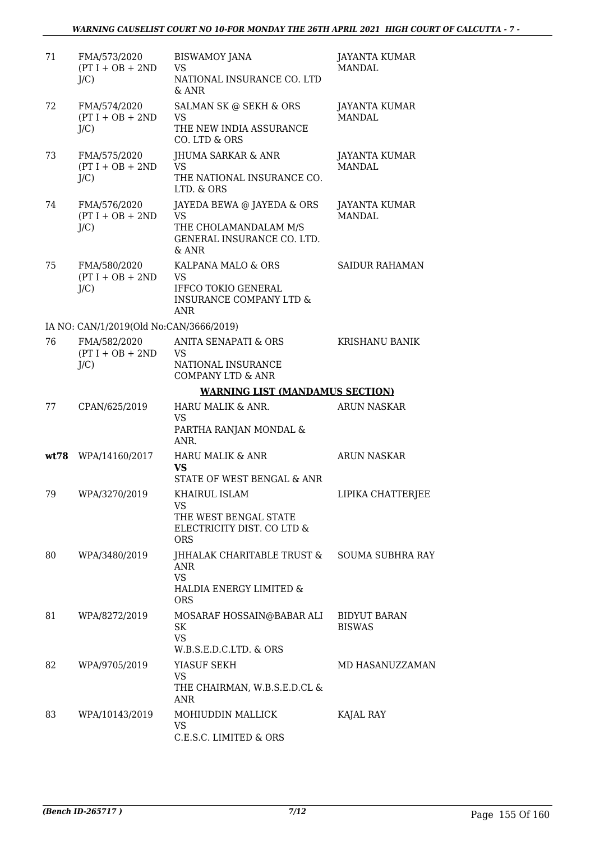| 71   | FMA/573/2020<br>$(PT I + OB + 2ND$<br>$J/C$ ) | <b>BISWAMOY JANA</b><br><b>VS</b><br>NATIONAL INSURANCE CO. LTD<br>$&$ ANR                                        | <b>JAYANTA KUMAR</b><br><b>MANDAL</b> |
|------|-----------------------------------------------|-------------------------------------------------------------------------------------------------------------------|---------------------------------------|
| 72   | FMA/574/2020<br>$(PT I + OB + 2ND$<br>J/C     | SALMAN SK @ SEKH & ORS<br><b>VS</b><br>THE NEW INDIA ASSURANCE<br>CO. LTD & ORS                                   | <b>JAYANTA KUMAR</b><br><b>MANDAL</b> |
| 73   | FMA/575/2020<br>$(PT I + OB + 2ND$<br>$J/C$ ) | <b>JHUMA SARKAR &amp; ANR</b><br><b>VS</b><br>THE NATIONAL INSURANCE CO.<br>LTD. & ORS                            | <b>JAYANTA KUMAR</b><br>MANDAL.       |
| 74   | FMA/576/2020<br>$(PT I + OB + 2ND$<br>J/C     | JAYEDA BEWA @ JAYEDA & ORS<br><b>VS</b><br>THE CHOLAMANDALAM M/S<br>GENERAL INSURANCE CO. LTD.<br>& ANR           | <b>JAYANTA KUMAR</b><br><b>MANDAL</b> |
| 75   | FMA/580/2020<br>$(PT I + OB + 2ND$<br>$J/C$ ) | KALPANA MALO & ORS<br><b>VS</b><br><b>IFFCO TOKIO GENERAL</b><br><b>INSURANCE COMPANY LTD &amp;</b><br><b>ANR</b> | <b>SAIDUR RAHAMAN</b>                 |
|      | IA NO: CAN/1/2019(Old No:CAN/3666/2019)       |                                                                                                                   |                                       |
| 76   | FMA/582/2020<br>$(PT I + OB + 2ND$<br>$J/C$ ) | ANITA SENAPATI & ORS<br><b>VS</b><br>NATIONAL INSURANCE<br><b>COMPANY LTD &amp; ANR</b>                           | KRISHANU BANIK                        |
|      |                                               | <b>WARNING LIST (MANDAMUS SECTION)</b>                                                                            |                                       |
| 77   | CPAN/625/2019                                 | HARU MALIK & ANR.<br><b>VS</b><br>PARTHA RANJAN MONDAL &<br>ANR.                                                  | <b>ARUN NASKAR</b>                    |
| wt78 | WPA/14160/2017                                | <b>HARU MALIK &amp; ANR</b><br><b>VS</b><br>STATE OF WEST BENGAL & ANR                                            | <b>ARUN NASKAR</b>                    |
| 79   | WPA/3270/2019                                 | KHAIRUL ISLAM<br>VS.<br>THE WEST BENGAL STATE<br>ELECTRICITY DIST. CO LTD &<br><b>ORS</b>                         | LIPIKA CHATTERJEE                     |
| 80   | WPA/3480/2019                                 | JHHALAK CHARITABLE TRUST & SOUMA SUBHRA RAY<br><b>ANR</b><br><b>VS</b><br>HALDIA ENERGY LIMITED &<br><b>ORS</b>   |                                       |
| 81   | WPA/8272/2019                                 | MOSARAF HOSSAIN@BABAR ALI<br>SK<br><b>VS</b><br>W.B.S.E.D.C.LTD. & ORS                                            | BIDYUT BARAN<br><b>BISWAS</b>         |
| 82   | WPA/9705/2019                                 | YIASUF SEKH<br><b>VS</b><br>THE CHAIRMAN, W.B.S.E.D.CL &<br>ANR                                                   | MD HASANUZZAMAN                       |
| 83   | WPA/10143/2019                                | MOHIUDDIN MALLICK<br><b>VS</b><br>C.E.S.C. LIMITED & ORS                                                          | KAJAL RAY                             |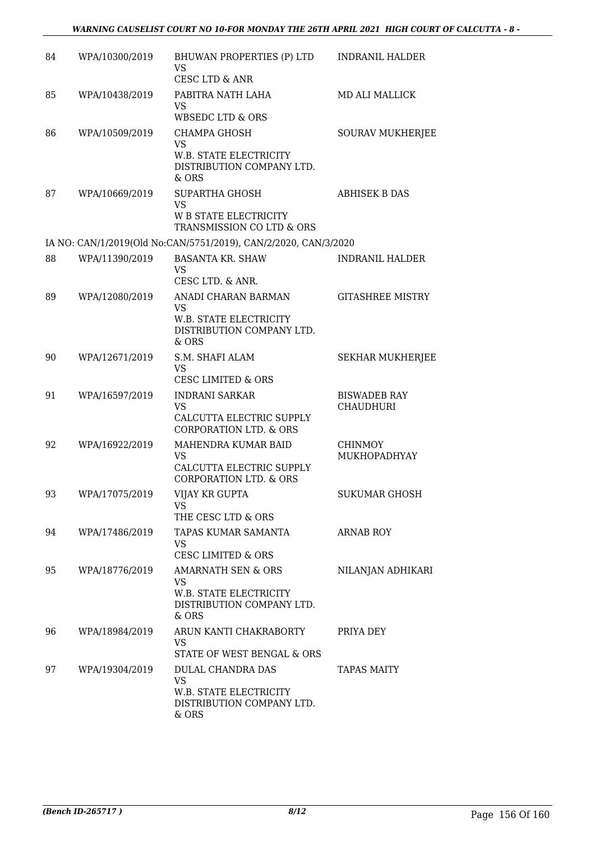| 84 | WPA/10300/2019 | BHUWAN PROPERTIES (P) LTD<br><b>VS</b><br>CESC LTD & ANR                                            | <b>INDRANIL HALDER</b>                  |
|----|----------------|-----------------------------------------------------------------------------------------------------|-----------------------------------------|
| 85 | WPA/10438/2019 | PABITRA NATH LAHA<br><b>VS</b><br><b>WBSEDC LTD &amp; ORS</b>                                       | MD ALI MALLICK                          |
| 86 | WPA/10509/2019 | CHAMPA GHOSH<br><b>VS</b><br><b>W.B. STATE ELECTRICITY</b><br>DISTRIBUTION COMPANY LTD.<br>& ORS    | <b>SOURAV MUKHERJEE</b>                 |
| 87 | WPA/10669/2019 | <b>SUPARTHA GHOSH</b><br><b>VS</b><br>W B STATE ELECTRICITY<br>TRANSMISSION CO LTD & ORS            | <b>ABHISEK B DAS</b>                    |
|    |                | IA NO: CAN/1/2019(Old No:CAN/5751/2019), CAN/2/2020, CAN/3/2020                                     |                                         |
| 88 | WPA/11390/2019 | <b>BASANTA KR. SHAW</b><br><b>VS</b><br>CESC LTD. & ANR.                                            | <b>INDRANIL HALDER</b>                  |
| 89 | WPA/12080/2019 | ANADI CHARAN BARMAN<br><b>VS</b><br>W.B. STATE ELECTRICITY<br>DISTRIBUTION COMPANY LTD.<br>& ORS    | <b>GITASHREE MISTRY</b>                 |
| 90 | WPA/12671/2019 | S.M. SHAFI ALAM<br><b>VS</b><br><b>CESC LIMITED &amp; ORS</b>                                       | <b>SEKHAR MUKHERJEE</b>                 |
| 91 | WPA/16597/2019 | <b>INDRANI SARKAR</b><br><b>VS</b><br>CALCUTTA ELECTRIC SUPPLY<br><b>CORPORATION LTD. &amp; ORS</b> | <b>BISWADEB RAY</b><br><b>CHAUDHURI</b> |
| 92 | WPA/16922/2019 | MAHENDRA KUMAR BAID<br><b>VS</b><br>CALCUTTA ELECTRIC SUPPLY<br><b>CORPORATION LTD. &amp; ORS</b>   | <b>CHINMOY</b><br>MUKHOPADHYAY          |
| 93 | WPA/17075/2019 | VIJAY KR GUPTA<br>VS<br>THE CESC LTD & ORS                                                          | <b>SUKUMAR GHOSH</b>                    |
| 94 | WPA/17486/2019 | TAPAS KUMAR SAMANTA<br><b>VS</b><br><b>CESC LIMITED &amp; ORS</b>                                   | <b>ARNAB ROY</b>                        |
| 95 | WPA/18776/2019 | AMARNATH SEN & ORS<br><b>VS</b><br>W.B. STATE ELECTRICITY<br>DISTRIBUTION COMPANY LTD.<br>& ORS     | NILANJAN ADHIKARI                       |
| 96 | WPA/18984/2019 | ARUN KANTI CHAKRABORTY<br><b>VS</b><br>STATE OF WEST BENGAL & ORS                                   | PRIYA DEY                               |
| 97 | WPA/19304/2019 | DULAL CHANDRA DAS<br><b>VS</b><br>W.B. STATE ELECTRICITY<br>DISTRIBUTION COMPANY LTD.<br>& ORS      | <b>TAPAS MAITY</b>                      |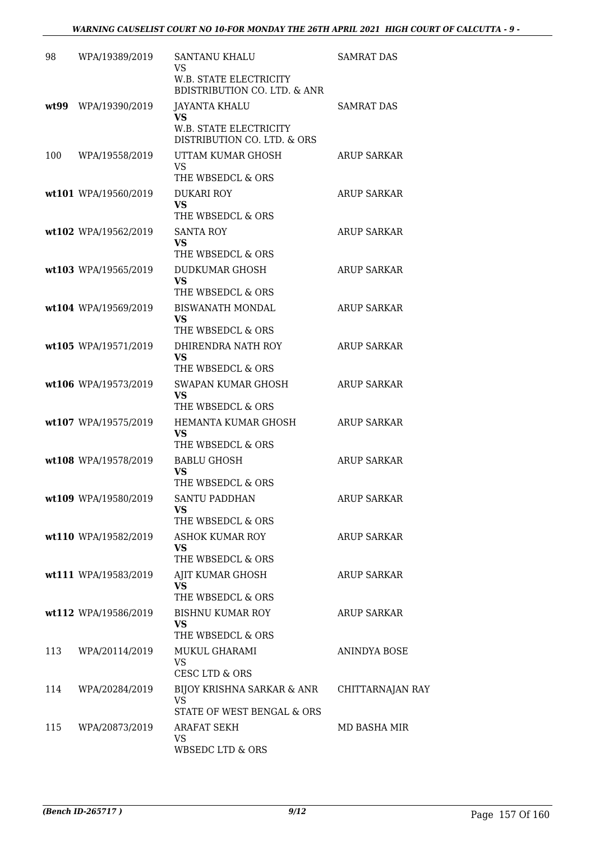| 98  | WPA/19389/2019       | <b>SANTANU KHALU</b><br>VS                                                                 | <b>SAMRAT DAS</b>  |
|-----|----------------------|--------------------------------------------------------------------------------------------|--------------------|
|     |                      | <b>W.B. STATE ELECTRICITY</b><br><b>BDISTRIBUTION CO. LTD. &amp; ANR</b>                   |                    |
|     | wt99 WPA/19390/2019  | JAYANTA KHALU<br><b>VS</b><br><b>W.B. STATE ELECTRICITY</b><br>DISTRIBUTION CO. LTD. & ORS | <b>SAMRAT DAS</b>  |
| 100 | WPA/19558/2019       | UTTAM KUMAR GHOSH<br><b>VS</b><br>THE WBSEDCL & ORS                                        | <b>ARUP SARKAR</b> |
|     | wt101 WPA/19560/2019 | <b>DUKARI ROY</b><br><b>VS</b><br>THE WBSEDCL & ORS                                        | <b>ARUP SARKAR</b> |
|     | wt102 WPA/19562/2019 | <b>SANTA ROY</b><br><b>VS</b><br>THE WBSEDCL & ORS                                         | <b>ARUP SARKAR</b> |
|     | wt103 WPA/19565/2019 | <b>DUDKUMAR GHOSH</b><br><b>VS</b><br>THE WBSEDCL & ORS                                    | <b>ARUP SARKAR</b> |
|     | wt104 WPA/19569/2019 | <b>BISWANATH MONDAL</b><br>VS<br>THE WBSEDCL & ORS                                         | <b>ARUP SARKAR</b> |
|     | wt105 WPA/19571/2019 | DHIRENDRA NATH ROY<br><b>VS</b><br>THE WBSEDCL & ORS                                       | <b>ARUP SARKAR</b> |
|     | wt106 WPA/19573/2019 | SWAPAN KUMAR GHOSH<br><b>VS</b><br>THE WBSEDCL & ORS                                       | <b>ARUP SARKAR</b> |
|     | wt107 WPA/19575/2019 | HEMANTA KUMAR GHOSH<br><b>VS</b><br>THE WBSEDCL & ORS                                      | <b>ARUP SARKAR</b> |
|     | wt108 WPA/19578/2019 | <b>BABLU GHOSH</b><br>VS<br>THE WBSEDCL & ORS                                              | <b>ARUP SARKAR</b> |
|     | wt109 WPA/19580/2019 | <b>SANTU PADDHAN</b><br>VS<br>THE WBSEDCL & ORS                                            | <b>ARUP SARKAR</b> |
|     | wt110 WPA/19582/2019 | <b>ASHOK KUMAR ROY</b><br><b>VS</b><br>THE WBSEDCL & ORS                                   | <b>ARUP SARKAR</b> |
|     | wt111 WPA/19583/2019 | AJIT KUMAR GHOSH<br><b>VS</b><br>THE WBSEDCL & ORS                                         | ARUP SARKAR        |
|     | wt112 WPA/19586/2019 | <b>BISHNU KUMAR ROY</b><br><b>VS</b><br>THE WBSEDCL & ORS                                  | ARUP SARKAR        |
| 113 | WPA/20114/2019       | MUKUL GHARAMI<br><b>VS</b><br>CESC LTD & ORS                                               | ANINDYA BOSE       |
| 114 | WPA/20284/2019       | BIJOY KRISHNA SARKAR & ANR<br><b>VS</b><br>STATE OF WEST BENGAL & ORS                      | CHITTARNAJAN RAY   |
| 115 | WPA/20873/2019       | ARAFAT SEKH<br>VS<br>WBSEDC LTD & ORS                                                      | MD BASHA MIR       |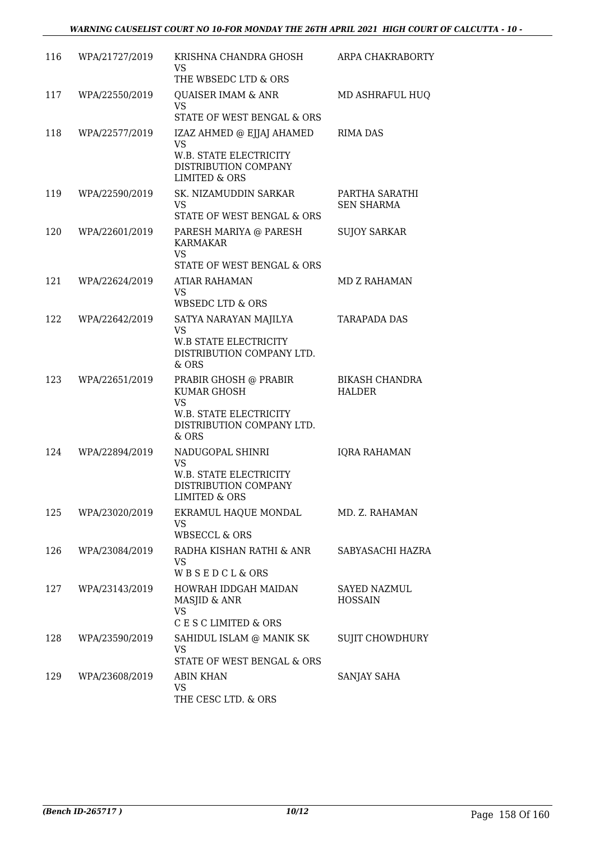| 116 | WPA/21727/2019 | KRISHNA CHANDRA GHOSH<br>VS.<br>THE WBSEDC LTD & ORS                                                                     | ARPA CHAKRABORTY                       |
|-----|----------------|--------------------------------------------------------------------------------------------------------------------------|----------------------------------------|
| 117 | WPA/22550/2019 | QUAISER IMAM & ANR<br><b>VS</b><br>STATE OF WEST BENGAL & ORS                                                            | MD ASHRAFUL HUQ                        |
| 118 | WPA/22577/2019 | IZAZ AHMED @ EJJAJ AHAMED<br><b>VS</b><br>W.B. STATE ELECTRICITY<br>DISTRIBUTION COMPANY<br><b>LIMITED &amp; ORS</b>     | <b>RIMA DAS</b>                        |
| 119 | WPA/22590/2019 | SK. NIZAMUDDIN SARKAR<br>VS.<br>STATE OF WEST BENGAL & ORS                                                               | PARTHA SARATHI<br><b>SEN SHARMA</b>    |
| 120 | WPA/22601/2019 | PARESH MARIYA @ PARESH<br><b>KARMAKAR</b><br><b>VS</b><br>STATE OF WEST BENGAL & ORS                                     | <b>SUJOY SARKAR</b>                    |
| 121 | WPA/22624/2019 | <b>ATIAR RAHAMAN</b><br><b>VS</b><br><b>WBSEDC LTD &amp; ORS</b>                                                         | <b>MD Z RAHAMAN</b>                    |
| 122 | WPA/22642/2019 | SATYA NARAYAN MAJILYA<br><b>VS</b><br><b>W.B STATE ELECTRICITY</b><br>DISTRIBUTION COMPANY LTD.<br>& ORS                 | <b>TARAPADA DAS</b>                    |
| 123 | WPA/22651/2019 | PRABIR GHOSH @ PRABIR<br><b>KUMAR GHOSH</b><br><b>VS</b><br>W.B. STATE ELECTRICITY<br>DISTRIBUTION COMPANY LTD.<br>& ORS | <b>BIKASH CHANDRA</b><br><b>HALDER</b> |
| 124 | WPA/22894/2019 | NADUGOPAL SHINRI<br><b>VS</b><br>W.B. STATE ELECTRICITY<br>DISTRIBUTION COMPANY<br><b>LIMITED &amp; ORS</b>              | <b>IQRA RAHAMAN</b>                    |
| 125 | WPA/23020/2019 | EKRAMUL HAQUE MONDAL<br>VS<br><b>WBSECCL &amp; ORS</b>                                                                   | MD. Z. RAHAMAN                         |
| 126 | WPA/23084/2019 | RADHA KISHAN RATHI & ANR<br><b>VS</b><br><b>WBSEDCL&amp;ORS</b>                                                          | SABYASACHI HAZRA                       |
| 127 | WPA/23143/2019 | HOWRAH IDDGAH MAIDAN<br>MASJID & ANR<br><b>VS</b><br>C E S C LIMITED & ORS                                               | SAYED NAZMUL<br><b>HOSSAIN</b>         |
| 128 | WPA/23590/2019 | SAHIDUL ISLAM @ MANIK SK<br><b>VS</b><br>STATE OF WEST BENGAL & ORS                                                      | SUJIT CHOWDHURY                        |
| 129 | WPA/23608/2019 | <b>ABIN KHAN</b><br><b>VS</b><br>THE CESC LTD. & ORS                                                                     | SANJAY SAHA                            |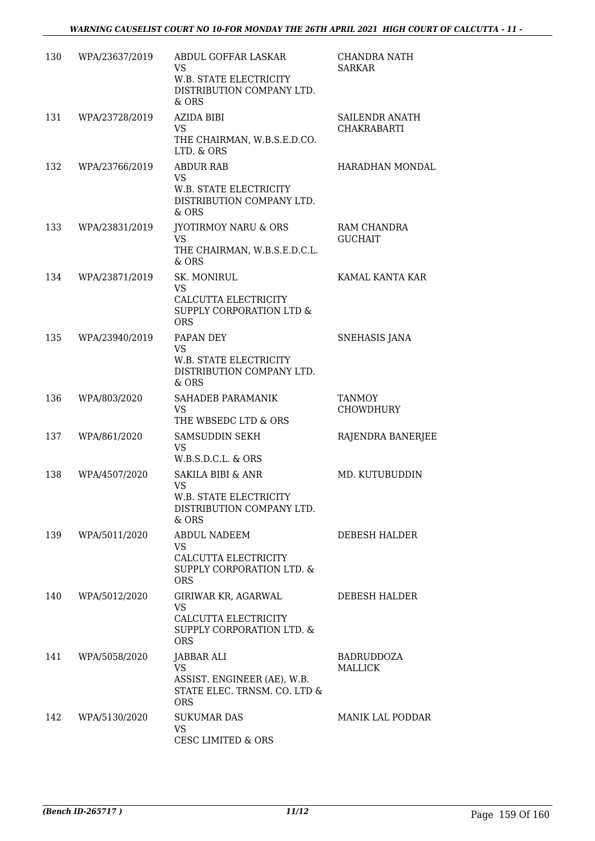| 130 | WPA/23637/2019 | ABDUL GOFFAR LASKAR<br><b>VS</b><br>W.B. STATE ELECTRICITY<br>DISTRIBUTION COMPANY LTD.<br>& ORS    | CHANDRA NATH<br><b>SARKAR</b>        |
|-----|----------------|-----------------------------------------------------------------------------------------------------|--------------------------------------|
| 131 | WPA/23728/2019 | <b>AZIDA BIBI</b><br>VS<br>THE CHAIRMAN, W.B.S.E.D.CO.<br>LTD. & ORS                                | SAILENDR ANATH<br><b>CHAKRABARTI</b> |
| 132 | WPA/23766/2019 | <b>ABDUR RAB</b><br><b>VS</b><br>W.B. STATE ELECTRICITY<br>DISTRIBUTION COMPANY LTD.<br>& ORS       | HARADHAN MONDAL                      |
| 133 | WPA/23831/2019 | <b>JYOTIRMOY NARU &amp; ORS</b><br><b>VS</b><br>THE CHAIRMAN, W.B.S.E.D.C.L.<br>$&$ ORS             | RAM CHANDRA<br><b>GUCHAIT</b>        |
| 134 | WPA/23871/2019 | SK. MONIRUL<br><b>VS</b><br>CALCUTTA ELECTRICITY<br>SUPPLY CORPORATION LTD &<br><b>ORS</b>          | KAMAL KANTA KAR                      |
| 135 | WPA/23940/2019 | PAPAN DEY<br><b>VS</b><br>W.B. STATE ELECTRICITY<br>DISTRIBUTION COMPANY LTD.<br>& ORS              | <b>SNEHASIS JANA</b>                 |
| 136 | WPA/803/2020   | SAHADEB PARAMANIK<br><b>VS</b><br>THE WBSEDC LTD & ORS                                              | <b>TANMOY</b><br><b>CHOWDHURY</b>    |
| 137 | WPA/861/2020   | SAMSUDDIN SEKH<br>VS<br>W.B.S.D.C.L. & ORS                                                          | RAJENDRA BANERJEE                    |
| 138 | WPA/4507/2020  | SAKILA BIBI & ANR<br><b>VS</b><br>W.B. STATE ELECTRICITY<br>DISTRIBUTION COMPANY LTD.<br>& ORS      | MD. KUTUBUDDIN                       |
| 139 | WPA/5011/2020  | ABDUL NADEEM<br>VS.<br>CALCUTTA ELECTRICITY<br>SUPPLY CORPORATION LTD. &<br><b>ORS</b>              | <b>DEBESH HALDER</b>                 |
| 140 | WPA/5012/2020  | GIRIWAR KR, AGARWAL<br><b>VS</b><br>CALCUTTA ELECTRICITY<br>SUPPLY CORPORATION LTD. &<br><b>ORS</b> | <b>DEBESH HALDER</b>                 |
| 141 | WPA/5058/2020  | JABBAR ALI<br>VS<br>ASSIST. ENGINEER (AE), W.B.<br>STATE ELEC. TRNSM. CO. LTD &<br><b>ORS</b>       | BADRUDDOZA<br>MALLICK                |
| 142 | WPA/5130/2020  | <b>SUKUMAR DAS</b><br><b>VS</b><br><b>CESC LIMITED &amp; ORS</b>                                    | MANIK LAL PODDAR                     |